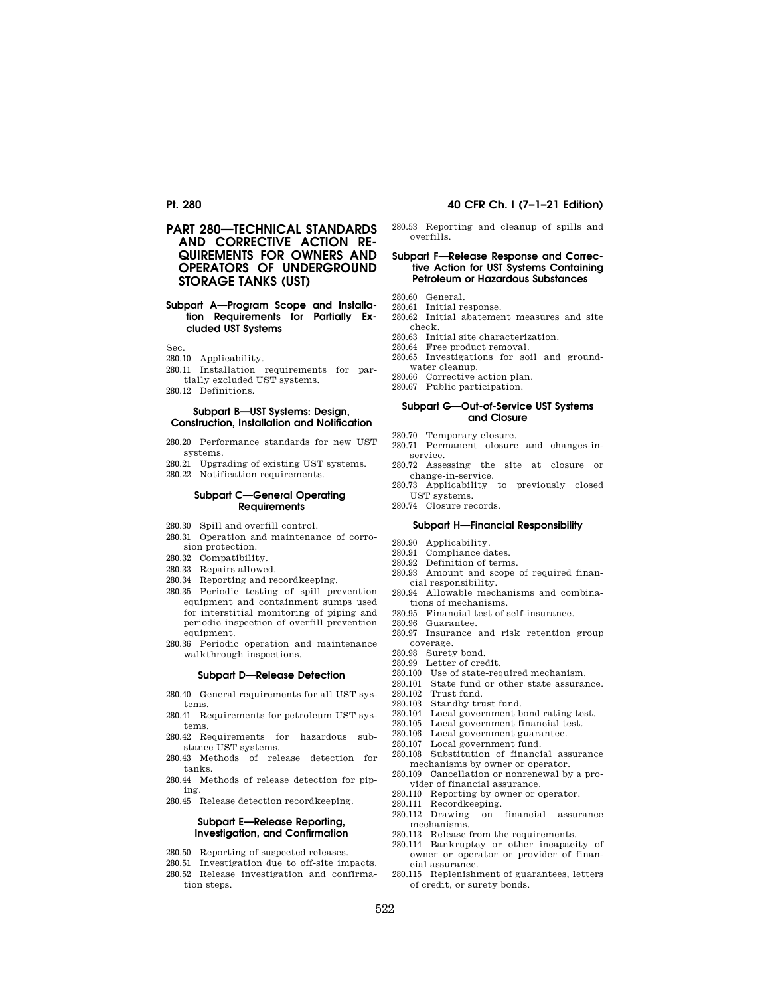# **PART 280—TECHNICAL STANDARDS AND CORRECTIVE ACTION RE-QUIREMENTS FOR OWNERS AND OPERATORS OF UNDERGROUND STORAGE TANKS (UST)**

### **Subpart A—Program Scope and Installation Requirements for Partially Excluded UST Systems**

Sec.

- 280.10 Applicability.
- 280.11 Installation requirements for partially excluded UST systems.
- 280.12 Definitions.

# **Subpart B—UST Systems: Design, Construction, Installation and Notification**

- 280.20 Performance standards for new UST systems.
- 280.21 Upgrading of existing UST systems.
- 280.22 Notification requirements.

# **Subpart C—General Operating Requirements**

- 280.30 Spill and overfill control.
- 280.31 Operation and maintenance of corrosion protection.
- 280.32 Compatibility.
- 280.33 Repairs allowed.
- 280.34 Reporting and recordkeeping.
- 280.35 Periodic testing of spill prevention equipment and containment sumps used for interstitial monitoring of piping and periodic inspection of overfill prevention equipment.
- 280.36 Periodic operation and maintenance walkthrough inspections.

# **Subpart D—Release Detection**

- 280.40 General requirements for all UST systems.
- 280.41 Requirements for petroleum UST systems.
- 280.42 Requirements for hazardous substance UST systems.
- 280.43 Methods of release detection for tanks.
- 280.44 Methods of release detection for piping.
- 280.45 Release detection recordkeeping.

#### **Subpart E—Release Reporting, Investigation, and Confirmation**

- 280.50 Reporting of suspected releases.
- 280.51 Investigation due to off-site impacts. 280.52 Release investigation and confirmation steps.

# **Pt. 280 40 CFR Ch. I (7–1–21 Edition)**

280.53 Reporting and cleanup of spills and overfills.

# **Subpart F—Release Response and Corrective Action for UST Systems Containing Petroleum or Hazardous Substances**

- 280.60 General.
- 280.61 Initial response.
- 280.62 Initial abatement measures and site check.
- 280.63 Initial site characterization.
- 280.64 Free product removal.
- 280.65 Investigations for soil and groundwater cleanup.
- 280.66 Corrective action plan.
- 280.67 Public participation.

### **Subpart G—Out-of-Service UST Systems and Closure**

- 280.70 Temporary closure.
- 280.71 Permanent closure and changes-inservice.
- 280.72 Assessing the site at closure or change-in-service.
- 280.73 Applicability to previously closed UST systems.
- 280.74 Closure records.

### **Subpart H—Financial Responsibility**

- 280.90 Applicability.
- 280.91 Compliance dates.
- 280.92 Definition of terms.
- 280.93 Amount and scope of required finan-
- cial responsibility. 280.94 Allowable mechanisms and combinations of mechanisms.
- 280.95 Financial test of self-insurance.
- 280.96 Guarantee.
- 280.97 Insurance and risk retention group coverage.
- 280.98 Surety bond.
- 280.99 Letter of credit.
- 280.100 Use of state-required mechanism.
- State fund or other state assurance.
- 280.102 Trust fund.
- Standby trust fund.
- 280.104 Local government bond rating test.<br>280.105 Local government financial test.
- 280.105 Local government financial test. Local government guarantee.
- 
- 280.107 Local government fund. Substitution of financial assurance mechanisms by owner or operator.
- 280.109 Cancellation or nonrenewal by a provider of financial assurance.
- 280.110 Reporting by owner or operator.
- 280.111 Recordkeeping.
- 280.112 Drawing on financial assurance mechanisms.
- 280.113 Release from the requirements.
- 280.114 Bankruptcy or other incapacity of owner or operator or provider of financial assurance.
- 280.115 Replenishment of guarantees, letters of credit, or surety bonds.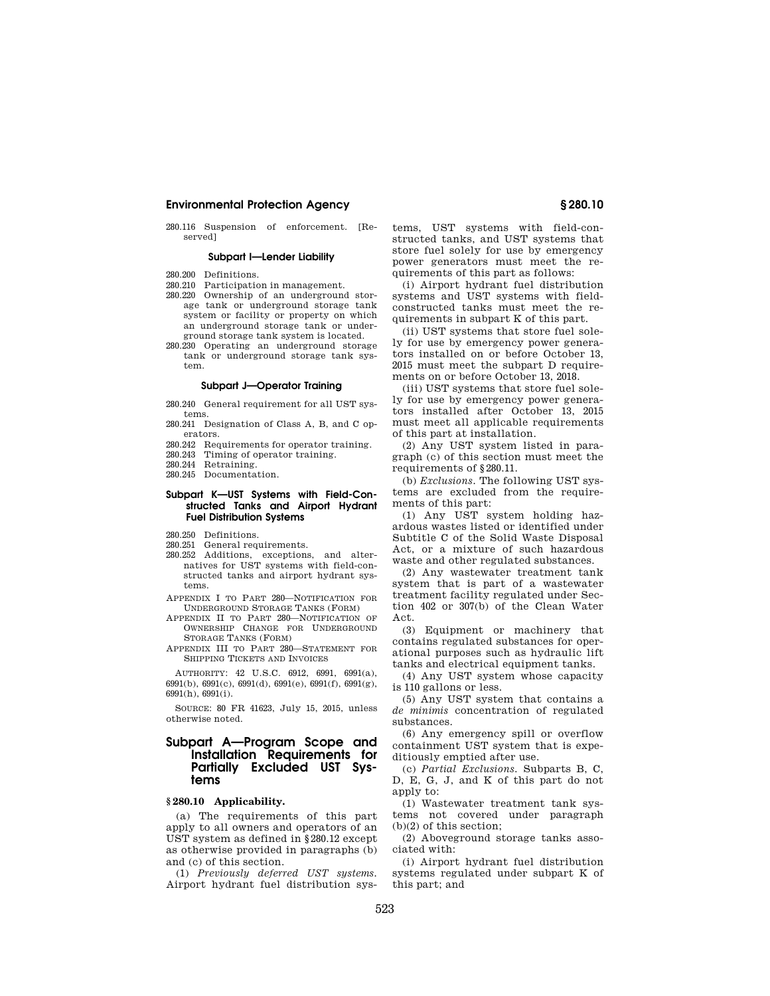280.116 Suspension of enforcement. [Reserved]

# **Subpart I—Lender Liability**

- 280.200 Definitions.
- 280.210 Participation in management.
- 280.220 Ownership of an underground storage tank or underground storage tank system or facility or property on which an underground storage tank or underground storage tank system is located.
- 280.230 Operating an underground storage tank or underground storage tank system.

# **Subpart J—Operator Training**

280.240 General requirement for all UST systems.

- 280.241 Designation of Class A, B, and C operators.
- 280.242 Requirements for operator training.
- 280.243 Timing of operator training. 280.244 Retraining.
- 280.245 Documentation.
- 

#### **Subpart K—UST Systems with Field-Constructed Tanks and Airport Hydrant Fuel Distribution Systems**

- 280.250 Definitions.
- 280.251 General requirements.
- 280.252 Additions, exceptions, and alternatives for UST systems with field-constructed tanks and airport hydrant systems.
- APPENDIX I TO PART 280—NOTIFICATION FOR UNDERGROUND STORAGE TANKS (FORM)
- APPENDIX II TO PART 280—NOTIFICATION OF OWNERSHIP CHANGE FOR UNDERGROUND STORAGE TANKS (FORM)
- APPENDIX III TO PART 280—STATEMENT FOR SHIPPING TICKETS AND INVOICES

AUTHORITY: 42 U.S.C. 6912, 6991, 6991(a), 6991(b), 6991(c), 6991(d), 6991(e), 6991(f), 6991(g), 6991(h), 6991(i).

SOURCE: 80 FR 41623, July 15, 2015, unless otherwise noted.

# **Subpart A—Program Scope and Installation Requirements for Partially Excluded UST Systems**

# **§ 280.10 Applicability.**

(a) The requirements of this part apply to all owners and operators of an UST system as defined in §280.12 except as otherwise provided in paragraphs (b) and (c) of this section.

(1) *Previously deferred UST systems.*  Airport hydrant fuel distribution systems, UST systems with field-constructed tanks, and UST systems that store fuel solely for use by emergency power generators must meet the requirements of this part as follows:

(i) Airport hydrant fuel distribution systems and UST systems with fieldconstructed tanks must meet the requirements in subpart K of this part.

(ii) UST systems that store fuel solely for use by emergency power generators installed on or before October 13, 2015 must meet the subpart D requirements on or before October 13, 2018.

(iii) UST systems that store fuel solely for use by emergency power generators installed after October 13, 2015 must meet all applicable requirements of this part at installation.

(2) Any UST system listed in paragraph (c) of this section must meet the requirements of §280.11.

(b) *Exclusions.* The following UST systems are excluded from the requirements of this part:

(1) Any UST system holding hazardous wastes listed or identified under Subtitle C of the Solid Waste Disposal Act, or a mixture of such hazardous waste and other regulated substances.

(2) Any wastewater treatment tank system that is part of a wastewater treatment facility regulated under Section 402 or 307(b) of the Clean Water Act.

(3) Equipment or machinery that contains regulated substances for operational purposes such as hydraulic lift tanks and electrical equipment tanks.

(4) Any UST system whose capacity is 110 gallons or less.

(5) Any UST system that contains a *de minimis* concentration of regulated substances.

(6) Any emergency spill or overflow containment UST system that is expeditiously emptied after use.

(c) *Partial Exclusions.* Subparts B, C, D, E, G, J, and K of this part do not apply to:

(1) Wastewater treatment tank systems not covered under paragraph (b)(2) of this section;

(2) Aboveground storage tanks associated with:

(i) Airport hydrant fuel distribution systems regulated under subpart K of this part; and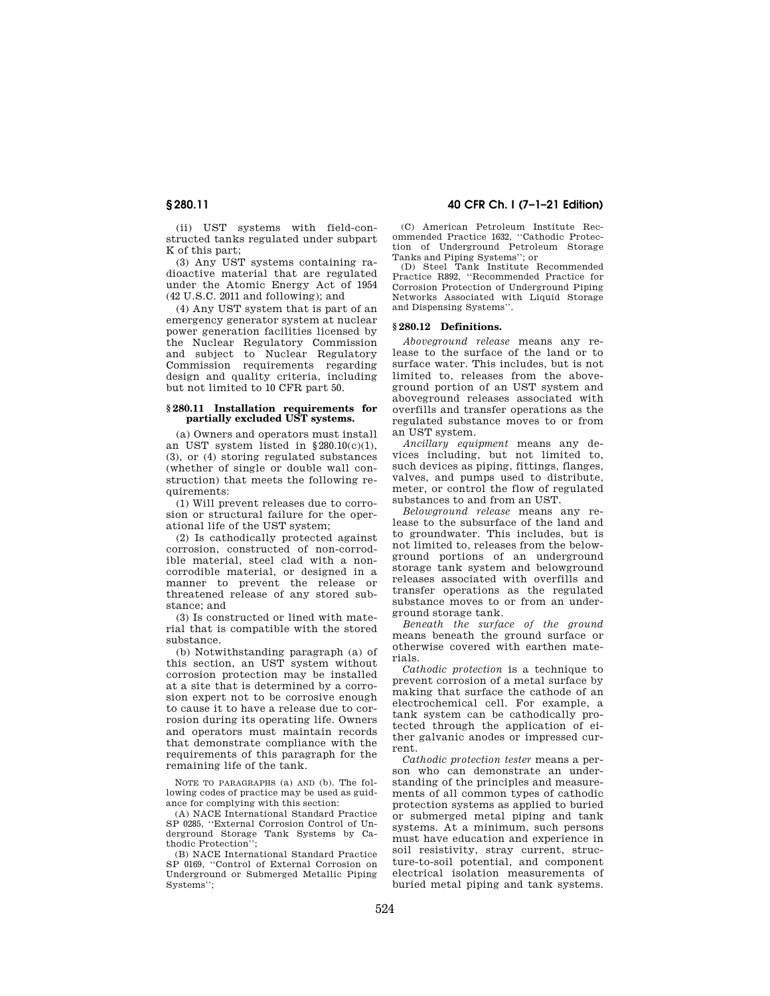(ii) UST systems with field-constructed tanks regulated under subpart K of this part;

(3) Any UST systems containing radioactive material that are regulated under the Atomic Energy Act of 1954 (42 U.S.C. 2011 and following); and

(4) Any UST system that is part of an emergency generator system at nuclear power generation facilities licensed by the Nuclear Regulatory Commission and subject to Nuclear Regulatory Commission requirements regarding design and quality criteria, including but not limited to 10 CFR part 50.

#### **§ 280.11 Installation requirements for partially excluded UST systems.**

(a) Owners and operators must install an UST system listed in  $§280.10(c)(1),$ (3), or (4) storing regulated substances (whether of single or double wall construction) that meets the following requirements:

(1) Will prevent releases due to corrosion or structural failure for the operational life of the UST system;

(2) Is cathodically protected against corrosion, constructed of non-corrodible material, steel clad with a noncorrodible material, or designed in a manner to prevent the release or threatened release of any stored substance; and

(3) Is constructed or lined with material that is compatible with the stored substance.

(b) Notwithstanding paragraph (a) of this section, an UST system without corrosion protection may be installed at a site that is determined by a corrosion expert not to be corrosive enough to cause it to have a release due to corrosion during its operating life. Owners and operators must maintain records that demonstrate compliance with the requirements of this paragraph for the remaining life of the tank.

NOTE TO PARAGRAPHS (a) AND (b). The following codes of practice may be used as guidance for complying with this section:

(A) NACE International Standard Practice SP 0285, ''External Corrosion Control of Underground Storage Tank Systems by Cathodic Protection'';

(B) NACE International Standard Practice SP 0169, ''Control of External Corrosion on Underground or Submerged Metallic Piping Systems'';

# **§ 280.11 40 CFR Ch. I (7–1–21 Edition)**

(C) American Petroleum Institute Recommended Practice 1632, ''Cathodic Protection of Underground Petroleum Storage Tanks and Piping Systems''; or

(D) Steel Tank Institute Recommended Practice R892, ''Recommended Practice for Corrosion Protection of Underground Piping Networks Associated with Liquid Storage and Dispensing Systems''.

# **§ 280.12 Definitions.**

*Aboveground release* means any release to the surface of the land or to surface water. This includes, but is not limited to, releases from the aboveground portion of an UST system and aboveground releases associated with overfills and transfer operations as the regulated substance moves to or from an UST system.

*Ancillary equipment* means any devices including, but not limited to, such devices as piping, fittings, flanges, valves, and pumps used to distribute, meter, or control the flow of regulated substances to and from an UST.

*Belowground release* means any release to the subsurface of the land and to groundwater. This includes, but is not limited to, releases from the belowground portions of an underground storage tank system and belowground releases associated with overfills and transfer operations as the regulated substance moves to or from an underground storage tank.

*Beneath the surface of the ground*  means beneath the ground surface or otherwise covered with earthen materials.

*Cathodic protection* is a technique to prevent corrosion of a metal surface by making that surface the cathode of an electrochemical cell. For example, a tank system can be cathodically protected through the application of either galvanic anodes or impressed current.

*Cathodic protection tester* means a person who can demonstrate an understanding of the principles and measurements of all common types of cathodic protection systems as applied to buried or submerged metal piping and tank systems. At a minimum, such persons must have education and experience in soil resistivity, stray current, structure-to-soil potential, and component electrical isolation measurements of buried metal piping and tank systems.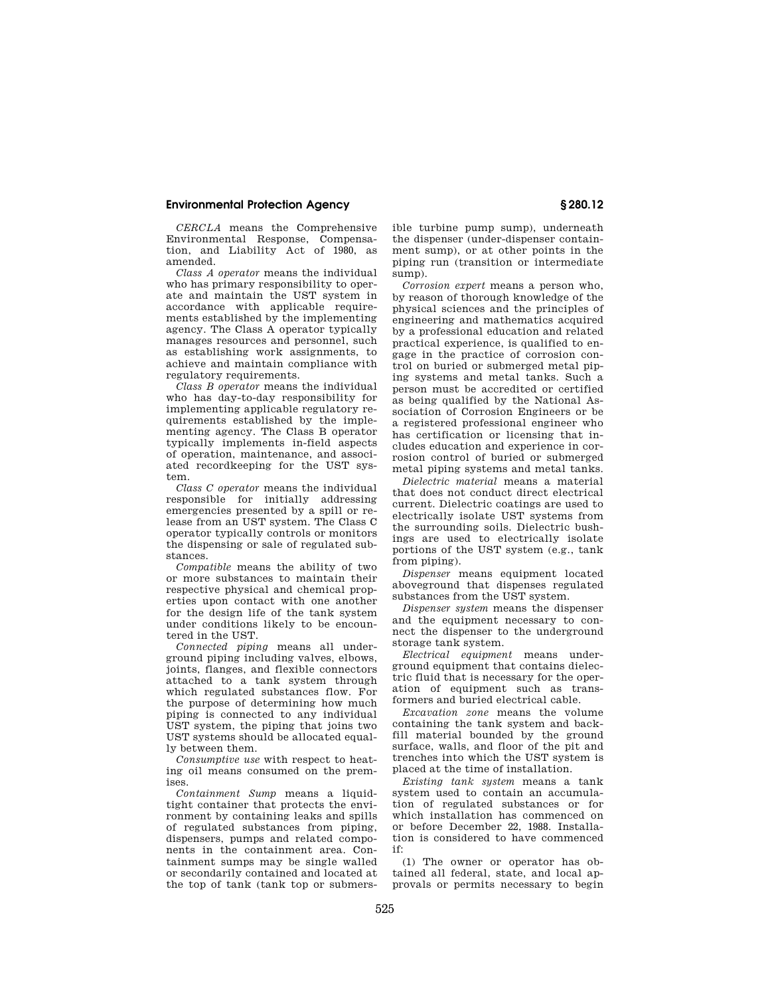*CERCLA* means the Comprehensive Environmental Response, Compensation, and Liability Act of 1980, as amended.

*Class A operator* means the individual who has primary responsibility to operate and maintain the UST system in accordance with applicable requirements established by the implementing agency. The Class A operator typically manages resources and personnel, such as establishing work assignments, to achieve and maintain compliance with regulatory requirements.

*Class B operator* means the individual who has day-to-day responsibility for implementing applicable regulatory requirements established by the implementing agency. The Class B operator typically implements in-field aspects of operation, maintenance, and associated recordkeeping for the UST system.

*Class C operator* means the individual responsible for initially addressing emergencies presented by a spill or release from an UST system. The Class C operator typically controls or monitors the dispensing or sale of regulated substances.

*Compatible* means the ability of two or more substances to maintain their respective physical and chemical properties upon contact with one another for the design life of the tank system under conditions likely to be encountered in the UST.

*Connected piping* means all underground piping including valves, elbows, joints, flanges, and flexible connectors attached to a tank system through which regulated substances flow. For the purpose of determining how much piping is connected to any individual UST system, the piping that joins two UST systems should be allocated equally between them.

*Consumptive use* with respect to heating oil means consumed on the premises.

*Containment Sump* means a liquidtight container that protects the environment by containing leaks and spills of regulated substances from piping, dispensers, pumps and related components in the containment area. Containment sumps may be single walled or secondarily contained and located at the top of tank (tank top or submersible turbine pump sump), underneath the dispenser (under-dispenser containment sump), or at other points in the piping run (transition or intermediate sump).

*Corrosion expert* means a person who, by reason of thorough knowledge of the physical sciences and the principles of engineering and mathematics acquired by a professional education and related practical experience, is qualified to engage in the practice of corrosion control on buried or submerged metal piping systems and metal tanks. Such a person must be accredited or certified as being qualified by the National Association of Corrosion Engineers or be a registered professional engineer who has certification or licensing that includes education and experience in corrosion control of buried or submerged metal piping systems and metal tanks.

*Dielectric material* means a material that does not conduct direct electrical current. Dielectric coatings are used to electrically isolate UST systems from the surrounding soils. Dielectric bushings are used to electrically isolate portions of the UST system (e.g., tank from piping).

*Dispenser* means equipment located aboveground that dispenses regulated substances from the UST system.

*Dispenser system* means the dispenser and the equipment necessary to connect the dispenser to the underground storage tank system.

*Electrical equipment* means underground equipment that contains dielectric fluid that is necessary for the operation of equipment such as transformers and buried electrical cable.

*Excavation zone* means the volume containing the tank system and backfill material bounded by the ground surface, walls, and floor of the pit and trenches into which the UST system is placed at the time of installation.

*Existing tank system* means a tank system used to contain an accumulation of regulated substances or for which installation has commenced on or before December 22, 1988. Installation is considered to have commenced if:

(1) The owner or operator has obtained all federal, state, and local approvals or permits necessary to begin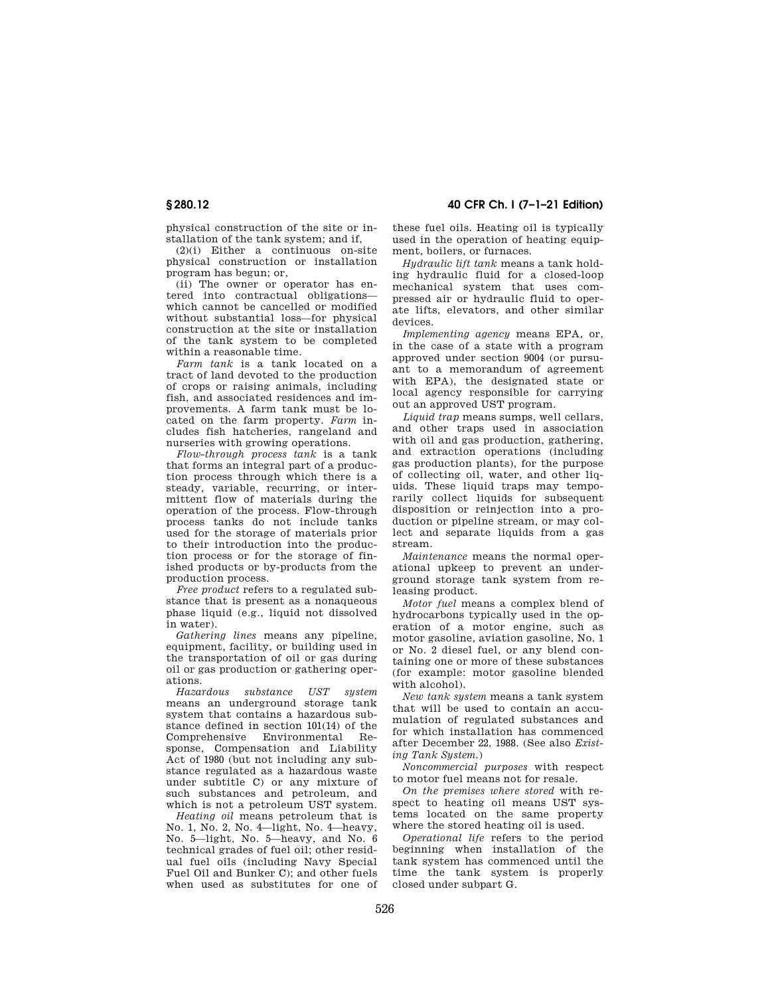physical construction of the site or installation of the tank system; and if,

(2)(i) Either a continuous on-site physical construction or installation program has begun; or,

(ii) The owner or operator has entered into contractual obligations which cannot be cancelled or modified without substantial loss—for physical construction at the site or installation of the tank system to be completed within a reasonable time.

*Farm tank* is a tank located on a tract of land devoted to the production of crops or raising animals, including fish, and associated residences and improvements. A farm tank must be located on the farm property. *Farm* includes fish hatcheries, rangeland and nurseries with growing operations.

*Flow-through process tank* is a tank that forms an integral part of a production process through which there is a steady, variable, recurring, or intermittent flow of materials during the operation of the process. Flow-through process tanks do not include tanks used for the storage of materials prior to their introduction into the production process or for the storage of finished products or by-products from the production process.

*Free product* refers to a regulated substance that is present as a nonaqueous phase liquid (e.g., liquid not dissolved in water).

*Gathering lines* means any pipeline, equipment, facility, or building used in the transportation of oil or gas during oil or gas production or gathering operations.<br>Hazardous

*Hazardous substance UST system*  means an underground storage tank system that contains a hazardous substance defined in section 101(14) of the Comprehensive Environmental Response, Compensation and Liability Act of 1980 (but not including any substance regulated as a hazardous waste under subtitle C) or any mixture of such substances and petroleum, and which is not a petroleum UST system.

*Heating oil* means petroleum that is No. 1, No. 2, No. 4—light, No. 4—heavy, No. 5—light, No. 5—heavy, and No. 6 technical grades of fuel oil; other residual fuel oils (including Navy Special Fuel Oil and Bunker C); and other fuels when used as substitutes for one of

**§ 280.12 40 CFR Ch. I (7–1–21 Edition)** 

these fuel oils. Heating oil is typically used in the operation of heating equipment, boilers, or furnaces.

*Hydraulic lift tank* means a tank holding hydraulic fluid for a closed-loop mechanical system that uses compressed air or hydraulic fluid to operate lifts, elevators, and other similar devices.

*Implementing agency* means EPA, or, in the case of a state with a program approved under section 9004 (or pursuant to a memorandum of agreement with EPA), the designated state or local agency responsible for carrying out an approved UST program.

*Liquid trap* means sumps, well cellars, and other traps used in association with oil and gas production, gathering, and extraction operations (including gas production plants), for the purpose of collecting oil, water, and other liquids. These liquid traps may temporarily collect liquids for subsequent disposition or reinjection into a production or pipeline stream, or may collect and separate liquids from a gas stream.

*Maintenance* means the normal operational upkeep to prevent an underground storage tank system from releasing product.

*Motor fuel* means a complex blend of hydrocarbons typically used in the operation of a motor engine, such as motor gasoline, aviation gasoline, No. 1 or No. 2 diesel fuel, or any blend containing one or more of these substances (for example: motor gasoline blended with alcohol).

*New tank system* means a tank system that will be used to contain an accumulation of regulated substances and for which installation has commenced after December 22, 1988. (See also *Existing Tank System.*)

*Noncommercial purposes* with respect to motor fuel means not for resale.

*On the premises where stored* with respect to heating oil means UST systems located on the same property where the stored heating oil is used.

*Operational life* refers to the period beginning when installation of the tank system has commenced until the time the tank system is properly closed under subpart G.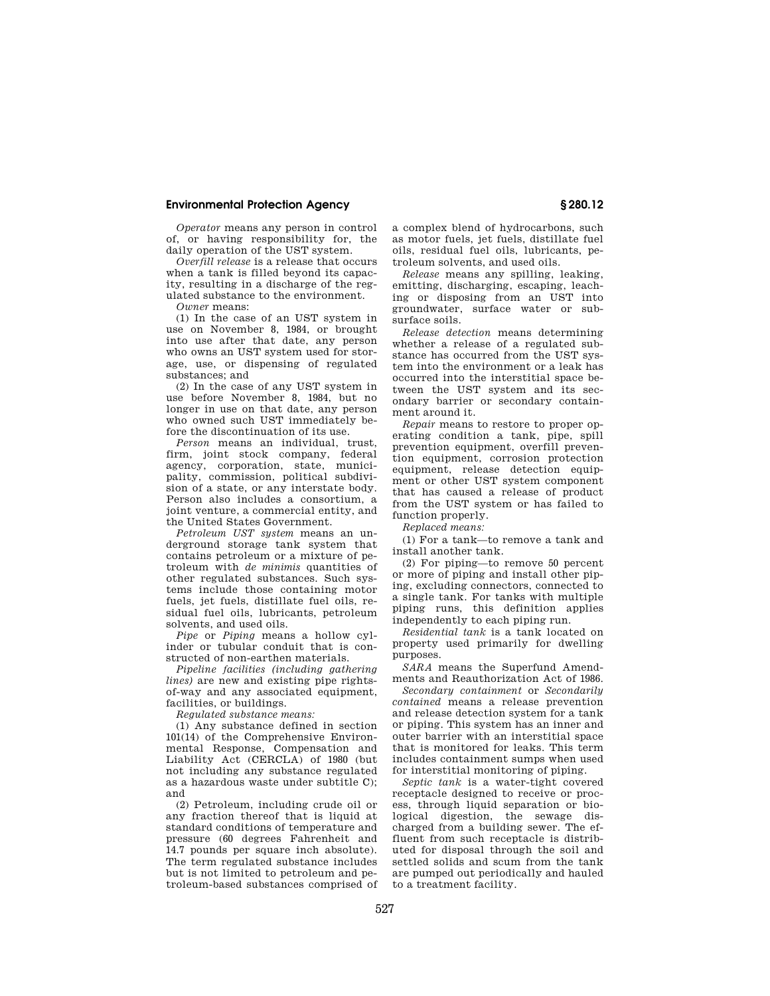*Operator* means any person in control of, or having responsibility for, the daily operation of the UST system.

*Overfill release* is a release that occurs when a tank is filled beyond its capacity, resulting in a discharge of the regulated substance to the environment.

*Owner* means:

(1) In the case of an UST system in use on November 8, 1984, or brought into use after that date, any person who owns an UST system used for storage, use, or dispensing of regulated substances; and

(2) In the case of any UST system in use before November 8, 1984, but no longer in use on that date, any person who owned such UST immediately before the discontinuation of its use.

*Person* means an individual, trust, firm, joint stock company, federal agency, corporation, state, municipality, commission, political subdivision of a state, or any interstate body. Person also includes a consortium, a joint venture, a commercial entity, and the United States Government.

*Petroleum UST system* means an underground storage tank system that contains petroleum or a mixture of petroleum with *de minimis* quantities of other regulated substances. Such systems include those containing motor fuels, jet fuels, distillate fuel oils, residual fuel oils, lubricants, petroleum solvents, and used oils.

*Pipe* or *Piping* means a hollow cylinder or tubular conduit that is constructed of non-earthen materials.

*Pipeline facilities (including gathering lines)* are new and existing pipe rightsof-way and any associated equipment, facilities, or buildings.

*Regulated substance means:* 

(1) Any substance defined in section 101(14) of the Comprehensive Environmental Response, Compensation and Liability Act (CERCLA) of 1980 (but not including any substance regulated as a hazardous waste under subtitle C); and

(2) Petroleum, including crude oil or any fraction thereof that is liquid at standard conditions of temperature and pressure (60 degrees Fahrenheit and 14.7 pounds per square inch absolute). The term regulated substance includes but is not limited to petroleum and petroleum-based substances comprised of a complex blend of hydrocarbons, such as motor fuels, jet fuels, distillate fuel oils, residual fuel oils, lubricants, petroleum solvents, and used oils.

*Release* means any spilling, leaking, emitting, discharging, escaping, leaching or disposing from an UST into groundwater, surface water or subsurface soils.

*Release detection* means determining whether a release of a regulated substance has occurred from the UST system into the environment or a leak has occurred into the interstitial space between the UST system and its secondary barrier or secondary containment around it.

*Repair* means to restore to proper operating condition a tank, pipe, spill prevention equipment, overfill prevention equipment, corrosion protection equipment, release detection equipment or other UST system component that has caused a release of product from the UST system or has failed to function properly.

*Replaced means:* 

(1) For a tank—to remove a tank and install another tank.

(2) For piping—to remove 50 percent or more of piping and install other piping, excluding connectors, connected to a single tank. For tanks with multiple piping runs, this definition applies independently to each piping run.

*Residential tank* is a tank located on property used primarily for dwelling purposes.

*SARA* means the Superfund Amendments and Reauthorization Act of 1986.

*Secondary containment* or *Secondarily contained* means a release prevention and release detection system for a tank or piping. This system has an inner and outer barrier with an interstitial space that is monitored for leaks. This term includes containment sumps when used for interstitial monitoring of piping.

*Septic tank* is a water-tight covered receptacle designed to receive or process, through liquid separation or biological digestion, the sewage discharged from a building sewer. The effluent from such receptacle is distributed for disposal through the soil and settled solids and scum from the tank are pumped out periodically and hauled to a treatment facility.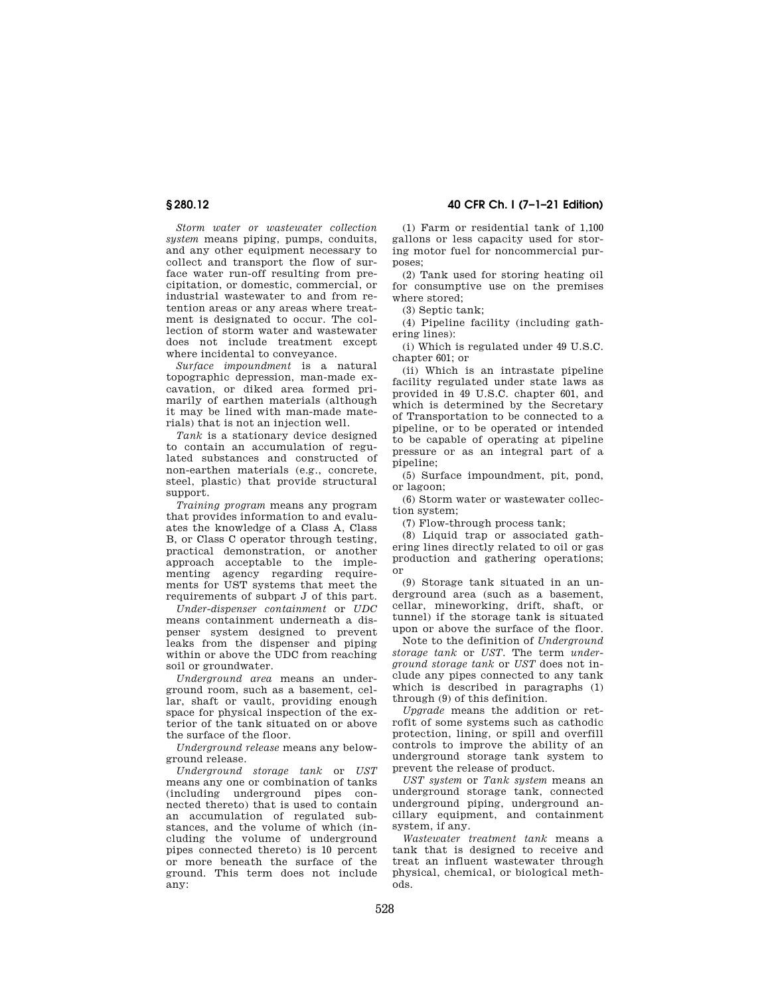*Storm water or wastewater collection system* means piping, pumps, conduits, and any other equipment necessary to collect and transport the flow of surface water run-off resulting from precipitation, or domestic, commercial, or industrial wastewater to and from retention areas or any areas where treatment is designated to occur. The collection of storm water and wastewater does not include treatment except where incidental to conveyance.

*Surface impoundment* is a natural topographic depression, man-made excavation, or diked area formed primarily of earthen materials (although it may be lined with man-made materials) that is not an injection well.

*Tank* is a stationary device designed to contain an accumulation of regulated substances and constructed of non-earthen materials (e.g., concrete, steel, plastic) that provide structural support.

*Training program* means any program that provides information to and evaluates the knowledge of a Class A, Class B, or Class C operator through testing, practical demonstration, or another approach acceptable to the implementing agency regarding requirements for UST systems that meet the requirements of subpart J of this part.

*Under-dispenser containment* or *UDC*  means containment underneath a dispenser system designed to prevent leaks from the dispenser and piping within or above the UDC from reaching soil or groundwater.

*Underground area* means an underground room, such as a basement, cellar, shaft or vault, providing enough space for physical inspection of the exterior of the tank situated on or above the surface of the floor.

*Underground release* means any belowground release.

*Underground storage tank* or *UST*  means any one or combination of tanks (including underground pipes connected thereto) that is used to contain an accumulation of regulated substances, and the volume of which (including the volume of underground pipes connected thereto) is 10 percent or more beneath the surface of the ground. This term does not include any:

# **§ 280.12 40 CFR Ch. I (7–1–21 Edition)**

(1) Farm or residential tank of 1,100 gallons or less capacity used for storing motor fuel for noncommercial purposes;

(2) Tank used for storing heating oil for consumptive use on the premises where stored;

(3) Septic tank;

(4) Pipeline facility (including gathering lines):

(i) Which is regulated under 49 U.S.C. chapter 601; or

(ii) Which is an intrastate pipeline facility regulated under state laws as provided in 49 U.S.C. chapter 601, and which is determined by the Secretary of Transportation to be connected to a pipeline, or to be operated or intended to be capable of operating at pipeline pressure or as an integral part of a pipeline;

(5) Surface impoundment, pit, pond, or lagoon;

(6) Storm water or wastewater collection system;

(7) Flow-through process tank;

(8) Liquid trap or associated gathering lines directly related to oil or gas production and gathering operations; or

(9) Storage tank situated in an underground area (such as a basement, cellar, mineworking, drift, shaft, or tunnel) if the storage tank is situated upon or above the surface of the floor.

Note to the definition of *Underground storage tank* or *UST.* The term *underground storage tank* or *UST* does not include any pipes connected to any tank which is described in paragraphs (1) through (9) of this definition.

*Upgrade* means the addition or retrofit of some systems such as cathodic protection, lining, or spill and overfill controls to improve the ability of an underground storage tank system to prevent the release of product.

*UST system* or *Tank system* means an underground storage tank, connected underground piping, underground ancillary equipment, and containment system, if any.

*Wastewater treatment tank* means a tank that is designed to receive and treat an influent wastewater through physical, chemical, or biological methods.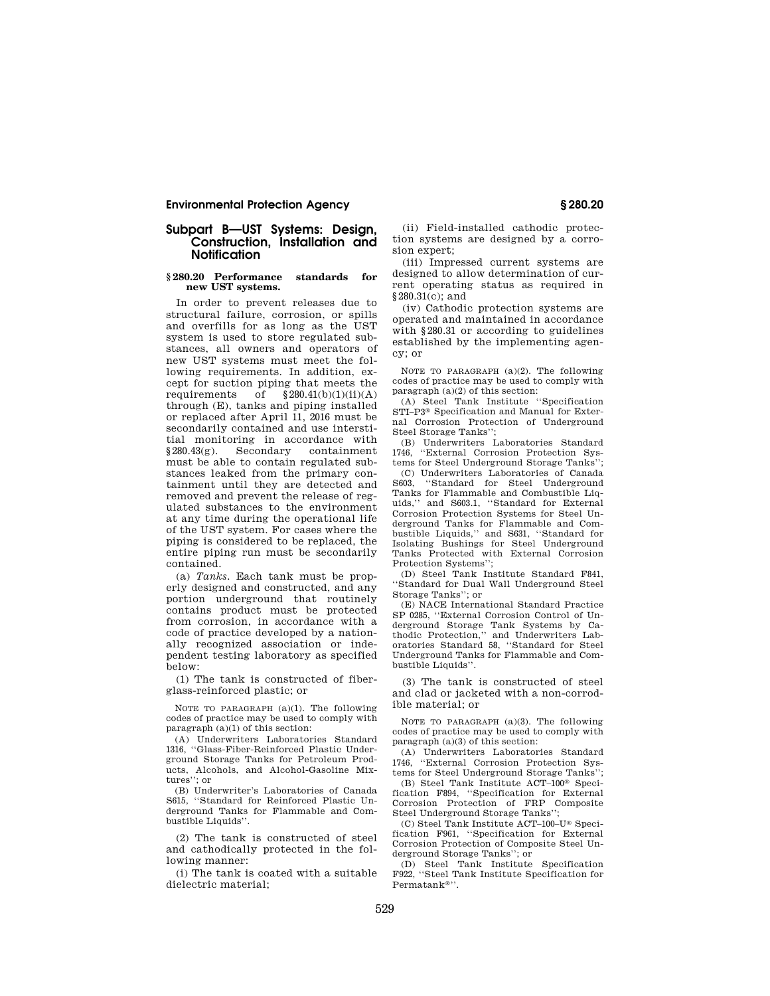# **Subpart B—UST Systems: Design, Construction, Installation and Notification**

### **§ 280.20 Performance standards for new UST systems.**

In order to prevent releases due to structural failure, corrosion, or spills and overfills for as long as the UST system is used to store regulated substances, all owners and operators of new UST systems must meet the following requirements. In addition, except for suction piping that meets the requirements of  $\S 280.41(b)(1)(ii)(A)$ through (E), tanks and piping installed or replaced after April 11, 2016 must be secondarily contained and use interstitial monitoring in accordance with §280.43(g). Secondary containment must be able to contain regulated substances leaked from the primary containment until they are detected and removed and prevent the release of regulated substances to the environment at any time during the operational life of the UST system. For cases where the piping is considered to be replaced, the entire piping run must be secondarily contained.

(a) *Tanks.* Each tank must be properly designed and constructed, and any portion underground that routinely contains product must be protected from corrosion, in accordance with a code of practice developed by a nationally recognized association or independent testing laboratory as specified below:

(1) The tank is constructed of fiberglass-reinforced plastic; or

NOTE TO PARAGRAPH (a)(1). The following codes of practice may be used to comply with paragraph (a)(1) of this section:

(A) Underwriters Laboratories Standard 1316, ''Glass-Fiber-Reinforced Plastic Underground Storage Tanks for Petroleum Products, Alcohols, and Alcohol-Gasoline Mixtures''; or

(B) Underwriter's Laboratories of Canada S615, ''Standard for Reinforced Plastic Underground Tanks for Flammable and Combustible Liquids''.

(2) The tank is constructed of steel and cathodically protected in the following manner:

(i) The tank is coated with a suitable dielectric material;

(ii) Field-installed cathodic protection systems are designed by a corrosion expert;

(iii) Impressed current systems are designed to allow determination of current operating status as required in §280.31(c); and

(iv) Cathodic protection systems are operated and maintained in accordance with §280.31 or according to guidelines established by the implementing agency; or

NOTE TO PARAGRAPH (a)(2). The following codes of practice may be used to comply with paragraph (a)(2) of this section:

(A) Steel Tank Institute ''Specification STI–P3® Specification and Manual for External Corrosion Protection of Underground Steel Storage Tanks'';

(B) Underwriters Laboratories Standard 1746, ''External Corrosion Protection Systems for Steel Underground Storage Tanks'';

(C) Underwriters Laboratories of Canada S603, ''Standard for Steel Underground Tanks for Flammable and Combustible Liquids,'' and S603.1, ''Standard for External Corrosion Protection Systems for Steel Underground Tanks for Flammable and Combustible Liquids,'' and S631, ''Standard for Isolating Bushings for Steel Underground Tanks Protected with External Corrosion Protection Systems'';

(D) Steel Tank Institute Standard F841, ''Standard for Dual Wall Underground Steel Storage Tanks''; or

(E) NACE International Standard Practice SP 0285, ''External Corrosion Control of Underground Storage Tank Systems by Cathodic Protection,'' and Underwriters Laboratories Standard 58, ''Standard for Steel Underground Tanks for Flammable and Combustible Liquids''.

(3) The tank is constructed of steel and clad or jacketed with a non-corrodible material; or

NOTE TO PARAGRAPH (a)(3). The following codes of practice may be used to comply with paragraph (a)(3) of this section:

(A) Underwriters Laboratories Standard 1746, ''External Corrosion Protection Systems for Steel Underground Storage Tanks'';

(B) Steel Tank Institute ACT–100® Specification F894, ''Specification for External Corrosion Protection of FRP Composite Steel Underground Storage Tanks'';

(C) Steel Tank Institute ACT–100–U® Specification F961, ''Specification for External Corrosion Protection of Composite Steel Underground Storage Tanks''; or

(D) Steel Tank Institute Specification F922, ''Steel Tank Institute Specification for Permatank®''.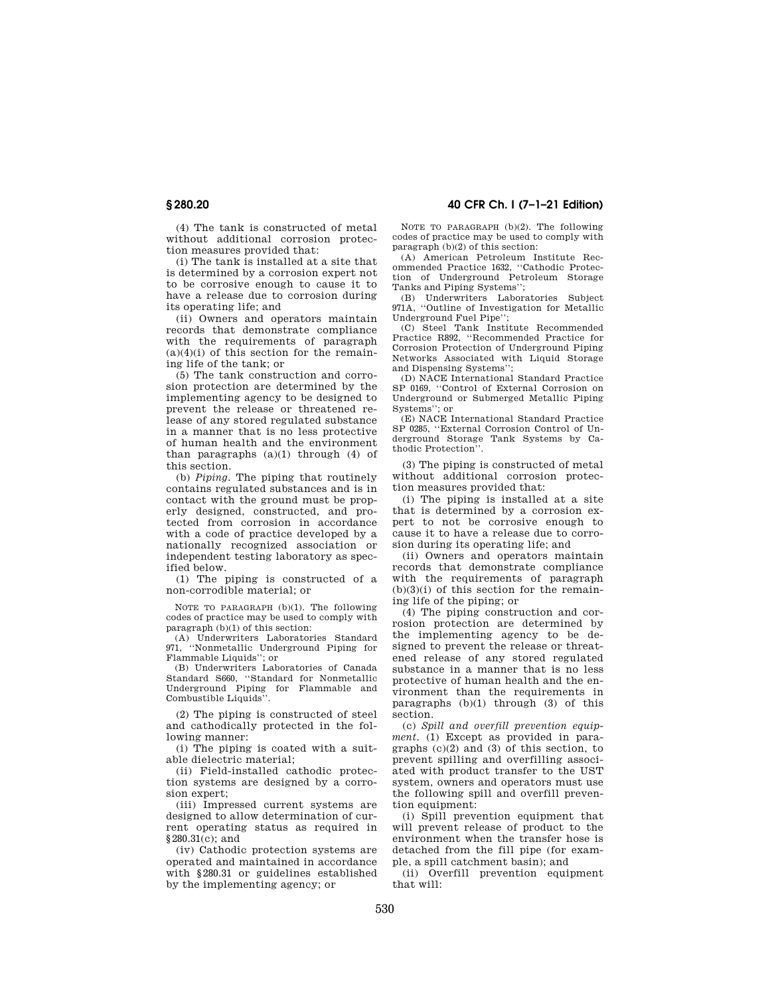(4) The tank is constructed of metal without additional corrosion protection measures provided that:

(i) The tank is installed at a site that is determined by a corrosion expert not to be corrosive enough to cause it to have a release due to corrosion during its operating life; and

(ii) Owners and operators maintain records that demonstrate compliance with the requirements of paragraph  $(a)(4)(i)$  of this section for the remaining life of the tank; or

(5) The tank construction and corrosion protection are determined by the implementing agency to be designed to prevent the release or threatened release of any stored regulated substance in a manner that is no less protective of human health and the environment than paragraphs  $(a)(1)$  through  $(4)$  of this section.

(b) *Piping.* The piping that routinely contains regulated substances and is in contact with the ground must be properly designed, constructed, and protected from corrosion in accordance with a code of practice developed by a nationally recognized association or independent testing laboratory as specified below.

(1) The piping is constructed of a non-corrodible material; or

NOTE TO PARAGRAPH (b)(1). The following codes of practice may be used to comply with paragraph (b)(1) of this section:

(A) Underwriters Laboratories Standard 971, ''Nonmetallic Underground Piping for Flammable Liquids''; or

(B) Underwriters Laboratories of Canada "Standard for Nonmetallic Underground Piping for Flammable and Combustible Liquids''.

(2) The piping is constructed of steel and cathodically protected in the following manner:

(i) The piping is coated with a suitable dielectric material;

(ii) Field-installed cathodic protection systems are designed by a corrosion expert;

(iii) Impressed current systems are designed to allow determination of current operating status as required in §280.31(c); and

(iv) Cathodic protection systems are operated and maintained in accordance with §280.31 or guidelines established by the implementing agency; or

**§ 280.20 40 CFR Ch. I (7–1–21 Edition)** 

NOTE TO PARAGRAPH (b)(2). The following codes of practice may be used to comply with paragraph (b)(2) of this section:

(A) American Petroleum Institute Recommended Practice 1632, ''Cathodic Protection of Underground Petroleum Storage Tanks and Piping Systems'';

(B) Underwriters Laboratories Subject 971A, ''Outline of Investigation for Metallic Underground Fuel Pipe'';

(C) Steel Tank Institute Recommended Practice R892, ''Recommended Practice for Corrosion Protection of Underground Piping Networks Associated with Liquid Storage and Dispensing Systems'';

(D) NACE International Standard Practice SP 0169, ''Control of External Corrosion on Underground or Submerged Metallic Piping Systems''; or

(E) NACE International Standard Practice SP 0285, ''External Corrosion Control of Underground Storage Tank Systems by Cathodic Protection''.

(3) The piping is constructed of metal without additional corrosion protection measures provided that:

(i) The piping is installed at a site that is determined by a corrosion expert to not be corrosive enough to cause it to have a release due to corrosion during its operating life; and

(ii) Owners and operators maintain records that demonstrate compliance with the requirements of paragraph  $(b)(3)(i)$  of this section for the remaining life of the piping; or

(4) The piping construction and corrosion protection are determined by the implementing agency to be designed to prevent the release or threatened release of any stored regulated substance in a manner that is no less protective of human health and the environment than the requirements in paragraphs  $(b)(1)$  through  $(3)$  of this section.

(c) *Spill and overfill prevention equipment.* (1) Except as provided in paragraphs (c)(2) and (3) of this section, to prevent spilling and overfilling associated with product transfer to the UST system, owners and operators must use the following spill and overfill prevention equipment:

(i) Spill prevention equipment that will prevent release of product to the environment when the transfer hose is detached from the fill pipe (for example, a spill catchment basin); and

(ii) Overfill prevention equipment that will: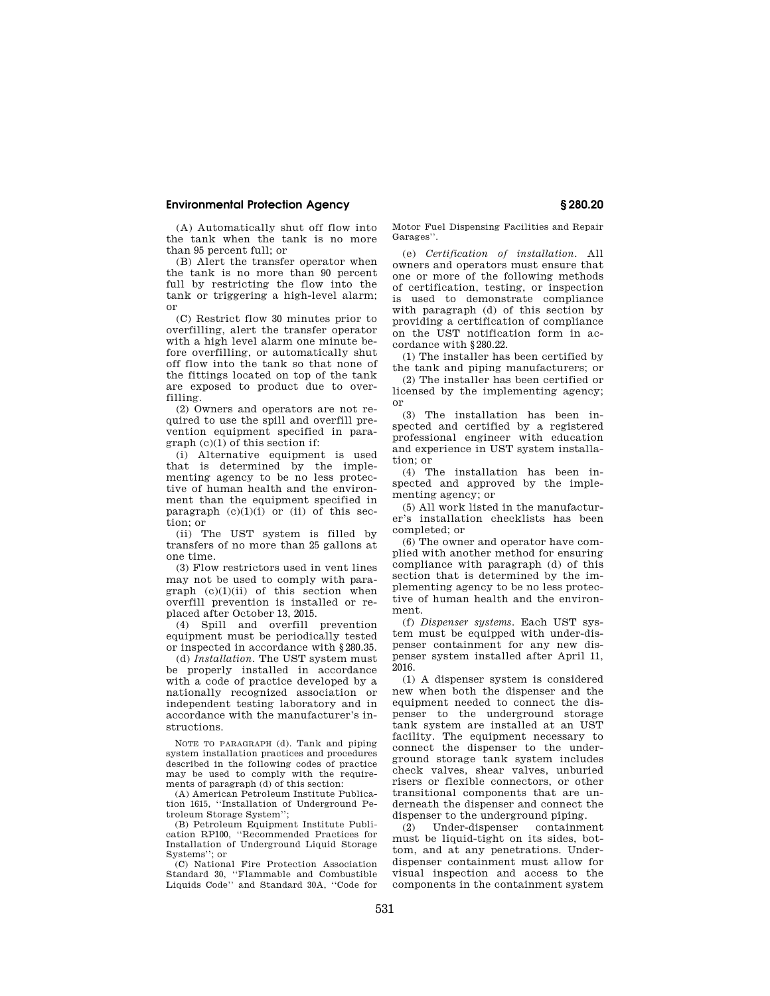(A) Automatically shut off flow into the tank when the tank is no more than 95 percent full; or

(B) Alert the transfer operator when the tank is no more than 90 percent full by restricting the flow into the tank or triggering a high-level alarm; or

(C) Restrict flow 30 minutes prior to overfilling, alert the transfer operator with a high level alarm one minute before overfilling, or automatically shut off flow into the tank so that none of the fittings located on top of the tank are exposed to product due to overfilling.

(2) Owners and operators are not required to use the spill and overfill prevention equipment specified in paragraph (c)(1) of this section if:

(i) Alternative equipment is used that is determined by the implementing agency to be no less protective of human health and the environment than the equipment specified in paragraph  $(c)(1)(i)$  or (ii) of this section; or

(ii) The UST system is filled by transfers of no more than 25 gallons at one time.

(3) Flow restrictors used in vent lines may not be used to comply with para $graph$   $(c)(1)(ii)$  of this section when overfill prevention is installed or replaced after October 13, 2015.

(4) Spill and overfill prevention equipment must be periodically tested or inspected in accordance with §280.35.

(d) *Installation.* The UST system must be properly installed in accordance with a code of practice developed by a nationally recognized association or independent testing laboratory and in accordance with the manufacturer's instructions.

NOTE TO PARAGRAPH (d). Tank and piping system installation practices and procedures described in the following codes of practice may be used to comply with the requirements of paragraph (d) of this section:

(A) American Petroleum Institute Publication 1615, ''Installation of Underground Petroleum Storage System'';

(B) Petroleum Equipment Institute Publication RP100, ''Recommended Practices for Installation of Underground Liquid Storage Systems''; or

(C) National Fire Protection Association Standard 30, ''Flammable and Combustible Liquids Code'' and Standard 30A, ''Code for Motor Fuel Dispensing Facilities and Repair Garages''.

(e) *Certification of installation.* All owners and operators must ensure that one or more of the following methods of certification, testing, or inspection is used to demonstrate compliance with paragraph (d) of this section by providing a certification of compliance on the UST notification form in accordance with §280.22.

(1) The installer has been certified by the tank and piping manufacturers; or

(2) The installer has been certified or licensed by the implementing agency; or

(3) The installation has been inspected and certified by a registered professional engineer with education and experience in UST system installation; or

(4) The installation has been inspected and approved by the implementing agency; or

(5) All work listed in the manufacturer's installation checklists has been completed; or

(6) The owner and operator have complied with another method for ensuring compliance with paragraph (d) of this section that is determined by the implementing agency to be no less protective of human health and the environment.

(f) *Dispenser systems.* Each UST system must be equipped with under-dispenser containment for any new dispenser system installed after April 11, 2016.

(1) A dispenser system is considered new when both the dispenser and the equipment needed to connect the dispenser to the underground storage tank system are installed at an UST facility. The equipment necessary to connect the dispenser to the underground storage tank system includes check valves, shear valves, unburied risers or flexible connectors, or other transitional components that are underneath the dispenser and connect the dispenser to the underground piping.

(2) Under-dispenser containment must be liquid-tight on its sides, bottom, and at any penetrations. Underdispenser containment must allow for visual inspection and access to the components in the containment system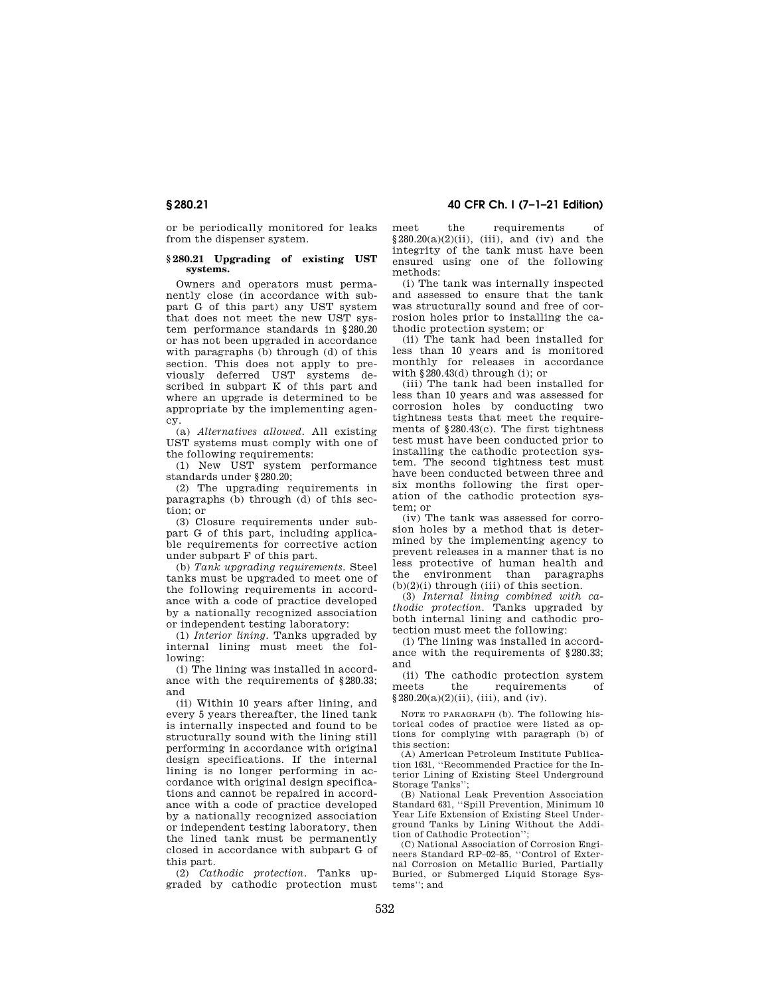or be periodically monitored for leaks from the dispenser system.

#### **§ 280.21 Upgrading of existing UST systems.**

Owners and operators must permanently close (in accordance with subpart G of this part) any UST system that does not meet the new UST system performance standards in §280.20 or has not been upgraded in accordance with paragraphs (b) through (d) of this section. This does not apply to previously deferred UST systems described in subpart K of this part and where an upgrade is determined to be appropriate by the implementing agency.

(a) *Alternatives allowed.* All existing UST systems must comply with one of the following requirements:

(1) New UST system performance standards under §280.20;

(2) The upgrading requirements in paragraphs (b) through (d) of this section; or

(3) Closure requirements under subpart G of this part, including applicable requirements for corrective action under subpart F of this part.

(b) *Tank upgrading requirements.* Steel tanks must be upgraded to meet one of the following requirements in accordance with a code of practice developed by a nationally recognized association or independent testing laboratory:

(1) *Interior lining.* Tanks upgraded by internal lining must meet the following:

(i) The lining was installed in accordance with the requirements of §280.33; and

(ii) Within 10 years after lining, and every 5 years thereafter, the lined tank is internally inspected and found to be structurally sound with the lining still performing in accordance with original design specifications. If the internal lining is no longer performing in accordance with original design specifications and cannot be repaired in accordance with a code of practice developed by a nationally recognized association or independent testing laboratory, then the lined tank must be permanently closed in accordance with subpart G of this part.

(2) *Cathodic protection.* Tanks upgraded by cathodic protection must meet the requirements of  $§280.20(a)(2)(ii)$ , (iii), and (iv) and the integrity of the tank must have been ensured using one of the following methods:

(i) The tank was internally inspected and assessed to ensure that the tank was structurally sound and free of corrosion holes prior to installing the cathodic protection system; or

(ii) The tank had been installed for less than 10 years and is monitored monthly for releases in accordance with §280.43(d) through (i); or

(iii) The tank had been installed for less than 10 years and was assessed for corrosion holes by conducting two tightness tests that meet the requirements of §280.43(c). The first tightness test must have been conducted prior to installing the cathodic protection system. The second tightness test must have been conducted between three and six months following the first operation of the cathodic protection system; or

(iv) The tank was assessed for corrosion holes by a method that is determined by the implementing agency to prevent releases in a manner that is no less protective of human health and the environment than paragraphs  $(b)(2)(i)$  through  $(iii)$  of this section.

(3) *Internal lining combined with cathodic protection.* Tanks upgraded by both internal lining and cathodic protection must meet the following:

(i) The lining was installed in accordance with the requirements of §280.33; and

(ii) The cathodic protection system meets the requirements of  $§280.20(a)(2)(ii)$ , (iii), and (iv).

NOTE TO PARAGRAPH (b). The following historical codes of practice were listed as options for complying with paragraph (b) of this section:

(A) American Petroleum Institute Publication 1631, ''Recommended Practice for the Interior Lining of Existing Steel Underground Storage Tanks'';

(B) National Leak Prevention Association Standard 631, ''Spill Prevention, Minimum 10 Year Life Extension of Existing Steel Underground Tanks by Lining Without the Addition of Cathodic Protection'';

(C) National Association of Corrosion Engineers Standard RP–02–85, ''Control of External Corrosion on Metallic Buried, Partially Buried, or Submerged Liquid Storage Systems''; and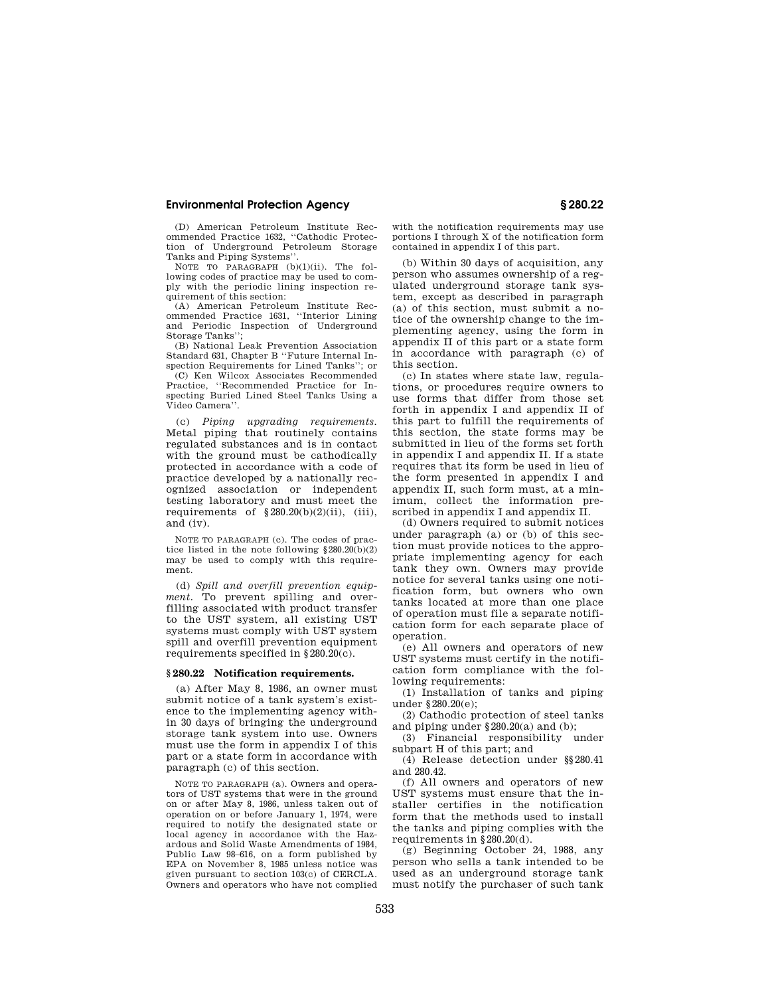(D) American Petroleum Institute Recommended Practice 1632, ''Cathodic Protection of Underground Petroleum Storage Tanks and Piping Systems''.

NOTE TO PARAGRAPH (b)(1)(ii). The following codes of practice may be used to comply with the periodic lining inspection requirement of this section:

(A) American Petroleum Institute Recommended Practice 1631, ''Interior Lining and Periodic Inspection of Underground Storage Tanks'';

(B) National Leak Prevention Association Standard 631, Chapter B ''Future Internal Inspection Requirements for Lined Tanks''; or

(C) Ken Wilcox Associates Recommended Practice, ''Recommended Practice for Inspecting Buried Lined Steel Tanks Using a Video Camera''.

(c) *Piping upgrading requirements.*  Metal piping that routinely contains regulated substances and is in contact with the ground must be cathodically protected in accordance with a code of practice developed by a nationally recognized association or independent testing laboratory and must meet the requirements of  $$280.20(b)(2)(ii)$ , (iii), and (iv).

NOTE TO PARAGRAPH (c). The codes of practice listed in the note following §280.20(b)(2) may be used to comply with this requirement.

(d) *Spill and overfill prevention equipment.* To prevent spilling and overfilling associated with product transfer to the UST system, all existing UST systems must comply with UST system spill and overfill prevention equipment requirements specified in §280.20(c).

# **§ 280.22 Notification requirements.**

(a) After May 8, 1986, an owner must submit notice of a tank system's existence to the implementing agency within 30 days of bringing the underground storage tank system into use. Owners must use the form in appendix I of this part or a state form in accordance with paragraph (c) of this section.

NOTE TO PARAGRAPH (a). Owners and operators of UST systems that were in the ground on or after May 8, 1986, unless taken out of operation on or before January 1, 1974, were required to notify the designated state or local agency in accordance with the Hazardous and Solid Waste Amendments of 1984, Public Law 98–616, on a form published by EPA on November 8, 1985 unless notice was given pursuant to section 103(c) of CERCLA. Owners and operators who have not complied

with the notification requirements may use portions I through X of the notification form contained in appendix I of this part.

(b) Within 30 days of acquisition, any person who assumes ownership of a regulated underground storage tank system, except as described in paragraph (a) of this section, must submit a notice of the ownership change to the implementing agency, using the form in appendix II of this part or a state form in accordance with paragraph (c) of this section.

(c) In states where state law, regulations, or procedures require owners to use forms that differ from those set forth in appendix I and appendix II of this part to fulfill the requirements of this section, the state forms may be submitted in lieu of the forms set forth in appendix I and appendix II. If a state requires that its form be used in lieu of the form presented in appendix I and appendix II, such form must, at a minimum, collect the information prescribed in appendix I and appendix II.

(d) Owners required to submit notices under paragraph (a) or (b) of this section must provide notices to the appropriate implementing agency for each tank they own. Owners may provide notice for several tanks using one notification form, but owners who own tanks located at more than one place of operation must file a separate notification form for each separate place of operation.

(e) All owners and operators of new UST systems must certify in the notification form compliance with the following requirements:

(1) Installation of tanks and piping under §280.20(e);

(2) Cathodic protection of steel tanks and piping under §280.20(a) and (b);

(3) Financial responsibility under subpart H of this part; and

(4) Release detection under §§280.41 and 280.42.

(f) All owners and operators of new UST systems must ensure that the installer certifies in the notification form that the methods used to install the tanks and piping complies with the requirements in §280.20(d).

(g) Beginning October 24, 1988, any person who sells a tank intended to be used as an underground storage tank must notify the purchaser of such tank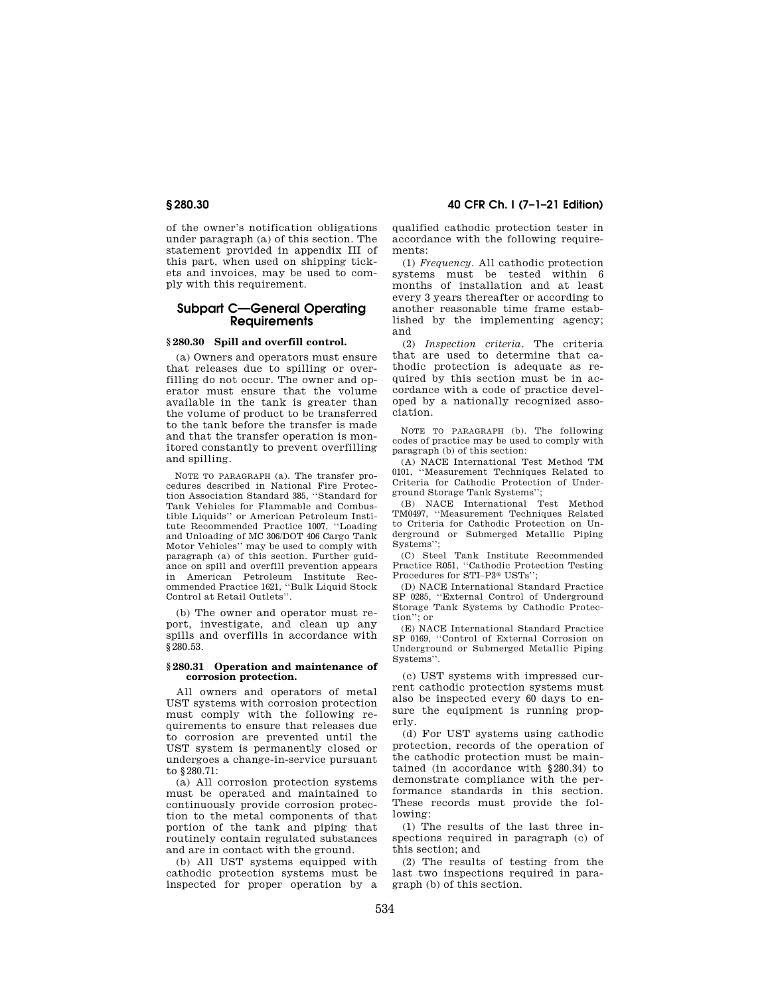of the owner's notification obligations under paragraph (a) of this section. The statement provided in appendix III of this part, when used on shipping tickets and invoices, may be used to comply with this requirement.

# **Subpart C—General Operating Requirements**

# **§ 280.30 Spill and overfill control.**

(a) Owners and operators must ensure that releases due to spilling or overfilling do not occur. The owner and operator must ensure that the volume available in the tank is greater than the volume of product to be transferred to the tank before the transfer is made and that the transfer operation is monitored constantly to prevent overfilling and spilling.

NOTE TO PARAGRAPH (a). The transfer procedures described in National Fire Protection Association Standard 385, ''Standard for Tank Vehicles for Flammable and Combustible Liquids'' or American Petroleum Institute Recommended Practice 1007, ''Loading and Unloading of MC 306/DOT 406 Cargo Tank Motor Vehicles'' may be used to comply with paragraph (a) of this section. Further guidance on spill and overfill prevention appears in American Petroleum Institute Recommended Practice 1621, ''Bulk Liquid Stock Control at Retail Outlets''.

(b) The owner and operator must report, investigate, and clean up any spills and overfills in accordance with §280.53.

#### **§ 280.31 Operation and maintenance of corrosion protection.**

All owners and operators of metal UST systems with corrosion protection must comply with the following requirements to ensure that releases due to corrosion are prevented until the UST system is permanently closed or undergoes a change-in-service pursuant to §280.71:

(a) All corrosion protection systems must be operated and maintained to continuously provide corrosion protection to the metal components of that portion of the tank and piping that routinely contain regulated substances and are in contact with the ground.

(b) All UST systems equipped with cathodic protection systems must be inspected for proper operation by a

**§ 280.30 40 CFR Ch. I (7–1–21 Edition)** 

qualified cathodic protection tester in accordance with the following requirements:

(1) *Frequency.* All cathodic protection systems must be tested within 6 months of installation and at least every 3 years thereafter or according to another reasonable time frame established by the implementing agency; and

(2) *Inspection criteria.* The criteria that are used to determine that cathodic protection is adequate as required by this section must be in accordance with a code of practice developed by a nationally recognized association.

NOTE TO PARAGRAPH (b). The following codes of practice may be used to comply with paragraph (b) of this section:

(A) NACE International Test Method TM 0101, ''Measurement Techniques Related to Criteria for Cathodic Protection of Underground Storage Tank Systems'';

(B) NACE International Test Method TM0497, ''Measurement Techniques Related to Criteria for Cathodic Protection on Underground or Submerged Metallic Piping Systems'';

(C) Steel Tank Institute Recommended Practice R051, ''Cathodic Protection Testing Procedures for STI–P3® USTs'';

(D) NACE International Standard Practice SP 0285, ''External Control of Underground Storage Tank Systems by Cathodic Protection''; or

(E) NACE International Standard Practice SP 0169, ''Control of External Corrosion on Underground or Submerged Metallic Piping Systems''.

(c) UST systems with impressed current cathodic protection systems must also be inspected every 60 days to ensure the equipment is running properly.

(d) For UST systems using cathodic protection, records of the operation of the cathodic protection must be maintained (in accordance with §280.34) to demonstrate compliance with the performance standards in this section. These records must provide the following:

(1) The results of the last three inspections required in paragraph (c) of this section; and

(2) The results of testing from the last two inspections required in paragraph (b) of this section.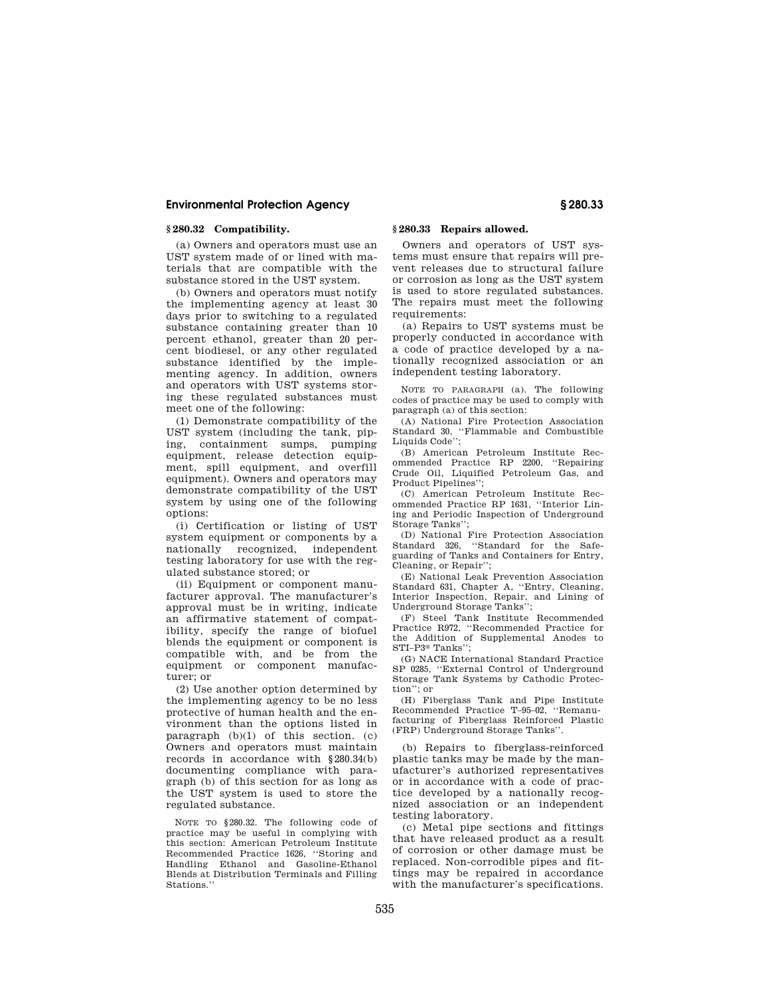# **§ 280.32 Compatibility.**

(a) Owners and operators must use an UST system made of or lined with materials that are compatible with the substance stored in the UST system.

(b) Owners and operators must notify the implementing agency at least 30 days prior to switching to a regulated substance containing greater than 10 percent ethanol, greater than 20 percent biodiesel, or any other regulated substance identified by the implementing agency. In addition, owners and operators with UST systems storing these regulated substances must meet one of the following:

(1) Demonstrate compatibility of the UST system (including the tank, piping, containment sumps, pumping equipment, release detection equipment, spill equipment, and overfill equipment). Owners and operators may demonstrate compatibility of the UST system by using one of the following options:

(i) Certification or listing of UST system equipment or components by a nationally recognized, independent testing laboratory for use with the regulated substance stored; or

(ii) Equipment or component manufacturer approval. The manufacturer's approval must be in writing, indicate an affirmative statement of compatibility, specify the range of biofuel blends the equipment or component is compatible with, and be from the equipment or component manufacturer; or

(2) Use another option determined by the implementing agency to be no less protective of human health and the environment than the options listed in paragraph (b)(1) of this section. (c) Owners and operators must maintain records in accordance with §280.34(b) documenting compliance with paragraph (b) of this section for as long as the UST system is used to store the regulated substance.

NOTE TO §280.32. The following code of practice may be useful in complying with this section: American Petroleum Institute Recommended Practice 1626, ''Storing and Handling Ethanol and Gasoline-Ethanol Blends at Distribution Terminals and Filling Stations<sup>'</sup>

# **§ 280.33 Repairs allowed.**

Owners and operators of UST systems must ensure that repairs will prevent releases due to structural failure or corrosion as long as the UST system is used to store regulated substances. The repairs must meet the following requirements:

(a) Repairs to UST systems must be properly conducted in accordance with a code of practice developed by a nationally recognized association or an independent testing laboratory.

NOTE TO PARAGRAPH (a). The following codes of practice may be used to comply with paragraph (a) of this section:

(A) National Fire Protection Association Standard 30, ''Flammable and Combustible Liquids Code'';

(B) American Petroleum Institute Recommended Practice RP 2200, ''Repairing Crude Oil, Liquified Petroleum Gas, and Product Pipelines'';

(C) American Petroleum Institute Recommended Practice RP 1631, ''Interior Lining and Periodic Inspection of Underground Storage Tanks'';

(D) National Fire Protection Association Standard 326, ''Standard for the Safeguarding of Tanks and Containers for Entry, Cleaning, or Repair'';

(E) National Leak Prevention Association Standard 631, Chapter A, ''Entry, Cleaning, Interior Inspection, Repair, and Lining of Underground Storage Tanks'';

(F) Steel Tank Institute Recommended Practice R972, ''Recommended Practice for the Addition of Supplemental Anodes to STI–P3® Tanks'';

(G) NACE International Standard Practice SP 0285, ''External Control of Underground Storage Tank Systems by Cathodic Protection''; or

(H) Fiberglass Tank and Pipe Institute Recommended Practice T–95–02, ''Remanufacturing of Fiberglass Reinforced Plastic (FRP) Underground Storage Tanks''.

(b) Repairs to fiberglass-reinforced plastic tanks may be made by the manufacturer's authorized representatives or in accordance with a code of practice developed by a nationally recognized association or an independent testing laboratory.

(c) Metal pipe sections and fittings that have released product as a result of corrosion or other damage must be replaced. Non-corrodible pipes and fittings may be repaired in accordance with the manufacturer's specifications.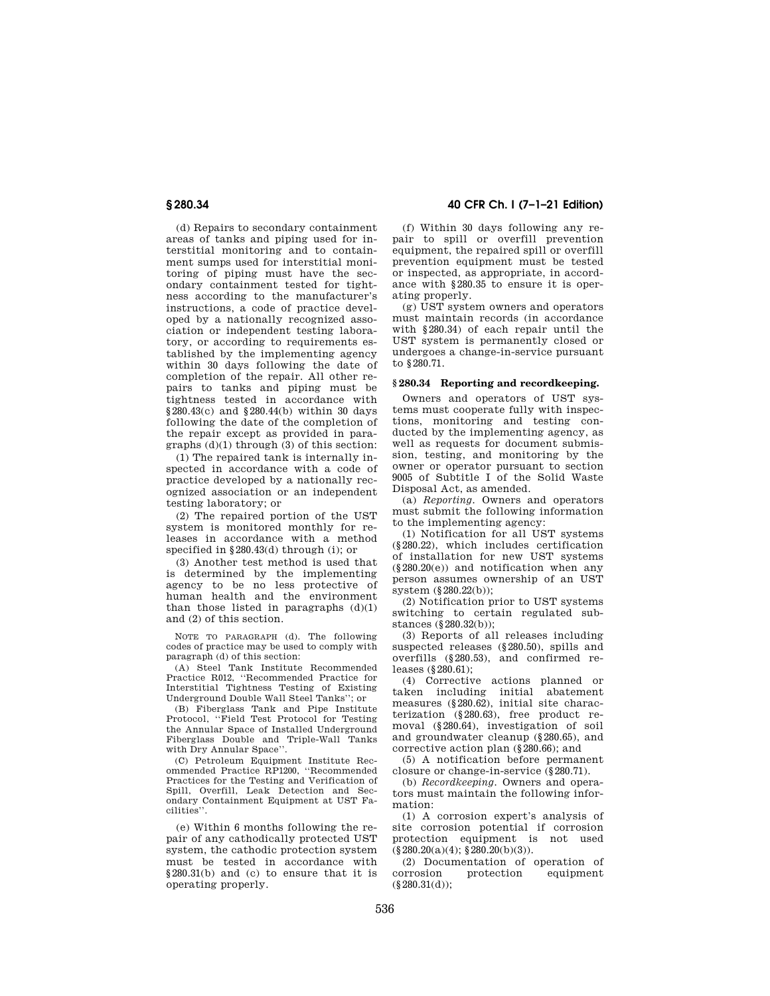(d) Repairs to secondary containment areas of tanks and piping used for interstitial monitoring and to containment sumps used for interstitial monitoring of piping must have the secondary containment tested for tightness according to the manufacturer's instructions, a code of practice developed by a nationally recognized association or independent testing laboratory, or according to requirements established by the implementing agency within 30 days following the date of completion of the repair. All other repairs to tanks and piping must be tightness tested in accordance with §280.43(c) and §280.44(b) within 30 days following the date of the completion of the repair except as provided in paragraphs (d)(1) through (3) of this section:

(1) The repaired tank is internally inspected in accordance with a code of practice developed by a nationally recognized association or an independent testing laboratory; or

(2) The repaired portion of the UST system is monitored monthly for releases in accordance with a method specified in §280.43(d) through (i); or

(3) Another test method is used that is determined by the implementing agency to be no less protective of human health and the environment than those listed in paragraphs  $(d)(1)$ and (2) of this section.

NOTE TO PARAGRAPH (d). The following codes of practice may be used to comply with paragraph (d) of this section:

(A) Steel Tank Institute Recommended Practice R012, ''Recommended Practice for Interstitial Tightness Testing of Existing Underground Double Wall Steel Tanks''; or

(B) Fiberglass Tank and Pipe Institute Protocol, ''Field Test Protocol for Testing the Annular Space of Installed Underground Fiberglass Double and Triple-Wall Tanks with Dry Annular Space''.

(C) Petroleum Equipment Institute Recommended Practice RP1200, ''Recommended Practices for the Testing and Verification of Spill, Overfill, Leak Detection and Secondary Containment Equipment at UST Facilities''.

(e) Within 6 months following the repair of any cathodically protected UST system, the cathodic protection system must be tested in accordance with §280.31(b) and (c) to ensure that it is operating properly.

**§ 280.34 40 CFR Ch. I (7–1–21 Edition)** 

(f) Within 30 days following any repair to spill or overfill prevention equipment, the repaired spill or overfill prevention equipment must be tested or inspected, as appropriate, in accordance with §280.35 to ensure it is operating properly.

(g) UST system owners and operators must maintain records (in accordance with §280.34) of each repair until the UST system is permanently closed or undergoes a change-in-service pursuant to §280.71.

#### **§ 280.34 Reporting and recordkeeping.**

Owners and operators of UST systems must cooperate fully with inspections, monitoring and testing conducted by the implementing agency, as well as requests for document submission, testing, and monitoring by the owner or operator pursuant to section 9005 of Subtitle I of the Solid Waste Disposal Act, as amended.

(a) *Reporting.* Owners and operators must submit the following information to the implementing agency:

(1) Notification for all UST systems (§280.22), which includes certification of installation for new UST systems  $(\S 280.20(e))$  and notification when any person assumes ownership of an UST system (§280.22(b));

(2) Notification prior to UST systems switching to certain regulated substances (§280.32(b));

(3) Reports of all releases including suspected releases (§280.50), spills and overfills (§280.53), and confirmed releases (§280.61);

(4) Corrective actions planned or taken including initial abatement measures (§280.62), initial site characterization (§280.63), free product removal (§280.64), investigation of soil and groundwater cleanup (§280.65), and corrective action plan (§280.66); and

(5) A notification before permanent closure or change-in-service (§280.71).

(b) *Recordkeeping.* Owners and operators must maintain the following information:

(1) A corrosion expert's analysis of site corrosion potential if corrosion protection equipment is not used  $(\S 280.20(a)(4); \S 280.20(b)(3)).$ 

(2) Documentation of operation of corrosion protection equipment  $(\$280.31(d))$ ;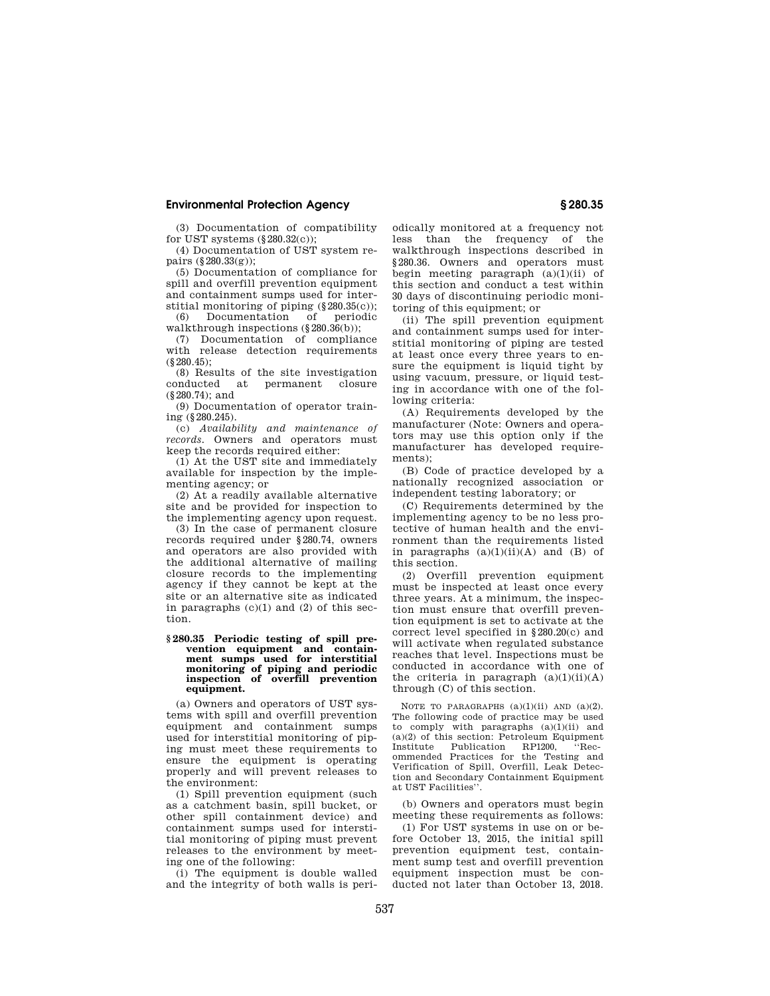(3) Documentation of compatibility for UST systems  $(\S 280.32(c))$ ;

(4) Documentation of UST system repairs (§280.33(g));

(5) Documentation of compliance for spill and overfill prevention equipment and containment sumps used for interstitial monitoring of piping (§280.35(c));

(6) Documentation of periodic walkthrough inspections (§280.36(b));

(7) Documentation of compliance with release detection requirements (§280.45);

(8) Results of the site investigation conducted at permanent closure (§280.74); and

(9) Documentation of operator training (§280.245).

(c) *Availability and maintenance of records.* Owners and operators must keep the records required either:

(1) At the UST site and immediately available for inspection by the implementing agency; or

(2) At a readily available alternative site and be provided for inspection to the implementing agency upon request.

(3) In the case of permanent closure records required under §280.74, owners and operators are also provided with the additional alternative of mailing closure records to the implementing agency if they cannot be kept at the site or an alternative site as indicated in paragraphs (c)(1) and (2) of this section.

#### **§ 280.35 Periodic testing of spill pre**vention equipment and contain**ment sumps used for interstitial monitoring of piping and periodic inspection of overfill prevention equipment.**

(a) Owners and operators of UST systems with spill and overfill prevention equipment and containment sumps used for interstitial monitoring of piping must meet these requirements to ensure the equipment is operating properly and will prevent releases to the environment:

(1) Spill prevention equipment (such as a catchment basin, spill bucket, or other spill containment device) and containment sumps used for interstitial monitoring of piping must prevent releases to the environment by meeting one of the following:

(i) The equipment is double walled and the integrity of both walls is periodically monitored at a frequency not less than the frequency of the walkthrough inspections described in §280.36. Owners and operators must begin meeting paragraph (a)(1)(ii) of this section and conduct a test within 30 days of discontinuing periodic monitoring of this equipment; or

(ii) The spill prevention equipment and containment sumps used for interstitial monitoring of piping are tested at least once every three years to ensure the equipment is liquid tight by using vacuum, pressure, or liquid testing in accordance with one of the following criteria:

(A) Requirements developed by the manufacturer (Note: Owners and operators may use this option only if the manufacturer has developed requirements);

(B) Code of practice developed by a nationally recognized association or independent testing laboratory; or

(C) Requirements determined by the implementing agency to be no less protective of human health and the environment than the requirements listed in paragraphs  $(a)(1)(ii)(A)$  and  $(B)$  of this section.

(2) Overfill prevention equipment must be inspected at least once every three years. At a minimum, the inspection must ensure that overfill prevention equipment is set to activate at the correct level specified in §280.20(c) and will activate when regulated substance reaches that level. Inspections must be conducted in accordance with one of the criteria in paragraph  $(a)(1)(ii)(A)$ through (C) of this section.

NOTE TO PARAGRAPHS  $(a)(1)(ii)$  AND  $(a)(2)$ . The following code of practice may be used to comply with paragraphs (a)(1)(ii) and (a)(2) of this section: Petroleum Equipment<br>Institute Publication RP1200, "Rec-Publication ommended Practices for the Testing and Verification of Spill, Overfill, Leak Detection and Secondary Containment Equipment at UST Facilities''.

(b) Owners and operators must begin meeting these requirements as follows:

(1) For UST systems in use on or before October 13, 2015, the initial spill prevention equipment test, containment sump test and overfill prevention equipment inspection must be conducted not later than October 13, 2018.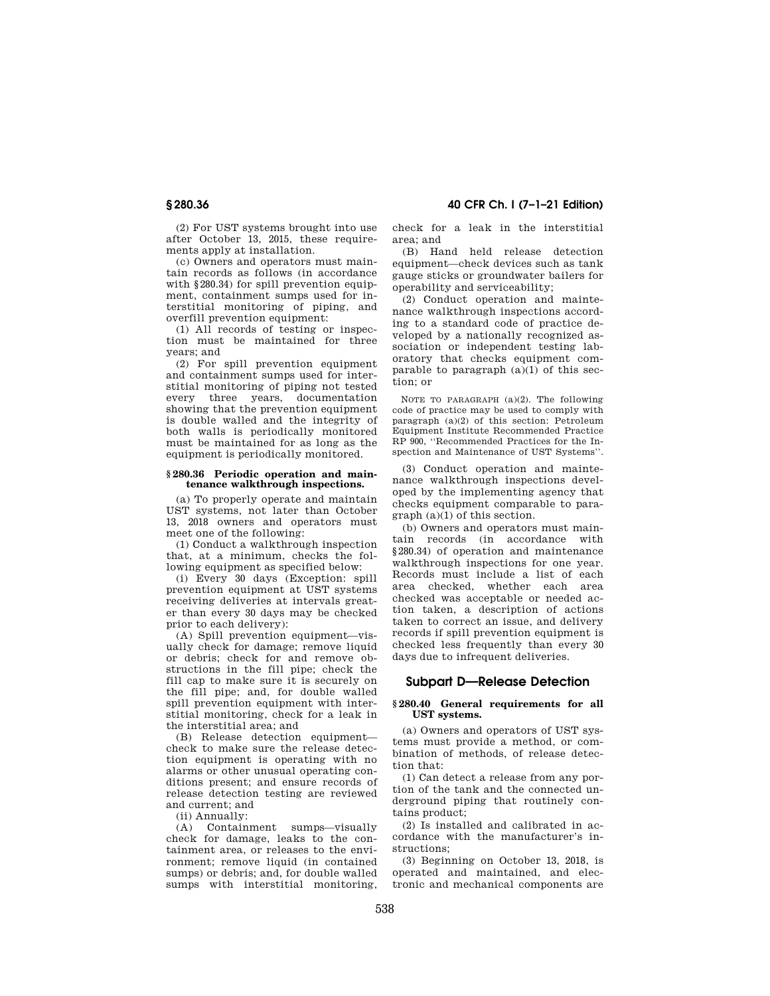**§ 280.36 40 CFR Ch. I (7–1–21 Edition)** 

(2) For UST systems brought into use after October 13, 2015, these requirements apply at installation.

(c) Owners and operators must maintain records as follows (in accordance with §280.34) for spill prevention equipment, containment sumps used for interstitial monitoring of piping, and overfill prevention equipment:

(1) All records of testing or inspection must be maintained for three years; and

(2) For spill prevention equipment and containment sumps used for interstitial monitoring of piping not tested every three years, documentation showing that the prevention equipment is double walled and the integrity of both walls is periodically monitored must be maintained for as long as the equipment is periodically monitored.

#### **§ 280.36 Periodic operation and maintenance walkthrough inspections.**

(a) To properly operate and maintain UST systems, not later than October 13, 2018 owners and operators must meet one of the following:

(1) Conduct a walkthrough inspection that, at a minimum, checks the following equipment as specified below:

(i) Every 30 days (Exception: spill prevention equipment at UST systems receiving deliveries at intervals greater than every 30 days may be checked prior to each delivery):

(A) Spill prevention equipment—visually check for damage; remove liquid or debris; check for and remove obstructions in the fill pipe; check the fill cap to make sure it is securely on the fill pipe; and, for double walled spill prevention equipment with interstitial monitoring, check for a leak in the interstitial area; and

(B) Release detection equipment check to make sure the release detection equipment is operating with no alarms or other unusual operating conditions present; and ensure records of release detection testing are reviewed and current; and

(ii) Annually:

(A) Containment sumps—visually check for damage, leaks to the containment area, or releases to the environment; remove liquid (in contained sumps) or debris; and, for double walled sumps with interstitial monitoring, check for a leak in the interstitial area; and

(B) Hand held release detection equipment—check devices such as tank gauge sticks or groundwater bailers for operability and serviceability;

(2) Conduct operation and maintenance walkthrough inspections according to a standard code of practice developed by a nationally recognized association or independent testing laboratory that checks equipment comparable to paragraph  $(a)(1)$  of this section; or

NOTE TO PARAGRAPH (a)(2). The following code of practice may be used to comply with paragraph (a)(2) of this section: Petroleum Equipment Institute Recommended Practice RP 900, ''Recommended Practices for the Inspection and Maintenance of UST Systems''.

(3) Conduct operation and maintenance walkthrough inspections developed by the implementing agency that checks equipment comparable to paragraph (a)(1) of this section.

(b) Owners and operators must maintain records (in accordance with §280.34) of operation and maintenance walkthrough inspections for one year. Records must include a list of each area checked, whether each area checked was acceptable or needed action taken, a description of actions taken to correct an issue, and delivery records if spill prevention equipment is checked less frequently than every 30 days due to infrequent deliveries.

# **Subpart D—Release Detection**

### **§ 280.40 General requirements for all UST systems.**

(a) Owners and operators of UST systems must provide a method, or combination of methods, of release detection that:

(1) Can detect a release from any portion of the tank and the connected underground piping that routinely contains product;

(2) Is installed and calibrated in accordance with the manufacturer's instructions;

(3) Beginning on October 13, 2018, is operated and maintained, and electronic and mechanical components are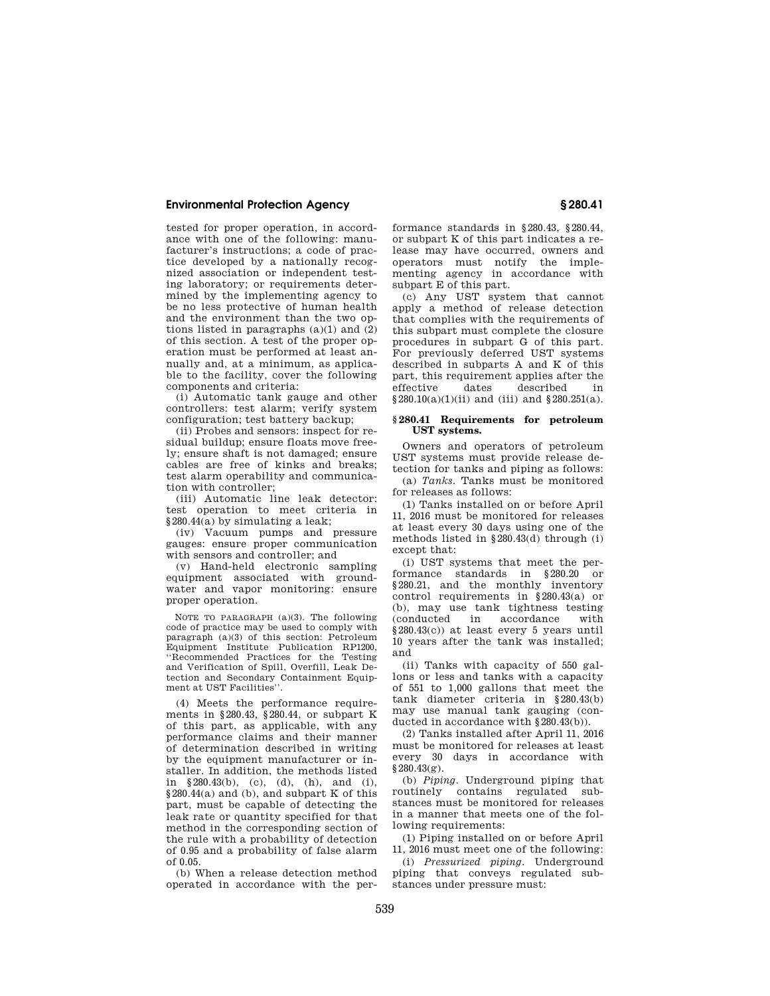tested for proper operation, in accordance with one of the following: manufacturer's instructions; a code of practice developed by a nationally recognized association or independent testing laboratory; or requirements determined by the implementing agency to be no less protective of human health and the environment than the two options listed in paragraphs  $(a)(1)$  and  $(2)$ of this section. A test of the proper operation must be performed at least annually and, at a minimum, as applicable to the facility, cover the following components and criteria:

(i) Automatic tank gauge and other controllers: test alarm; verify system configuration; test battery backup;

(ii) Probes and sensors: inspect for residual buildup; ensure floats move freely; ensure shaft is not damaged; ensure cables are free of kinks and breaks; test alarm operability and communication with controller;

(iii) Automatic line leak detector: test operation to meet criteria in §280.44(a) by simulating a leak;

(iv) Vacuum pumps and pressure gauges: ensure proper communication with sensors and controller; and

(v) Hand-held electronic sampling equipment associated with groundwater and vapor monitoring: ensure proper operation.

NOTE TO PARAGRAPH (a)(3). The following code of practice may be used to comply with paragraph (a)(3) of this section: Petroleum Equipment Institute Publication RP1200, ''Recommended Practices for the Testing and Verification of Spill, Overfill, Leak Detection and Secondary Containment Equipment at UST Facilities''.

(4) Meets the performance requirements in §280.43, §280.44, or subpart K of this part, as applicable, with any performance claims and their manner of determination described in writing by the equipment manufacturer or installer. In addition, the methods listed in §280.43(b), (c), (d), (h), and (i), §280.44(a) and (b), and subpart K of this part, must be capable of detecting the leak rate or quantity specified for that method in the corresponding section of the rule with a probability of detection of 0.95 and a probability of false alarm of 0.05.

(b) When a release detection method operated in accordance with the performance standards in §280.43, §280.44, or subpart K of this part indicates a release may have occurred, owners and operators must notify the implementing agency in accordance with subpart E of this part.

(c) Any UST system that cannot apply a method of release detection that complies with the requirements of this subpart must complete the closure procedures in subpart G of this part. For previously deferred UST systems described in subparts A and K of this part, this requirement applies after the effective dates described in  $§280.10(a)(1)(ii)$  and (iii) and  $§280.251(a)$ .

#### **§ 280.41 Requirements for petroleum UST systems.**

Owners and operators of petroleum UST systems must provide release detection for tanks and piping as follows:

(a) *Tanks.* Tanks must be monitored for releases as follows:

(1) Tanks installed on or before April 11, 2016 must be monitored for releases at least every 30 days using one of the methods listed in §280.43(d) through (i) except that:

(i) UST systems that meet the performance standards in §280.20 or §280.21, and the monthly inventory control requirements in §280.43(a) or (b), may use tank tightness testing (conducted in accordance with §280.43(c)) at least every 5 years until 10 years after the tank was installed; and

(ii) Tanks with capacity of 550 gallons or less and tanks with a capacity of 551 to 1,000 gallons that meet the tank diameter criteria in §280.43(b) may use manual tank gauging (conducted in accordance with §280.43(b)).

(2) Tanks installed after April 11, 2016 must be monitored for releases at least every 30 days in accordance with  $$280.43(g)$ .

(b) *Piping.* Underground piping that routinely contains regulated substances must be monitored for releases in a manner that meets one of the following requirements:

(1) Piping installed on or before April 11, 2016 must meet one of the following:

(i) *Pressurized piping.* Underground piping that conveys regulated substances under pressure must: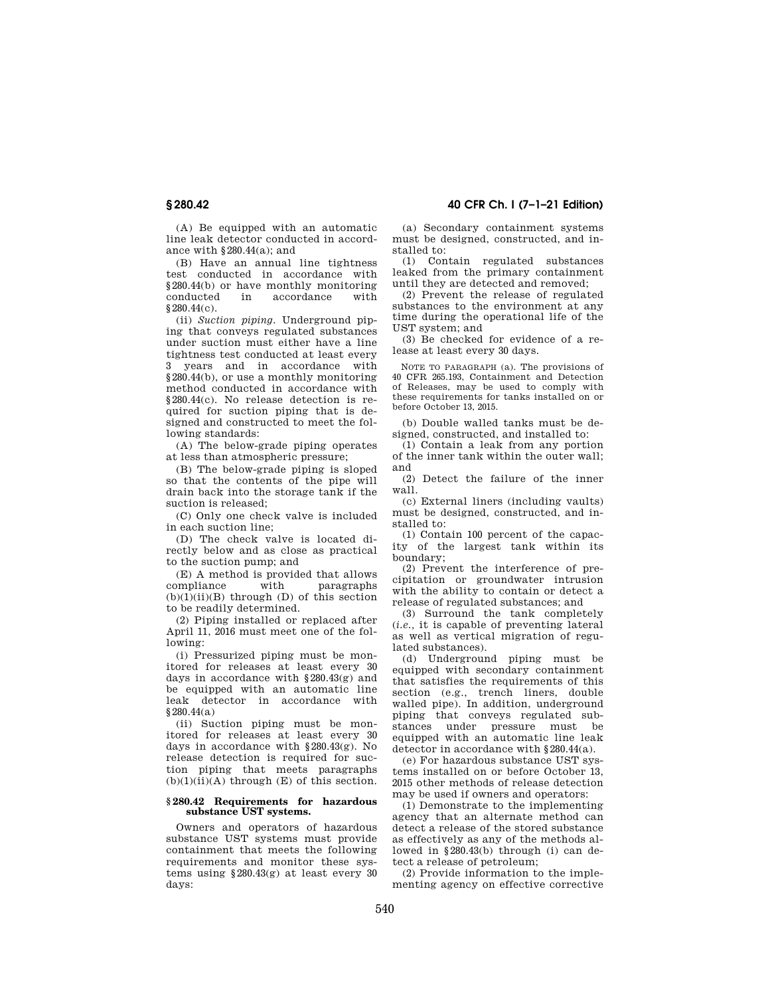**§ 280.42 40 CFR Ch. I (7–1–21 Edition)** 

(A) Be equipped with an automatic line leak detector conducted in accordance with §280.44(a); and

(B) Have an annual line tightness test conducted in accordance with §280.44(b) or have monthly monitoring in accordance §280.44(c).

(ii) *Suction piping.* Underground piping that conveys regulated substances under suction must either have a line tightness test conducted at least every years and in accordance with §280.44(b), or use a monthly monitoring method conducted in accordance with §280.44(c). No release detection is required for suction piping that is designed and constructed to meet the following standards:

(A) The below-grade piping operates at less than atmospheric pressure;

(B) The below-grade piping is sloped so that the contents of the pipe will drain back into the storage tank if the suction is released;

(C) Only one check valve is included in each suction line;

(D) The check valve is located directly below and as close as practical to the suction pump; and

(E) A method is provided that allows compliance with paragraphs  $(b)(1)(ii)(B)$  through  $(D)$  of this section to be readily determined.

(2) Piping installed or replaced after April 11, 2016 must meet one of the following:

(i) Pressurized piping must be monitored for releases at least every 30 days in accordance with §280.43(g) and be equipped with an automatic line leak detector in accordance with §280.44(a)

(ii) Suction piping must be monitored for releases at least every 30 days in accordance with  $§280.43(g)$ . No release detection is required for suction piping that meets paragraphs  $(b)(1)(ii)(A)$  through  $(E)$  of this section.

#### **§ 280.42 Requirements for hazardous substance UST systems.**

Owners and operators of hazardous substance UST systems must provide containment that meets the following requirements and monitor these systems using §280.43(g) at least every 30 days:

(a) Secondary containment systems must be designed, constructed, and installed to:

(1) Contain regulated substances leaked from the primary containment until they are detected and removed;

(2) Prevent the release of regulated substances to the environment at any time during the operational life of the UST system; and

(3) Be checked for evidence of a release at least every 30 days.

NOTE TO PARAGRAPH (a). The provisions of 40 CFR 265.193, Containment and Detection of Releases, may be used to comply with these requirements for tanks installed on or before October 13, 2015.

(b) Double walled tanks must be designed, constructed, and installed to:

(1) Contain a leak from any portion of the inner tank within the outer wall; and

(2) Detect the failure of the inner wall.

(c) External liners (including vaults) must be designed, constructed, and installed to:

(1) Contain 100 percent of the capacity of the largest tank within its boundary;

(2) Prevent the interference of precipitation or groundwater intrusion with the ability to contain or detect a release of regulated substances; and

(3) Surround the tank completely (*i.e.,* it is capable of preventing lateral as well as vertical migration of regulated substances).

(d) Underground piping must be equipped with secondary containment that satisfies the requirements of this section (e.g., trench liners, double walled pipe). In addition, underground piping that conveys regulated substances under pressure must be equipped with an automatic line leak detector in accordance with §280.44(a).

(e) For hazardous substance UST systems installed on or before October 13, 2015 other methods of release detection may be used if owners and operators:

(1) Demonstrate to the implementing agency that an alternate method can detect a release of the stored substance as effectively as any of the methods allowed in §280.43(b) through (i) can detect a release of petroleum;

(2) Provide information to the implementing agency on effective corrective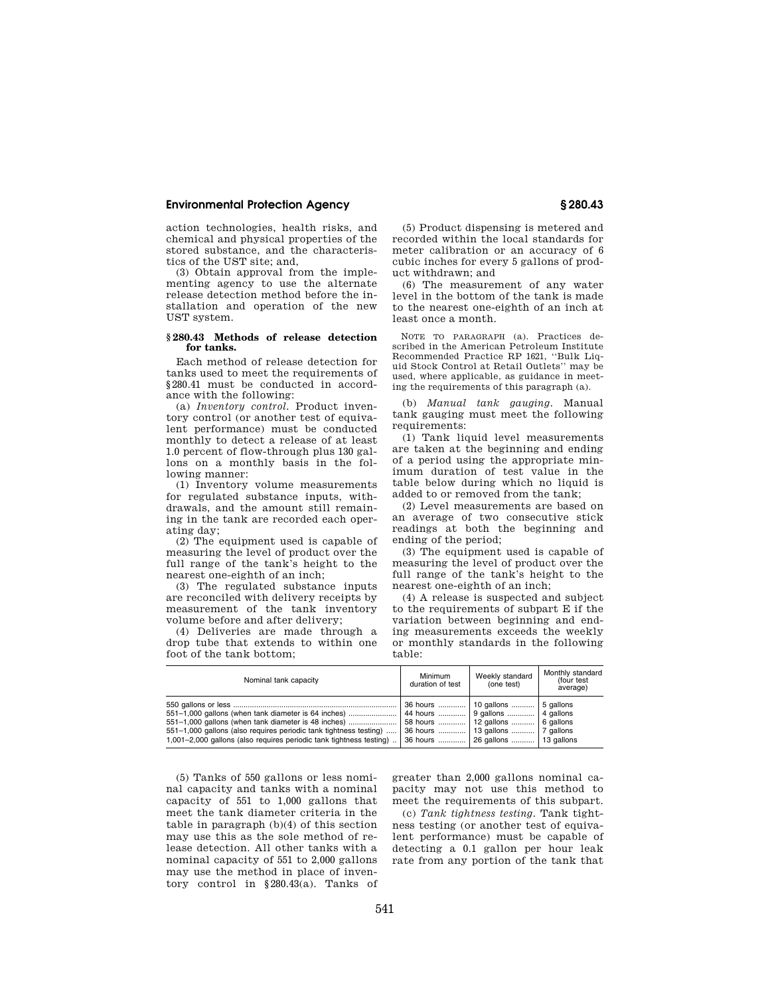action technologies, health risks, and chemical and physical properties of the stored substance, and the characteristics of the UST site; and,

(3) Obtain approval from the implementing agency to use the alternate release detection method before the installation and operation of the new UST system.

#### **§ 280.43 Methods of release detection for tanks.**

Each method of release detection for tanks used to meet the requirements of §280.41 must be conducted in accordance with the following:

(a) *Inventory control.* Product inventory control (or another test of equivalent performance) must be conducted monthly to detect a release of at least 1.0 percent of flow-through plus 130 gallons on a monthly basis in the following manner:

(1) Inventory volume measurements for regulated substance inputs, withdrawals, and the amount still remaining in the tank are recorded each operating day;

(2) The equipment used is capable of measuring the level of product over the full range of the tank's height to the nearest one-eighth of an inch;

(3) The regulated substance inputs are reconciled with delivery receipts by measurement of the tank inventory volume before and after delivery;

(4) Deliveries are made through a drop tube that extends to within one foot of the tank bottom;

(5) Product dispensing is metered and recorded within the local standards for meter calibration or an accuracy of 6 cubic inches for every 5 gallons of product withdrawn; and

(6) The measurement of any water level in the bottom of the tank is made to the nearest one-eighth of an inch at least once a month.

NOTE TO PARAGRAPH (a). Practices described in the American Petroleum Institute Recommended Practice RP 1621, ''Bulk Liquid Stock Control at Retail Outlets'' may be used, where applicable, as guidance in meeting the requirements of this paragraph (a).

(b) *Manual tank gauging.* Manual tank gauging must meet the following requirements:

(1) Tank liquid level measurements are taken at the beginning and ending of a period using the appropriate minimum duration of test value in the table below during which no liquid is added to or removed from the tank;

(2) Level measurements are based on an average of two consecutive stick readings at both the beginning and ending of the period;

(3) The equipment used is capable of measuring the level of product over the full range of the tank's height to the nearest one-eighth of an inch;

(4) A release is suspected and subject to the requirements of subpart E if the variation between beginning and ending measurements exceeds the weekly or monthly standards in the following table:

| Nominal tank capacity                                                                                                                                                                           | Minimum<br>duration of test | Weekly standard<br>(one test)                                                                                                                         | Monthly standard<br>(four test<br>average) |
|-------------------------------------------------------------------------------------------------------------------------------------------------------------------------------------------------|-----------------------------|-------------------------------------------------------------------------------------------------------------------------------------------------------|--------------------------------------------|
| 551-1,000 gallons (when tank diameter is 48 inches)<br>551-1,000 gallons (also requires periodic tank tightness testing)<br>1,001-2,000 gallons (also requires periodic tank tightness testing) |                             | 36 hours    10 gallons    5 gallons<br>58 hours    12 gallons    6 gallons<br>36 hours    13 gallons    7 gallons<br>36 hours  26 gallons  13 gallons |                                            |

(5) Tanks of 550 gallons or less nominal capacity and tanks with a nominal capacity of 551 to 1,000 gallons that meet the tank diameter criteria in the table in paragraph (b)(4) of this section may use this as the sole method of release detection. All other tanks with a nominal capacity of 551 to 2,000 gallons may use the method in place of inventory control in  $\S 280.43(a)$ . Tanks of

greater than 2,000 gallons nominal capacity may not use this method to meet the requirements of this subpart.

(c) *Tank tightness testing.* Tank tightness testing (or another test of equivalent performance) must be capable of detecting a 0.1 gallon per hour leak rate from any portion of the tank that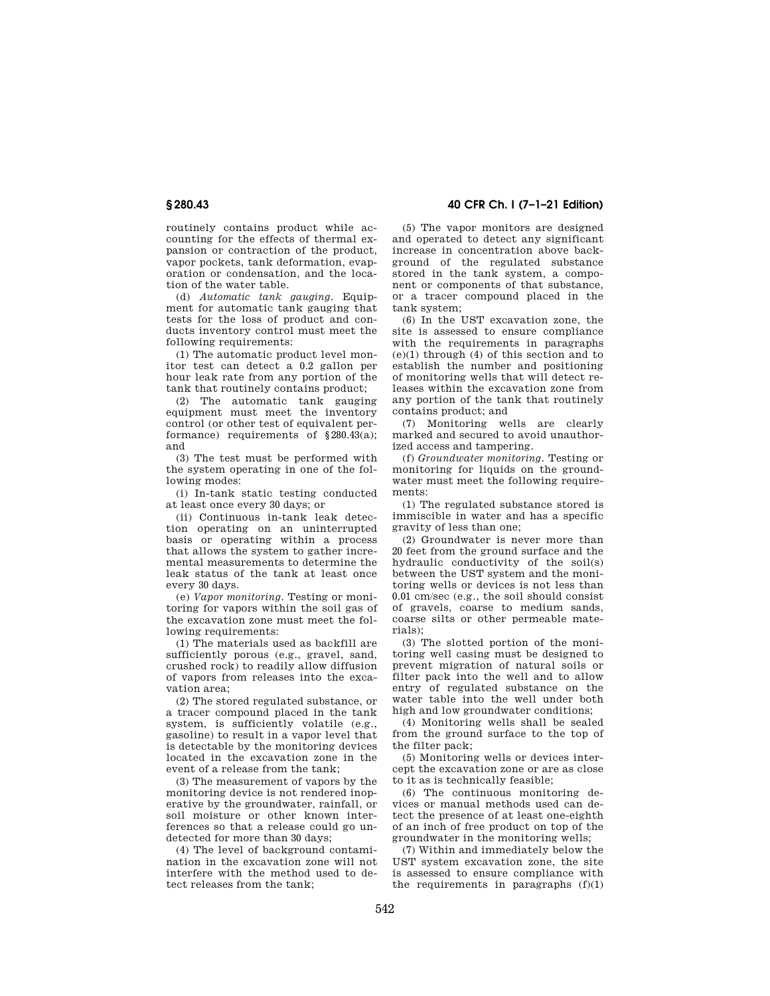routinely contains product while accounting for the effects of thermal expansion or contraction of the product, vapor pockets, tank deformation, evaporation or condensation, and the location of the water table.

(d) *Automatic tank gauging.* Equipment for automatic tank gauging that tests for the loss of product and conducts inventory control must meet the following requirements:

(1) The automatic product level monitor test can detect a 0.2 gallon per hour leak rate from any portion of the tank that routinely contains product;

(2) The automatic tank gauging equipment must meet the inventory control (or other test of equivalent performance) requirements of §280.43(a); and

(3) The test must be performed with the system operating in one of the following modes:

(i) In-tank static testing conducted at least once every 30 days; or

(ii) Continuous in-tank leak detection operating on an uninterrupted basis or operating within a process that allows the system to gather incremental measurements to determine the leak status of the tank at least once every 30 days.

(e) *Vapor monitoring.* Testing or monitoring for vapors within the soil gas of the excavation zone must meet the following requirements:

(1) The materials used as backfill are sufficiently porous (e.g., gravel, sand, crushed rock) to readily allow diffusion of vapors from releases into the excavation area;

(2) The stored regulated substance, or a tracer compound placed in the tank system, is sufficiently volatile (e.g., gasoline) to result in a vapor level that is detectable by the monitoring devices located in the excavation zone in the event of a release from the tank;

(3) The measurement of vapors by the monitoring device is not rendered inoperative by the groundwater, rainfall, or soil moisture or other known interferences so that a release could go undetected for more than 30 days;

(4) The level of background contamination in the excavation zone will not interfere with the method used to detect releases from the tank;

**§ 280.43 40 CFR Ch. I (7–1–21 Edition)** 

(5) The vapor monitors are designed and operated to detect any significant increase in concentration above background of the regulated substance stored in the tank system, a component or components of that substance, or a tracer compound placed in the tank system;

(6) In the UST excavation zone, the site is assessed to ensure compliance with the requirements in paragraphs (e)(1) through (4) of this section and to establish the number and positioning of monitoring wells that will detect releases within the excavation zone from any portion of the tank that routinely contains product; and

(7) Monitoring wells are clearly marked and secured to avoid unauthorized access and tampering.

(f) *Groundwater monitoring.* Testing or monitoring for liquids on the groundwater must meet the following requirements:

(1) The regulated substance stored is immiscible in water and has a specific gravity of less than one;

(2) Groundwater is never more than 20 feet from the ground surface and the hydraulic conductivity of the soil(s) between the UST system and the monitoring wells or devices is not less than 0.01 cm/sec (e.g., the soil should consist of gravels, coarse to medium sands, coarse silts or other permeable materials);

(3) The slotted portion of the monitoring well casing must be designed to prevent migration of natural soils or filter pack into the well and to allow entry of regulated substance on the water table into the well under both high and low groundwater conditions;

(4) Monitoring wells shall be sealed from the ground surface to the top of the filter pack;

(5) Monitoring wells or devices intercept the excavation zone or are as close to it as is technically feasible;

(6) The continuous monitoring devices or manual methods used can detect the presence of at least one-eighth of an inch of free product on top of the groundwater in the monitoring wells;

(7) Within and immediately below the UST system excavation zone, the site is assessed to ensure compliance with the requirements in paragraphs  $(f)(1)$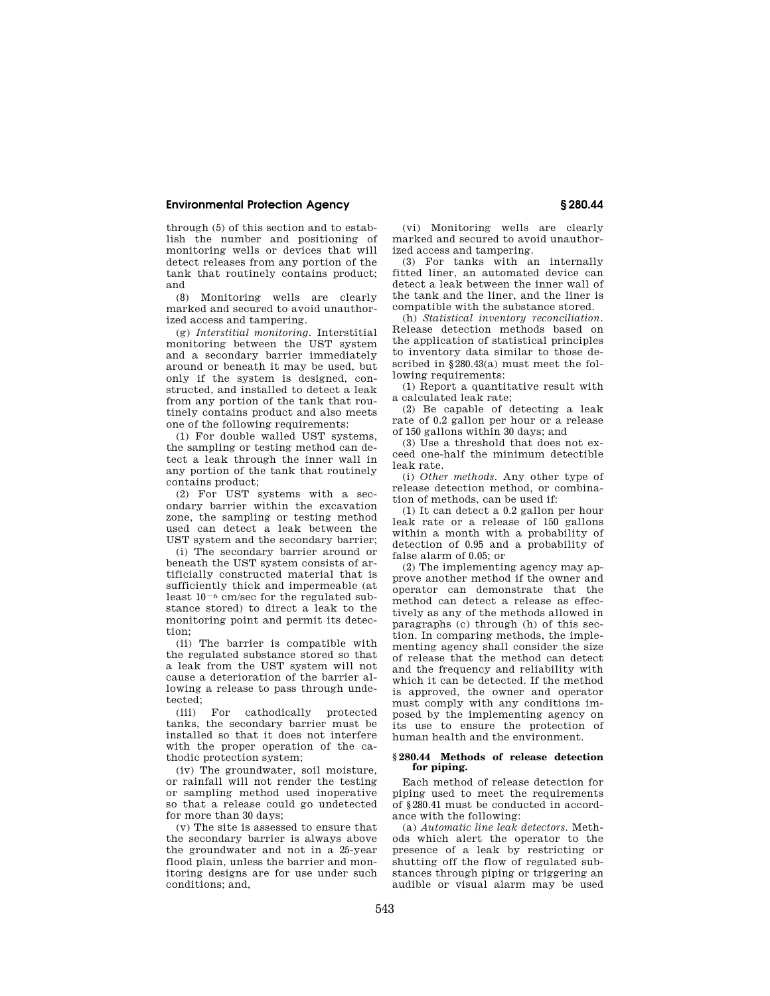through (5) of this section and to establish the number and positioning of monitoring wells or devices that will detect releases from any portion of the tank that routinely contains product; and

(8) Monitoring wells are clearly marked and secured to avoid unauthorized access and tampering.

(g) *Interstitial monitoring.* Interstitial monitoring between the UST system and a secondary barrier immediately around or beneath it may be used, but only if the system is designed, constructed, and installed to detect a leak from any portion of the tank that routinely contains product and also meets one of the following requirements:

(1) For double walled UST systems, the sampling or testing method can detect a leak through the inner wall in any portion of the tank that routinely contains product;

(2) For UST systems with a secondary barrier within the excavation zone, the sampling or testing method used can detect a leak between the UST system and the secondary barrier;

(i) The secondary barrier around or beneath the UST system consists of artificially constructed material that is sufficiently thick and impermeable (at least  $10^{-6}$  cm/sec for the regulated substance stored) to direct a leak to the monitoring point and permit its detection;

(ii) The barrier is compatible with the regulated substance stored so that a leak from the UST system will not cause a deterioration of the barrier allowing a release to pass through undetected;

(iii) For cathodically protected tanks, the secondary barrier must be installed so that it does not interfere with the proper operation of the cathodic protection system;

(iv) The groundwater, soil moisture, or rainfall will not render the testing or sampling method used inoperative so that a release could go undetected for more than 30 days;

(v) The site is assessed to ensure that the secondary barrier is always above the groundwater and not in a 25-year flood plain, unless the barrier and monitoring designs are for use under such conditions; and,

(vi) Monitoring wells are clearly marked and secured to avoid unauthorized access and tampering.

(3) For tanks with an internally fitted liner, an automated device can detect a leak between the inner wall of the tank and the liner, and the liner is compatible with the substance stored.

(h) *Statistical inventory reconciliation.*  Release detection methods based on the application of statistical principles to inventory data similar to those described in  $$280,43(a)$  must meet the following requirements:

(1) Report a quantitative result with a calculated leak rate;

(2) Be capable of detecting a leak rate of 0.2 gallon per hour or a release of 150 gallons within 30 days; and

(3) Use a threshold that does not exceed one-half the minimum detectible leak rate.

(i) *Other methods.* Any other type of release detection method, or combination of methods, can be used if:

(1) It can detect a 0.2 gallon per hour leak rate or a release of 150 gallons within a month with a probability of detection of 0.95 and a probability of false alarm of  $0.05$ ; or

(2) The implementing agency may approve another method if the owner and operator can demonstrate that the method can detect a release as effectively as any of the methods allowed in paragraphs (c) through (h) of this section. In comparing methods, the implementing agency shall consider the size of release that the method can detect and the frequency and reliability with which it can be detected. If the method is approved, the owner and operator must comply with any conditions imposed by the implementing agency on its use to ensure the protection of human health and the environment.

### **§ 280.44 Methods of release detection for piping.**

Each method of release detection for piping used to meet the requirements of §280.41 must be conducted in accordance with the following:

(a) *Automatic line leak detectors.* Methods which alert the operator to the presence of a leak by restricting or shutting off the flow of regulated substances through piping or triggering an audible or visual alarm may be used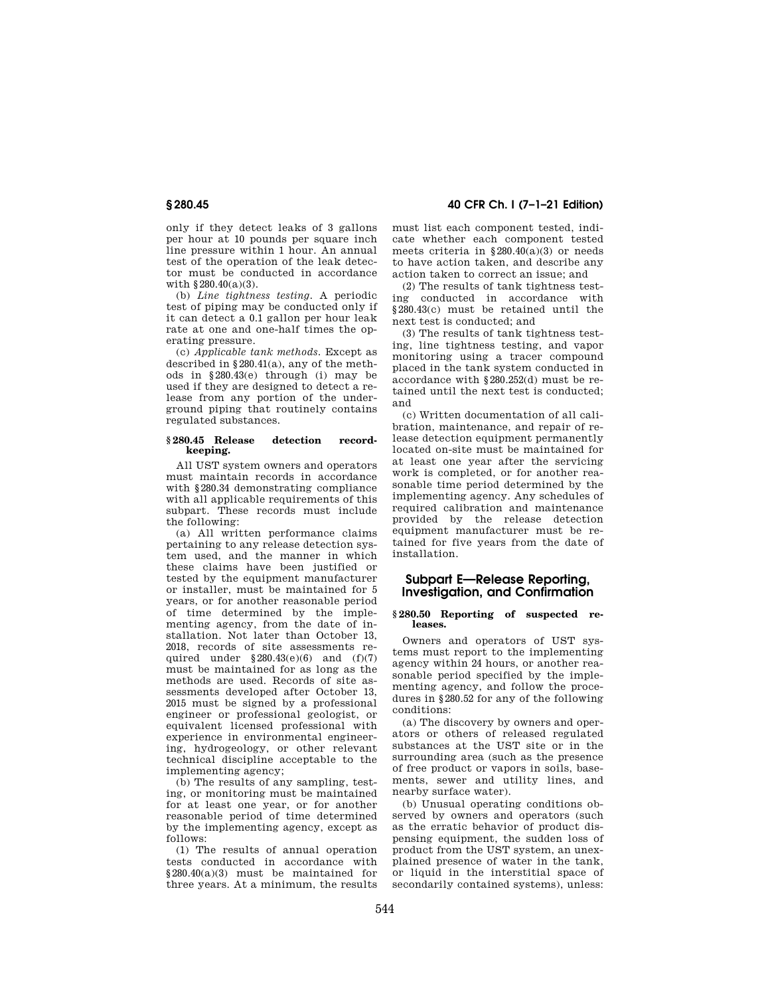only if they detect leaks of 3 gallons per hour at 10 pounds per square inch line pressure within 1 hour. An annual test of the operation of the leak detector must be conducted in accordance with §280.40(a)(3).

(b) *Line tightness testing.* A periodic test of piping may be conducted only if it can detect a 0.1 gallon per hour leak rate at one and one-half times the operating pressure.

(c) *Applicable tank methods.* Except as described in  $$280,41(a)$ , any of the methods in §280.43(e) through (i) may be used if they are designed to detect a release from any portion of the underground piping that routinely contains regulated substances.

#### **§ 280.45 Release detection recordkeeping.**

All UST system owners and operators must maintain records in accordance with §280.34 demonstrating compliance with all applicable requirements of this subpart. These records must include the following:

(a) All written performance claims pertaining to any release detection system used, and the manner in which these claims have been justified or tested by the equipment manufacturer or installer, must be maintained for 5 years, or for another reasonable period of time determined by the implementing agency, from the date of installation. Not later than October 13, 2018, records of site assessments required under  $$280.43(e)(6)$  and  $(f)(7)$ must be maintained for as long as the methods are used. Records of site assessments developed after October 13, 2015 must be signed by a professional engineer or professional geologist, or equivalent licensed professional with experience in environmental engineering, hydrogeology, or other relevant technical discipline acceptable to the implementing agency;

(b) The results of any sampling, testing, or monitoring must be maintained for at least one year, or for another reasonable period of time determined by the implementing agency, except as follows:

(1) The results of annual operation tests conducted in accordance with §280.40(a)(3) must be maintained for three years. At a minimum, the results

**§ 280.45 40 CFR Ch. I (7–1–21 Edition)** 

must list each component tested, indicate whether each component tested meets criteria in  $\S 280.40(a)(3)$  or needs to have action taken, and describe any action taken to correct an issue; and

(2) The results of tank tightness testing conducted in accordance with §280.43(c) must be retained until the next test is conducted; and

(3) The results of tank tightness testing, line tightness testing, and vapor monitoring using a tracer compound placed in the tank system conducted in accordance with §280.252(d) must be retained until the next test is conducted; and

(c) Written documentation of all calibration, maintenance, and repair of release detection equipment permanently located on-site must be maintained for at least one year after the servicing work is completed, or for another reasonable time period determined by the implementing agency. Any schedules of required calibration and maintenance provided by the release detection equipment manufacturer must be retained for five years from the date of installation.

# **Subpart E—Release Reporting, Investigation, and Confirmation**

#### **§ 280.50 Reporting of suspected releases.**

Owners and operators of UST systems must report to the implementing agency within 24 hours, or another reasonable period specified by the implementing agency, and follow the procedures in §280.52 for any of the following conditions:

(a) The discovery by owners and operators or others of released regulated substances at the UST site or in the surrounding area (such as the presence of free product or vapors in soils, basements, sewer and utility lines, and nearby surface water).

(b) Unusual operating conditions observed by owners and operators (such as the erratic behavior of product dispensing equipment, the sudden loss of product from the UST system, an unexplained presence of water in the tank, or liquid in the interstitial space of secondarily contained systems), unless: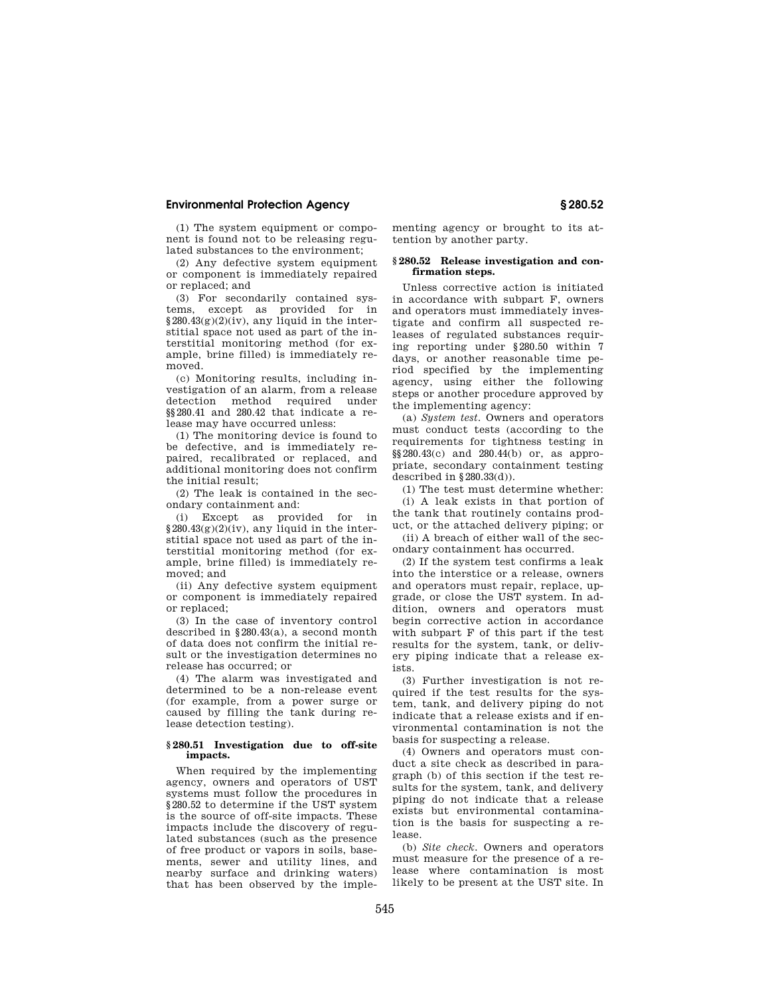(1) The system equipment or component is found not to be releasing regulated substances to the environment;

(2) Any defective system equipment or component is immediately repaired or replaced; and

(3) For secondarily contained systems, except as provided for in  $§280.43(g)(2)(iv)$ , any liquid in the interstitial space not used as part of the interstitial monitoring method (for example, brine filled) is immediately removed.

(c) Monitoring results, including investigation of an alarm, from a release detection method required under §§280.41 and 280.42 that indicate a release may have occurred unless:

(1) The monitoring device is found to be defective, and is immediately repaired, recalibrated or replaced, and additional monitoring does not confirm the initial result;

(2) The leak is contained in the secondary containment and:

(i) Except as provided for in  $\frac{280.43(g)(2)}{iv}$ , any liquid in the interstitial space not used as part of the interstitial monitoring method (for example, brine filled) is immediately removed; and

(ii) Any defective system equipment or component is immediately repaired or replaced;

(3) In the case of inventory control described in §280.43(a), a second month of data does not confirm the initial result or the investigation determines no release has occurred; or

(4) The alarm was investigated and determined to be a non-release event (for example, from a power surge or caused by filling the tank during release detection testing).

#### **§ 280.51 Investigation due to off-site impacts.**

When required by the implementing agency, owners and operators of UST systems must follow the procedures in §280.52 to determine if the UST system is the source of off-site impacts. These impacts include the discovery of regulated substances (such as the presence of free product or vapors in soils, basements, sewer and utility lines, and nearby surface and drinking waters) that has been observed by the implementing agency or brought to its attention by another party.

# **§ 280.52 Release investigation and confirmation steps.**

Unless corrective action is initiated in accordance with subpart F, owners and operators must immediately investigate and confirm all suspected releases of regulated substances requiring reporting under §280.50 within 7 days, or another reasonable time period specified by the implementing agency, using either the following steps or another procedure approved by the implementing agency:

(a) *System test.* Owners and operators must conduct tests (according to the requirements for tightness testing in §§280.43(c) and 280.44(b) or, as appropriate, secondary containment testing described in  $\S 280.33(d)$ ).

(1) The test must determine whether:

(i) A leak exists in that portion of the tank that routinely contains product, or the attached delivery piping; or

(ii) A breach of either wall of the secondary containment has occurred.

(2) If the system test confirms a leak into the interstice or a release, owners and operators must repair, replace, upgrade, or close the UST system. In addition, owners and operators must begin corrective action in accordance with subpart F of this part if the test results for the system, tank, or delivery piping indicate that a release exists.

(3) Further investigation is not required if the test results for the system, tank, and delivery piping do not indicate that a release exists and if environmental contamination is not the basis for suspecting a release.

(4) Owners and operators must conduct a site check as described in paragraph (b) of this section if the test results for the system, tank, and delivery piping do not indicate that a release exists but environmental contamination is the basis for suspecting a release.

(b) *Site check.* Owners and operators must measure for the presence of a release where contamination is most likely to be present at the UST site. In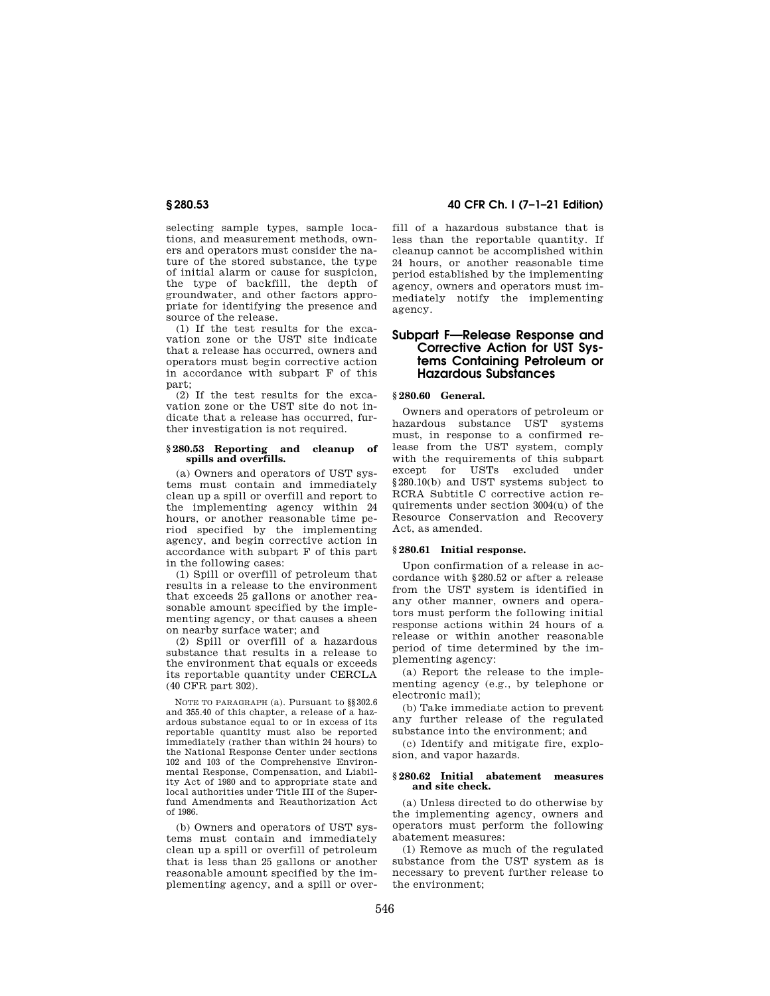selecting sample types, sample locations, and measurement methods, owners and operators must consider the nature of the stored substance, the type of initial alarm or cause for suspicion, the type of backfill, the depth of groundwater, and other factors appropriate for identifying the presence and source of the release.

(1) If the test results for the excavation zone or the UST site indicate that a release has occurred, owners and operators must begin corrective action in accordance with subpart F of this part;

(2) If the test results for the excavation zone or the UST site do not indicate that a release has occurred, further investigation is not required.

# **§ 280.53 Reporting and cleanup of spills and overfills.**

(a) Owners and operators of UST systems must contain and immediately clean up a spill or overfill and report to the implementing agency within 24 hours, or another reasonable time period specified by the implementing agency, and begin corrective action in accordance with subpart F of this part in the following cases:

(1) Spill or overfill of petroleum that results in a release to the environment that exceeds 25 gallons or another reasonable amount specified by the implementing agency, or that causes a sheen on nearby surface water; and

(2) Spill or overfill of a hazardous substance that results in a release to the environment that equals or exceeds its reportable quantity under CERCLA (40 CFR part 302).

NOTE TO PARAGRAPH (a). Pursuant to §§302.6 and 355.40 of this chapter, a release of a hazardous substance equal to or in excess of its reportable quantity must also be reported immediately (rather than within 24 hours) to the National Response Center under sections 102 and 103 of the Comprehensive Environmental Response, Compensation, and Liability Act of 1980 and to appropriate state and local authorities under Title III of the Superfund Amendments and Reauthorization Act of 1986.

(b) Owners and operators of UST systems must contain and immediately clean up a spill or overfill of petroleum that is less than 25 gallons or another reasonable amount specified by the implementing agency, and a spill or over-

**§ 280.53 40 CFR Ch. I (7–1–21 Edition)** 

fill of a hazardous substance that is less than the reportable quantity. If cleanup cannot be accomplished within 24 hours, or another reasonable time period established by the implementing agency, owners and operators must immediately notify the implementing agency.

# **Subpart F—Release Response and Corrective Action for UST Systems Containing Petroleum or Hazardous Substances**

# **§ 280.60 General.**

Owners and operators of petroleum or hazardous substance UST systems must, in response to a confirmed release from the UST system, comply with the requirements of this subpart except for USTs excluded under §280.10(b) and UST systems subject to RCRA Subtitle C corrective action requirements under section 3004(u) of the Resource Conservation and Recovery Act, as amended.

#### **§ 280.61 Initial response.**

Upon confirmation of a release in accordance with §280.52 or after a release from the UST system is identified in any other manner, owners and operators must perform the following initial response actions within 24 hours of a release or within another reasonable period of time determined by the implementing agency:

(a) Report the release to the implementing agency (e.g., by telephone or electronic mail);

(b) Take immediate action to prevent any further release of the regulated substance into the environment; and

(c) Identify and mitigate fire, explosion, and vapor hazards.

### **§ 280.62 Initial abatement measures and site check.**

(a) Unless directed to do otherwise by the implementing agency, owners and operators must perform the following abatement measures:

(1) Remove as much of the regulated substance from the UST system as is necessary to prevent further release to the environment;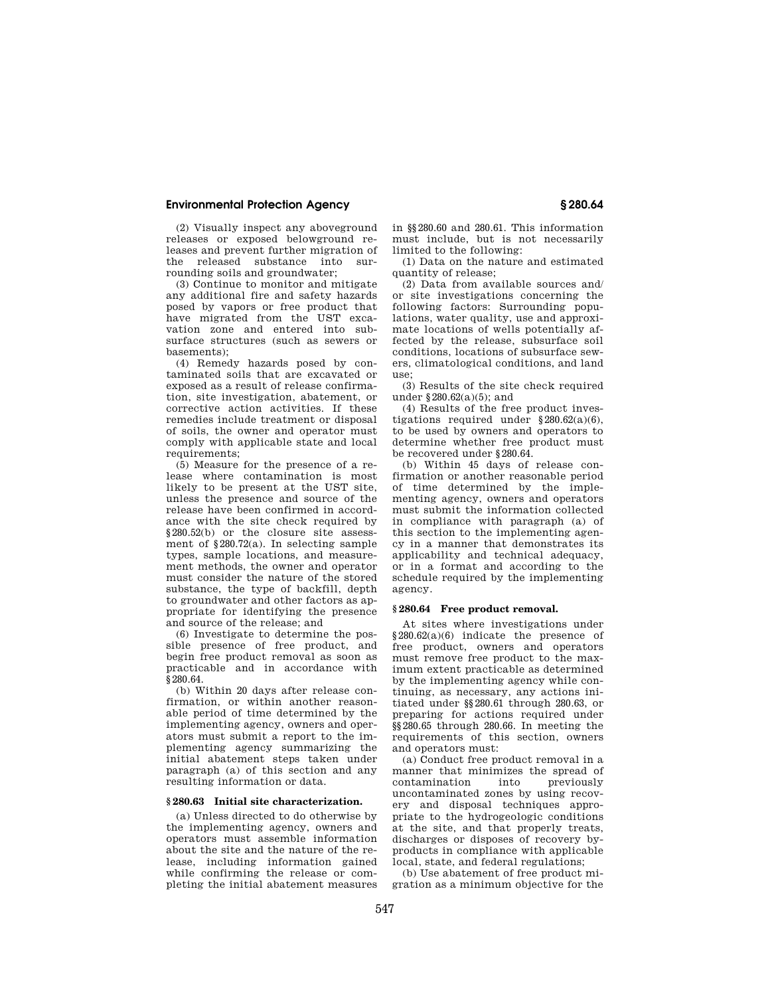(2) Visually inspect any aboveground releases or exposed belowground releases and prevent further migration of the released substance into surrounding soils and groundwater;

(3) Continue to monitor and mitigate any additional fire and safety hazards posed by vapors or free product that have migrated from the UST excavation zone and entered into subsurface structures (such as sewers or basements);

(4) Remedy hazards posed by contaminated soils that are excavated or exposed as a result of release confirmation, site investigation, abatement, or corrective action activities. If these remedies include treatment or disposal of soils, the owner and operator must comply with applicable state and local requirements;

(5) Measure for the presence of a release where contamination is most likely to be present at the UST site, unless the presence and source of the release have been confirmed in accordance with the site check required by §280.52(b) or the closure site assessment of §280.72(a). In selecting sample types, sample locations, and measurement methods, the owner and operator must consider the nature of the stored substance, the type of backfill, depth to groundwater and other factors as appropriate for identifying the presence and source of the release; and

(6) Investigate to determine the possible presence of free product, and begin free product removal as soon as practicable and in accordance with §280.64.

(b) Within 20 days after release confirmation, or within another reasonable period of time determined by the implementing agency, owners and operators must submit a report to the implementing agency summarizing the initial abatement steps taken under paragraph (a) of this section and any resulting information or data.

# **§ 280.63 Initial site characterization.**

(a) Unless directed to do otherwise by the implementing agency, owners and operators must assemble information about the site and the nature of the release, including information gained while confirming the release or completing the initial abatement measures in §§280.60 and 280.61. This information must include, but is not necessarily limited to the following:

(1) Data on the nature and estimated quantity of release;

(2) Data from available sources and/ or site investigations concerning the following factors: Surrounding populations, water quality, use and approximate locations of wells potentially affected by the release, subsurface soil conditions, locations of subsurface sewers, climatological conditions, and land use;

(3) Results of the site check required under §280.62(a)(5); and

(4) Results of the free product investigations required under §280.62(a)(6), to be used by owners and operators to determine whether free product must be recovered under §280.64.

(b) Within 45 days of release confirmation or another reasonable period of time determined by the implementing agency, owners and operators must submit the information collected in compliance with paragraph (a) of this section to the implementing agency in a manner that demonstrates its applicability and technical adequacy, or in a format and according to the schedule required by the implementing agency.

#### **§ 280.64 Free product removal.**

At sites where investigations under §280.62(a)(6) indicate the presence of free product, owners and operators must remove free product to the maximum extent practicable as determined by the implementing agency while continuing, as necessary, any actions initiated under §§280.61 through 280.63, or preparing for actions required under §§280.65 through 280.66. In meeting the requirements of this section, owners and operators must:

(a) Conduct free product removal in a manner that minimizes the spread of contamination into previously uncontaminated zones by using recovery and disposal techniques appropriate to the hydrogeologic conditions at the site, and that properly treats, discharges or disposes of recovery byproducts in compliance with applicable local, state, and federal regulations;

(b) Use abatement of free product migration as a minimum objective for the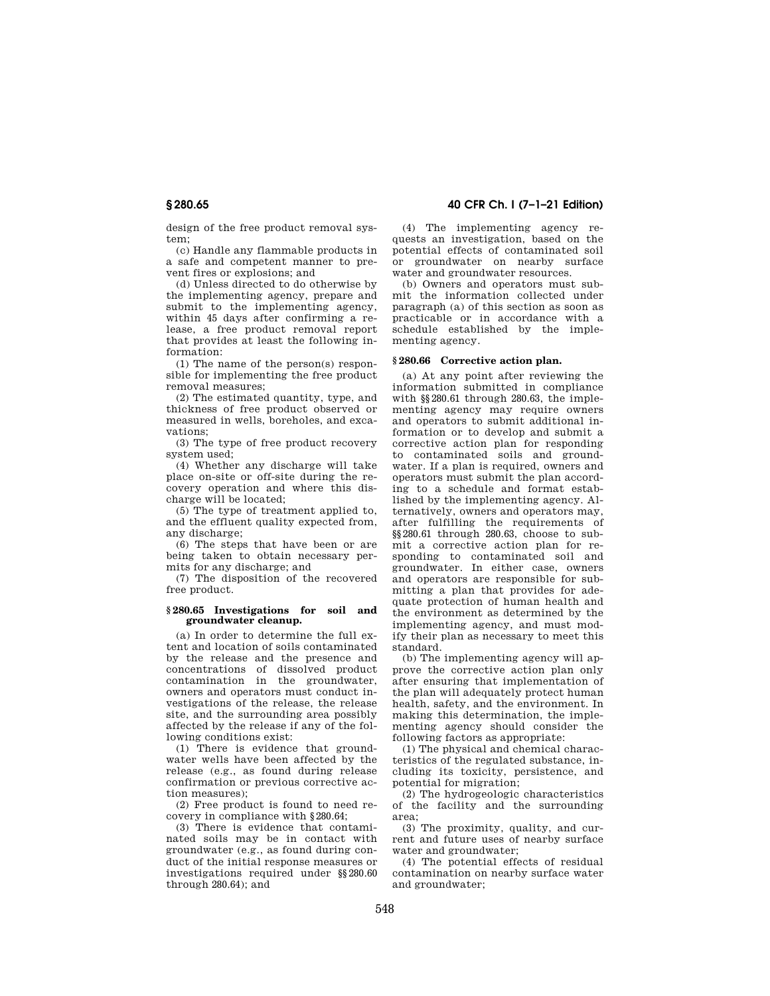design of the free product removal system;

(c) Handle any flammable products in a safe and competent manner to prevent fires or explosions; and

(d) Unless directed to do otherwise by the implementing agency, prepare and submit to the implementing agency, within 45 days after confirming a release, a free product removal report that provides at least the following information:

(1) The name of the person(s) responsible for implementing the free product removal measures;

(2) The estimated quantity, type, and thickness of free product observed or measured in wells, boreholes, and excavations;

(3) The type of free product recovery system used;

(4) Whether any discharge will take place on-site or off-site during the recovery operation and where this discharge will be located;

(5) The type of treatment applied to, and the effluent quality expected from. any discharge;

(6) The steps that have been or are being taken to obtain necessary permits for any discharge; and

(7) The disposition of the recovered free product.

#### **§ 280.65 Investigations for soil and groundwater cleanup.**

(a) In order to determine the full extent and location of soils contaminated by the release and the presence and concentrations of dissolved product contamination in the groundwater, owners and operators must conduct investigations of the release, the release site, and the surrounding area possibly affected by the release if any of the following conditions exist:

(1) There is evidence that groundwater wells have been affected by the release (e.g., as found during release confirmation or previous corrective action measures);

(2) Free product is found to need recovery in compliance with §280.64;

(3) There is evidence that contaminated soils may be in contact with groundwater (e.g., as found during conduct of the initial response measures or investigations required under §§280.60 through 280.64); and

**§ 280.65 40 CFR Ch. I (7–1–21 Edition)** 

(4) The implementing agency requests an investigation, based on the potential effects of contaminated soil or groundwater on nearby surface water and groundwater resources.

(b) Owners and operators must submit the information collected under paragraph (a) of this section as soon as practicable or in accordance with a schedule established by the implementing agency.

#### **§ 280.66 Corrective action plan.**

(a) At any point after reviewing the information submitted in compliance with §§280.61 through 280.63, the implementing agency may require owners and operators to submit additional information or to develop and submit a corrective action plan for responding to contaminated soils and groundwater. If a plan is required, owners and operators must submit the plan according to a schedule and format established by the implementing agency. Alternatively, owners and operators may, after fulfilling the requirements of §§280.61 through 280.63, choose to submit a corrective action plan for responding to contaminated soil and groundwater. In either case, owners and operators are responsible for submitting a plan that provides for adequate protection of human health and the environment as determined by the implementing agency, and must modify their plan as necessary to meet this standard.

(b) The implementing agency will approve the corrective action plan only after ensuring that implementation of the plan will adequately protect human health, safety, and the environment. In making this determination, the implementing agency should consider the following factors as appropriate:

(1) The physical and chemical characteristics of the regulated substance, including its toxicity, persistence, and potential for migration;

(2) The hydrogeologic characteristics of the facility and the surrounding area;

(3) The proximity, quality, and current and future uses of nearby surface water and groundwater;

(4) The potential effects of residual contamination on nearby surface water and groundwater;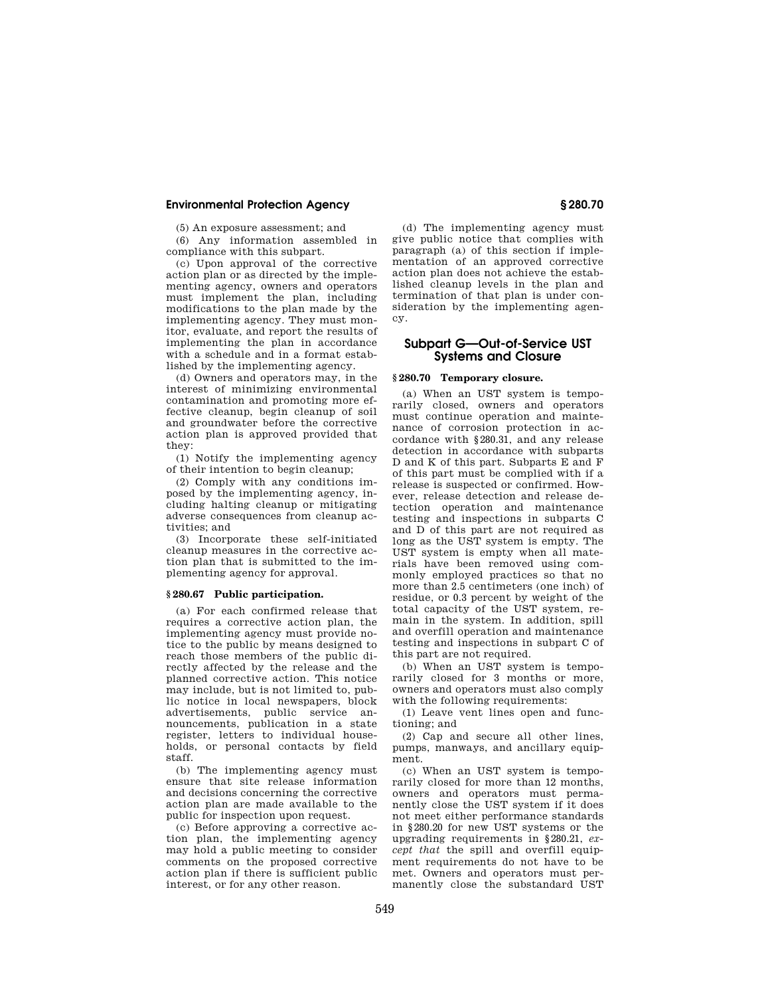(5) An exposure assessment; and

(6) Any information assembled in compliance with this subpart.

(c) Upon approval of the corrective action plan or as directed by the implementing agency, owners and operators must implement the plan, including modifications to the plan made by the implementing agency. They must monitor, evaluate, and report the results of implementing the plan in accordance with a schedule and in a format established by the implementing agency.

(d) Owners and operators may, in the interest of minimizing environmental contamination and promoting more effective cleanup, begin cleanup of soil and groundwater before the corrective action plan is approved provided that they:

(1) Notify the implementing agency of their intention to begin cleanup;

(2) Comply with any conditions imposed by the implementing agency, including halting cleanup or mitigating adverse consequences from cleanup activities; and

(3) Incorporate these self-initiated cleanup measures in the corrective action plan that is submitted to the implementing agency for approval.

# **§ 280.67 Public participation.**

(a) For each confirmed release that requires a corrective action plan, the implementing agency must provide notice to the public by means designed to reach those members of the public directly affected by the release and the planned corrective action. This notice may include, but is not limited to, public notice in local newspapers, block advertisements, public service announcements, publication in a state register, letters to individual households, or personal contacts by field staff.

(b) The implementing agency must ensure that site release information and decisions concerning the corrective action plan are made available to the public for inspection upon request.

(c) Before approving a corrective action plan, the implementing agency may hold a public meeting to consider comments on the proposed corrective action plan if there is sufficient public interest, or for any other reason.

(d) The implementing agency must give public notice that complies with paragraph (a) of this section if implementation of an approved corrective action plan does not achieve the established cleanup levels in the plan and termination of that plan is under consideration by the implementing agency.

# **Subpart G—Out-of-Service UST Systems and Closure**

# **§ 280.70 Temporary closure.**

(a) When an UST system is temporarily closed, owners and operators must continue operation and maintenance of corrosion protection in accordance with §280.31, and any release detection in accordance with subparts D and K of this part. Subparts E and F of this part must be complied with if a release is suspected or confirmed. However, release detection and release detection operation and maintenance testing and inspections in subparts C and D of this part are not required as long as the UST system is empty. The UST system is empty when all materials have been removed using commonly employed practices so that no more than 2.5 centimeters (one inch) of residue, or 0.3 percent by weight of the total capacity of the UST system, remain in the system. In addition, spill and overfill operation and maintenance testing and inspections in subpart C of this part are not required.

(b) When an UST system is temporarily closed for 3 months or more, owners and operators must also comply with the following requirements:

(1) Leave vent lines open and functioning; and

(2) Cap and secure all other lines, pumps, manways, and ancillary equipment.

(c) When an UST system is temporarily closed for more than 12 months, owners and operators must permanently close the UST system if it does not meet either performance standards in §280.20 for new UST systems or the upgrading requirements in §280.21, *except that* the spill and overfill equipment requirements do not have to be met. Owners and operators must permanently close the substandard UST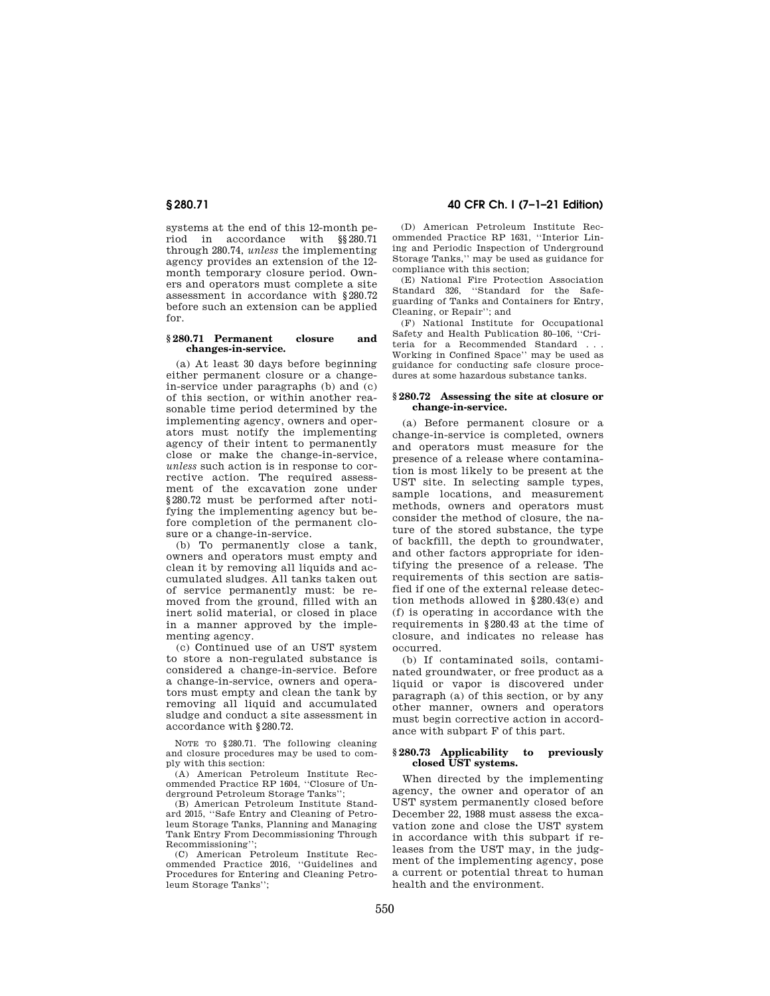systems at the end of this 12-month period in accordance with §§280.71 through 280.74, *unless* the implementing agency provides an extension of the 12 month temporary closure period. Owners and operators must complete a site assessment in accordance with §280.72 before such an extension can be applied for.

#### **§ 280.71 Permanent closure and changes-in-service.**

(a) At least 30 days before beginning either permanent closure or a changein-service under paragraphs (b) and (c) of this section, or within another reasonable time period determined by the implementing agency, owners and operators must notify the implementing agency of their intent to permanently close or make the change-in-service, *unless* such action is in response to corrective action. The required assessment of the excavation zone under §280.72 must be performed after notifying the implementing agency but before completion of the permanent closure or a change-in-service.

(b) To permanently close a tank, owners and operators must empty and clean it by removing all liquids and accumulated sludges. All tanks taken out of service permanently must: be removed from the ground, filled with an inert solid material, or closed in place in a manner approved by the implementing agency.

(c) Continued use of an UST system to store a non-regulated substance is considered a change-in-service. Before a change-in-service, owners and operators must empty and clean the tank by removing all liquid and accumulated sludge and conduct a site assessment in accordance with §280.72.

NOTE TO §280.71. The following cleaning and closure procedures may be used to comply with this section:

(A) American Petroleum Institute Recommended Practice RP 1604, ''Closure of Underground Petroleum Storage Tanks'';

(B) American Petroleum Institute Standard 2015, ''Safe Entry and Cleaning of Petroleum Storage Tanks, Planning and Managing Tank Entry From Decommissioning Through Recommissioning'';

(C) American Petroleum Institute Recommended Practice 2016, ''Guidelines and Procedures for Entering and Cleaning Petroleum Storage Tanks'';

# **§ 280.71 40 CFR Ch. I (7–1–21 Edition)**

(D) American Petroleum Institute Recommended Practice RP 1631, ''Interior Lining and Periodic Inspection of Underground Storage Tanks,'' may be used as guidance for compliance with this section;

(E) National Fire Protection Association Standard 326, ''Standard for the Safeguarding of Tanks and Containers for Entry, Cleaning, or Repair''; and

(F) National Institute for Occupational Safety and Health Publication 80–106, ''Criteria for a Recommended Standard. Working in Confined Space'' may be used as guidance for conducting safe closure procedures at some hazardous substance tanks.

#### **§ 280.72 Assessing the site at closure or change-in-service.**

(a) Before permanent closure or a change-in-service is completed, owners and operators must measure for the presence of a release where contamination is most likely to be present at the UST site. In selecting sample types, sample locations, and measurement methods, owners and operators must consider the method of closure, the nature of the stored substance, the type of backfill, the depth to groundwater, and other factors appropriate for identifying the presence of a release. The requirements of this section are satisfied if one of the external release detection methods allowed in §280.43(e) and (f) is operating in accordance with the requirements in §280.43 at the time of closure, and indicates no release has occurred.

(b) If contaminated soils, contaminated groundwater, or free product as a liquid or vapor is discovered under paragraph (a) of this section, or by any other manner, owners and operators must begin corrective action in accordance with subpart F of this part.

# **§ 280.73 Applicability to previously closed UST systems.**

When directed by the implementing agency, the owner and operator of an UST system permanently closed before December 22, 1988 must assess the excavation zone and close the UST system in accordance with this subpart if releases from the UST may, in the judgment of the implementing agency, pose a current or potential threat to human health and the environment.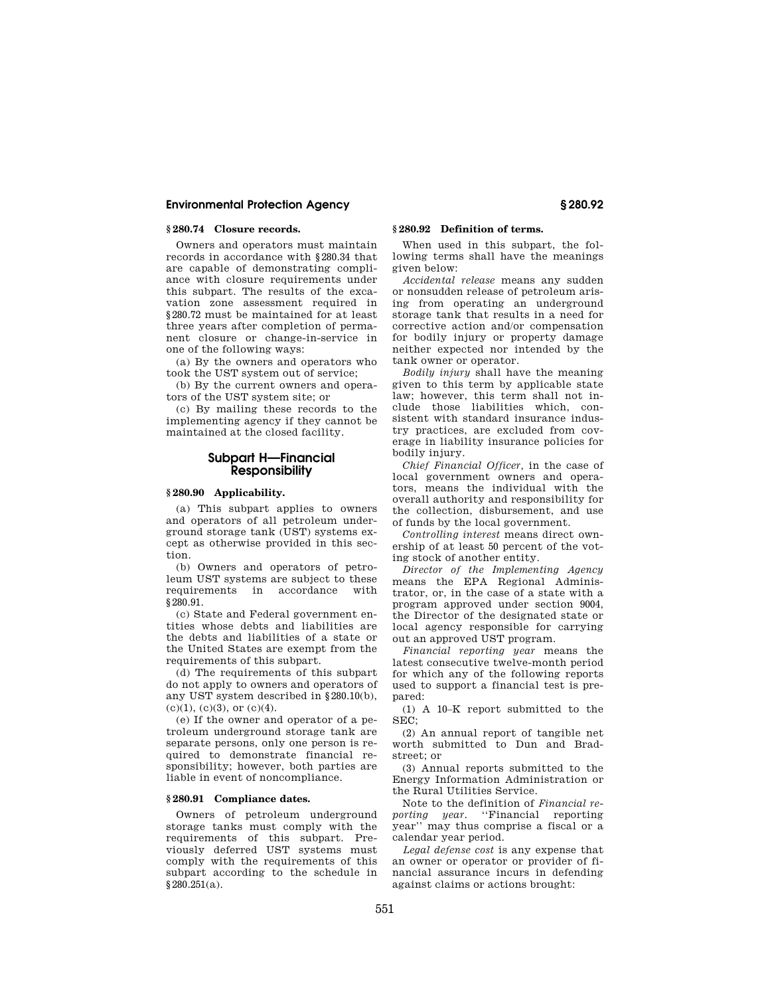# **§ 280.74 Closure records.**

Owners and operators must maintain records in accordance with §280.34 that are capable of demonstrating compliance with closure requirements under this subpart. The results of the excavation zone assessment required in §280.72 must be maintained for at least three years after completion of permanent closure or change-in-service in one of the following ways:

(a) By the owners and operators who took the UST system out of service;

(b) By the current owners and operators of the UST system site; or

(c) By mailing these records to the implementing agency if they cannot be maintained at the closed facility.

# **Subpart H—Financial Responsibility**

### **§ 280.90 Applicability.**

(a) This subpart applies to owners and operators of all petroleum underground storage tank (UST) systems except as otherwise provided in this section.

(b) Owners and operators of petroleum UST systems are subject to these requirements in accordance with §280.91.

(c) State and Federal government entities whose debts and liabilities are the debts and liabilities of a state or the United States are exempt from the requirements of this subpart.

(d) The requirements of this subpart do not apply to owners and operators of any UST system described in §280.10(b),  $(c)(1), (c)(3),$  or  $(c)(4).$ 

(e) If the owner and operator of a petroleum underground storage tank are separate persons, only one person is required to demonstrate financial responsibility; however, both parties are liable in event of noncompliance.

#### **§ 280.91 Compliance dates.**

Owners of petroleum underground storage tanks must comply with the requirements of this subpart. Previously deferred UST systems must comply with the requirements of this subpart according to the schedule in §280.251(a).

# **§ 280.92 Definition of terms.**

When used in this subpart, the following terms shall have the meanings given below:

*Accidental release* means any sudden or nonsudden release of petroleum arising from operating an underground storage tank that results in a need for corrective action and/or compensation for bodily injury or property damage neither expected nor intended by the tank owner or operator.

*Bodily injury* shall have the meaning given to this term by applicable state law; however, this term shall not include those liabilities which, consistent with standard insurance industry practices, are excluded from coverage in liability insurance policies for bodily injury.

*Chief Financial Officer,* in the case of local government owners and operators, means the individual with the overall authority and responsibility for the collection, disbursement, and use of funds by the local government.

*Controlling interest* means direct ownership of at least 50 percent of the voting stock of another entity.

*Director of the Implementing Agency*  means the EPA Regional Administrator, or, in the case of a state with a program approved under section 9004, the Director of the designated state or local agency responsible for carrying out an approved UST program.

*Financial reporting year* means the latest consecutive twelve-month period for which any of the following reports used to support a financial test is prepared:

(1) A 10–K report submitted to the SEC;

(2) An annual report of tangible net worth submitted to Dun and Bradstreet; or

(3) Annual reports submitted to the Energy Information Administration or the Rural Utilities Service.

Note to the definition of *Financial reporting year.* ''Financial reporting year'' may thus comprise a fiscal or a calendar year period.

*Legal defense cost* is any expense that an owner or operator or provider of financial assurance incurs in defending against claims or actions brought: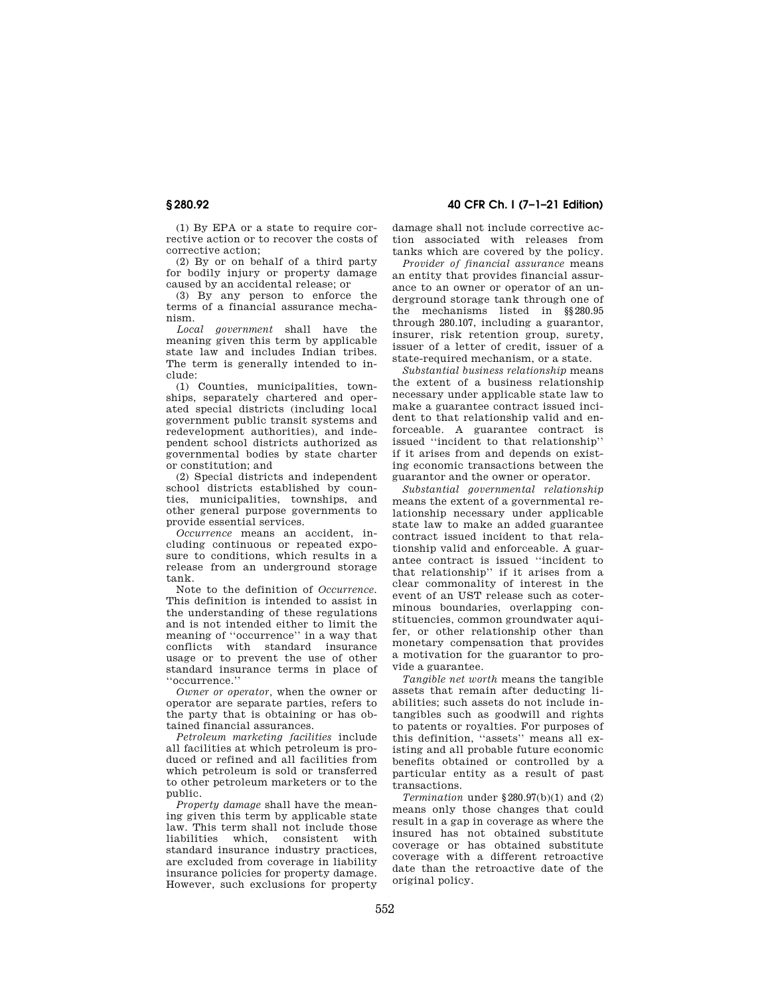(1) By EPA or a state to require corrective action or to recover the costs of corrective action;

(2) By or on behalf of a third party for bodily injury or property damage caused by an accidental release; or

(3) By any person to enforce the terms of a financial assurance mechanism.

*Local government* shall have the meaning given this term by applicable state law and includes Indian tribes. The term is generally intended to include:

(1) Counties, municipalities, townships, separately chartered and operated special districts (including local government public transit systems and redevelopment authorities), and independent school districts authorized as governmental bodies by state charter or constitution; and

(2) Special districts and independent school districts established by counties, municipalities, townships, and other general purpose governments to provide essential services.

*Occurrence* means an accident, including continuous or repeated exposure to conditions, which results in a release from an underground storage tank.

Note to the definition of *Occurrence.*  This definition is intended to assist in the understanding of these regulations and is not intended either to limit the meaning of ''occurrence'' in a way that conflicts with standard insurance usage or to prevent the use of other standard insurance terms in place of ''occurrence.''

*Owner or operator,* when the owner or operator are separate parties, refers to the party that is obtaining or has obtained financial assurances.

*Petroleum marketing facilities* include all facilities at which petroleum is produced or refined and all facilities from which petroleum is sold or transferred to other petroleum marketers or to the public.

*Property damage* shall have the meaning given this term by applicable state law. This term shall not include those liabilities which, consistent with standard insurance industry practices, are excluded from coverage in liability insurance policies for property damage. However, such exclusions for property

**§ 280.92 40 CFR Ch. I (7–1–21 Edition)** 

damage shall not include corrective action associated with releases from tanks which are covered by the policy.

*Provider of financial assurance* means an entity that provides financial assurance to an owner or operator of an underground storage tank through one of the mechanisms listed in §§280.95 through 280.107, including a guarantor, insurer, risk retention group, surety, issuer of a letter of credit, issuer of a state-required mechanism, or a state.

*Substantial business relationship* means the extent of a business relationship necessary under applicable state law to make a guarantee contract issued incident to that relationship valid and enforceable. A guarantee contract is issued ''incident to that relationship'' if it arises from and depends on existing economic transactions between the guarantor and the owner or operator.

*Substantial governmental relationship*  means the extent of a governmental relationship necessary under applicable state law to make an added guarantee contract issued incident to that relationship valid and enforceable. A guarantee contract is issued ''incident to that relationship'' if it arises from a clear commonality of interest in the event of an UST release such as coterminous boundaries, overlapping constituencies, common groundwater aquifer, or other relationship other than monetary compensation that provides a motivation for the guarantor to provide a guarantee.

*Tangible net worth* means the tangible assets that remain after deducting liabilities; such assets do not include intangibles such as goodwill and rights to patents or royalties. For purposes of this definition, ''assets'' means all existing and all probable future economic benefits obtained or controlled by a particular entity as a result of past transactions.

*Termination* under §280.97(b)(1) and (2) means only those changes that could result in a gap in coverage as where the insured has not obtained substitute coverage or has obtained substitute coverage with a different retroactive date than the retroactive date of the original policy.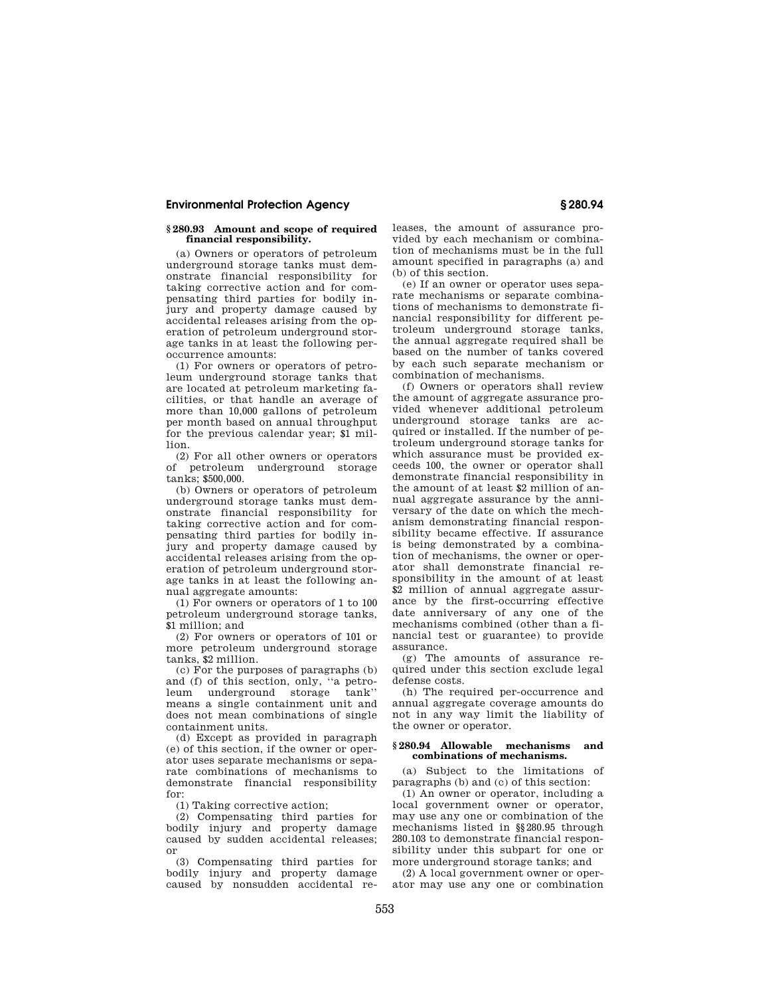#### **§ 280.93 Amount and scope of required financial responsibility.**

(a) Owners or operators of petroleum underground storage tanks must demonstrate financial responsibility for taking corrective action and for compensating third parties for bodily injury and property damage caused by accidental releases arising from the operation of petroleum underground storage tanks in at least the following peroccurrence amounts:

(1) For owners or operators of petroleum underground storage tanks that are located at petroleum marketing facilities, or that handle an average of more than 10,000 gallons of petroleum per month based on annual throughput for the previous calendar year; \$1 million.

(2) For all other owners or operators of petroleum underground storage tanks; \$500,000.

(b) Owners or operators of petroleum underground storage tanks must demonstrate financial responsibility for taking corrective action and for compensating third parties for bodily injury and property damage caused by accidental releases arising from the operation of petroleum underground storage tanks in at least the following annual aggregate amounts:

(1) For owners or operators of 1 to 100 petroleum underground storage tanks, \$1 million; and

(2) For owners or operators of 101 or more petroleum underground storage tanks, \$2 million.

(c) For the purposes of paragraphs (b) and (f) of this section, only, ''a petroleum underground storage tank'' means a single containment unit and does not mean combinations of single containment units.

(d) Except as provided in paragraph (e) of this section, if the owner or operator uses separate mechanisms or separate combinations of mechanisms to demonstrate financial responsibility for:

(1) Taking corrective action;

(2) Compensating third parties for bodily injury and property damage caused by sudden accidental releases; or

(3) Compensating third parties for bodily injury and property damage caused by nonsudden accidental releases, the amount of assurance provided by each mechanism or combination of mechanisms must be in the full amount specified in paragraphs (a) and (b) of this section.

(e) If an owner or operator uses separate mechanisms or separate combinations of mechanisms to demonstrate financial responsibility for different petroleum underground storage tanks, the annual aggregate required shall be based on the number of tanks covered by each such separate mechanism or combination of mechanisms.

(f) Owners or operators shall review the amount of aggregate assurance provided whenever additional petroleum underground storage tanks are acquired or installed. If the number of petroleum underground storage tanks for which assurance must be provided exceeds 100, the owner or operator shall demonstrate financial responsibility in the amount of at least \$2 million of annual aggregate assurance by the anniversary of the date on which the mechanism demonstrating financial responsibility became effective. If assurance is being demonstrated by a combination of mechanisms, the owner or operator shall demonstrate financial responsibility in the amount of at least \$2 million of annual aggregate assurance by the first-occurring effective date anniversary of any one of the mechanisms combined (other than a financial test or guarantee) to provide assurance.

(g) The amounts of assurance required under this section exclude legal defense costs.

(h) The required per-occurrence and annual aggregate coverage amounts do not in any way limit the liability of the owner or operator.

#### **§ 280.94 Allowable mechanisms and combinations of mechanisms.**

(a) Subject to the limitations of paragraphs (b) and (c) of this section:

(1) An owner or operator, including a local government owner or operator, may use any one or combination of the mechanisms listed in §§280.95 through 280.103 to demonstrate financial responsibility under this subpart for one or more underground storage tanks; and

(2) A local government owner or operator may use any one or combination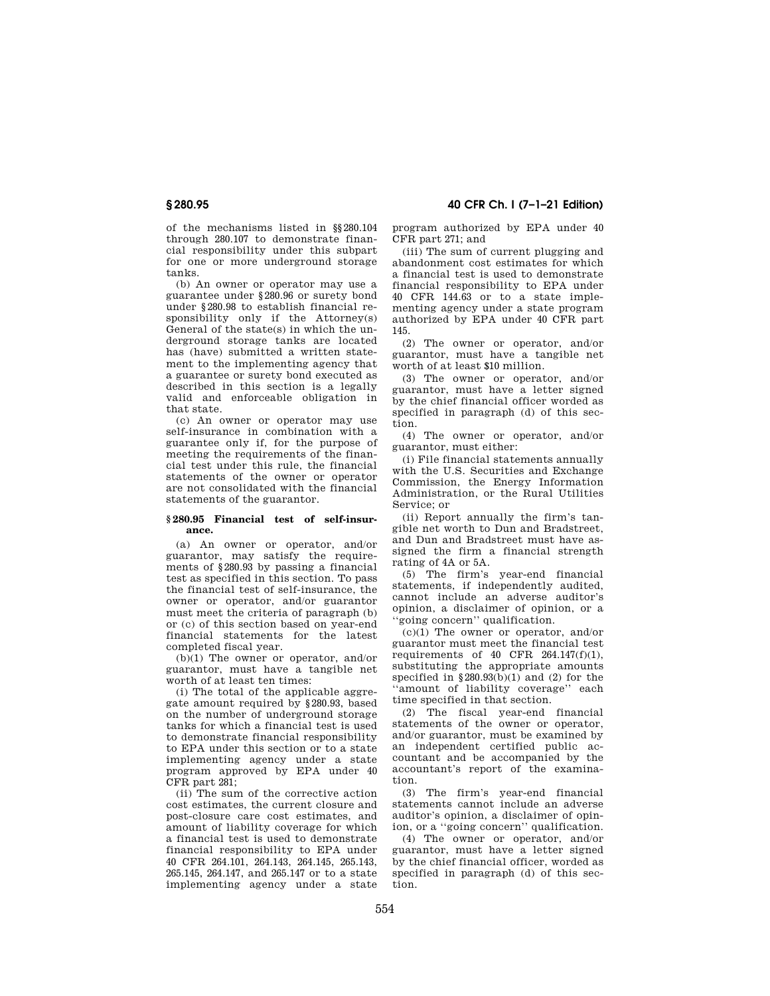of the mechanisms listed in §§280.104 through 280.107 to demonstrate financial responsibility under this subpart for one or more underground storage tanks.

(b) An owner or operator may use a guarantee under §280.96 or surety bond under §280.98 to establish financial responsibility only if the Attorney(s) General of the state(s) in which the underground storage tanks are located has (have) submitted a written statement to the implementing agency that a guarantee or surety bond executed as described in this section is a legally valid and enforceable obligation in that state.

(c) An owner or operator may use self-insurance in combination with a guarantee only if, for the purpose of meeting the requirements of the financial test under this rule, the financial statements of the owner or operator are not consolidated with the financial statements of the guarantor.

#### **§ 280.95 Financial test of self-insurance.**

(a) An owner or operator, and/or guarantor, may satisfy the requirements of §280.93 by passing a financial test as specified in this section. To pass the financial test of self-insurance, the owner or operator, and/or guarantor must meet the criteria of paragraph (b) or (c) of this section based on year-end financial statements for the latest completed fiscal year.

(b)(1) The owner or operator, and/or guarantor, must have a tangible net worth of at least ten times:

(i) The total of the applicable aggregate amount required by §280.93, based on the number of underground storage tanks for which a financial test is used to demonstrate financial responsibility to EPA under this section or to a state implementing agency under a state program approved by EPA under 40 CFR part 281;

(ii) The sum of the corrective action cost estimates, the current closure and post-closure care cost estimates, and amount of liability coverage for which a financial test is used to demonstrate financial responsibility to EPA under 40 CFR 264.101, 264.143, 264.145, 265.143, 265.145, 264.147, and 265.147 or to a state implementing agency under a state

**§ 280.95 40 CFR Ch. I (7–1–21 Edition)** 

program authorized by EPA under 40 CFR part 271; and

(iii) The sum of current plugging and abandonment cost estimates for which a financial test is used to demonstrate financial responsibility to EPA under 40 CFR 144.63 or to a state implementing agency under a state program authorized by EPA under 40 CFR part 145.

(2) The owner or operator, and/or guarantor, must have a tangible net worth of at least \$10 million.

(3) The owner or operator, and/or guarantor, must have a letter signed by the chief financial officer worded as specified in paragraph (d) of this section.

(4) The owner or operator, and/or guarantor, must either:

(i) File financial statements annually with the U.S. Securities and Exchange Commission, the Energy Information Administration, or the Rural Utilities Service; or

(ii) Report annually the firm's tangible net worth to Dun and Bradstreet, and Dun and Bradstreet must have assigned the firm a financial strength rating of 4A or 5A.

(5) The firm's year-end financial statements, if independently audited, cannot include an adverse auditor's opinion, a disclaimer of opinion, or a ''going concern'' qualification.

(c)(1) The owner or operator, and/or guarantor must meet the financial test requirements of  $40$  CFR  $264.147(f)(1)$ . substituting the appropriate amounts specified in  $\S 280.93(b)(1)$  and (2) for the ''amount of liability coverage'' each time specified in that section.

(2) The fiscal year-end financial statements of the owner or operator, and/or guarantor, must be examined by an independent certified public accountant and be accompanied by the accountant's report of the examination.

(3) The firm's year-end financial statements cannot include an adverse auditor's opinion, a disclaimer of opinion, or a ''going concern'' qualification.

(4) The owner or operator, and/or guarantor, must have a letter signed by the chief financial officer, worded as specified in paragraph (d) of this section.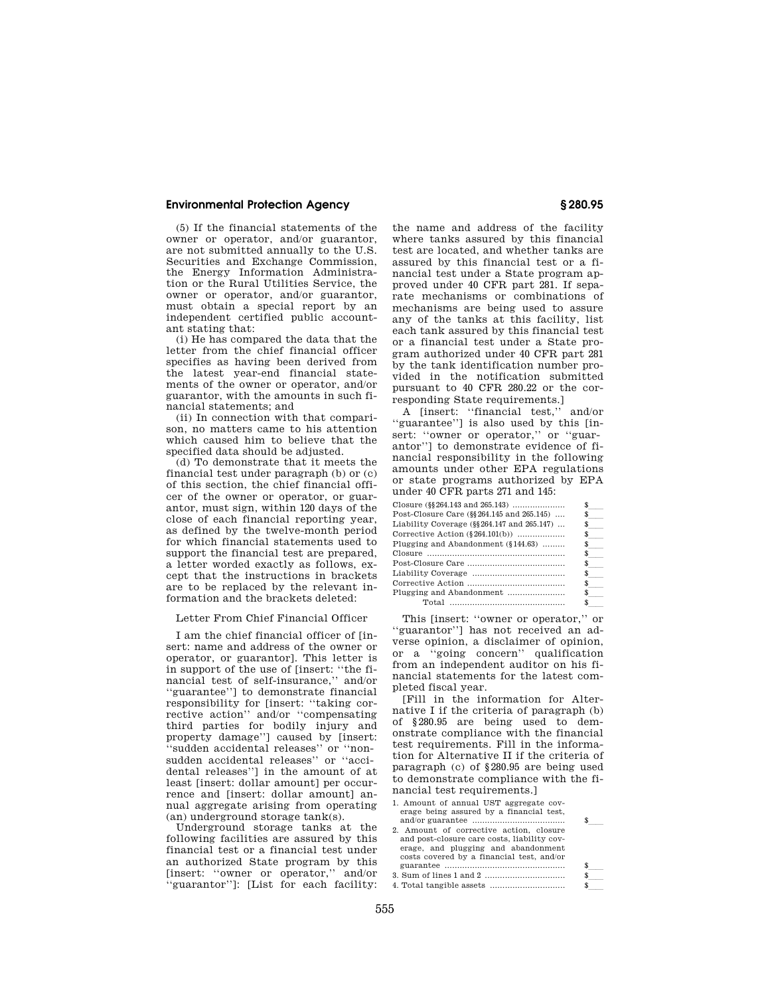# **Environmental Protection Agency**

(5) If the financial statements of the owner or operator, and/or guarantor, are not submitted annually to the U.S. Securities and Exchange Commission, the Energy Information Administration or the Rural Utilities Service, the owner or operator, and/or guarantor, must obtain a special report by an independent certified public accountant stating that:

(i) He has compared the data that the letter from the chief financial officer specifies as having been derived from the latest year-end financial statements of the owner or operator, and/or guarantor, with the amounts in such financial statements; and

(ii) In connection with that comparison, no matters came to his attention which caused him to believe that the specified data should be adjusted.

(d) To demonstrate that it meets the financial test under paragraph (b) or (c) of this section, the chief financial officer of the owner or operator, or guarantor, must sign, within 120 days of the close of each financial reporting year, as defined by the twelve-month period for which financial statements used to support the financial test are prepared, a letter worded exactly as follows, except that the instructions in brackets are to be replaced by the relevant information and the brackets deleted:

#### Letter From Chief Financial Officer

I am the chief financial officer of [insert: name and address of the owner or operator, or guarantor]. This letter is in support of the use of [insert: ''the financial test of self-insurance,'' and/or ''guarantee''] to demonstrate financial responsibility for [insert: ''taking corrective action'' and/or ''compensating third parties for bodily injury and property damage''] caused by [insert: ''sudden accidental releases'' or ''nonsudden accidental releases'' or ''accidental releases''] in the amount of at least [insert: dollar amount] per occurrence and [insert: dollar amount] annual aggregate arising from operating (an) underground storage tank(s).

Underground storage tanks at the following facilities are assured by this financial test or a financial test under an authorized State program by this [insert: ''owner or operator,'' and/or ''guarantor'']: [List for each facility: the name and address of the facility where tanks assured by this financial test are located, and whether tanks are assured by this financial test or a financial test under a State program approved under 40 CFR part 281. If separate mechanisms or combinations of mechanisms are being used to assure any of the tanks at this facility, list each tank assured by this financial test or a financial test under a State program authorized under 40 CFR part 281 by the tank identification number provided in the notification submitted pursuant to 40 CFR 280.22 or the corresponding State requirements.]

A [insert: ''financial test,'' and/or 'guarantee''] is also used by this [insert: "owner or operator," or "guarantor''] to demonstrate evidence of financial responsibility in the following amounts under other EPA regulations or state programs authorized by EPA under 40 CFR parts 271 and 145:

|                                             | $s$ $\qquad$ |
|---------------------------------------------|--------------|
| Post-Closure Care (§§ 264.145 and 265.145)  | s            |
| Liability Coverage (§§ 264.147 and 265.147) | $\sim$       |
| Corrective Action $(\S 264.101(b))$         | s            |
| Plugging and Abandonment $(\S144.63)$       | s            |
|                                             | $s_{-}$      |
|                                             | $\sim$       |
|                                             | $\sim$       |
|                                             | $s_{-}$      |
| Plugging and Abandonment                    | s            |
|                                             | $\sim$       |
|                                             |              |

This [insert: ''owner or operator,'' or ''guarantor''] has not received an adverse opinion, a disclaimer of opinion, or a ''going concern'' qualification from an independent auditor on his financial statements for the latest completed fiscal year.

[Fill in the information for Alternative I if the criteria of paragraph (b) of §280.95 are being used to demonstrate compliance with the financial test requirements. Fill in the information for Alternative II if the criteria of paragraph (c) of §280.95 are being used to demonstrate compliance with the financial test requirements.]

1. Amount of annual UST aggregate coverage being assured by a financial test,

| 2. Amount of corrective action, closure     |                                                                                                                                                                                                                                |
|---------------------------------------------|--------------------------------------------------------------------------------------------------------------------------------------------------------------------------------------------------------------------------------|
| and post-closure care costs, liability cov- |                                                                                                                                                                                                                                |
| erage, and plugging and abandonment         |                                                                                                                                                                                                                                |
| costs covered by a financial test, and/or   |                                                                                                                                                                                                                                |
|                                             | \$                                                                                                                                                                                                                             |
|                                             | s and the set of the set of the set of the set of the set of the set of the set of the set of the set of the set of the set of the set of the set of the set of the set of the set of the set of the set of the set of the set |
|                                             | s.                                                                                                                                                                                                                             |
|                                             |                                                                                                                                                                                                                                |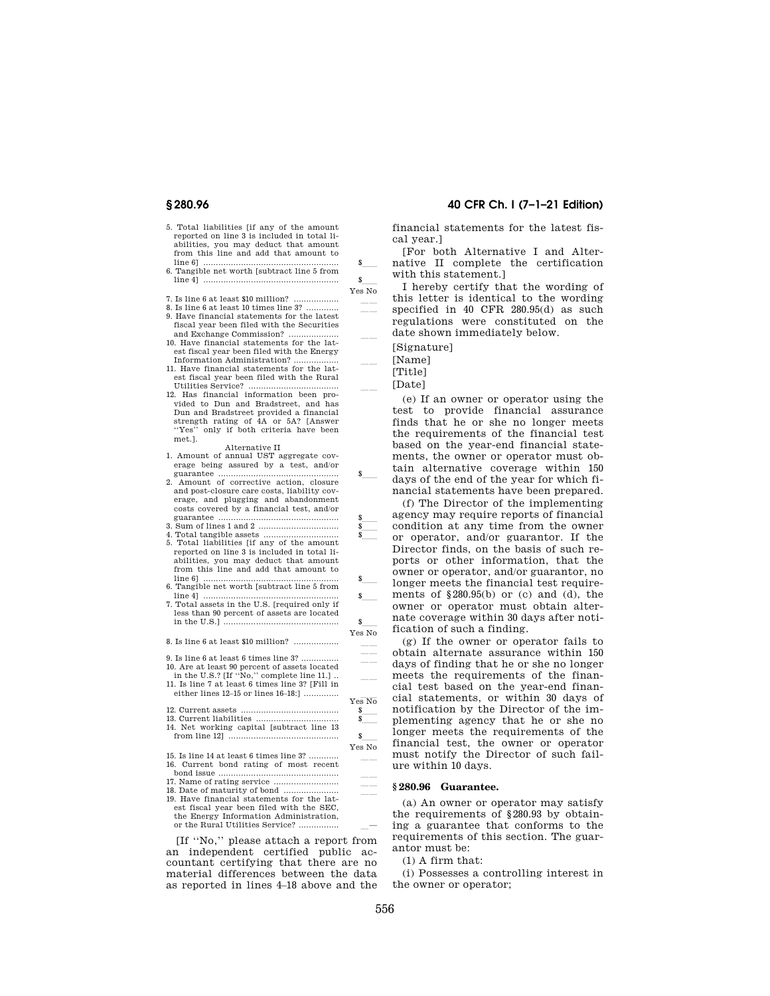- 5. Total liabilities [if any of the amount reported on line 3 is included in total liabilities, you may deduct that amount from this line and add that amount to
- line 6] ...................................................... \$ll 6. Tangible net worth [subtract line 5 from line 4] ...................................................... \$ll

- 7. Is line 6 at least \$10 million? .................. l l 8. Is line 6 at least 10 times line 3? ............. l l 9. Have financial statements for the latest fiscal year been filed with the Securities
- and Exchange Commission? .................... l l 10. Have financial statements for the latest fiscal year been filed with the Energy
- Information Administration? .................. l l 11. Have financial statements for the latest fiscal year been filed with the Rural
- Utilities Service? .................................... l l 12. Has financial information been provided to Dun and Bradstreet, and has Dun and Bradstreet provided a financial strength rating of 4A or 5A? [Answer ''Yes'' only if both criteria have been met.].
- Alternative II 1. Amount of annual UST aggregate coverage being assured by a test, and/or
- guarantee ................................................ \$ll 2. Amount of corrective action, closure and post-closure care costs, liability coverage, and plugging and abandonment costs covered by a financial test, and/or
- guarantee ................................................ \$ll 3. Sum of lines 1 and 2 ................................ \$ll
- 4. Total tangible assets .............................. \$ll 5. Total liabilities [if any of the amount reported on line 3 is included in total liabilities, you may deduct that amount from this line and add that amount to line 6] ...................................................... \$ll 6. Tangible net worth [subtract line 5 from
- line 4] ...................................................... \$ll 7. Total assets in the U.S. [required only if less than 90 percent of assets are located in the U.S.] .............................................. \$ll

8. Is line 6 at least \$10 million?

| 0.18 11110 0 at 10ast 310 1111111011:                                                        |                     |
|----------------------------------------------------------------------------------------------|---------------------|
| 9. Is line 6 at least 6 times line $3$ ?<br>10. Are at least 90 percent of assets located    |                     |
| in the U.S.? IIf "No." complete line 11.1<br>11. Is line 7 at least 6 times line 3? [Fill in |                     |
| either lines 12-15 or lines 16-18:]                                                          |                     |
|                                                                                              | Yes No              |
|                                                                                              | $s$ <sub>____</sub> |
|                                                                                              | $S_{-}$             |
| 14. Net working capital [subtract line 13                                                    |                     |
|                                                                                              | $\mathbf{s}$        |
|                                                                                              | Yes No              |
| 15. Is line 14 at least 6 times line 3?<br>16. Current bond rating of most recent            |                     |
|                                                                                              |                     |
|                                                                                              |                     |
|                                                                                              |                     |
| 19. Have financial statements for the lat-                                                   |                     |
| est fiscal year been filed with the SEC.                                                     |                     |

the Energy Information Administration, or the Rural Utilities Service? ............

[If ''No,'' please attach a report from an independent certified public accountant certifying that there are no material differences between the data as reported in lines 4–18 above and the

# **§ 280.96 40 CFR Ch. I (7–1–21 Edition)**

financial statements for the latest fiscal year.]

[For both Alternative I and Alternative II complete the certification with this statement.]

I hereby certify that the wording of this letter is identical to the wording specified in 40 CFR 280.95(d) as such regulations were constituted on the date shown immediately below.

[Signature]

Yes No

Yes No

[Name]

[Title]

[Date]

(e) If an owner or operator using the test to provide financial assurance finds that he or she no longer meets the requirements of the financial test based on the year-end financial statements, the owner or operator must obtain alternative coverage within 150 days of the end of the year for which financial statements have been prepared.

(f) The Director of the implementing agency may require reports of financial condition at any time from the owner or operator, and/or guarantor. If the Director finds, on the basis of such reports or other information, that the owner or operator, and/or guarantor, no longer meets the financial test requirements of  $$280.95(b)$  or (c) and (d), the owner or operator must obtain alternate coverage within 30 days after notification of such a finding.

(g) If the owner or operator fails to obtain alternate assurance within 150 days of finding that he or she no longer meets the requirements of the financial test based on the year-end financial statements, or within 30 days of notification by the Director of the implementing agency that he or she no longer meets the requirements of the financial test, the owner or operator must notify the Director of such failure within 10 days.

# **§ 280.96 Guarantee.**

(a) An owner or operator may satisfy the requirements of §280.93 by obtaining a guarantee that conforms to the requirements of this section. The guarantor must be:

(1) A firm that:

(i) Possesses a controlling interest in the owner or operator;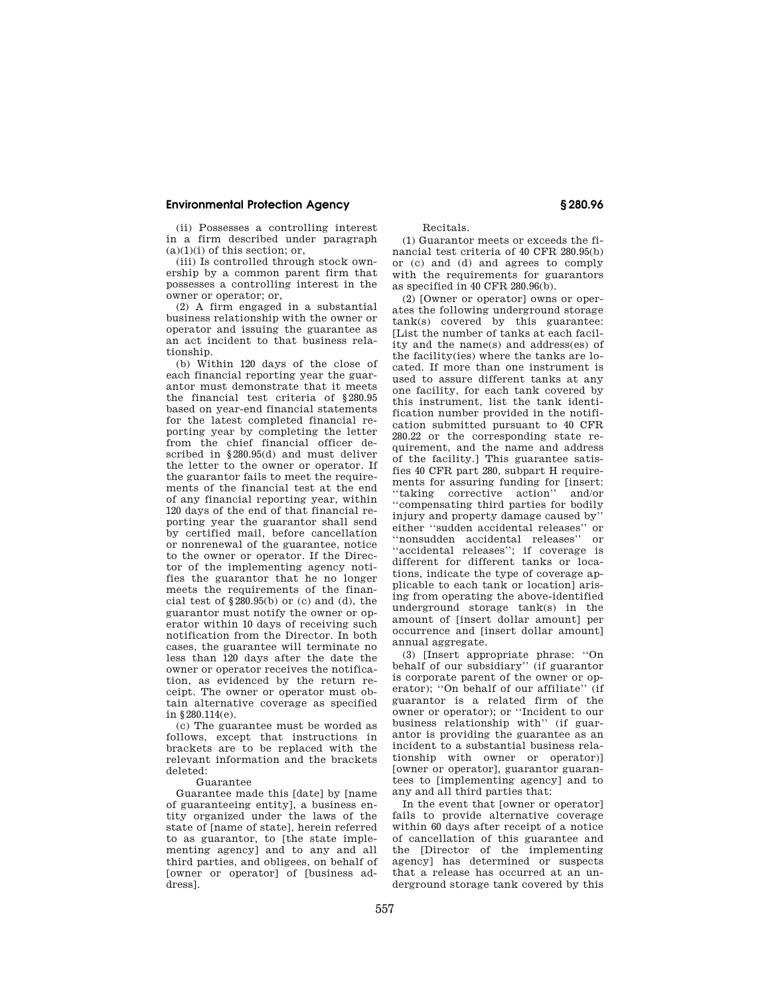(ii) Possesses a controlling interest in a firm described under paragraph  $(a)(1)(i)$  of this section: or,

(iii) Is controlled through stock ownership by a common parent firm that possesses a controlling interest in the owner or operator; or,

(2) A firm engaged in a substantial business relationship with the owner or operator and issuing the guarantee as an act incident to that business relationship.

(b) Within 120 days of the close of each financial reporting year the guarantor must demonstrate that it meets the financial test criteria of §280.95 based on year-end financial statements for the latest completed financial reporting year by completing the letter from the chief financial officer described in §280.95(d) and must deliver the letter to the owner or operator. If the guarantor fails to meet the requirements of the financial test at the end of any financial reporting year, within 120 days of the end of that financial reporting year the guarantor shall send by certified mail, before cancellation or nonrenewal of the guarantee, notice to the owner or operator. If the Director of the implementing agency notifies the guarantor that he no longer meets the requirements of the financial test of  $§280.95(b)$  or (c) and (d), the guarantor must notify the owner or operator within 10 days of receiving such notification from the Director. In both cases, the guarantee will terminate no less than 120 days after the date the owner or operator receives the notification, as evidenced by the return receipt. The owner or operator must obtain alternative coverage as specified in §280.114(e).

(c) The guarantee must be worded as follows, except that instructions in brackets are to be replaced with the relevant information and the brackets deleted:

Guarantee

Guarantee made this [date] by [name of guaranteeing entity], a business entity organized under the laws of the state of [name of state], herein referred to as guarantor, to [the state implementing agency] and to any and all third parties, and obligees, on behalf of [owner or operator] of [business address].

Recitals.

(1) Guarantor meets or exceeds the financial test criteria of 40 CFR 280.95(b) or (c) and (d) and agrees to comply with the requirements for guarantors as specified in 40 CFR 280.96(b).

(2) [Owner or operator] owns or operates the following underground storage tank(s) covered by this guarantee: [List the number of tanks at each facility and the name(s) and address(es) of the facility(ies) where the tanks are located. If more than one instrument is used to assure different tanks at any one facility, for each tank covered by this instrument, list the tank identification number provided in the notification submitted pursuant to 40 CFR 280.22 or the corresponding state requirement, and the name and address of the facility.] This guarantee satisfies 40 CFR part 280, subpart H requirements for assuring funding for [insert: ''taking corrective action'' and/or ''compensating third parties for bodily injury and property damage caused by'' either ''sudden accidental releases'' or ''nonsudden accidental releases'' or ''accidental releases''; if coverage is different for different tanks or locations, indicate the type of coverage applicable to each tank or location] arising from operating the above-identified underground storage tank(s) in the amount of [insert dollar amount] per occurrence and [insert dollar amount] annual aggregate.

(3) [Insert appropriate phrase: ''On behalf of our subsidiary'' (if guarantor is corporate parent of the owner or operator); ''On behalf of our affiliate'' (if guarantor is a related firm of the owner or operator); or ''Incident to our business relationship with'' (if guarantor is providing the guarantee as an incident to a substantial business relationship with owner or operator)] [owner or operator], guarantor guarantees to [implementing agency] and to any and all third parties that:

In the event that [owner or operator] fails to provide alternative coverage within 60 days after receipt of a notice of cancellation of this guarantee and the [Director of the implementing agency] has determined or suspects that a release has occurred at an underground storage tank covered by this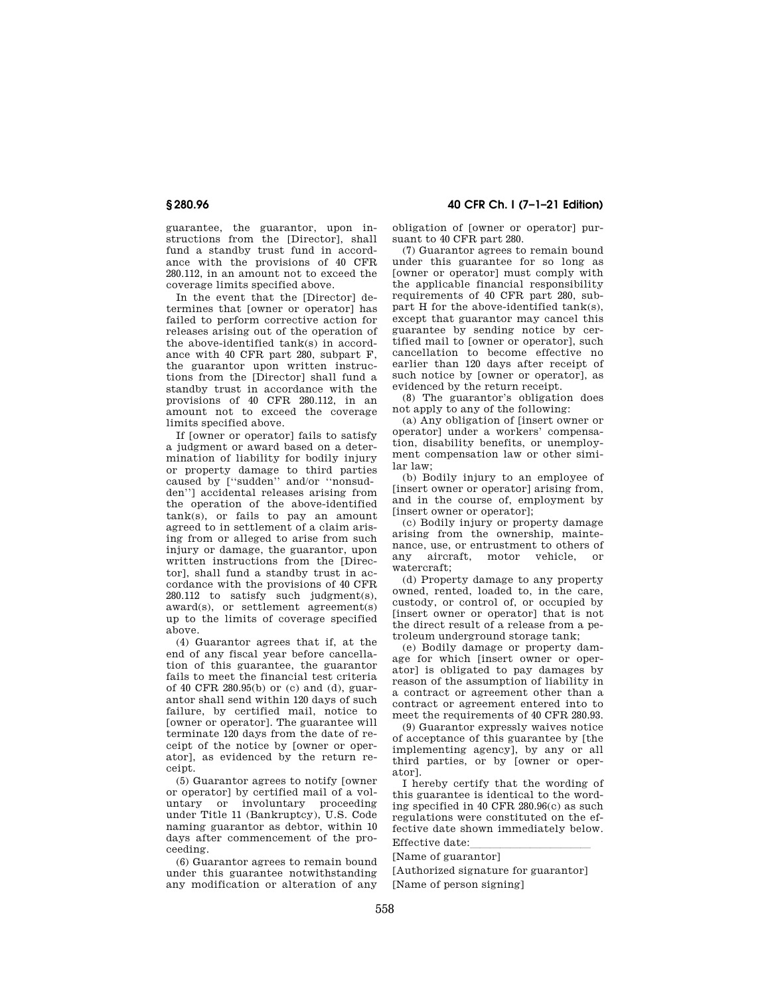guarantee, the guarantor, upon instructions from the [Director], shall fund a standby trust fund in accordance with the provisions of 40 CFR 280.112, in an amount not to exceed the coverage limits specified above.

In the event that the [Director] determines that [owner or operator] has failed to perform corrective action for releases arising out of the operation of the above-identified tank(s) in accordance with 40 CFR part 280, subpart F, the guarantor upon written instructions from the [Director] shall fund a standby trust in accordance with the provisions of 40 CFR 280.112, in an amount not to exceed the coverage limits specified above.

If [owner or operator] fails to satisfy a judgment or award based on a determination of liability for bodily injury or property damage to third parties caused by [''sudden'' and/or ''nonsudden''] accidental releases arising from the operation of the above-identified tank(s), or fails to pay an amount agreed to in settlement of a claim arising from or alleged to arise from such injury or damage, the guarantor, upon written instructions from the [Director], shall fund a standby trust in accordance with the provisions of 40 CFR 280.112 to satisfy such judgment(s), award(s), or settlement agreement(s) up to the limits of coverage specified above.

(4) Guarantor agrees that if, at the end of any fiscal year before cancellation of this guarantee, the guarantor fails to meet the financial test criteria of 40 CFR 280.95(b) or (c) and (d), guarantor shall send within 120 days of such failure, by certified mail, notice to [owner or operator]. The guarantee will terminate 120 days from the date of receipt of the notice by [owner or operator], as evidenced by the return receipt.

(5) Guarantor agrees to notify [owner or operator] by certified mail of a voluntary or involuntary proceeding under Title 11 (Bankruptcy), U.S. Code naming guarantor as debtor, within 10 days after commencement of the proceeding.

(6) Guarantor agrees to remain bound under this guarantee notwithstanding any modification or alteration of any

**§ 280.96 40 CFR Ch. I (7–1–21 Edition)** 

obligation of [owner or operator] pursuant to 40 CFR part 280.

(7) Guarantor agrees to remain bound under this guarantee for so long as [owner or operator] must comply with the applicable financial responsibility requirements of 40 CFR part 280, subpart H for the above-identified tank(s), except that guarantor may cancel this guarantee by sending notice by certified mail to [owner or operator], such cancellation to become effective no earlier than 120 days after receipt of such notice by [owner or operator], as evidenced by the return receipt.

(8) The guarantor's obligation does not apply to any of the following:

(a) Any obligation of [insert owner or operator] under a workers' compensation, disability benefits, or unemployment compensation law or other similar law;

(b) Bodily injury to an employee of [insert owner or operator] arising from, and in the course of, employment by [insert owner or operator];

(c) Bodily injury or property damage arising from the ownership, maintenance, use, or entrustment to others of any aircraft, motor vehicle, or watercraft;

(d) Property damage to any property owned, rented, loaded to, in the care, custody, or control of, or occupied by [insert owner or operator] that is not the direct result of a release from a petroleum underground storage tank;

(e) Bodily damage or property damage for which [insert owner or operator] is obligated to pay damages by reason of the assumption of liability in a contract or agreement other than a contract or agreement entered into to meet the requirements of 40 CFR 280.93.

(9) Guarantor expressly waives notice of acceptance of this guarantee by [the implementing agency], by any or all third parties, or by [owner or operator].

I hereby certify that the wording of this guarantee is identical to the wording specified in 40 CFR 280.96(c) as such regulations were constituted on the effective date shown immediately below. Effective date:

[Name of guarantor]

[Authorized signature for guarantor] [Name of person signing]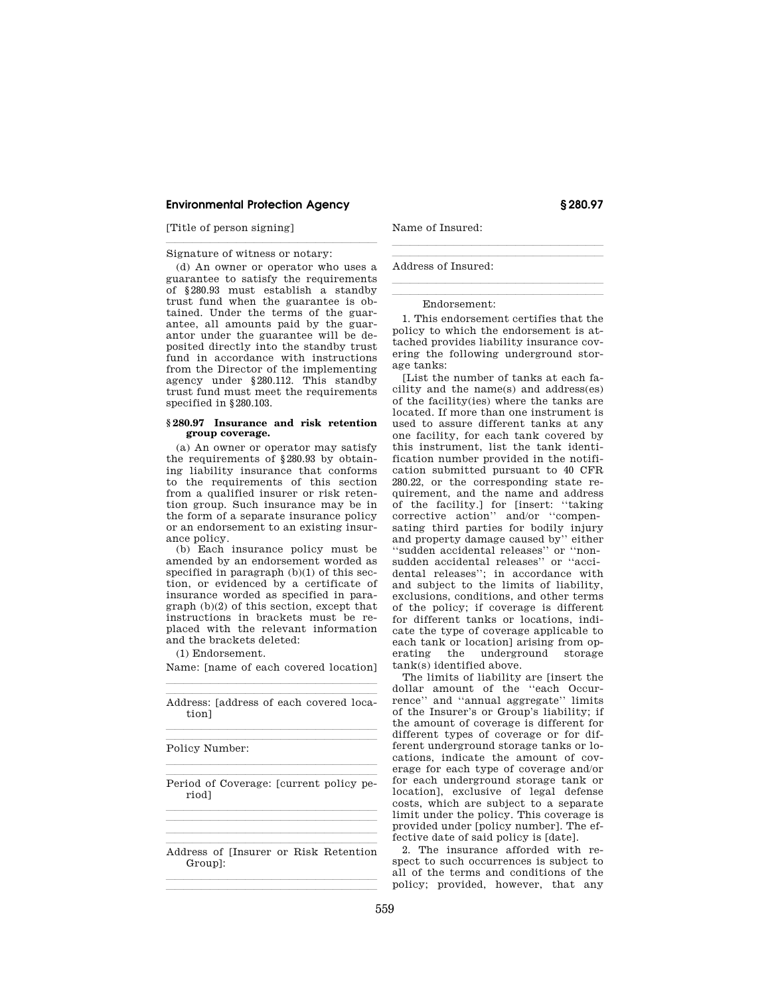[Title of person signing]

lllalla sin anno 1980. I se anno 1980 anno 1980 anno 1980 anno 1980 anno 1980 anno 1980.

Signature of witness or notary:

(d) An owner or operator who uses a guarantee to satisfy the requirements of §280.93 must establish a standby trust fund when the guarantee is obtained. Under the terms of the guarantee, all amounts paid by the guarantor under the guarantee will be deposited directly into the standby trust fund in accordance with instructions from the Director of the implementing agency under §280.112. This standby trust fund must meet the requirements specified in §280.103.

## **§ 280.97 Insurance and risk retention group coverage.**

(a) An owner or operator may satisfy the requirements of §280.93 by obtaining liability insurance that conforms to the requirements of this section from a qualified insurer or risk retention group. Such insurance may be in the form of a separate insurance policy or an endorsement to an existing insurance policy.

(b) Each insurance policy must be amended by an endorsement worded as specified in paragraph (b)(1) of this section, or evidenced by a certificate of insurance worded as specified in paragraph (b)(2) of this section, except that instructions in brackets must be replaced with the relevant information and the brackets deleted:

(1) Endorsement.

Name: [name of each covered location] llland av den stadsmannsna og stadsmannsna og stadsmannsna og stadsmannsna og stadsmannsna og stadsmannsna og

Address: [address of each covered location] llland av den stadsmannsna og stadsmannsna og stadsmannsna og stadsmannsna og stadsmannsna og stadsmannsna og

Policy Number:

lllalla sin anno 1980. I se anno 1980 anno 1980 anno 1980 anno 1980 anno 1980 anno 1980. Period of Coverage: [current policy period] llland i senator and a senator and a senator and a senator and a senator and a senator and

llland av den stadsmannsna og stadsmannsna og stadsmannsna og stadsmannsna og stadsmannsna og stadsmannsna og Address of [Insurer or Risk Retention] Group]: llland av den stadsmannsna og stadsmannsna og stadsmannsna og stadsmannsna og stadsmannsna og stadsmannsna og

llland av den stadsmannsna og stadsmannsna og stadsmannsna og stadsmannsna og stadsmannsna og stadsmannsna og

lllalla sin anno 1980. I se anno 1980 anno 1980 anno 1980 anno 1980 anno 1980 anno 1980.

Address of Insured:

Name of Insured:

llendorsement:

1. This endorsement certifies that the policy to which the endorsement is attached provides liability insurance covering the following underground storage tanks:

llland av den stadsmannsna og stadsmannsna og stadsmannsna og stadsmannsna og stadsmannsna og stadsmannsna og

llland av den stadsmannsna og stadsmannsna og stadsmannsna og stadsmannsna og stadsmannsna og stadsmannsna og

[List the number of tanks at each facility and the name(s) and address(es) of the facility(ies) where the tanks are located. If more than one instrument is used to assure different tanks at any one facility, for each tank covered by this instrument, list the tank identification number provided in the notification submitted pursuant to 40 CFR 280.22, or the corresponding state requirement, and the name and address of the facility.] for [insert: ''taking corrective action'' and/or ''compensating third parties for bodily injury and property damage caused by'' either ''sudden accidental releases'' or ''nonsudden accidental releases'' or ''accidental releases''; in accordance with and subject to the limits of liability, exclusions, conditions, and other terms of the policy; if coverage is different for different tanks or locations, indicate the type of coverage applicable to each tank or location] arising from operating the underground storage tank(s) identified above.

The limits of liability are [insert the dollar amount of the ''each Occurrence'' and ''annual aggregate'' limits of the Insurer's or Group's liability; if the amount of coverage is different for different types of coverage or for different underground storage tanks or locations, indicate the amount of coverage for each type of coverage and/or for each underground storage tank or location], exclusive of legal defense costs, which are subject to a separate limit under the policy. This coverage is provided under [policy number]. The effective date of said policy is [date].

2. The insurance afforded with respect to such occurrences is subject to all of the terms and conditions of the policy; provided, however, that any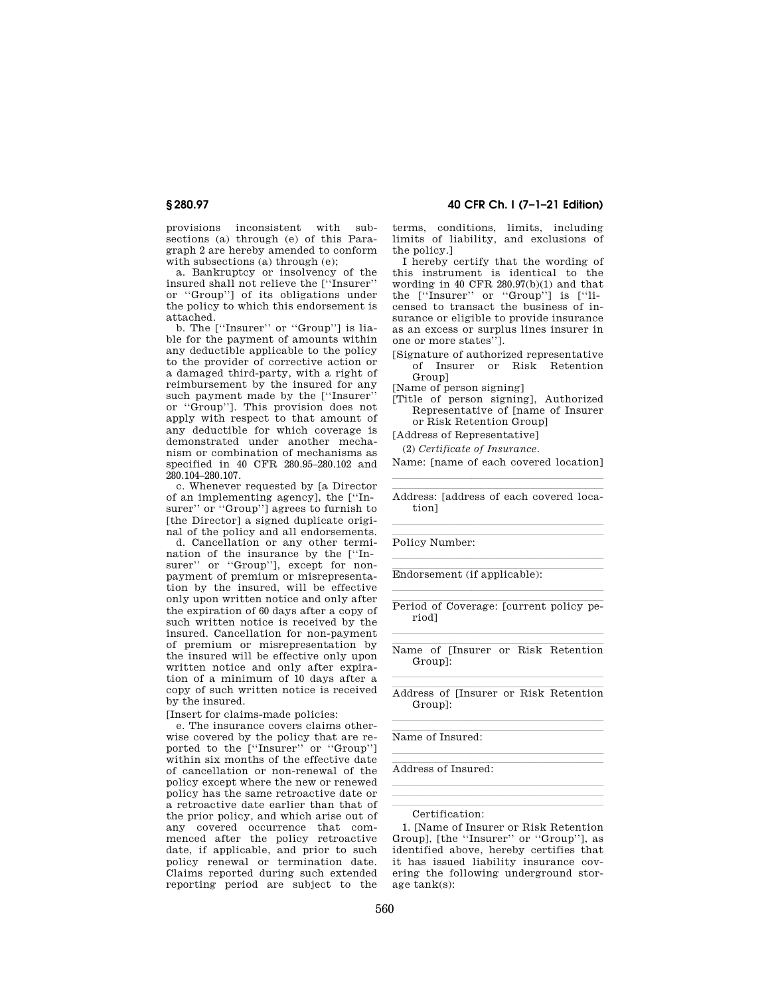provisions inconsistent with subsections (a) through (e) of this Paragraph 2 are hereby amended to conform with subsections (a) through (e);

a. Bankruptcy or insolvency of the insured shall not relieve the [''Insurer'' or ''Group''] of its obligations under the policy to which this endorsement is attached.

b. The [''Insurer'' or ''Group''] is liable for the payment of amounts within any deductible applicable to the policy to the provider of corrective action or a damaged third-party, with a right of reimbursement by the insured for any such payment made by the [''Insurer'' or ''Group'']. This provision does not apply with respect to that amount of any deductible for which coverage is demonstrated under another mechanism or combination of mechanisms as specified in 40 CFR 280.95–280.102 and 280.104–280.107.

c. Whenever requested by [a Director of an implementing agency], the [''Insurer'' or ''Group''] agrees to furnish to [the Director] a signed duplicate original of the policy and all endorsements.

d. Cancellation or any other termination of the insurance by the [''Insurer" or "Group"], except for nonpayment of premium or misrepresentation by the insured, will be effective only upon written notice and only after the expiration of 60 days after a copy of such written notice is received by the insured. Cancellation for non-payment of premium or misrepresentation by the insured will be effective only upon written notice and only after expiration of a minimum of 10 days after a copy of such written notice is received by the insured.

[Insert for claims-made policies:

e. The insurance covers claims otherwise covered by the policy that are reported to the ["Insurer" or "Group"] within six months of the effective date of cancellation or non-renewal of the policy except where the new or renewed policy has the same retroactive date or a retroactive date earlier than that of the prior policy, and which arise out of any covered occurrence that commenced after the policy retroactive date, if applicable, and prior to such policy renewal or termination date. Claims reported during such extended reporting period are subject to the

**§ 280.97 40 CFR Ch. I (7–1–21 Edition)** 

terms, conditions, limits, including limits of liability, and exclusions of the policy.]

I hereby certify that the wording of this instrument is identical to the wording in 40 CFR 280.97(b)(1) and that the [''Insurer'' or ''Group''] is [''licensed to transact the business of insurance or eligible to provide insurance as an excess or surplus lines insurer in one or more states''].

[Signature of authorized representative of Insurer or Risk Retention Group]

[Name of person signing]

[Title of person signing], Authorized Representative of [name of Insurer or Risk Retention Group]

[Address of Representative]

(2) *Certificate of Insurance.* 

Name: [name of each covered location] llland av den stadsmannsna og stadsmannsna og stadsmannsna og stadsmannsna og stadsmannsna og stadsmannsna og

Address: [address of each covered location] llland av den stadsmannsna og stadsmannsna og stadsmannsna og stadsmannsna og stadsmannsna og stadsmannsna og

Policy Number:

Endorsement (if applicable):

llland av den stadsmannsna og stadsmannsna og stadsmannsna og stadsmannsna og stadsmannsna og stadsmannsna og Period of Coverage: [current policy period]

llland av den stadsmannsna og stadsmannsna og stadsmannsna og stadsmannsna og stadsmannsna og stadsmannsna og

lllalla sin anno 1980. I se anno 1980 anno 1980 anno 1980 anno 1980 anno 1980 anno 1980. Name of [Insurer or Risk Retention Group]:

llland i senator and a senator and a senator and a senator and a senator and a senator and Address of [Insurer or Risk Retention Group]:

lllalla sin anno 1980. I se anno 1980 anno 1980 anno 1980 anno 1980 anno 1980 anno 1980.

llland av den stadsmannsna og stadsmannsna og stadsmannsna og stadsmannsna og stadsmannsna og stadsmannsna og

lllalla sin anno 1980. I se anno 1980 anno 1980 anno 1980 anno 1980 anno 1980 anno 1980. lllalla sin anno 1980. I se anno 1980 anno 1980 anno 1980 anno 1980 anno 1980 anno 1980.

Name of Insured:

Address of Insured:

**Certification:** 

1. [Name of Insurer or Risk Retention Group], [the ''Insurer'' or ''Group''], as identified above, hereby certifies that it has issued liability insurance covering the following underground storage tank(s):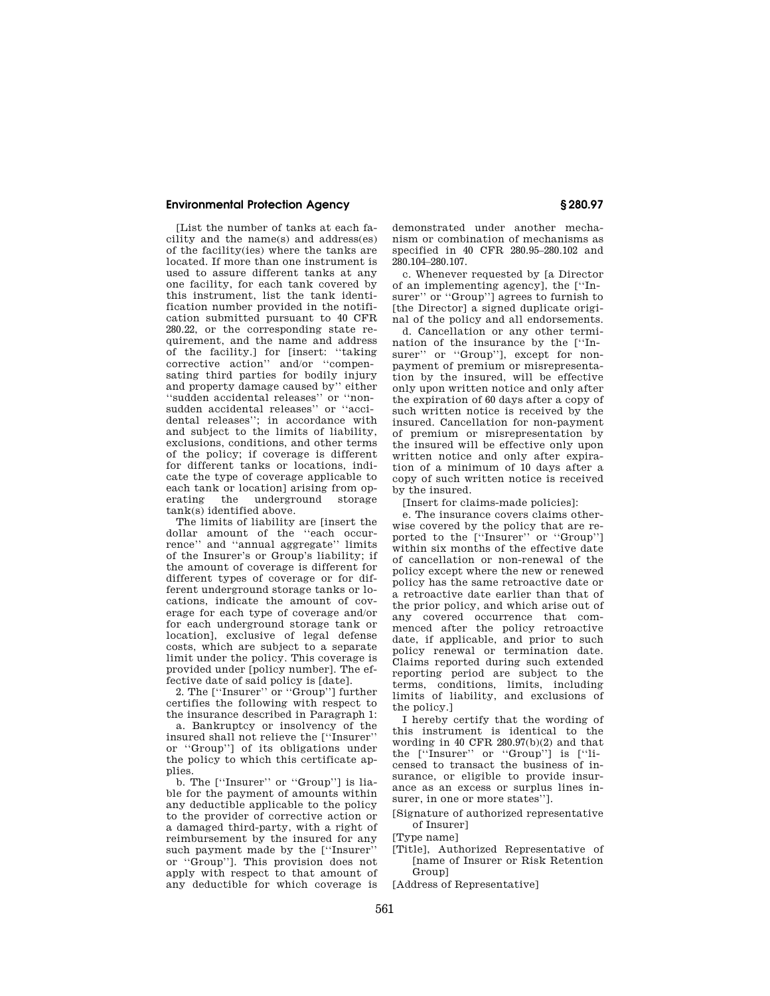[List the number of tanks at each facility and the name(s) and address(es) of the facility(ies) where the tanks are located. If more than one instrument is used to assure different tanks at any one facility, for each tank covered by this instrument, list the tank identification number provided in the notification submitted pursuant to 40 CFR 280.22, or the corresponding state requirement, and the name and address of the facility.] for [insert: ''taking corrective action'' and/or ''compensating third parties for bodily injury and property damage caused by'' either ''sudden accidental releases'' or ''nonsudden accidental releases'' or ''accidental releases''; in accordance with and subject to the limits of liability, exclusions, conditions, and other terms of the policy; if coverage is different for different tanks or locations, indicate the type of coverage applicable to each tank or location] arising from op-<br>erating the underground storage underground storage tank(s) identified above.

The limits of liability are [insert the dollar amount of the "each occur-<br>rence" and "annual aggregate" limits and "annual aggregate" limits of the Insurer's or Group's liability; if the amount of coverage is different for different types of coverage or for different underground storage tanks or locations, indicate the amount of coverage for each type of coverage and/or for each underground storage tank or location], exclusive of legal defense costs, which are subject to a separate limit under the policy. This coverage is provided under [policy number]. The effective date of said policy is [date].

2. The [''Insurer'' or ''Group''] further certifies the following with respect to the insurance described in Paragraph 1:

a. Bankruptcy or insolvency of the insured shall not relieve the [''Insurer'' or ''Group''] of its obligations under the policy to which this certificate applies.

b. The [''Insurer'' or ''Group''] is liable for the payment of amounts within any deductible applicable to the policy to the provider of corrective action or a damaged third-party, with a right of reimbursement by the insured for any such payment made by the [''Insurer'' or ''Group'']. This provision does not apply with respect to that amount of any deductible for which coverage is

demonstrated under another mechanism or combination of mechanisms as specified in 40 CFR 280.95–280.102 and 280.104–280.107.

c. Whenever requested by [a Director of an implementing agency], the [''Insurer" or "Group"] agrees to furnish to [the Director] a signed duplicate original of the policy and all endorsements.

d. Cancellation or any other termination of the insurance by the [''Insurer" or "Group"], except for nonpayment of premium or misrepresentation by the insured, will be effective only upon written notice and only after the expiration of 60 days after a copy of such written notice is received by the insured. Cancellation for non-payment of premium or misrepresentation by the insured will be effective only upon written notice and only after expiration of a minimum of 10 days after a copy of such written notice is received by the insured.

[Insert for claims-made policies]:

e. The insurance covers claims otherwise covered by the policy that are reported to the [''Insurer'' or ''Group''] within six months of the effective date of cancellation or non-renewal of the policy except where the new or renewed policy has the same retroactive date or a retroactive date earlier than that of the prior policy, and which arise out of any covered occurrence that commenced after the policy retroactive date, if applicable, and prior to such policy renewal or termination date. Claims reported during such extended reporting period are subject to the terms, conditions, limits, including limits of liability, and exclusions of the policy.]

I hereby certify that the wording of this instrument is identical to the wording in 40 CFR  $280.97(b)(2)$  and that the [''Insurer'' or ''Group''] is [''licensed to transact the business of insurance, or eligible to provide insurance as an excess or surplus lines insurer, in one or more states''].

[Signature of authorized representative of Insurer]

[Type name]

[Title], Authorized Representative of [name of Insurer or Risk Retention Group]

[Address of Representative]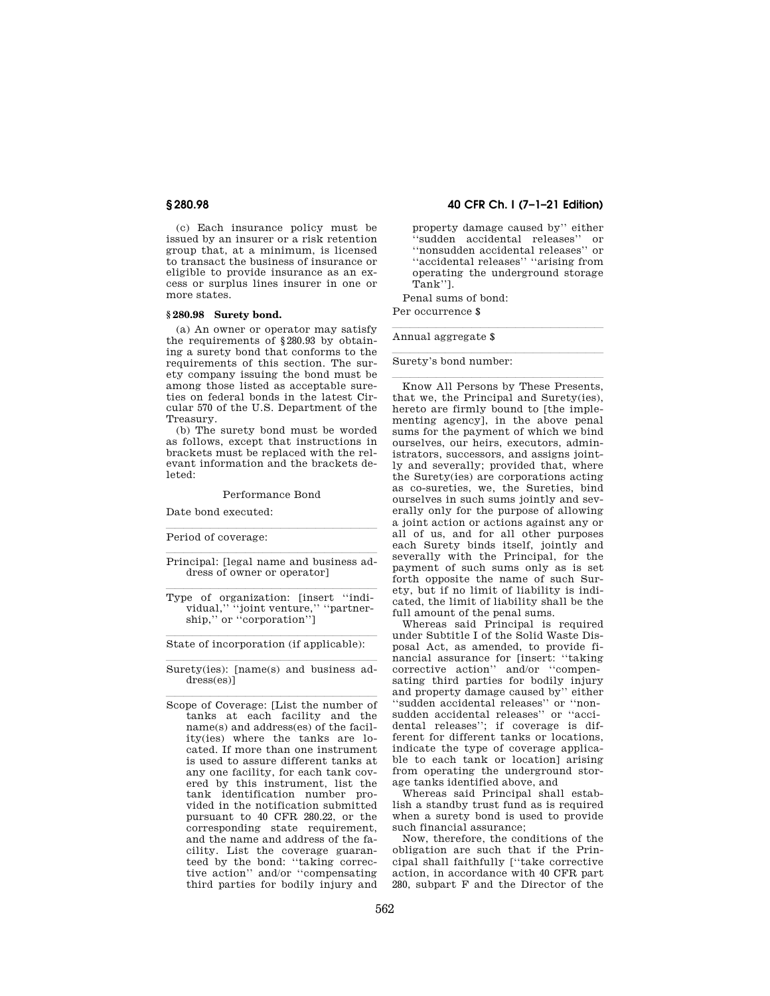(c) Each insurance policy must be issued by an insurer or a risk retention group that, at a minimum, is licensed to transact the business of insurance or eligible to provide insurance as an excess or surplus lines insurer in one or more states.

# **§ 280.98 Surety bond.**

(a) An owner or operator may satisfy the requirements of §280.93 by obtaining a surety bond that conforms to the requirements of this section. The surety company issuing the bond must be among those listed as acceptable sureties on federal bonds in the latest Circular 570 of the U.S. Department of the Treasury.

(b) The surety bond must be worded as follows, except that instructions in brackets must be replaced with the relevant information and the brackets deleted:

#### Performance Bond

Date bond executed:

Period of coverage:

Principal: [legal name and business address of owner or operator]

Type of organization: [insert "individual,'' ''joint venture,'' ''partnership,'' or ''corporation'']

State of incorporation (if applicable):

Surety(ies):  $[name(s)$  and business address(es)]

Scope of Coverage: [List the number of tanks at each facility and the name(s) and address(es) of the facility(ies) where the tanks are located. If more than one instrument is used to assure different tanks at any one facility, for each tank covered by this instrument, list the tank identification number provided in the notification submitted pursuant to 40 CFR 280.22, or the corresponding state requirement, and the name and address of the facility. List the coverage guaranteed by the bond: ''taking corrective action'' and/or ''compensating third parties for bodily injury and

# **§ 280.98 40 CFR Ch. I (7–1–21 Edition)**

property damage caused by'' either 'sudden accidental releases" or ''nonsudden accidental releases'' or ''accidental releases'' ''arising from operating the underground storage Tank''].

Penal sums of bond: Per occurrence \$

Annual aggregate \$

Surety's bond number:

Know All Persons by These Presents, that we, the Principal and Surety(ies), hereto are firmly bound to [the implementing agency], in the above penal sums for the payment of which we bind ourselves, our heirs, executors, administrators, successors, and assigns jointly and severally; provided that, where the Surety(ies) are corporations acting as co-sureties, we, the Sureties, bind ourselves in such sums jointly and severally only for the purpose of allowing a joint action or actions against any or all of us, and for all other purposes each Surety binds itself, jointly and severally with the Principal, for the payment of such sums only as is set forth opposite the name of such Surety, but if no limit of liability is indicated, the limit of liability shall be the full amount of the penal sums.

Whereas said Principal is required under Subtitle I of the Solid Waste Disposal Act, as amended, to provide financial assurance for [insert: ''taking corrective action'' and/or ''compensating third parties for bodily injury and property damage caused by'' either ''sudden accidental releases'' or ''nonsudden accidental releases" or "accidental releases''; if coverage is different for different tanks or locations, indicate the type of coverage applicable to each tank or location] arising from operating the underground storage tanks identified above, and

Whereas said Principal shall establish a standby trust fund as is required when a surety bond is used to provide such financial assurance;

Now, therefore, the conditions of the obligation are such that if the Principal shall faithfully [''take corrective action, in accordance with 40 CFR part 280, subpart F and the Director of the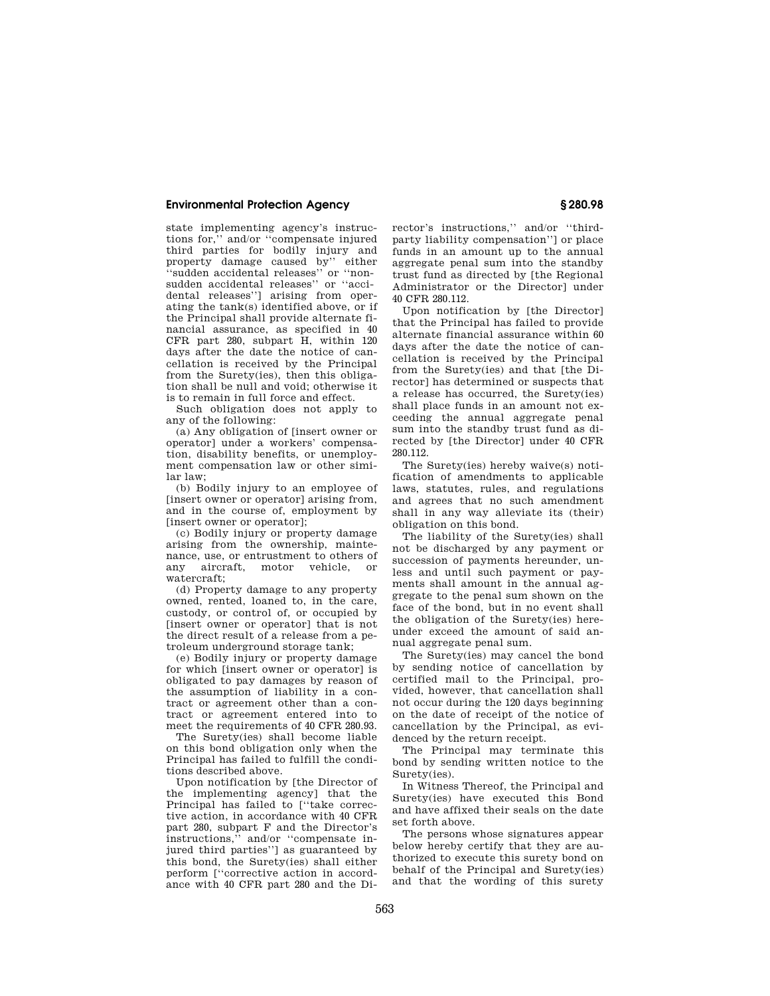state implementing agency's instructions for,'' and/or ''compensate injured third parties for bodily injury and property damage caused by'' either 'sudden accidental releases'' or "nonsudden accidental releases" or "accidental releases''] arising from operating the tank(s) identified above, or if the Principal shall provide alternate financial assurance, as specified in 40 CFR part 280, subpart H, within 120 days after the date the notice of cancellation is received by the Principal from the Surety(ies), then this obligation shall be null and void; otherwise it is to remain in full force and effect.

Such obligation does not apply to any of the following:

(a) Any obligation of [insert owner or operator] under a workers' compensation, disability benefits, or unemployment compensation law or other similar law;

(b) Bodily injury to an employee of [insert owner or operator] arising from, and in the course of, employment by [insert owner or operator];

(c) Bodily injury or property damage arising from the ownership, maintenance, use, or entrustment to others of any aircraft, motor vehicle, or watercraft;

(d) Property damage to any property owned, rented, loaned to, in the care, custody, or control of, or occupied by [insert owner or operator] that is not the direct result of a release from a petroleum underground storage tank;

(e) Bodily injury or property damage for which [insert owner or operator] is obligated to pay damages by reason of the assumption of liability in a contract or agreement other than a contract or agreement entered into to meet the requirements of 40 CFR 280.93.

The Surety(ies) shall become liable on this bond obligation only when the Principal has failed to fulfill the conditions described above.

Upon notification by [the Director of the implementing agency] that the Principal has failed to [''take corrective action, in accordance with 40 CFR part 280, subpart F and the Director's instructions,'' and/or ''compensate injured third parties''] as guaranteed by this bond, the Surety(ies) shall either perform [''corrective action in accordance with 40 CFR part 280 and the Director's instructions,'' and/or ''thirdparty liability compensation''] or place funds in an amount up to the annual aggregate penal sum into the standby trust fund as directed by [the Regional Administrator or the Director] under 40 CFR 280.112.

Upon notification by [the Director] that the Principal has failed to provide alternate financial assurance within 60 days after the date the notice of cancellation is received by the Principal from the Surety(ies) and that [the Director] has determined or suspects that a release has occurred, the Surety(ies) shall place funds in an amount not exceeding the annual aggregate penal sum into the standby trust fund as directed by [the Director] under 40 CFR 280.112.

The Surety(ies) hereby waive(s) notification of amendments to applicable laws, statutes, rules, and regulations and agrees that no such amendment shall in any way alleviate its (their) obligation on this bond.

The liability of the Surety(ies) shall not be discharged by any payment or succession of payments hereunder, unless and until such payment or payments shall amount in the annual aggregate to the penal sum shown on the face of the bond, but in no event shall the obligation of the Surety(ies) hereunder exceed the amount of said annual aggregate penal sum.

The Surety(ies) may cancel the bond by sending notice of cancellation by certified mail to the Principal, provided, however, that cancellation shall not occur during the 120 days beginning on the date of receipt of the notice of cancellation by the Principal, as evidenced by the return receipt.

The Principal may terminate this bond by sending written notice to the Surety(ies).

In Witness Thereof, the Principal and Surety(ies) have executed this Bond and have affixed their seals on the date set forth above.

The persons whose signatures appear below hereby certify that they are authorized to execute this surety bond on behalf of the Principal and Surety(ies) and that the wording of this surety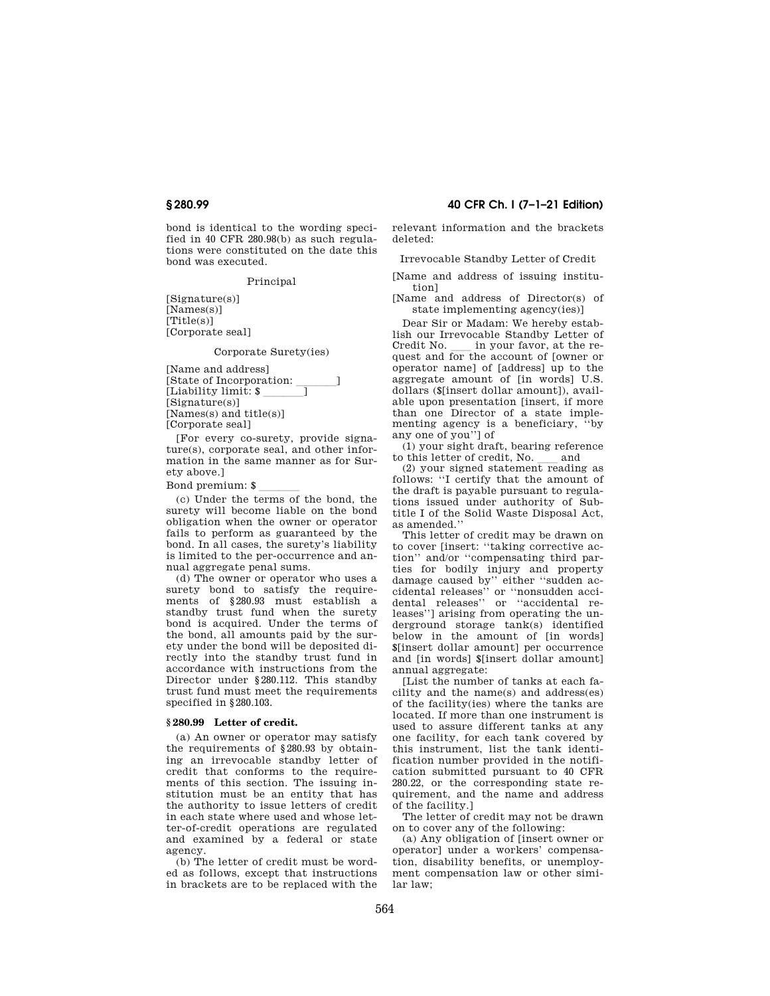bond is identical to the wording specified in 40 CFR 280.98(b) as such regulations were constituted on the date this bond was executed.

Principal

[Signature(s)] [Names(s)] [Title(s)] [Corporate seal]

Corporate Surety(ies)

[Name and address] [State of Incorporation: ] [Liability limit: \$ [Signature(s)] [Names(s) and title(s)] [Corporate seal]

[For every co-surety, provide signature(s), corporate seal, and other information in the same manner as for Surety above.]

Bond premium:  $\frac{1}{\epsilon}$   $\frac{1}{\epsilon}$  (c) Under the terms of the bond, the surety will become liable on the bond obligation when the owner or operator fails to perform as guaranteed by the bond. In all cases, the surety's liability is limited to the per-occurrence and annual aggregate penal sums.

(d) The owner or operator who uses a surety bond to satisfy the requirements of §280.93 must establish a standby trust fund when the surety bond is acquired. Under the terms of the bond, all amounts paid by the surety under the bond will be deposited directly into the standby trust fund in accordance with instructions from the Director under §280.112. This standby trust fund must meet the requirements specified in §280.103.

#### **§ 280.99 Letter of credit.**

(a) An owner or operator may satisfy the requirements of §280.93 by obtaining an irrevocable standby letter of credit that conforms to the requirements of this section. The issuing institution must be an entity that has the authority to issue letters of credit in each state where used and whose letter-of-credit operations are regulated and examined by a federal or state agency.

(b) The letter of credit must be worded as follows, except that instructions in brackets are to be replaced with the

**§ 280.99 40 CFR Ch. I (7–1–21 Edition)** 

relevant information and the brackets deleted:

Irrevocable Standby Letter of Credit

[Name and address of issuing institution]

[Name and address of Director(s) of state implementing agency(ies)]

Dear Sir or Madam: We hereby establish our Irrevocable Standby Letter of<br>Credit No. in your favor, at the re-Credit No. \_\_\_\_\_ in your favor, at the request and for the account of [owner or operator name] of [address] up to the aggregate amount of [in words] U.S. dollars (\$[insert dollar amount]), available upon presentation [insert, if more than one Director of a state implementing agency is a beneficiary, ''by any one of you''] of

(1) your sight draft, bearing reference

to this letter of credit, No.  $\qquad$  and (2) your signed statement reading as follows: ''I certify that the amount of the draft is payable pursuant to regulations issued under authority of Subtitle I of the Solid Waste Disposal Act, as amended.''

This letter of credit may be drawn on to cover [insert: ''taking corrective action'' and/or ''compensating third parties for bodily injury and property damage caused by'' either ''sudden accidental releases'' or ''nonsudden accidental releases'' or ''accidental releases''] arising from operating the underground storage tank(s) identified below in the amount of [in words] \$[insert dollar amount] per occurrence and [in words] \$[insert dollar amount] annual aggregate:

[List the number of tanks at each facility and the name(s) and address(es) of the facility(ies) where the tanks are located. If more than one instrument is used to assure different tanks at any one facility, for each tank covered by this instrument, list the tank identification number provided in the notification submitted pursuant to 40 CFR 280.22, or the corresponding state requirement, and the name and address of the facility.]

The letter of credit may not be drawn on to cover any of the following:

(a) Any obligation of [insert owner or operator] under a workers' compensation, disability benefits, or unemployment compensation law or other similar law;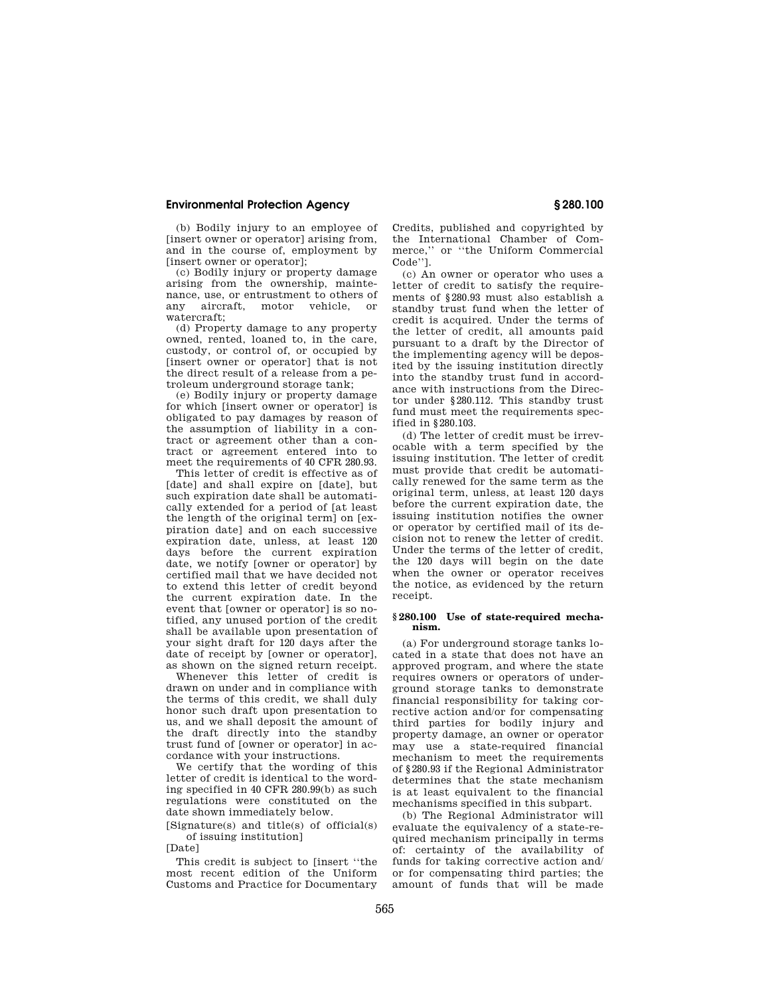(b) Bodily injury to an employee of [insert owner or operator] arising from, and in the course of, employment by [insert owner or operator];

(c) Bodily injury or property damage arising from the ownership, maintenance, use, or entrustment to others of any aircraft, motor vehicle, or watercraft;

(d) Property damage to any property owned, rented, loaned to, in the care, custody, or control of, or occupied by [insert owner or operator] that is not the direct result of a release from a petroleum underground storage tank;

(e) Bodily injury or property damage for which [insert owner or operator] is obligated to pay damages by reason of the assumption of liability in a contract or agreement other than a contract or agreement entered into to meet the requirements of 40 CFR 280.93.

This letter of credit is effective as of [date] and shall expire on [date], but such expiration date shall be automatically extended for a period of [at least the length of the original term] on [expiration date] and on each successive expiration date, unless, at least 120 days before the current expiration date, we notify [owner or operator] by certified mail that we have decided not to extend this letter of credit beyond the current expiration date. In the event that [owner or operator] is so notified, any unused portion of the credit shall be available upon presentation of your sight draft for 120 days after the date of receipt by [owner or operator], as shown on the signed return receipt.

Whenever this letter of credit is drawn on under and in compliance with the terms of this credit, we shall duly honor such draft upon presentation to us, and we shall deposit the amount of the draft directly into the standby trust fund of [owner or operator] in accordance with your instructions.

We certify that the wording of this letter of credit is identical to the wording specified in 40 CFR 280.99(b) as such regulations were constituted on the date shown immediately below.

[Signature(s) and title(s) of official(s) of issuing institution]

[Date]

This credit is subject to [insert ''the most recent edition of the Uniform Customs and Practice for Documentary Credits, published and copyrighted by the International Chamber of Commerce,'' or ''the Uniform Commercial Code''].

(c) An owner or operator who uses a letter of credit to satisfy the requirements of §280.93 must also establish a standby trust fund when the letter of credit is acquired. Under the terms of the letter of credit, all amounts paid pursuant to a draft by the Director of the implementing agency will be deposited by the issuing institution directly into the standby trust fund in accordance with instructions from the Director under §280.112. This standby trust fund must meet the requirements specified in §280.103.

(d) The letter of credit must be irrevocable with a term specified by the issuing institution. The letter of credit must provide that credit be automatically renewed for the same term as the original term, unless, at least 120 days before the current expiration date, the issuing institution notifies the owner or operator by certified mail of its decision not to renew the letter of credit. Under the terms of the letter of credit, the 120 days will begin on the date when the owner or operator receives the notice, as evidenced by the return receipt.

## **§ 280.100 Use of state-required mechanism.**

(a) For underground storage tanks located in a state that does not have an approved program, and where the state requires owners or operators of underground storage tanks to demonstrate financial responsibility for taking corrective action and/or for compensating third parties for bodily injury and property damage, an owner or operator may use a state-required financial mechanism to meet the requirements of §280.93 if the Regional Administrator determines that the state mechanism is at least equivalent to the financial mechanisms specified in this subpart.

(b) The Regional Administrator will evaluate the equivalency of a state-required mechanism principally in terms of: certainty of the availability of funds for taking corrective action and/ or for compensating third parties; the amount of funds that will be made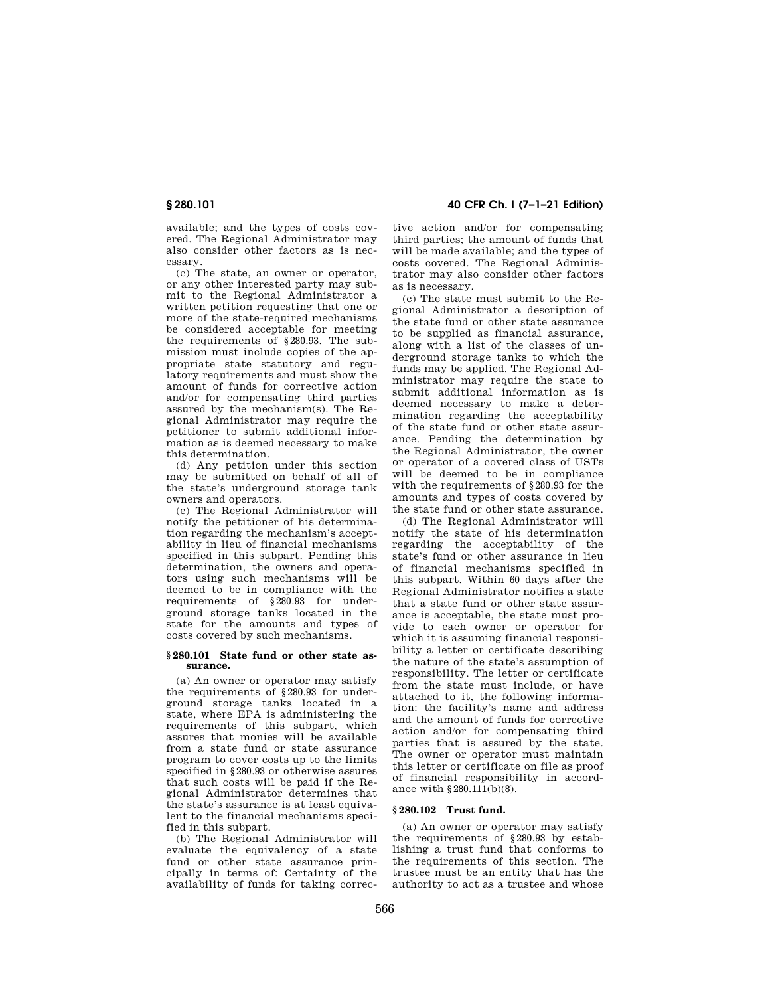available; and the types of costs covered. The Regional Administrator may also consider other factors as is necessary.

(c) The state, an owner or operator, or any other interested party may submit to the Regional Administrator a written petition requesting that one or more of the state-required mechanisms be considered acceptable for meeting the requirements of §280.93. The submission must include copies of the appropriate state statutory and regulatory requirements and must show the amount of funds for corrective action and/or for compensating third parties assured by the mechanism(s). The Regional Administrator may require the petitioner to submit additional information as is deemed necessary to make this determination.

(d) Any petition under this section may be submitted on behalf of all of the state's underground storage tank owners and operators.

(e) The Regional Administrator will notify the petitioner of his determination regarding the mechanism's acceptability in lieu of financial mechanisms specified in this subpart. Pending this determination, the owners and operators using such mechanisms will be deemed to be in compliance with the requirements of §280.93 for underground storage tanks located in the state for the amounts and types of costs covered by such mechanisms.

## **§ 280.101 State fund or other state assurance.**

(a) An owner or operator may satisfy the requirements of §280.93 for underground storage tanks located in a state, where EPA is administering the requirements of this subpart, which assures that monies will be available from a state fund or state assurance program to cover costs up to the limits specified in §280.93 or otherwise assures that such costs will be paid if the Regional Administrator determines that the state's assurance is at least equivalent to the financial mechanisms specified in this subpart.

(b) The Regional Administrator will evaluate the equivalency of a state fund or other state assurance principally in terms of: Certainty of the availability of funds for taking correc-

# **§ 280.101 40 CFR Ch. I (7–1–21 Edition)**

tive action and/or for compensating third parties; the amount of funds that will be made available; and the types of costs covered. The Regional Administrator may also consider other factors as is necessary.

(c) The state must submit to the Regional Administrator a description of the state fund or other state assurance to be supplied as financial assurance, along with a list of the classes of underground storage tanks to which the funds may be applied. The Regional Administrator may require the state to submit additional information as is deemed necessary to make a determination regarding the acceptability of the state fund or other state assurance. Pending the determination by the Regional Administrator, the owner or operator of a covered class of USTs will be deemed to be in compliance with the requirements of §280.93 for the amounts and types of costs covered by the state fund or other state assurance.

(d) The Regional Administrator will notify the state of his determination regarding the acceptability of the state's fund or other assurance in lieu of financial mechanisms specified in this subpart. Within 60 days after the Regional Administrator notifies a state that a state fund or other state assurance is acceptable, the state must provide to each owner or operator for which it is assuming financial responsibility a letter or certificate describing the nature of the state's assumption of responsibility. The letter or certificate from the state must include, or have attached to it, the following information: the facility's name and address and the amount of funds for corrective action and/or for compensating third parties that is assured by the state. The owner or operator must maintain this letter or certificate on file as proof of financial responsibility in accordance with §280.111(b)(8).

# **§ 280.102 Trust fund.**

(a) An owner or operator may satisfy the requirements of §280.93 by establishing a trust fund that conforms to the requirements of this section. The trustee must be an entity that has the authority to act as a trustee and whose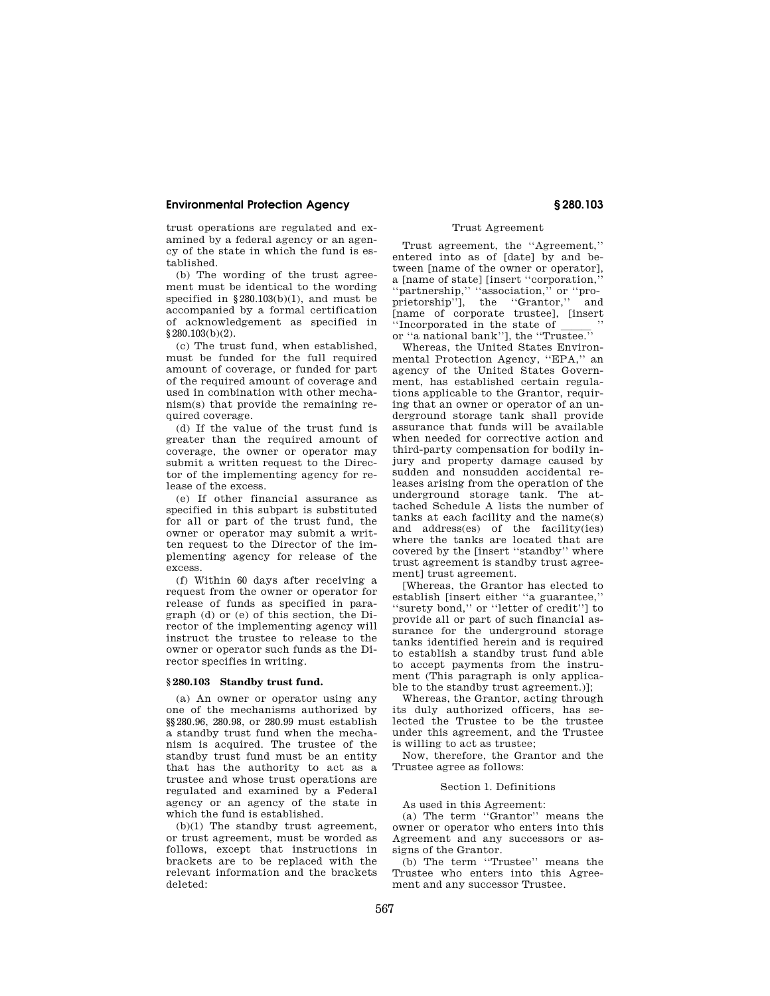trust operations are regulated and examined by a federal agency or an agency of the state in which the fund is established.

(b) The wording of the trust agreement must be identical to the wording specified in §280.103(b)(1), and must be accompanied by a formal certification of acknowledgement as specified in  $§ 280.103(b)(2)$ .

(c) The trust fund, when established, must be funded for the full required amount of coverage, or funded for part of the required amount of coverage and used in combination with other mechanism(s) that provide the remaining required coverage.

(d) If the value of the trust fund is greater than the required amount of coverage, the owner or operator may submit a written request to the Director of the implementing agency for release of the excess.

(e) If other financial assurance as specified in this subpart is substituted for all or part of the trust fund, the owner or operator may submit a written request to the Director of the implementing agency for release of the excess.

(f) Within 60 days after receiving a request from the owner or operator for release of funds as specified in paragraph (d) or (e) of this section, the Director of the implementing agency will instruct the trustee to release to the owner or operator such funds as the Director specifies in writing.

# **§ 280.103 Standby trust fund.**

(a) An owner or operator using any one of the mechanisms authorized by §§280.96, 280.98, or 280.99 must establish a standby trust fund when the mechanism is acquired. The trustee of the standby trust fund must be an entity that has the authority to act as a trustee and whose trust operations are regulated and examined by a Federal agency or an agency of the state in which the fund is established.

(b)(1) The standby trust agreement, or trust agreement, must be worded as follows, except that instructions in brackets are to be replaced with the relevant information and the brackets deleted:

## Trust Agreement

Trust agreement, the ''Agreement,'' entered into as of [date] by and between [name of the owner or operator], a [name of state] [insert ''corporation,'' "partnership," "association," or "pro-<br>prietorship"] the "Grantor" and prietorship''], the "Grantor," [name of corporate trustee], [insert]<br>"Incorporated in the state of", "Incorporated in the state of  $\ldots$ "<br>or "a national bank"], the "Trustee."

Whereas, the United States Environmental Protection Agency, ''EPA,'' an agency of the United States Government, has established certain regulations applicable to the Grantor, requiring that an owner or operator of an underground storage tank shall provide assurance that funds will be available when needed for corrective action and third-party compensation for bodily injury and property damage caused by sudden and nonsudden accidental releases arising from the operation of the underground storage tank. The attached Schedule A lists the number of tanks at each facility and the name(s) and address(es) of the facility(ies) where the tanks are located that are covered by the [insert ''standby'' where trust agreement is standby trust agreement] trust agreement.

[Whereas, the Grantor has elected to establish [insert either ''a guarantee,'' ''surety bond,'' or ''letter of credit''] to provide all or part of such financial assurance for the underground storage tanks identified herein and is required to establish a standby trust fund able to accept payments from the instrument (This paragraph is only applicable to the standby trust agreement.)];

Whereas, the Grantor, acting through its duly authorized officers, has selected the Trustee to be the trustee under this agreement, and the Trustee is willing to act as trustee;

Now, therefore, the Grantor and the Trustee agree as follows:

## Section 1. Definitions

As used in this Agreement:

(a) The term ''Grantor'' means the owner or operator who enters into this Agreement and any successors or assigns of the Grantor.

(b) The term ''Trustee'' means the Trustee who enters into this Agreement and any successor Trustee.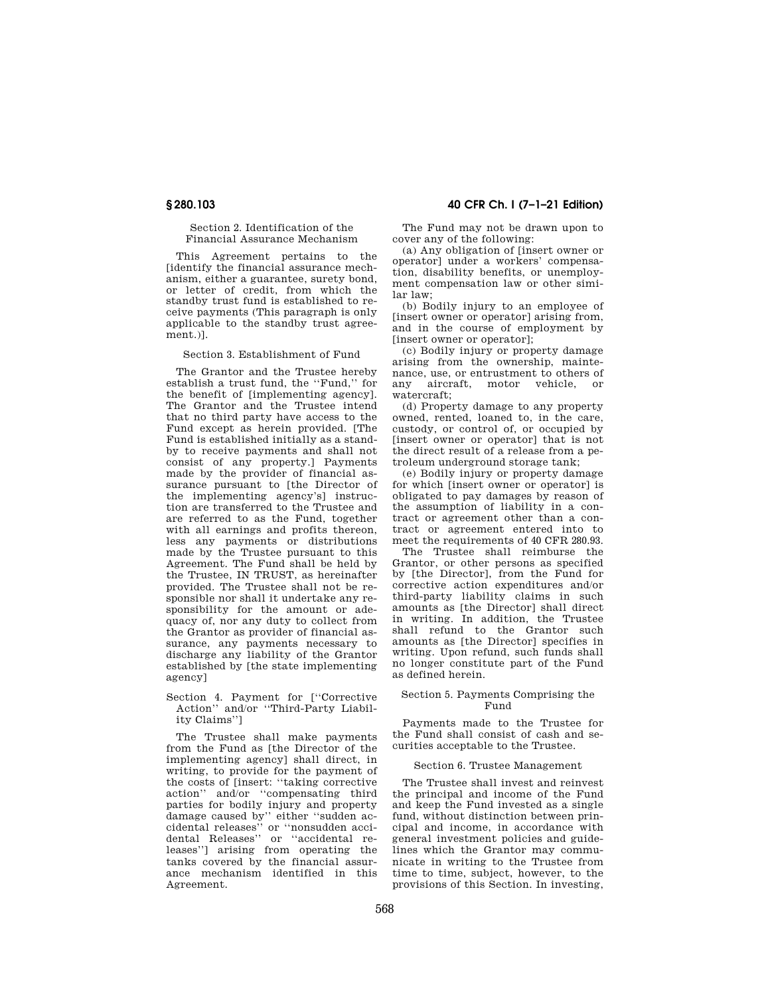# Section 2. Identification of the Financial Assurance Mechanism

This Agreement pertains to the [identify the financial assurance mechanism, either a guarantee, surety bond, or letter of credit, from which the standby trust fund is established to receive payments (This paragraph is only applicable to the standby trust agreement.)].

## Section 3. Establishment of Fund

The Grantor and the Trustee hereby establish a trust fund, the ''Fund,'' for the benefit of [implementing agency]. The Grantor and the Trustee intend that no third party have access to the Fund except as herein provided. [The Fund is established initially as a standby to receive payments and shall not consist of any property.] Payments made by the provider of financial assurance pursuant to [the Director of the implementing agency's] instruction are transferred to the Trustee and are referred to as the Fund, together with all earnings and profits thereon, less any payments or distributions made by the Trustee pursuant to this Agreement. The Fund shall be held by the Trustee, IN TRUST, as hereinafter provided. The Trustee shall not be responsible nor shall it undertake any responsibility for the amount or adequacy of, nor any duty to collect from the Grantor as provider of financial assurance, any payments necessary to discharge any liability of the Grantor established by [the state implementing agency]

# Section 4. Payment for [''Corrective Action'' and/or ''Third-Party Liability Claims'']

The Trustee shall make payments from the Fund as [the Director of the implementing agency] shall direct, in writing, to provide for the payment of the costs of [insert: ''taking corrective action'' and/or ''compensating third parties for bodily injury and property damage caused by'' either ''sudden accidental releases'' or ''nonsudden accidental Releases'' or ''accidental releases''] arising from operating the tanks covered by the financial assurance mechanism identified in this Agreement.

# **§ 280.103 40 CFR Ch. I (7–1–21 Edition)**

The Fund may not be drawn upon to cover any of the following:

(a) Any obligation of [insert owner or operator] under a workers' compensation, disability benefits, or unemployment compensation law or other similar law;

(b) Bodily injury to an employee of [insert owner or operator] arising from, and in the course of employment by [insert owner or operator];

(c) Bodily injury or property damage arising from the ownership, maintenance, use, or entrustment to others of any aircraft, motor vehicle, or watercraft;

(d) Property damage to any property owned, rented, loaned to, in the care, custody, or control of, or occupied by [insert owner or operator] that is not the direct result of a release from a petroleum underground storage tank;

(e) Bodily injury or property damage for which [insert owner or operator] is obligated to pay damages by reason of the assumption of liability in a contract or agreement other than a contract or agreement entered into to meet the requirements of 40 CFR 280.93.

The Trustee shall reimburse the Grantor, or other persons as specified by [the Director], from the Fund for corrective action expenditures and/or third-party liability claims in such amounts as [the Director] shall direct in writing. In addition, the Trustee shall refund to the Grantor such amounts as [the Director] specifies in writing. Upon refund, such funds shall no longer constitute part of the Fund as defined herein.

## Section 5. Payments Comprising the Fund

Payments made to the Trustee for the Fund shall consist of cash and securities acceptable to the Trustee.

## Section 6. Trustee Management

The Trustee shall invest and reinvest the principal and income of the Fund and keep the Fund invested as a single fund, without distinction between principal and income, in accordance with general investment policies and guidelines which the Grantor may communicate in writing to the Trustee from time to time, subject, however, to the provisions of this Section. In investing,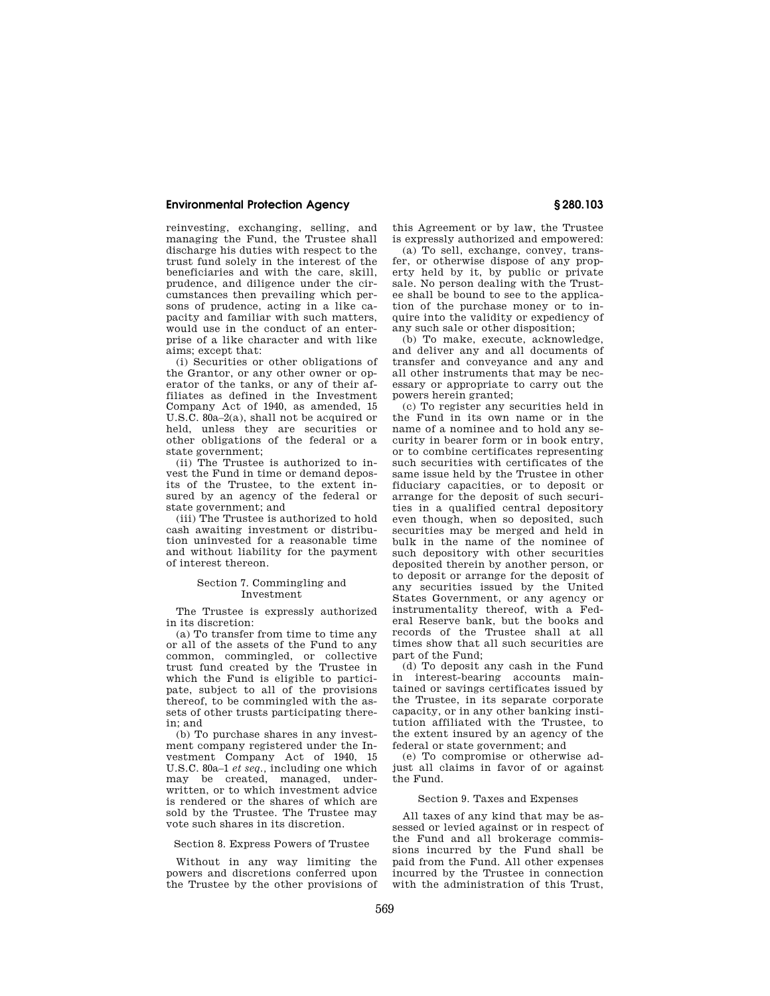reinvesting, exchanging, selling, and managing the Fund, the Trustee shall discharge his duties with respect to the trust fund solely in the interest of the beneficiaries and with the care, skill, prudence, and diligence under the circumstances then prevailing which persons of prudence, acting in a like capacity and familiar with such matters, would use in the conduct of an enterprise of a like character and with like aims; except that:

(i) Securities or other obligations of the Grantor, or any other owner or operator of the tanks, or any of their affiliates as defined in the Investment Company Act of 1940, as amended, 15 U.S.C. 80a–2(a), shall not be acquired or held, unless they are securities or other obligations of the federal or a state government;

(ii) The Trustee is authorized to invest the Fund in time or demand deposits of the Trustee, to the extent insured by an agency of the federal or state government; and

(iii) The Trustee is authorized to hold cash awaiting investment or distribution uninvested for a reasonable time and without liability for the payment of interest thereon.

## Section 7. Commingling and Investment

The Trustee is expressly authorized in its discretion:

(a) To transfer from time to time any or all of the assets of the Fund to any common, commingled, or collective trust fund created by the Trustee in which the Fund is eligible to participate, subject to all of the provisions thereof, to be commingled with the assets of other trusts participating therein; and

(b) To purchase shares in any investment company registered under the Investment Company Act of 1940, 15 U.S.C. 80a–1 *et seq.,* including one which may be created, managed, underwritten, or to which investment advice is rendered or the shares of which are sold by the Trustee. The Trustee may vote such shares in its discretion.

## Section 8. Express Powers of Trustee

Without in any way limiting the powers and discretions conferred upon the Trustee by the other provisions of this Agreement or by law, the Trustee is expressly authorized and empowered:

(a) To sell, exchange, convey, transfer, or otherwise dispose of any property held by it, by public or private sale. No person dealing with the Trustee shall be bound to see to the application of the purchase money or to inquire into the validity or expediency of any such sale or other disposition;

(b) To make, execute, acknowledge, and deliver any and all documents of transfer and conveyance and any and all other instruments that may be necessary or appropriate to carry out the powers herein granted;

(c) To register any securities held in the Fund in its own name or in the name of a nominee and to hold any security in bearer form or in book entry, or to combine certificates representing such securities with certificates of the same issue held by the Trustee in other fiduciary capacities, or to deposit or arrange for the deposit of such securities in a qualified central depository even though, when so deposited, such securities may be merged and held in bulk in the name of the nominee of such depository with other securities deposited therein by another person, or to deposit or arrange for the deposit of any securities issued by the United States Government, or any agency or instrumentality thereof, with a Federal Reserve bank, but the books and records of the Trustee shall at all times show that all such securities are part of the Fund;

(d) To deposit any cash in the Fund in interest-bearing accounts maintained or savings certificates issued by the Trustee, in its separate corporate capacity, or in any other banking institution affiliated with the Trustee, to the extent insured by an agency of the federal or state government; and

(e) To compromise or otherwise adjust all claims in favor of or against the Fund.

### Section 9. Taxes and Expenses

All taxes of any kind that may be assessed or levied against or in respect of the Fund and all brokerage commissions incurred by the Fund shall be paid from the Fund. All other expenses incurred by the Trustee in connection with the administration of this Trust.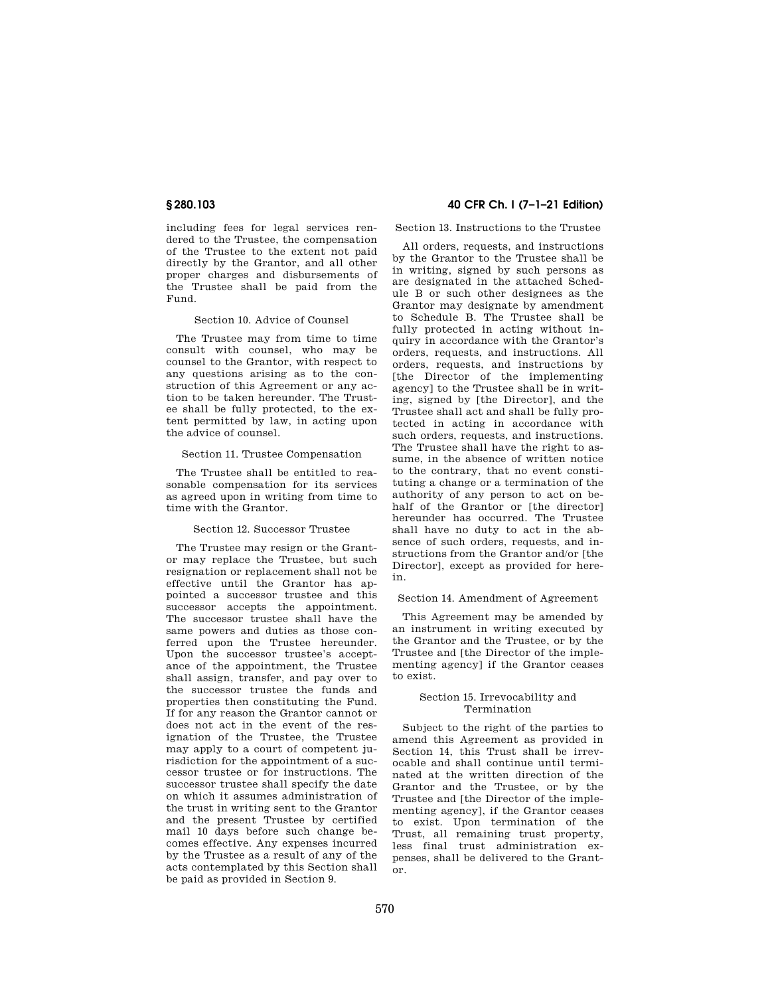including fees for legal services rendered to the Trustee, the compensation of the Trustee to the extent not paid directly by the Grantor, and all other proper charges and disbursements of the Trustee shall be paid from the Fund.

Section 10. Advice of Counsel

The Trustee may from time to time consult with counsel, who may be counsel to the Grantor, with respect to any questions arising as to the construction of this Agreement or any action to be taken hereunder. The Trustee shall be fully protected, to the extent permitted by law, in acting upon the advice of counsel.

Section 11. Trustee Compensation

The Trustee shall be entitled to reasonable compensation for its services as agreed upon in writing from time to time with the Grantor.

### Section 12. Successor Trustee

The Trustee may resign or the Grantor may replace the Trustee, but such resignation or replacement shall not be effective until the Grantor has appointed a successor trustee and this successor accepts the appointment. The successor trustee shall have the same powers and duties as those conferred upon the Trustee hereunder. Upon the successor trustee's acceptance of the appointment, the Trustee shall assign, transfer, and pay over to the successor trustee the funds and properties then constituting the Fund. If for any reason the Grantor cannot or does not act in the event of the resignation of the Trustee, the Trustee may apply to a court of competent jurisdiction for the appointment of a successor trustee or for instructions. The successor trustee shall specify the date on which it assumes administration of the trust in writing sent to the Grantor and the present Trustee by certified mail 10 days before such change becomes effective. Any expenses incurred by the Trustee as a result of any of the acts contemplated by this Section shall be paid as provided in Section 9.

# **§ 280.103 40 CFR Ch. I (7–1–21 Edition)**

Section 13. Instructions to the Trustee

All orders, requests, and instructions by the Grantor to the Trustee shall be in writing, signed by such persons as are designated in the attached Schedule B or such other designees as the Grantor may designate by amendment to Schedule B. The Trustee shall be fully protected in acting without inquiry in accordance with the Grantor's orders, requests, and instructions. All orders, requests, and instructions by [the Director of the implementing agency] to the Trustee shall be in writing, signed by [the Director], and the Trustee shall act and shall be fully protected in acting in accordance with such orders, requests, and instructions. The Trustee shall have the right to assume, in the absence of written notice to the contrary, that no event constituting a change or a termination of the authority of any person to act on behalf of the Grantor or [the director] hereunder has occurred. The Trustee shall have no duty to act in the absence of such orders, requests, and instructions from the Grantor and/or [the Director], except as provided for herein.

# Section 14. Amendment of Agreement

This Agreement may be amended by an instrument in writing executed by the Grantor and the Trustee, or by the Trustee and [the Director of the implementing agency] if the Grantor ceases to exist.

# Section 15. Irrevocability and Termination

Subject to the right of the parties to amend this Agreement as provided in Section 14, this Trust shall be irrevocable and shall continue until terminated at the written direction of the Grantor and the Trustee, or by the Trustee and [the Director of the implementing agency], if the Grantor ceases to exist. Upon termination of the Trust, all remaining trust property, less final trust administration expenses, shall be delivered to the Grantor.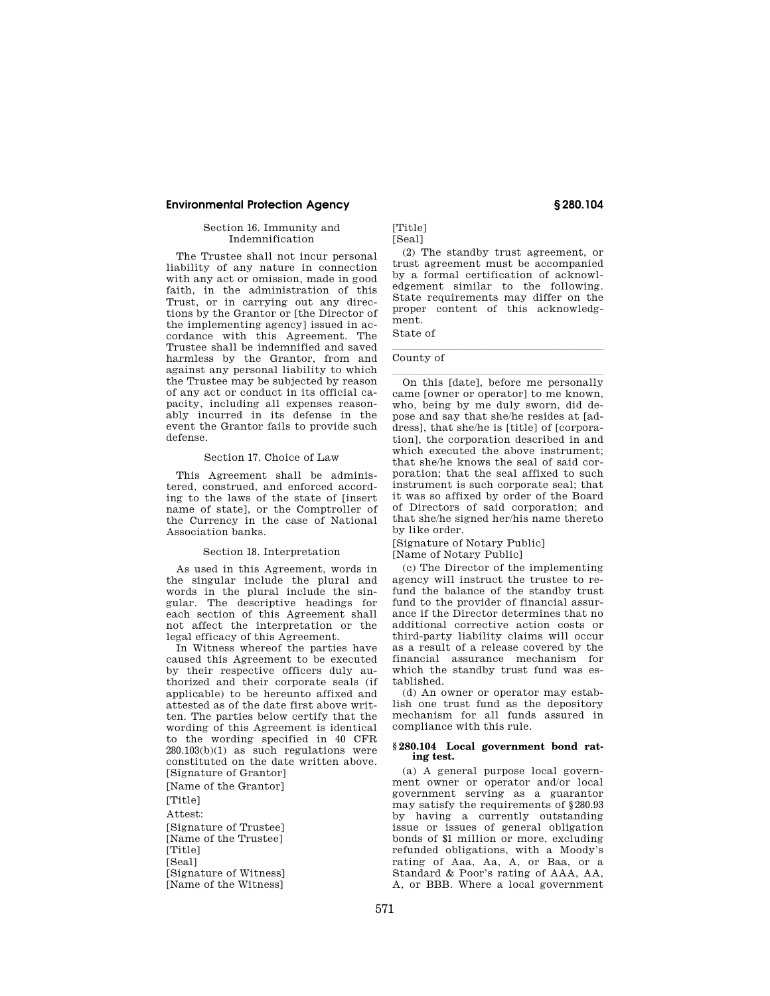# Section 16. Immunity and Indemnification

The Trustee shall not incur personal liability of any nature in connection with any act or omission, made in good faith, in the administration of this Trust, or in carrying out any directions by the Grantor or [the Director of the implementing agency] issued in accordance with this Agreement. The Trustee shall be indemnified and saved harmless by the Grantor, from and against any personal liability to which the Trustee may be subjected by reason of any act or conduct in its official capacity, including all expenses reasonably incurred in its defense in the event the Grantor fails to provide such defense.

## Section 17. Choice of Law

This Agreement shall be administered, construed, and enforced according to the laws of the state of [insert name of state], or the Comptroller of the Currency in the case of National Association banks.

# Section 18. Interpretation

As used in this Agreement, words in the singular include the plural and words in the plural include the singular. The descriptive headings for each section of this Agreement shall not affect the interpretation or the legal efficacy of this Agreement.

In Witness whereof the parties have caused this Agreement to be executed by their respective officers duly authorized and their corporate seals (if applicable) to be hereunto affixed and attested as of the date first above written. The parties below certify that the wording of this Agreement is identical to the wording specified in 40 CFR 280.103(b)(1) as such regulations were constituted on the date written above. [Signature of Grantor]

[Name of the Grantor]

[Title]

Attest:

[Signature of Trustee] [Name of the Trustee] [Title] [Seal] [Signature of Witness] [Name of the Witness]

[Title] [Seal]

(2) The standby trust agreement, or trust agreement must be accompanied by a formal certification of acknowledgement similar to the following. State requirements may differ on the proper content of this acknowledgment.

State of

# **County of**

On this  $[date]$ , before me personally came [owner or operator] to me known, who, being by me duly sworn, did depose and say that she/he resides at [address], that she/he is [title] of [corporation], the corporation described in and which executed the above instrument; that she/he knows the seal of said corporation; that the seal affixed to such instrument is such corporate seal; that it was so affixed by order of the Board of Directors of said corporation; and that she/he signed her/his name thereto by like order.

[Signature of Notary Public] [Name of Notary Public]

(c) The Director of the implementing agency will instruct the trustee to refund the balance of the standby trust fund to the provider of financial assurance if the Director determines that no additional corrective action costs or third-party liability claims will occur as a result of a release covered by the financial assurance mechanism for which the standby trust fund was established.

(d) An owner or operator may establish one trust fund as the depository mechanism for all funds assured in compliance with this rule.

## **§ 280.104 Local government bond rating test.**

(a) A general purpose local government owner or operator and/or local government serving as a guarantor may satisfy the requirements of §280.93 by having a currently outstanding issue or issues of general obligation bonds of \$1 million or more, excluding refunded obligations, with a Moody's rating of Aaa, Aa, A, or Baa, or a Standard & Poor's rating of AAA, AA, A, or BBB. Where a local government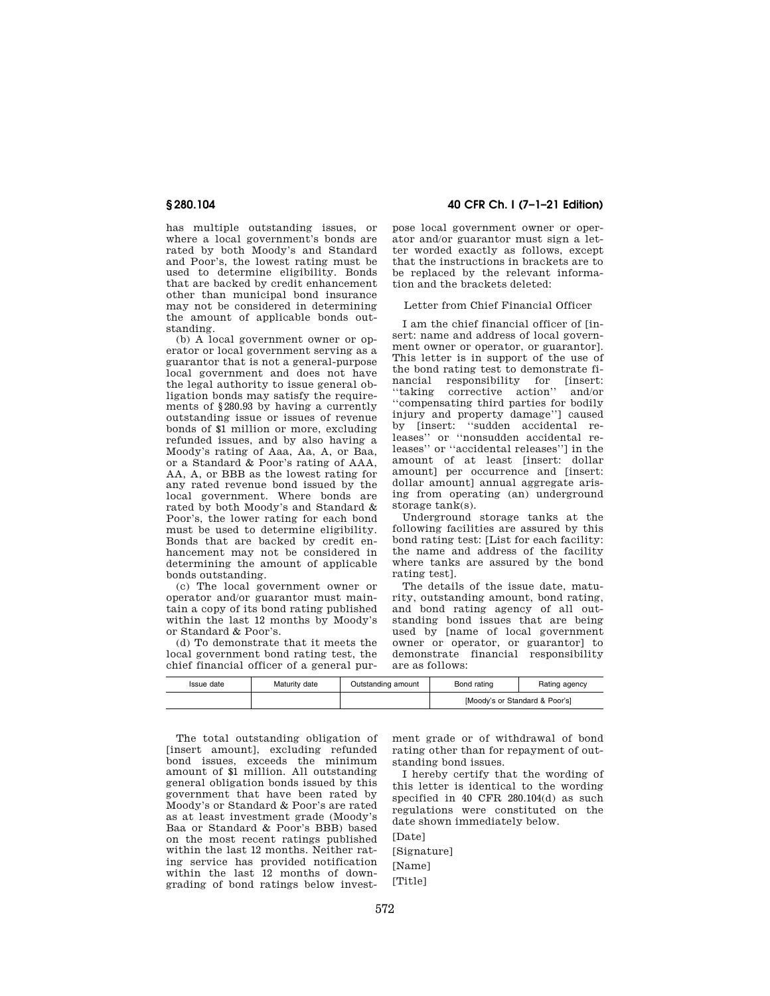has multiple outstanding issues, or where a local government's bonds are rated by both Moody's and Standard and Poor's, the lowest rating must be used to determine eligibility. Bonds that are backed by credit enhancement other than municipal bond insurance may not be considered in determining the amount of applicable bonds outstanding.

(b) A local government owner or operator or local government serving as a guarantor that is not a general-purpose local government and does not have the legal authority to issue general obligation bonds may satisfy the requirements of §280.93 by having a currently outstanding issue or issues of revenue bonds of \$1 million or more, excluding refunded issues, and by also having a Moody's rating of Aaa, Aa, A, or Baa, or a Standard & Poor's rating of AAA, AA, A, or BBB as the lowest rating for any rated revenue bond issued by the local government. Where bonds are rated by both Moody's and Standard & Poor's, the lower rating for each bond must be used to determine eligibility. Bonds that are backed by credit enhancement may not be considered in determining the amount of applicable bonds outstanding.

(c) The local government owner or operator and/or guarantor must maintain a copy of its bond rating published within the last 12 months by Moody's or Standard & Poor's.

(d) To demonstrate that it meets the local government bond rating test, the chief financial officer of a general pur-

**§ 280.104 40 CFR Ch. I (7–1–21 Edition)** 

pose local government owner or operator and/or guarantor must sign a letter worded exactly as follows, except that the instructions in brackets are to be replaced by the relevant information and the brackets deleted:

## Letter from Chief Financial Officer

I am the chief financial officer of [insert: name and address of local government owner or operator, or guarantor]. This letter is in support of the use of the bond rating test to demonstrate financial responsibility for [insert: ''taking corrective action'' and/or ''compensating third parties for bodily injury and property damage''] caused by [insert: ''sudden accidental releases'' or ''nonsudden accidental releases'' or ''accidental releases''] in the amount of at least [insert: dollar amount] per occurrence and [insert: dollar amount] annual aggregate arising from operating (an) underground storage  $tank(s)$ .

Underground storage tanks at the following facilities are assured by this bond rating test: [List for each facility: the name and address of the facility where tanks are assured by the bond rating test].

The details of the issue date, maturity, outstanding amount, bond rating, and bond rating agency of all outstanding bond issues that are being used by [name of local government owner or operator, or guarantor] to demonstrate financial responsibility are as follows:

| Issue date | Maturity date | Outstanding amount | Bond rating                    | Rating agency |
|------------|---------------|--------------------|--------------------------------|---------------|
|            |               |                    | [Moody's or Standard & Poor's] |               |

The total outstanding obligation of [insert amount], excluding refunded bond issues, exceeds the minimum amount of \$1 million. All outstanding general obligation bonds issued by this government that have been rated by Moody's or Standard & Poor's are rated as at least investment grade (Moody's Baa or Standard & Poor's BBB) based on the most recent ratings published within the last 12 months. Neither rating service has provided notification within the last 12 months of downgrading of bond ratings below investment grade or of withdrawal of bond rating other than for repayment of outstanding bond issues.

I hereby certify that the wording of this letter is identical to the wording specified in 40 CFR 280.104(d) as such regulations were constituted on the date shown immediately below.

[Date] [Signature] [Name]

[Title]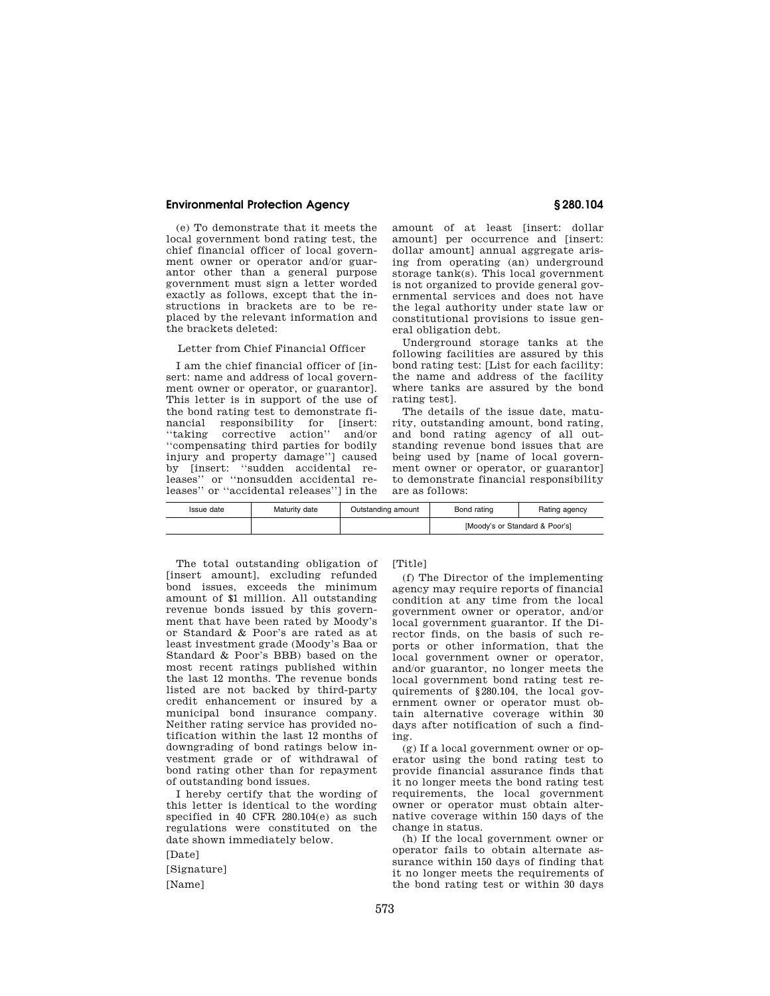(e) To demonstrate that it meets the local government bond rating test, the chief financial officer of local government owner or operator and/or guarantor other than a general purpose government must sign a letter worded exactly as follows, except that the instructions in brackets are to be replaced by the relevant information and the brackets deleted:

# Letter from Chief Financial Officer

I am the chief financial officer of [insert: name and address of local government owner or operator, or guarantor]. This letter is in support of the use of the bond rating test to demonstrate financial responsibility for [insert: ''taking corrective action'' and/or ''compensating third parties for bodily injury and property damage''] caused by [insert: ''sudden accidental releases'' or ''nonsudden accidental releases'' or ''accidental releases''] in the

amount of at least [insert: dollar amount] per occurrence and [insert: dollar amount] annual aggregate arising from operating (an) underground storage tank(s). This local government is not organized to provide general governmental services and does not have the legal authority under state law or constitutional provisions to issue general obligation debt.

Underground storage tanks at the following facilities are assured by this bond rating test: [List for each facility: the name and address of the facility where tanks are assured by the bond rating test].

The details of the issue date, maturity, outstanding amount, bond rating, and bond rating agency of all outstanding revenue bond issues that are being used by [name of local government owner or operator, or guarantor] to demonstrate financial responsibility are as follows:

| Issue date | Maturity date | Outstanding amount | Bond rating                    | Rating agency |
|------------|---------------|--------------------|--------------------------------|---------------|
|            |               |                    | [Moody's or Standard & Poor's] |               |

The total outstanding obligation of [insert amount], excluding refunded bond issues, exceeds the minimum amount of \$1 million. All outstanding revenue bonds issued by this government that have been rated by Moody's or Standard & Poor's are rated as at least investment grade (Moody's Baa or Standard & Poor's BBB) based on the most recent ratings published within the last 12 months. The revenue bonds listed are not backed by third-party credit enhancement or insured by a municipal bond insurance company. Neither rating service has provided notification within the last 12 months of downgrading of bond ratings below investment grade or of withdrawal of bond rating other than for repayment of outstanding bond issues.

I hereby certify that the wording of this letter is identical to the wording specified in 40 CFR 280.104(e) as such regulations were constituted on the date shown immediately below.

[Date] [Signature] [Name]

[Title]

(f) The Director of the implementing agency may require reports of financial condition at any time from the local government owner or operator, and/or local government guarantor. If the Director finds, on the basis of such reports or other information, that the local government owner or operator, and/or guarantor, no longer meets the local government bond rating test requirements of §280.104, the local government owner or operator must obtain alternative coverage within 30 days after notification of such a finding.

(g) If a local government owner or operator using the bond rating test to provide financial assurance finds that it no longer meets the bond rating test requirements, the local government owner or operator must obtain alternative coverage within 150 days of the change in status.

(h) If the local government owner or operator fails to obtain alternate assurance within 150 days of finding that it no longer meets the requirements of the bond rating test or within 30 days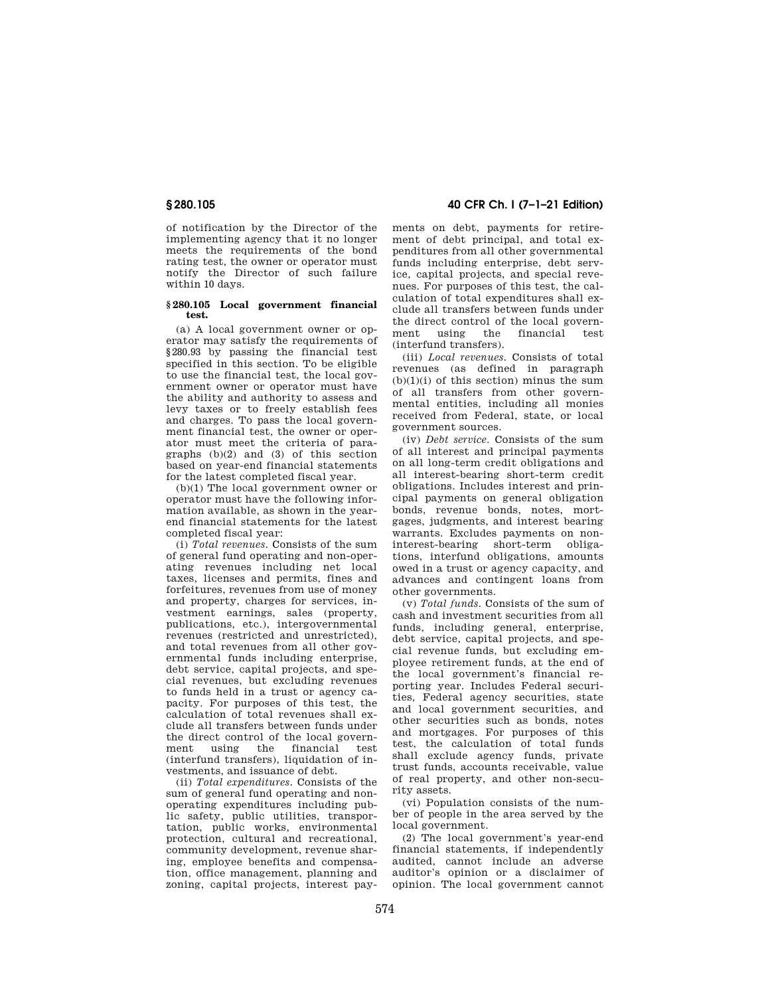of notification by the Director of the implementing agency that it no longer meets the requirements of the bond rating test, the owner or operator must notify the Director of such failure within 10 days.

## **§ 280.105 Local government financial test.**

(a) A local government owner or operator may satisfy the requirements of §280.93 by passing the financial test specified in this section. To be eligible to use the financial test, the local government owner or operator must have the ability and authority to assess and levy taxes or to freely establish fees and charges. To pass the local government financial test, the owner or operator must meet the criteria of paragraphs (b)(2) and (3) of this section based on year-end financial statements for the latest completed fiscal year.

(b)(1) The local government owner or operator must have the following information available, as shown in the yearend financial statements for the latest completed fiscal year:

(i) *Total revenues.* Consists of the sum of general fund operating and non-operating revenues including net local taxes, licenses and permits, fines and forfeitures, revenues from use of money and property, charges for services, investment earnings, sales (property, publications, etc.), intergovernmental revenues (restricted and unrestricted), and total revenues from all other governmental funds including enterprise, debt service, capital projects, and special revenues, but excluding revenues to funds held in a trust or agency capacity. For purposes of this test, the calculation of total revenues shall exclude all transfers between funds under the direct control of the local government using the financial test (interfund transfers), liquidation of investments, and issuance of debt.

(ii) *Total expenditures.* Consists of the sum of general fund operating and nonoperating expenditures including public safety, public utilities, transportation, public works, environmental protection, cultural and recreational, community development, revenue sharing, employee benefits and compensation, office management, planning and zoning, capital projects, interest pay-

# **§ 280.105 40 CFR Ch. I (7–1–21 Edition)**

ments on debt, payments for retirement of debt principal, and total expenditures from all other governmental funds including enterprise, debt service, capital projects, and special revenues. For purposes of this test, the calculation of total expenditures shall exclude all transfers between funds under the direct control of the local government using the financial test (interfund transfers).

(iii) *Local revenues.* Consists of total revenues (as defined in paragraph  $(b)(1)(i)$  of this section) minus the sum of all transfers from other governmental entities, including all monies received from Federal, state, or local government sources.

(iv) *Debt service.* Consists of the sum of all interest and principal payments on all long-term credit obligations and all interest-bearing short-term credit obligations. Includes interest and principal payments on general obligation bonds, revenue bonds, notes, mortgages, judgments, and interest bearing warrants. Excludes payments on noninterest-bearing short-term obligations, interfund obligations, amounts owed in a trust or agency capacity, and advances and contingent loans from other governments.

(v) *Total funds.* Consists of the sum of cash and investment securities from all funds, including general, enterprise, debt service, capital projects, and special revenue funds, but excluding employee retirement funds, at the end of the local government's financial reporting year. Includes Federal securities, Federal agency securities, state and local government securities, and other securities such as bonds, notes and mortgages. For purposes of this test, the calculation of total funds shall exclude agency funds, private trust funds, accounts receivable, value of real property, and other non-security assets.

(vi) Population consists of the number of people in the area served by the local government.

(2) The local government's year-end financial statements, if independently audited, cannot include an adverse auditor's opinion or a disclaimer of opinion. The local government cannot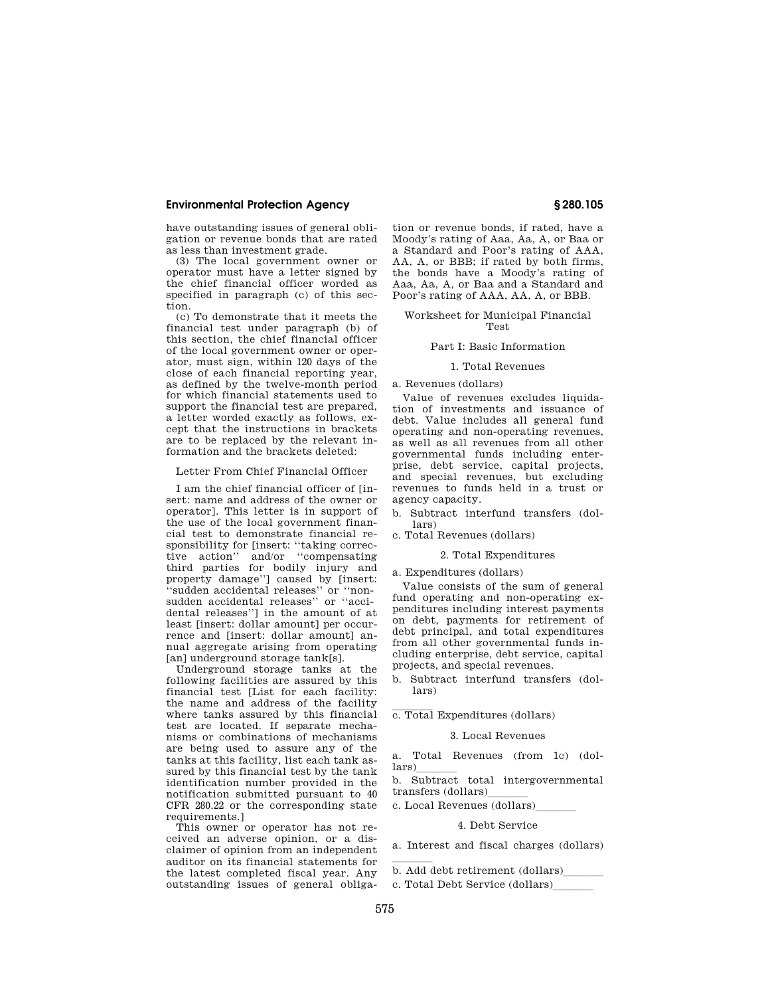have outstanding issues of general obligation or revenue bonds that are rated as less than investment grade.

(3) The local government owner or operator must have a letter signed by the chief financial officer worded as specified in paragraph (c) of this section.

(c) To demonstrate that it meets the financial test under paragraph (b) of this section, the chief financial officer of the local government owner or operator, must sign, within 120 days of the close of each financial reporting year, as defined by the twelve-month period for which financial statements used to support the financial test are prepared, a letter worded exactly as follows, except that the instructions in brackets are to be replaced by the relevant information and the brackets deleted:

# Letter From Chief Financial Officer

I am the chief financial officer of [insert: name and address of the owner or operator]. This letter is in support of the use of the local government financial test to demonstrate financial responsibility for [insert: ''taking corrective action'' and/or ''compensating third parties for bodily injury and property damage''] caused by [insert: ''sudden accidental releases'' or ''nonsudden accidental releases'' or ''accidental releases''] in the amount of at least [insert: dollar amount] per occurrence and [insert: dollar amount] annual aggregate arising from operating [an] underground storage tank[s].

Underground storage tanks at the following facilities are assured by this financial test [List for each facility: the name and address of the facility where tanks assured by this financial test are located. If separate mechanisms or combinations of mechanisms are being used to assure any of the tanks at this facility, list each tank assured by this financial test by the tank identification number provided in the notification submitted pursuant to 40 CFR 280.22 or the corresponding state requirements.]

This owner or operator has not received an adverse opinion, or a disclaimer of opinion from an independent auditor on its financial statements for the latest completed fiscal year. Any outstanding issues of general obliga-

tion or revenue bonds, if rated, have a Moody's rating of Aaa, Aa, A, or Baa or a Standard and Poor's rating of AAA, AA, A, or BBB; if rated by both firms, the bonds have a Moody's rating of Aaa, Aa, A, or Baa and a Standard and Poor's rating of AAA, AA, A, or BBB.

## Worksheet for Municipal Financial Test

## Part I: Basic Information

## 1. Total Revenues

a. Revenues (dollars)

Value of revenues excludes liquidation of investments and issuance of debt. Value includes all general fund operating and non-operating revenues, as well as all revenues from all other governmental funds including enterprise, debt service, capital projects, and special revenues, but excluding revenues to funds held in a trust or agency capacity.

- b. Subtract interfund transfers (dollars)
- c. Total Revenues (dollars)

## 2. Total Expenditures

## a. Expenditures (dollars)

Value consists of the sum of general fund operating and non-operating expenditures including interest payments on debt, payments for retirement of debt principal, and total expenditures from all other governmental funds including enterprise, debt service, capital projects, and special revenues.

b. Subtract interfund transfers (dollars)

# $\overline{\text{c. Total}}$  Expenditures (dollars)

#### 3. Local Revenues

a. Total Revenues (from 1c) (dol-

lars)\_\_\_\_\_\_\_<br>b. Subtract total intergovernmental transfers (dollars)

c. Local Revenues (dollars)

#### 4. Debt Service

a. Interest and fiscal charges (dollars)

- b. Add debt retirement (dollars)<br>
a Estal Debt Service (dellars)
- c. Total Debt Service (dollars)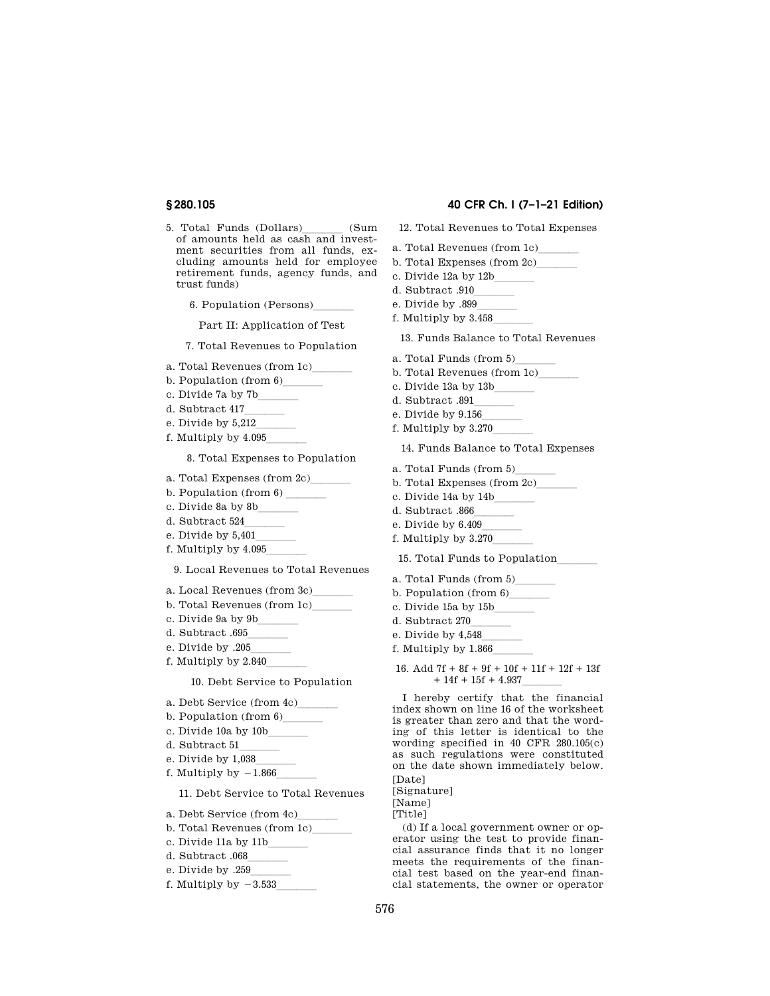5. Total Funds (Dollars) (Sum of amounts held as cash and investment securities from all funds, excluding amounts held for employee retirement funds, agency funds, and trust funds)

6. Population (Persons)

Part II: Application of Test

7. Total Revenues to Population

- a. Total Revenues (from 1c)
- b. Population (from  $6$ )
- c. Divide 7a by 7b
- d. Subtract 417
- e. Divide by 5,212
- f. Multiply by 4.095

8. Total Expenses to Population

- a. Total Expenses (from 2c)
- $b.$  Population (from  $6$ )
- c. Divide 8a by 8b
- d. Subtract 524
- e. Divide by 5,401
- f. Multiply by 4.095

9. Local Revenues to Total Revenues

- a. Local Revenues (from 3c)
- b. Total Revenues (from 1c)\_\_\_
- c. Divide 9a by 9b
- d. Subtract .695
- e. Divide by .205
- f. Multiply by 2.840

10. Debt Service to Population

- a. Debt Service (from 4c)
- $b.$  Population (from  $6$ )
- c. Divide 10a by 10b
- d. Subtract 51
- e. Divide by 1,038
- f. Multiply by  $-1.866$

11. Debt Service to Total Revenues

- a. Debt Service (from 4c)
- b. Total Revenues (from 1c)
- c. Divide 11a by 11b
- d. Subtract  $.068$ <br>e. Divide by  $.259$
- e. Divide by  $.259$ <br>f. Multiply by  $.259$
- f. Multiply by  $-3.533$

# **§ 280.105 40 CFR Ch. I (7–1–21 Edition)**

12. Total Revenues to Total Expenses

- a. Total Revenues (from 1c)
- b. Total Expenses (from 2c)
- c. Divide 12a by 12b
- d. Subtract .910
- e. Divide by .899
- f. Multiply by 3.458

13. Funds Balance to Total Revenues

- a. Total Funds (from 5)
- b. Total Revenues (from 1c)
- c. Divide 13a by 13b
- d. Subtract .891
- e. Divide by 9.156
- f. Multiply by 3.270

14. Funds Balance to Total Expenses

- a. Total Funds (from 5)
- b. Total Expenses (from 2c)
- c. Divide 14a by 14b
- d. Subtract .866
- e. Divide by 6.409
- f. Multiply by 3.270
- 15. Total Funds to Population
- a. Total Funds (from 5)
- b. Population (from  $6$ )
- c. Divide 15a by 15b
- d. Subtract 270
- e. Divide by 4,548
- f. Multiply by  $1.866$
- 16. Add 7f + 8f + 9f + 10f + 11f + 12f + 13f  $+ 14f + 15f + 4.937$

I hereby certify that the financial index shown on line 16 of the worksheet is greater than zero and that the wording of this letter is identical to the wording specified in 40 CFR 280.105(c) as such regulations were constituted on the date shown immediately below. [Date]

[Signature]

[Name]

[Title]

(d) If a local government owner or operator using the test to provide financial assurance finds that it no longer meets the requirements of the financial test based on the year-end financial statements, the owner or operator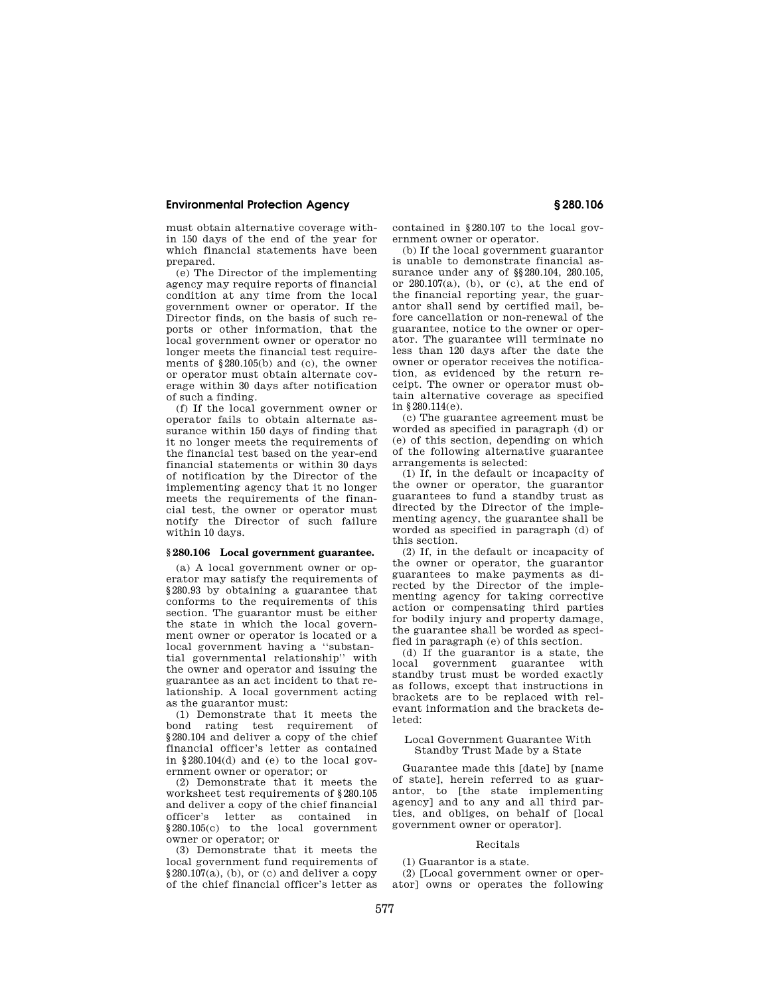must obtain alternative coverage within 150 days of the end of the year for which financial statements have been prepared.

(e) The Director of the implementing agency may require reports of financial condition at any time from the local government owner or operator. If the Director finds, on the basis of such reports or other information, that the local government owner or operator no longer meets the financial test requirements of §280.105(b) and (c), the owner or operator must obtain alternate coverage within 30 days after notification of such a finding.

(f) If the local government owner or operator fails to obtain alternate assurance within 150 days of finding that it no longer meets the requirements of the financial test based on the year-end financial statements or within 30 days of notification by the Director of the implementing agency that it no longer meets the requirements of the financial test, the owner or operator must notify the Director of such failure within 10 days.

## **§ 280.106 Local government guarantee.**

(a) A local government owner or operator may satisfy the requirements of §280.93 by obtaining a guarantee that conforms to the requirements of this section. The guarantor must be either the state in which the local government owner or operator is located or a local government having a ''substantial governmental relationship'' with the owner and operator and issuing the guarantee as an act incident to that relationship. A local government acting as the guarantor must:

(1) Demonstrate that it meets the bond rating test requirement of §280.104 and deliver a copy of the chief financial officer's letter as contained in §280.104(d) and (e) to the local government owner or operator; or

(2) Demonstrate that it meets the worksheet test requirements of §280.105 and deliver a copy of the chief financial officer's letter as contained in §280.105(c) to the local government owner or operator; or

(3) Demonstrate that it meets the local government fund requirements of  $§280.107(a)$ , (b), or (c) and deliver a copy of the chief financial officer's letter as

contained in §280.107 to the local government owner or operator.

(b) If the local government guarantor is unable to demonstrate financial assurance under any of §§280.104, 280.105, or 280.107(a), (b), or (c), at the end of the financial reporting year, the guarantor shall send by certified mail, before cancellation or non-renewal of the guarantee, notice to the owner or operator. The guarantee will terminate no less than 120 days after the date the owner or operator receives the notification, as evidenced by the return receipt. The owner or operator must obtain alternative coverage as specified in §280.114(e).

(c) The guarantee agreement must be worded as specified in paragraph (d) or (e) of this section, depending on which of the following alternative guarantee arrangements is selected:

(1) If, in the default or incapacity of the owner or operator, the guarantor guarantees to fund a standby trust as directed by the Director of the implementing agency, the guarantee shall be worded as specified in paragraph (d) of this section.

(2) If, in the default or incapacity of the owner or operator, the guarantor guarantees to make payments as directed by the Director of the implementing agency for taking corrective action or compensating third parties for bodily injury and property damage, the guarantee shall be worded as specified in paragraph (e) of this section.

(d) If the guarantor is a state, the local government guarantee with standby trust must be worded exactly as follows, except that instructions in brackets are to be replaced with relevant information and the brackets deleted:

## Local Government Guarantee With Standby Trust Made by a State

Guarantee made this [date] by [name of state], herein referred to as guarantor, to [the state implementing agency] and to any and all third parties, and obliges, on behalf of [local government owner or operator].

## Recitals

(1) Guarantor is a state.

(2) [Local government owner or operator] owns or operates the following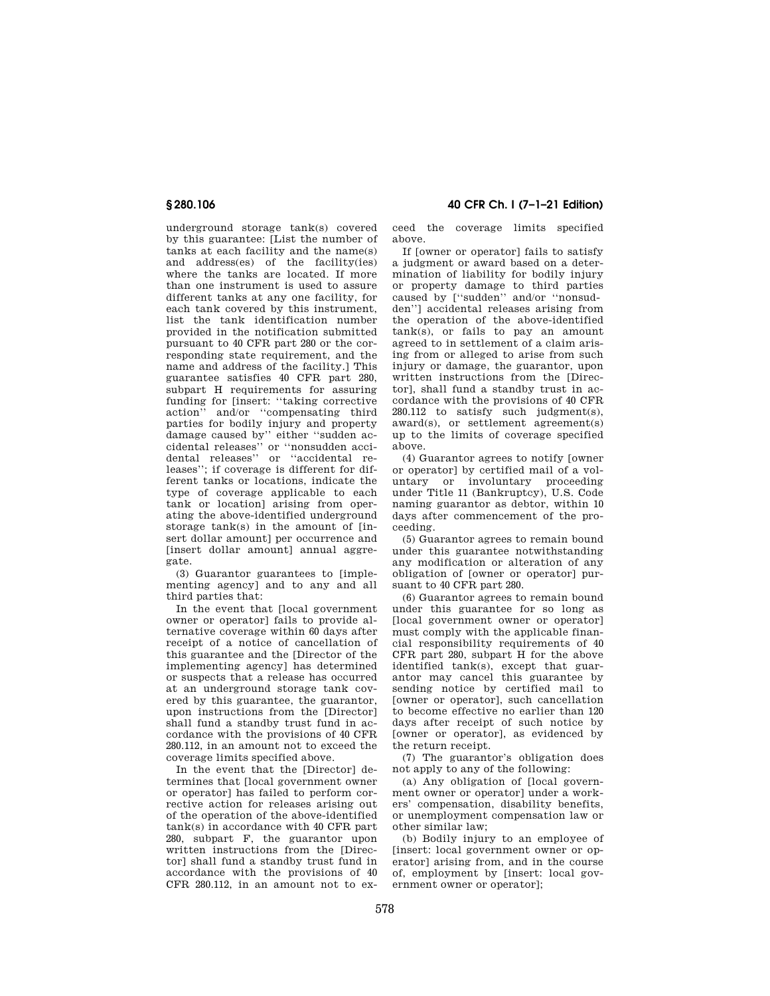underground storage tank(s) covered by this guarantee: [List the number of tanks at each facility and the name(s) and address(es) of the facility(ies) where the tanks are located. If more than one instrument is used to assure different tanks at any one facility, for each tank covered by this instrument, list the tank identification number provided in the notification submitted pursuant to 40 CFR part 280 or the corresponding state requirement, and the name and address of the facility.] This guarantee satisfies 40 CFR part 280, subpart H requirements for assuring funding for [insert: ''taking corrective action'' and/or ''compensating third parties for bodily injury and property damage caused by'' either ''sudden accidental releases'' or ''nonsudden accidental releases'' or ''accidental releases''; if coverage is different for different tanks or locations, indicate the type of coverage applicable to each tank or location] arising from operating the above-identified underground storage tank(s) in the amount of [insert dollar amount] per occurrence and [insert dollar amount] annual aggregate.

(3) Guarantor guarantees to [implementing agency] and to any and all third parties that:

In the event that [local government owner or operator] fails to provide alternative coverage within 60 days after receipt of a notice of cancellation of this guarantee and the [Director of the implementing agency] has determined or suspects that a release has occurred at an underground storage tank covered by this guarantee, the guarantor, upon instructions from the [Director] shall fund a standby trust fund in accordance with the provisions of 40 CFR 280.112, in an amount not to exceed the coverage limits specified above.

In the event that the [Director] determines that [local government owner or operator] has failed to perform corrective action for releases arising out of the operation of the above-identified tank(s) in accordance with 40 CFR part 280, subpart F, the guarantor upon written instructions from the [Director] shall fund a standby trust fund in accordance with the provisions of 40 CFR 280.112, in an amount not to ex-

**§ 280.106 40 CFR Ch. I (7–1–21 Edition)** 

ceed the coverage limits specified above.

If [owner or operator] fails to satisfy a judgment or award based on a determination of liability for bodily injury or property damage to third parties caused by [''sudden'' and/or ''nonsudden''] accidental releases arising from the operation of the above-identified  $tank(s)$ , or fails to pay an amount agreed to in settlement of a claim arising from or alleged to arise from such injury or damage, the guarantor, upon written instructions from the [Director], shall fund a standby trust in accordance with the provisions of 40 CFR  $280.112$  to satisfy such judgment(s), award(s), or settlement agreement(s) up to the limits of coverage specified above.

(4) Guarantor agrees to notify [owner or operator] by certified mail of a voluntary or involuntary proceeding under Title 11 (Bankruptcy), U.S. Code naming guarantor as debtor, within 10 days after commencement of the proceeding.

(5) Guarantor agrees to remain bound under this guarantee notwithstanding any modification or alteration of any obligation of [owner or operator] pursuant to 40 CFR part 280.

(6) Guarantor agrees to remain bound under this guarantee for so long as [local government owner or operator] must comply with the applicable financial responsibility requirements of 40 CFR part 280, subpart H for the above identified tank(s), except that guarantor may cancel this guarantee by sending notice by certified mail to [owner or operator], such cancellation to become effective no earlier than 120 days after receipt of such notice by [owner or operator], as evidenced by the return receipt.

(7) The guarantor's obligation does not apply to any of the following:

(a) Any obligation of [local government owner or operator] under a workers' compensation, disability benefits, or unemployment compensation law or other similar law;

(b) Bodily injury to an employee of [insert: local government owner or operator] arising from, and in the course of, employment by [insert: local government owner or operator];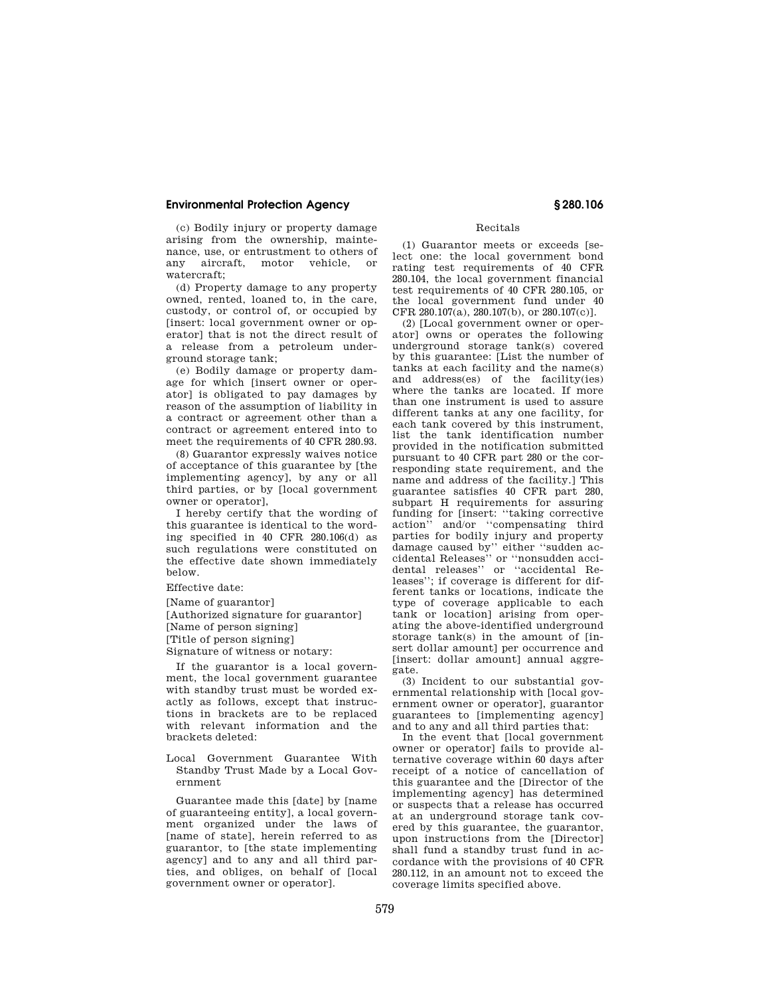(c) Bodily injury or property damage arising from the ownership, maintenance, use, or entrustment to others of any aircraft, motor vehicle, or watercraft;

(d) Property damage to any property owned, rented, loaned to, in the care, custody, or control of, or occupied by [insert: local government owner or operator] that is not the direct result of a release from a petroleum underground storage tank;

(e) Bodily damage or property damage for which [insert owner or operator] is obligated to pay damages by reason of the assumption of liability in a contract or agreement other than a contract or agreement entered into to meet the requirements of 40 CFR 280.93.

(8) Guarantor expressly waives notice of acceptance of this guarantee by [the implementing agency], by any or all third parties, or by [local government owner or operator],

I hereby certify that the wording of this guarantee is identical to the wording specified in 40 CFR 280.106(d) as such regulations were constituted on the effective date shown immediately below.

Effective date:

[Name of guarantor]

[Authorized signature for guarantor]

[Name of person signing]

[Title of person signing]

Signature of witness or notary:

If the guarantor is a local government, the local government guarantee with standby trust must be worded exactly as follows, except that instructions in brackets are to be replaced with relevant information and the brackets deleted:

Local Government Guarantee With Standby Trust Made by a Local Government

Guarantee made this [date] by [name of guaranteeing entity], a local government organized under the laws of [name of state], herein referred to as guarantor, to [the state implementing agency] and to any and all third parties, and obliges, on behalf of [local government owner or operator].

## Recitals

(1) Guarantor meets or exceeds [select one: the local government bond rating test requirements of 40 CFR 280.104, the local government financial test requirements of 40 CFR 280.105, or the local government fund under 40 CFR 280.107(a), 280.107(b), or 280.107(c)].

(2) [Local government owner or operator] owns or operates the following underground storage tank(s) covered by this guarantee: [List the number of tanks at each facility and the name(s) and address(es) of the facility(ies) where the tanks are located. If more than one instrument is used to assure different tanks at any one facility, for each tank covered by this instrument, list the tank identification number provided in the notification submitted pursuant to 40 CFR part 280 or the corresponding state requirement, and the name and address of the facility.] This guarantee satisfies 40 CFR part 280, subpart H requirements for assuring funding for [insert: "taking corrective<br>action" and/or "compensating third and/or "compensating third parties for bodily injury and property damage caused by'' either ''sudden accidental Releases'' or ''nonsudden accidental releases'' or ''accidental Releases''; if coverage is different for different tanks or locations, indicate the type of coverage applicable to each tank or location] arising from operating the above-identified underground storage tank(s) in the amount of [insert dollar amount] per occurrence and [insert: dollar amount] annual aggregate.

(3) Incident to our substantial governmental relationship with [local government owner or operator], guarantor guarantees to [implementing agency] and to any and all third parties that:

In the event that [local government owner or operator] fails to provide alternative coverage within 60 days after receipt of a notice of cancellation of this guarantee and the [Director of the implementing agency] has determined or suspects that a release has occurred at an underground storage tank covered by this guarantee, the guarantor, upon instructions from the [Director] shall fund a standby trust fund in accordance with the provisions of 40 CFR 280.112, in an amount not to exceed the coverage limits specified above.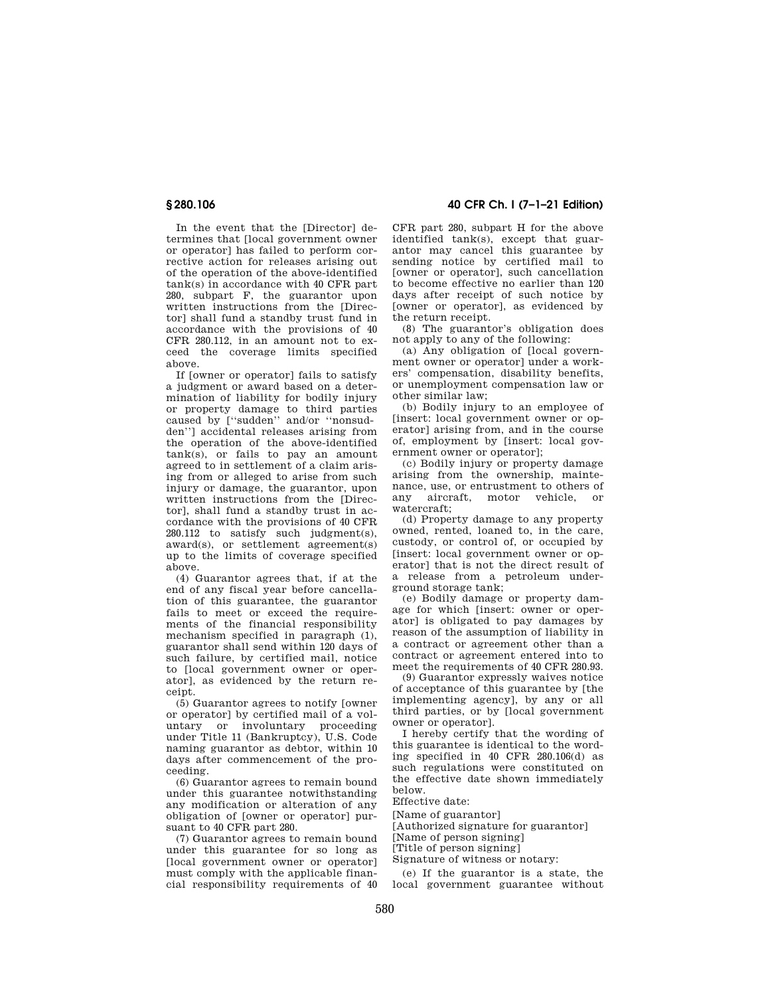In the event that the [Director] determines that [local government owner or operator] has failed to perform corrective action for releases arising out of the operation of the above-identified tank(s) in accordance with 40 CFR part 280, subpart F, the guarantor upon written instructions from the [Director] shall fund a standby trust fund in accordance with the provisions of 40 CFR 280.112, in an amount not to exceed the coverage limits specified above.

If [owner or operator] fails to satisfy a judgment or award based on a determination of liability for bodily injury or property damage to third parties caused by [''sudden'' and/or ''nonsudden''] accidental releases arising from the operation of the above-identified  $tank(s)$ , or fails to pay an amount agreed to in settlement of a claim arising from or alleged to arise from such injury or damage, the guarantor, upon written instructions from the [Director], shall fund a standby trust in accordance with the provisions of 40 CFR 280.112 to satisfy such judgment(s), award(s), or settlement agreement(s) up to the limits of coverage specified above.

(4) Guarantor agrees that, if at the end of any fiscal year before cancellation of this guarantee, the guarantor fails to meet or exceed the requirements of the financial responsibility mechanism specified in paragraph (1), guarantor shall send within 120 days of such failure, by certified mail, notice to [local government owner or operator], as evidenced by the return receipt.

(5) Guarantor agrees to notify [owner or operator] by certified mail of a voluntary or involuntary proceeding under Title 11 (Bankruptcy), U.S. Code naming guarantor as debtor, within 10 days after commencement of the proceeding.

(6) Guarantor agrees to remain bound under this guarantee notwithstanding any modification or alteration of any obligation of [owner or operator] pursuant to 40 CFR part 280.

(7) Guarantor agrees to remain bound under this guarantee for so long as [local government owner or operator] must comply with the applicable financial responsibility requirements of 40

# **§ 280.106 40 CFR Ch. I (7–1–21 Edition)**

CFR part 280, subpart H for the above identified tank(s), except that guarantor may cancel this guarantee by sending notice by certified mail to [owner or operator], such cancellation to become effective no earlier than 120 days after receipt of such notice by [owner or operator], as evidenced by the return receipt.

(8) The guarantor's obligation does not apply to any of the following:

(a) Any obligation of [local government owner or operator] under a workers' compensation, disability benefits, or unemployment compensation law or other similar law;

(b) Bodily injury to an employee of [insert: local government owner or operator] arising from, and in the course of, employment by [insert: local government owner or operator];

(c) Bodily injury or property damage arising from the ownership, maintenance, use, or entrustment to others of any aircraft, motor vehicle, or watercraft;

(d) Property damage to any property owned, rented, loaned to, in the care, custody, or control of, or occupied by [insert: local government owner or operator] that is not the direct result of a release from a petroleum underground storage tank;

(e) Bodily damage or property damage for which [insert: owner or operator] is obligated to pay damages by reason of the assumption of liability in a contract or agreement other than a contract or agreement entered into to meet the requirements of 40 CFR 280.93.

(9) Guarantor expressly waives notice of acceptance of this guarantee by [the implementing agency], by any or all third parties, or by [local government owner or operator].

I hereby certify that the wording of this guarantee is identical to the wording specified in 40 CFR 280.106(d) as such regulations were constituted on the effective date shown immediately below.

Effective date:

[Name of guarantor]

[Authorized signature for guarantor] [Name of person signing]

[Title of person signing]

Signature of witness or notary:

(e) If the guarantor is a state, the local government guarantee without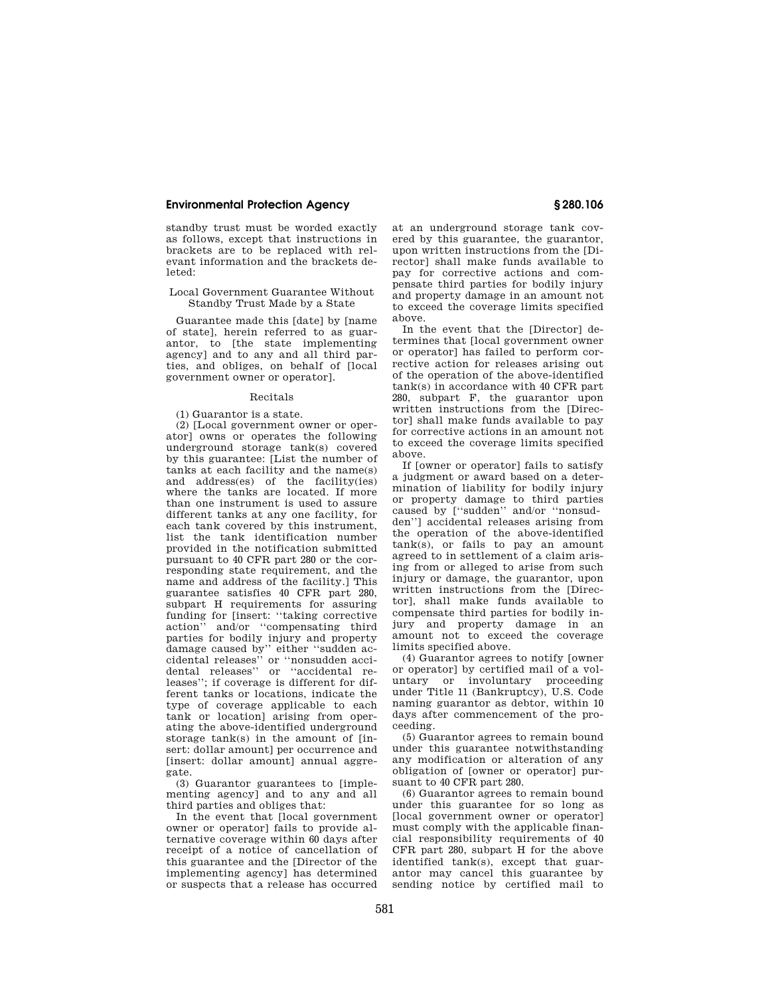standby trust must be worded exactly as follows, except that instructions in brackets are to be replaced with relevant information and the brackets deleted:

## Local Government Guarantee Without Standby Trust Made by a State

Guarantee made this [date] by [name of state], herein referred to as guarantor, to [the state implementing agency] and to any and all third parties, and obliges, on behalf of [local government owner or operator].

#### Recitals

(1) Guarantor is a state.

(2) [Local government owner or operator] owns or operates the following underground storage tank(s) covered by this guarantee: [List the number of tanks at each facility and the name(s) and address(es) of the facility(ies) where the tanks are located. If more than one instrument is used to assure different tanks at any one facility, for each tank covered by this instrument. list the tank identification number provided in the notification submitted pursuant to 40 CFR part 280 or the corresponding state requirement, and the name and address of the facility.] This guarantee satisfies 40 CFR part 280, subpart H requirements for assuring funding for [insert: ''taking corrective action'' and/or ''compensating third parties for bodily injury and property damage caused by'' either ''sudden accidental releases'' or ''nonsudden accidental releases'' or ''accidental releases''; if coverage is different for different tanks or locations, indicate the type of coverage applicable to each tank or location] arising from operating the above-identified underground storage tank(s) in the amount of [insert: dollar amount] per occurrence and [insert: dollar amount] annual aggregate.

(3) Guarantor guarantees to [implementing agency] and to any and all third parties and obliges that:

In the event that [local government owner or operator] fails to provide alternative coverage within 60 days after receipt of a notice of cancellation of this guarantee and the [Director of the implementing agency] has determined or suspects that a release has occurred

at an underground storage tank covered by this guarantee, the guarantor, upon written instructions from the [Director] shall make funds available to pay for corrective actions and compensate third parties for bodily injury and property damage in an amount not to exceed the coverage limits specified above.

In the event that the [Director] determines that [local government owner or operator] has failed to perform corrective action for releases arising out of the operation of the above-identified tank(s) in accordance with 40 CFR part 280, subpart F, the guarantor upon written instructions from the [Director] shall make funds available to pay for corrective actions in an amount not to exceed the coverage limits specified above.

If [owner or operator] fails to satisfy a judgment or award based on a determination of liability for bodily injury or property damage to third parties caused by [''sudden'' and/or ''nonsudden''] accidental releases arising from the operation of the above-identified  $tank(s)$ , or fails to pay an amount agreed to in settlement of a claim arising from or alleged to arise from such injury or damage, the guarantor, upon written instructions from the [Director], shall make funds available to compensate third parties for bodily injury and property damage in an amount not to exceed the coverage limits specified above.

(4) Guarantor agrees to notify [owner or operator] by certified mail of a voluntary or involuntary proceeding under Title 11 (Bankruptcy), U.S. Code naming guarantor as debtor, within 10 days after commencement of the proceeding.

(5) Guarantor agrees to remain bound under this guarantee notwithstanding any modification or alteration of any obligation of [owner or operator] pursuant to 40 CFR part 280.

(6) Guarantor agrees to remain bound under this guarantee for so long as [local government owner or operator] must comply with the applicable financial responsibility requirements of 40 CFR part 280, subpart H for the above identified tank(s), except that guarantor may cancel this guarantee by sending notice by certified mail to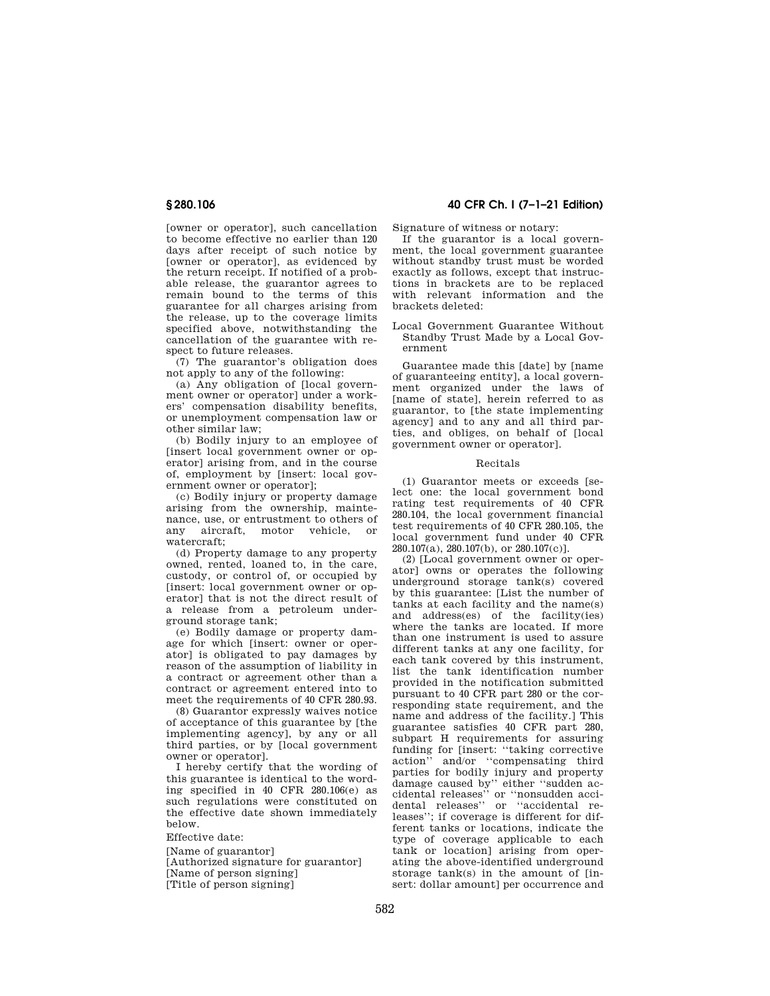[owner or operator], such cancellation to become effective no earlier than 120 days after receipt of such notice by [owner or operator], as evidenced by the return receipt. If notified of a probable release, the guarantor agrees to remain bound to the terms of this guarantee for all charges arising from the release, up to the coverage limits specified above, notwithstanding the cancellation of the guarantee with respect to future releases.

(7) The guarantor's obligation does not apply to any of the following:

(a) Any obligation of [local government owner or operator] under a workers' compensation disability benefits, or unemployment compensation law or other similar law;

(b) Bodily injury to an employee of [insert local government owner or operator] arising from, and in the course of, employment by [insert: local government owner or operator];

(c) Bodily injury or property damage arising from the ownership, maintenance, use, or entrustment to others of any aircraft, motor vehicle, or watercraft;

(d) Property damage to any property owned, rented, loaned to, in the care, custody, or control of, or occupied by [insert: local government owner or operator] that is not the direct result of a release from a petroleum underground storage tank;

(e) Bodily damage or property damage for which [insert: owner or operator] is obligated to pay damages by reason of the assumption of liability in a contract or agreement other than a contract or agreement entered into to meet the requirements of 40 CFR 280.93.

(8) Guarantor expressly waives notice of acceptance of this guarantee by [the implementing agency], by any or all third parties, or by [local government owner or operator].

I hereby certify that the wording of this guarantee is identical to the wording specified in 40 CFR 280.106(e) as such regulations were constituted on the effective date shown immediately below.

Effective date:

[Name of guarantor]

[Authorized signature for guarantor]

[Name of person signing]

[Title of person signing]

# **§ 280.106 40 CFR Ch. I (7–1–21 Edition)**

Signature of witness or notary:

If the guarantor is a local government, the local government guarantee without standby trust must be worded exactly as follows, except that instructions in brackets are to be replaced with relevant information and the brackets deleted:

Local Government Guarantee Without Standby Trust Made by a Local Government

Guarantee made this [date] by [name of guaranteeing entity], a local government organized under the laws of [name of state], herein referred to as guarantor, to [the state implementing agency] and to any and all third parties, and obliges, on behalf of [local government owner or operator].

## Recitals

(1) Guarantor meets or exceeds [select one: the local government bond rating test requirements of 40 CFR 280.104, the local government financial test requirements of 40 CFR 280.105, the local government fund under 40 CFR 280.107(a), 280.107(b), or 280.107(c)].

(2) [Local government owner or operator] owns or operates the following underground storage tank(s) covered by this guarantee: [List the number of tanks at each facility and the name(s) and address(es) of the facility(ies) where the tanks are located. If more than one instrument is used to assure different tanks at any one facility, for each tank covered by this instrument, list the tank identification number provided in the notification submitted pursuant to 40 CFR part 280 or the corresponding state requirement, and the name and address of the facility.] This guarantee satisfies 40 CFR part 280, subpart H requirements for assuring funding for [insert: ''taking corrective action'' and/or ''compensating third parties for bodily injury and property damage caused by'' either ''sudden accidental releases'' or ''nonsudden accidental releases'' or ''accidental releases''; if coverage is different for different tanks or locations, indicate the type of coverage applicable to each tank or location] arising from operating the above-identified underground storage tank(s) in the amount of [insert: dollar amount] per occurrence and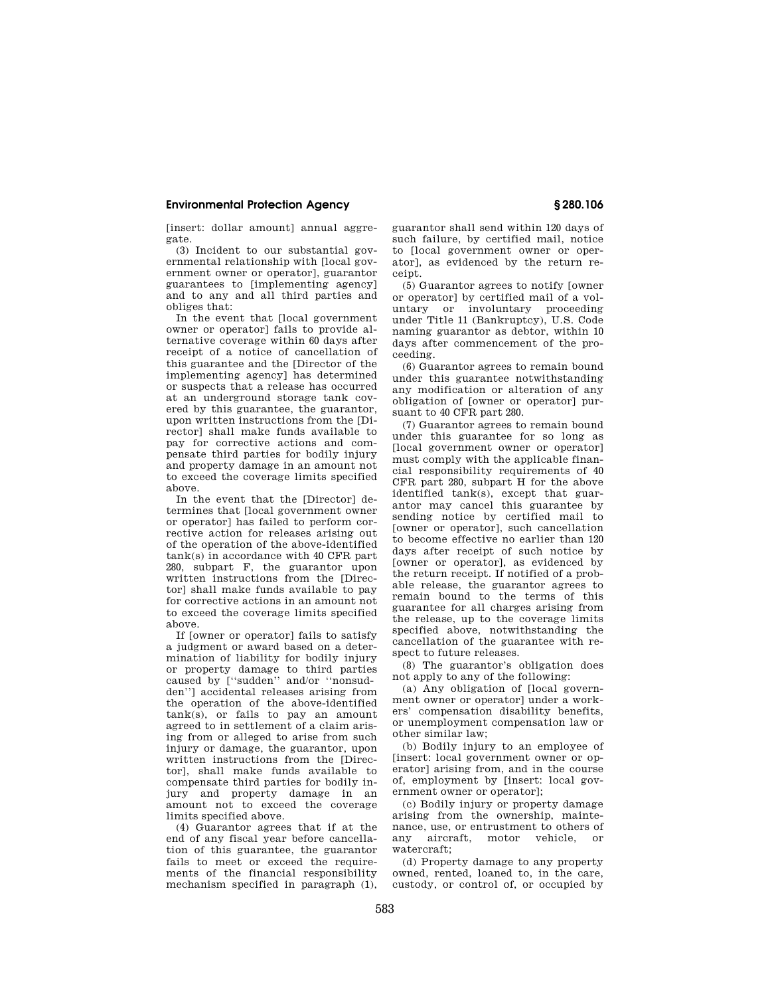[insert: dollar amount] annual aggregate.

 $(3)$  Incident to our substantial governmental relationship with [local government owner or operator], guarantor guarantees to [implementing agency] and to any and all third parties and obliges that:

In the event that [local government owner or operator] fails to provide alternative coverage within 60 days after receipt of a notice of cancellation of this guarantee and the [Director of the implementing agency] has determined or suspects that a release has occurred at an underground storage tank covered by this guarantee, the guarantor, upon written instructions from the [Director] shall make funds available to pay for corrective actions and compensate third parties for bodily injury and property damage in an amount not to exceed the coverage limits specified above.

In the event that the [Director] determines that [local government owner or operator] has failed to perform corrective action for releases arising out of the operation of the above-identified tank(s) in accordance with 40 CFR part 280, subpart F, the guarantor upon written instructions from the [Director] shall make funds available to pay for corrective actions in an amount not to exceed the coverage limits specified above.

If [owner or operator] fails to satisfy a judgment or award based on a determination of liability for bodily injury or property damage to third parties caused by [''sudden'' and/or ''nonsudden''] accidental releases arising from the operation of the above-identified  $tank(s)$ , or fails to pay an amount agreed to in settlement of a claim arising from or alleged to arise from such injury or damage, the guarantor, upon written instructions from the [Director], shall make funds available to compensate third parties for bodily injury and property damage in an amount not to exceed the coverage limits specified above.

(4) Guarantor agrees that if at the end of any fiscal year before cancellation of this guarantee, the guarantor fails to meet or exceed the requirements of the financial responsibility mechanism specified in paragraph (1), guarantor shall send within 120 days of such failure, by certified mail, notice to [local government owner or operator], as evidenced by the return receipt.

(5) Guarantor agrees to notify [owner or operator] by certified mail of a voluntary or involuntary proceeding under Title 11 (Bankruptcy), U.S. Code naming guarantor as debtor, within 10 days after commencement of the proceeding.

(6) Guarantor agrees to remain bound under this guarantee notwithstanding any modification or alteration of any obligation of [owner or operator] pursuant to 40 CFR part 280.

(7) Guarantor agrees to remain bound under this guarantee for so long as [local government owner or operator] must comply with the applicable financial responsibility requirements of 40 CFR part 280, subpart H for the above identified tank(s), except that guarantor may cancel this guarantee by sending notice by certified mail to [owner or operator], such cancellation to become effective no earlier than 120 days after receipt of such notice by [owner or operator], as evidenced by the return receipt. If notified of a probable release, the guarantor agrees to remain bound to the terms of this guarantee for all charges arising from the release, up to the coverage limits specified above, notwithstanding the cancellation of the guarantee with respect to future releases.

(8) The guarantor's obligation does not apply to any of the following:

(a) Any obligation of [local government owner or operator] under a workers' compensation disability benefits, or unemployment compensation law or other similar law;

(b) Bodily injury to an employee of [insert: local government owner or operator] arising from, and in the course of, employment by [insert: local government owner or operator];

(c) Bodily injury or property damage arising from the ownership, maintenance, use, or entrustment to others of any aircraft, motor vehicle, or watercraft;

(d) Property damage to any property owned, rented, loaned to, in the care, custody, or control of, or occupied by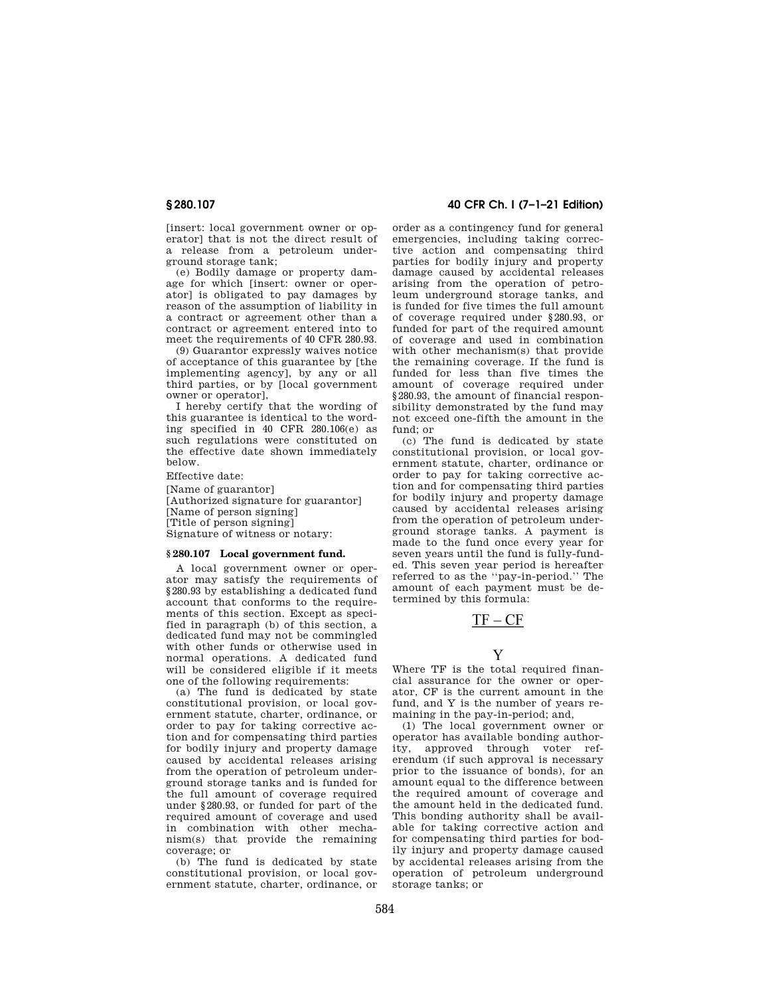[insert: local government owner or operator] that is not the direct result of a release from a petroleum underground storage tank;

(e) Bodily damage or property damage for which [insert: owner or operator] is obligated to pay damages by reason of the assumption of liability in a contract or agreement other than a contract or agreement entered into to meet the requirements of 40 CFR 280.93.

(9) Guarantor expressly waives notice of acceptance of this guarantee by [the implementing agency], by any or all third parties, or by [local government owner or operator],

I hereby certify that the wording of this guarantee is identical to the wording specified in 40 CFR 280.106(e) as such regulations were constituted on the effective date shown immediately below.

Effective date:

[Name of guarantor] [Authorized signature for guarantor] [Name of person signing] [Title of person signing] Signature of witness or notary:

## **§ 280.107 Local government fund.**

A local government owner or operator may satisfy the requirements of §280.93 by establishing a dedicated fund account that conforms to the requirements of this section. Except as specified in paragraph (b) of this section, a dedicated fund may not be commingled with other funds or otherwise used in normal operations. A dedicated fund will be considered eligible if it meets one of the following requirements:

(a) The fund is dedicated by state constitutional provision, or local government statute, charter, ordinance, or order to pay for taking corrective action and for compensating third parties for bodily injury and property damage caused by accidental releases arising from the operation of petroleum underground storage tanks and is funded for the full amount of coverage required under §280.93, or funded for part of the required amount of coverage and used in combination with other mechanism(s) that provide the remaining coverage; or

(b) The fund is dedicated by state constitutional provision, or local government statute, charter, ordinance, or

# **§ 280.107 40 CFR Ch. I (7–1–21 Edition)**

order as a contingency fund for general emergencies, including taking corrective action and compensating third parties for bodily injury and property damage caused by accidental releases arising from the operation of petroleum underground storage tanks, and is funded for five times the full amount of coverage required under §280.93, or funded for part of the required amount of coverage and used in combination with other mechanism(s) that provide the remaining coverage. If the fund is funded for less than five times the amount of coverage required under §280.93, the amount of financial responsibility demonstrated by the fund may not exceed one-fifth the amount in the fund; or

(c) The fund is dedicated by state constitutional provision, or local government statute, charter, ordinance or order to pay for taking corrective action and for compensating third parties for bodily injury and property damage caused by accidental releases arising from the operation of petroleum underground storage tanks. A payment is made to the fund once every year for seven years until the fund is fully-funded. This seven year period is hereafter referred to as the ''pay-in-period.'' The amount of each payment must be determined by this formula:

# $TF - CF$

# Y

Where TF is the total required financial assurance for the owner or operator, CF is the current amount in the fund, and Y is the number of years remaining in the pay-in-period; and,

(1) The local government owner or operator has available bonding authority, approved through voter referendum (if such approval is necessary prior to the issuance of bonds), for an amount equal to the difference between the required amount of coverage and the amount held in the dedicated fund. This bonding authority shall be available for taking corrective action and for compensating third parties for bodily injury and property damage caused by accidental releases arising from the operation of petroleum underground storage tanks; or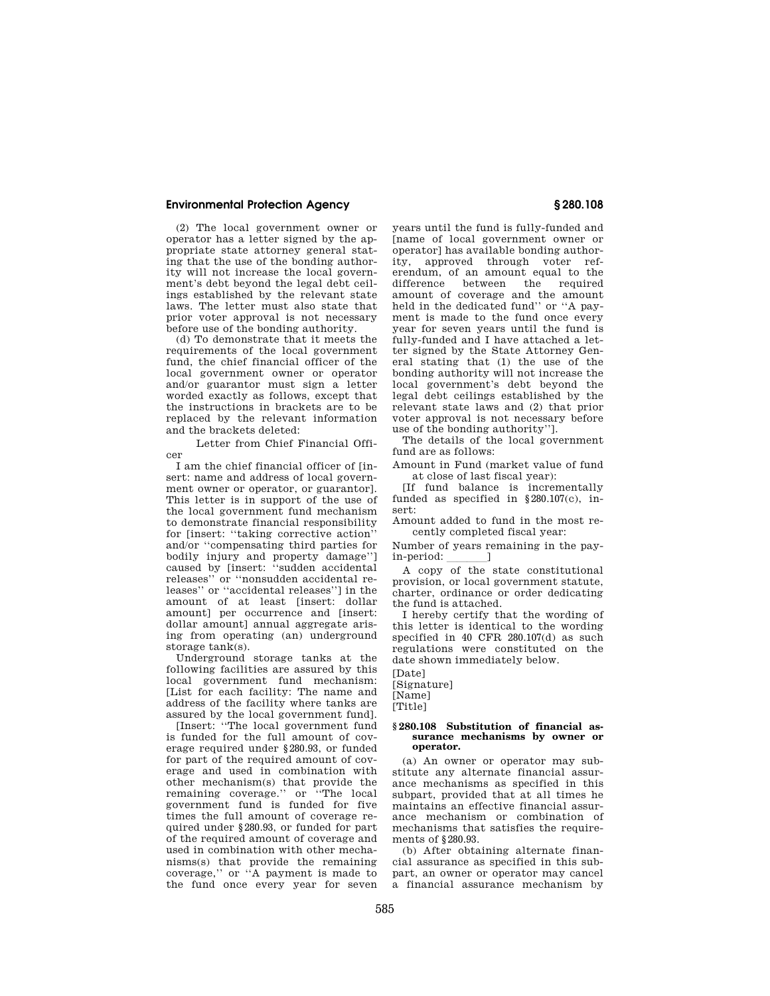(2) The local government owner or operator has a letter signed by the appropriate state attorney general stating that the use of the bonding authority will not increase the local government's debt beyond the legal debt ceilings established by the relevant state laws. The letter must also state that prior voter approval is not necessary before use of the bonding authority.

(d) To demonstrate that it meets the requirements of the local government fund, the chief financial officer of the local government owner or operator and/or guarantor must sign a letter worded exactly as follows, except that the instructions in brackets are to be replaced by the relevant information and the brackets deleted:

Letter from Chief Financial Officer

I am the chief financial officer of [insert: name and address of local government owner or operator, or guarantor]. This letter is in support of the use of the local government fund mechanism to demonstrate financial responsibility for [insert: ''taking corrective action'' and/or ''compensating third parties for bodily injury and property damage''] caused by [insert: ''sudden accidental releases'' or ''nonsudden accidental releases'' or ''accidental releases''] in the amount of at least [insert: dollar amount] per occurrence and [insert: dollar amount] annual aggregate arising from operating (an) underground storage tank(s).

Underground storage tanks at the following facilities are assured by this local government fund mechanism: [List for each facility: The name and address of the facility where tanks are assured by the local government fund].

[Insert: ''The local government fund is funded for the full amount of coverage required under §280.93, or funded for part of the required amount of coverage and used in combination with other mechanism(s) that provide the remaining coverage.'' or ''The local government fund is funded for five times the full amount of coverage required under §280.93, or funded for part of the required amount of coverage and used in combination with other mechanisms(s) that provide the remaining coverage,'' or ''A payment is made to the fund once every year for seven

years until the fund is fully-funded and [name of local government owner or operator] has available bonding authority, approved through voter referendum, of an amount equal to the difference between the required amount of coverage and the amount held in the dedicated fund'' or ''A payment is made to the fund once every year for seven years until the fund is fully-funded and I have attached a letter signed by the State Attorney General stating that (1) the use of the bonding authority will not increase the local government's debt beyond the legal debt ceilings established by the relevant state laws and (2) that prior voter approval is not necessary before use of the bonding authority''].

The details of the local government fund are as follows:

Amount in Fund (market value of fund at close of last fiscal year):

[If fund balance is incrementally funded as specified in §280.107(c), insert:

Amount added to fund in the most recently completed fiscal year:

Number of years remaining in the pay-

in-period: \_\_\_\_\_\_\_\_]<br>A copy of the state constitutional provision, or local government statute, charter, ordinance or order dedicating the fund is attached.

I hereby certify that the wording of this letter is identical to the wording specified in 40 CFR 280.107(d) as such regulations were constituted on the date shown immediately below.

[Date] [Signature] [Name] [Title]

## **§ 280.108 Substitution of financial assurance mechanisms by owner or operator.**

(a) An owner or operator may substitute any alternate financial assurance mechanisms as specified in this subpart, provided that at all times he maintains an effective financial assurance mechanism or combination of mechanisms that satisfies the requirements of §280.93.

(b) After obtaining alternate financial assurance as specified in this subpart, an owner or operator may cancel a financial assurance mechanism by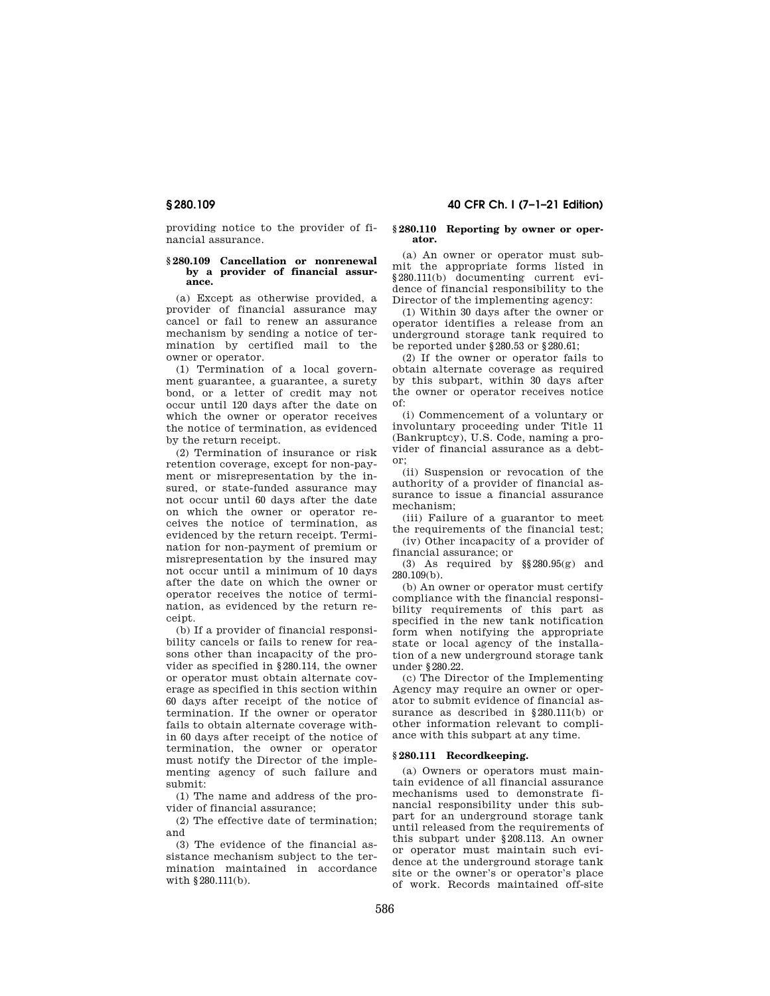providing notice to the provider of financial assurance.

## **§ 280.109 Cancellation or nonrenewal by a provider of financial assurance.**

(a) Except as otherwise provided, a provider of financial assurance may cancel or fail to renew an assurance mechanism by sending a notice of termination by certified mail to the owner or operator.

(1) Termination of a local government guarantee, a guarantee, a surety bond, or a letter of credit may not occur until 120 days after the date on which the owner or operator receives the notice of termination, as evidenced by the return receipt.

(2) Termination of insurance or risk retention coverage, except for non-payment or misrepresentation by the insured, or state-funded assurance may not occur until 60 days after the date on which the owner or operator receives the notice of termination, as evidenced by the return receipt. Termination for non-payment of premium or misrepresentation by the insured may not occur until a minimum of 10 days after the date on which the owner or operator receives the notice of termination, as evidenced by the return receipt.

(b) If a provider of financial responsibility cancels or fails to renew for reasons other than incapacity of the provider as specified in §280.114, the owner or operator must obtain alternate coverage as specified in this section within 60 days after receipt of the notice of termination. If the owner or operator fails to obtain alternate coverage within 60 days after receipt of the notice of termination, the owner or operator must notify the Director of the implementing agency of such failure and submit:

(1) The name and address of the provider of financial assurance;

(2) The effective date of termination; and

(3) The evidence of the financial assistance mechanism subject to the termination maintained in accordance with §280.111(b).

## **§ 280.110 Reporting by owner or operator.**

(a) An owner or operator must submit the appropriate forms listed in §280.111(b) documenting current evidence of financial responsibility to the Director of the implementing agency:

(1) Within 30 days after the owner or operator identifies a release from an underground storage tank required to be reported under §280.53 or §280.61;

(2) If the owner or operator fails to obtain alternate coverage as required by this subpart, within 30 days after the owner or operator receives notice of:

(i) Commencement of a voluntary or involuntary proceeding under Title 11 (Bankruptcy), U.S. Code, naming a provider of financial assurance as a debtor;

(ii) Suspension or revocation of the authority of a provider of financial assurance to issue a financial assurance mechanism;

(iii) Failure of a guarantor to meet the requirements of the financial test;

(iv) Other incapacity of a provider of financial assurance; or

(3) As required by §§280.95(g) and 280.109(b).

(b) An owner or operator must certify compliance with the financial responsibility requirements of this part as specified in the new tank notification form when notifying the appropriate state or local agency of the installation of a new underground storage tank under §280.22.

(c) The Director of the Implementing Agency may require an owner or operator to submit evidence of financial assurance as described in §280.111(b) or other information relevant to compliance with this subpart at any time.

## **§ 280.111 Recordkeeping.**

(a) Owners or operators must maintain evidence of all financial assurance mechanisms used to demonstrate financial responsibility under this subpart for an underground storage tank until released from the requirements of this subpart under §208.113. An owner or operator must maintain such evidence at the underground storage tank site or the owner's or operator's place of work. Records maintained off-site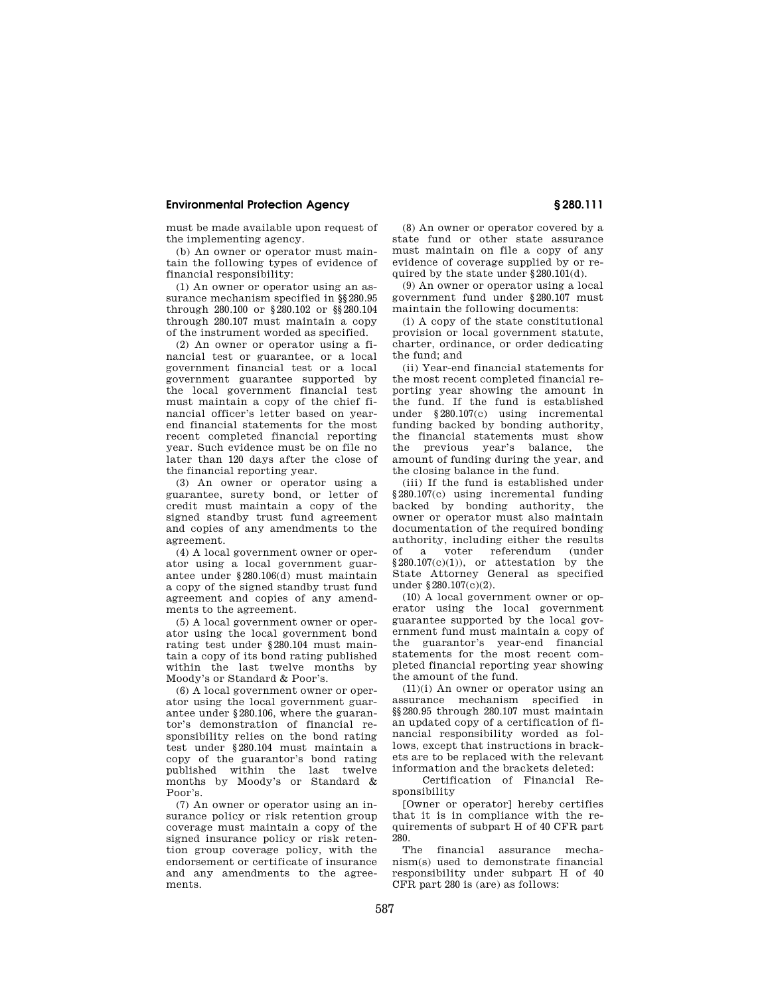must be made available upon request of the implementing agency.

(b) An owner or operator must maintain the following types of evidence of financial responsibility:

(1) An owner or operator using an assurance mechanism specified in §§280.95 through 280.100 or §280.102 or §§280.104 through 280.107 must maintain a copy of the instrument worded as specified.

(2) An owner or operator using a financial test or guarantee, or a local government financial test or a local government guarantee supported by the local government financial test must maintain a copy of the chief financial officer's letter based on yearend financial statements for the most recent completed financial reporting year. Such evidence must be on file no later than 120 days after the close of the financial reporting year.

(3) An owner or operator using a guarantee, surety bond, or letter of credit must maintain a copy of the signed standby trust fund agreement and copies of any amendments to the agreement.

(4) A local government owner or operator using a local government guarantee under §280.106(d) must maintain a copy of the signed standby trust fund agreement and copies of any amendments to the agreement.

(5) A local government owner or operator using the local government bond rating test under §280.104 must maintain a copy of its bond rating published within the last twelve months by Moody's or Standard & Poor's.

(6) A local government owner or operator using the local government guarantee under §280.106, where the guarantor's demonstration of financial responsibility relies on the bond rating test under §280.104 must maintain a copy of the guarantor's bond rating published within the last twelve months by Moody's or Standard & Poor's.

(7) An owner or operator using an insurance policy or risk retention group coverage must maintain a copy of the signed insurance policy or risk retention group coverage policy, with the endorsement or certificate of insurance and any amendments to the agreements.

(8) An owner or operator covered by a state fund or other state assurance must maintain on file a copy of any evidence of coverage supplied by or required by the state under §280.101(d).

(9) An owner or operator using a local government fund under §280.107 must maintain the following documents:

(i) A copy of the state constitutional provision or local government statute, charter, ordinance, or order dedicating the fund; and

(ii) Year-end financial statements for the most recent completed financial reporting year showing the amount in the fund. If the fund is established under §280.107(c) using incremental funding backed by bonding authority, the financial statements must show the previous year's balance, the amount of funding during the year, and the closing balance in the fund.

(iii) If the fund is established under §280.107(c) using incremental funding backed by bonding authority, the owner or operator must also maintain documentation of the required bonding authority, including either the results of a voter referendum (under  $§280.107(c)(1))$ , or attestation by the State Attorney General as specified under §280.107(c)(2).

(10) A local government owner or operator using the local government guarantee supported by the local government fund must maintain a copy of the guarantor's year-end financial statements for the most recent completed financial reporting year showing the amount of the fund.

(11)(i) An owner or operator using an assurance mechanism specified in §§280.95 through 280.107 must maintain an updated copy of a certification of financial responsibility worded as follows, except that instructions in brackets are to be replaced with the relevant information and the brackets deleted:

Certification of Financial Responsibility

[Owner or operator] hereby certifies that it is in compliance with the requirements of subpart H of 40 CFR part 280.

The financial assurance mechanism(s) used to demonstrate financial responsibility under subpart H of 40 CFR part 280 is (are) as follows: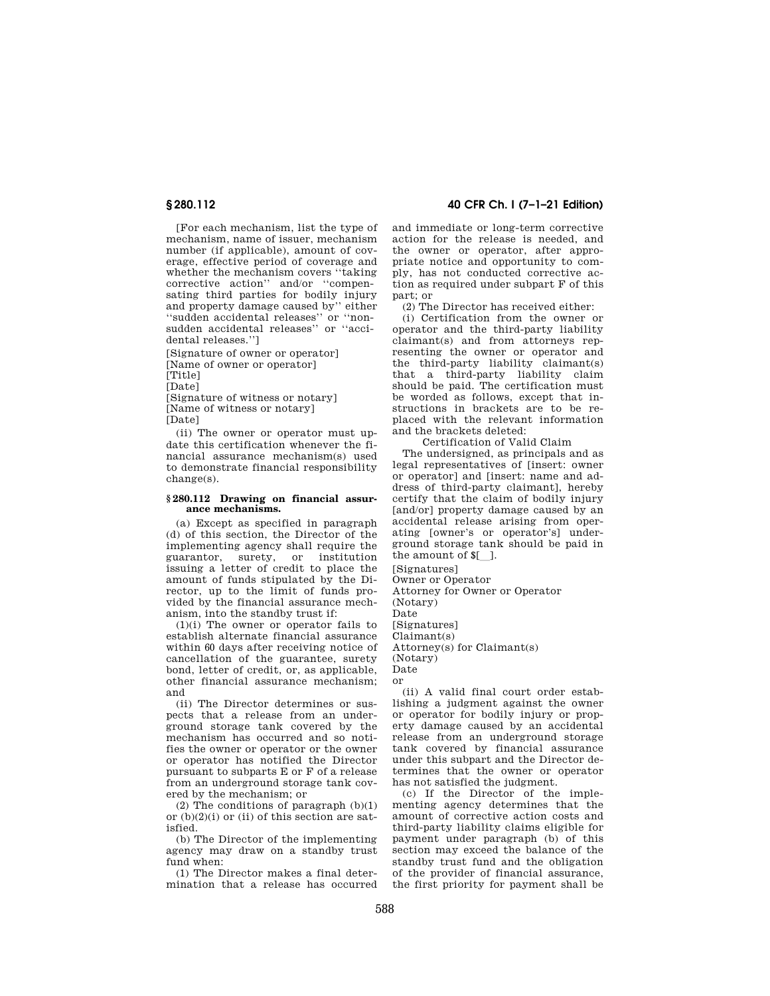[For each mechanism, list the type of mechanism, name of issuer, mechanism number (if applicable), amount of coverage, effective period of coverage and whether the mechanism covers ''taking corrective action'' and/or ''compensating third parties for bodily injury<br>and property damage caused by" either and property damage caused by' ''sudden accidental releases'' or ''nonsudden accidental releases'' or ''accidental releases.'']

[Signature of owner or operator] [Name of owner or operator] [Title] [Date] [Signature of witness or notary] [Name of witness or notary]

[Date]

(ii) The owner or operator must update this certification whenever the financial assurance mechanism(s) used to demonstrate financial responsibility change(s).

## **§ 280.112 Drawing on financial assurance mechanisms.**

(a) Except as specified in paragraph (d) of this section, the Director of the implementing agency shall require the guarantor, surety, or institution issuing a letter of credit to place the amount of funds stipulated by the Director, up to the limit of funds provided by the financial assurance mechanism, into the standby trust if:

(1)(i) The owner or operator fails to establish alternate financial assurance within 60 days after receiving notice of cancellation of the guarantee, surety bond, letter of credit, or, as applicable, other financial assurance mechanism; and

(ii) The Director determines or suspects that a release from an underground storage tank covered by the mechanism has occurred and so notifies the owner or operator or the owner or operator has notified the Director pursuant to subparts E or F of a release from an underground storage tank covered by the mechanism; or

(2) The conditions of paragraph (b)(1) or  $(b)(2)(i)$  or  $(ii)$  of this section are satisfied.

(b) The Director of the implementing agency may draw on a standby trust fund when:

(1) The Director makes a final determination that a release has occurred

# **§ 280.112 40 CFR Ch. I (7–1–21 Edition)**

and immediate or long-term corrective action for the release is needed, and the owner or operator, after appropriate notice and opportunity to comply, has not conducted corrective action as required under subpart F of this part; or

(2) The Director has received either:

(i) Certification from the owner or operator and the third-party liability claimant(s) and from attorneys representing the owner or operator and the third-party liability claimant(s) that a third-party liability claim should be paid. The certification must be worded as follows, except that instructions in brackets are to be replaced with the relevant information and the brackets deleted:

Certification of Valid Claim

The undersigned, as principals and as legal representatives of [insert: owner or operator] and [insert: name and address of third-party claimant], hereby certify that the claim of bodily injury [and/or] property damage caused by an accidental release arising from operating [owner's or operator's] underground storage tank should be paid in the amount of  $[$ ].

[Signatures] Owner or Operator

Attorney for Owner or Operator (Notary) Date [Signatures] Claimant(s) Attorney(s) for Claimant(s) (Notary)

Date or

(ii) A valid final court order establishing a judgment against the owner or operator for bodily injury or property damage caused by an accidental release from an underground storage tank covered by financial assurance under this subpart and the Director determines that the owner or operator has not satisfied the judgment.

(c) If the Director of the implementing agency determines that the amount of corrective action costs and third-party liability claims eligible for payment under paragraph (b) of this section may exceed the balance of the standby trust fund and the obligation of the provider of financial assurance, the first priority for payment shall be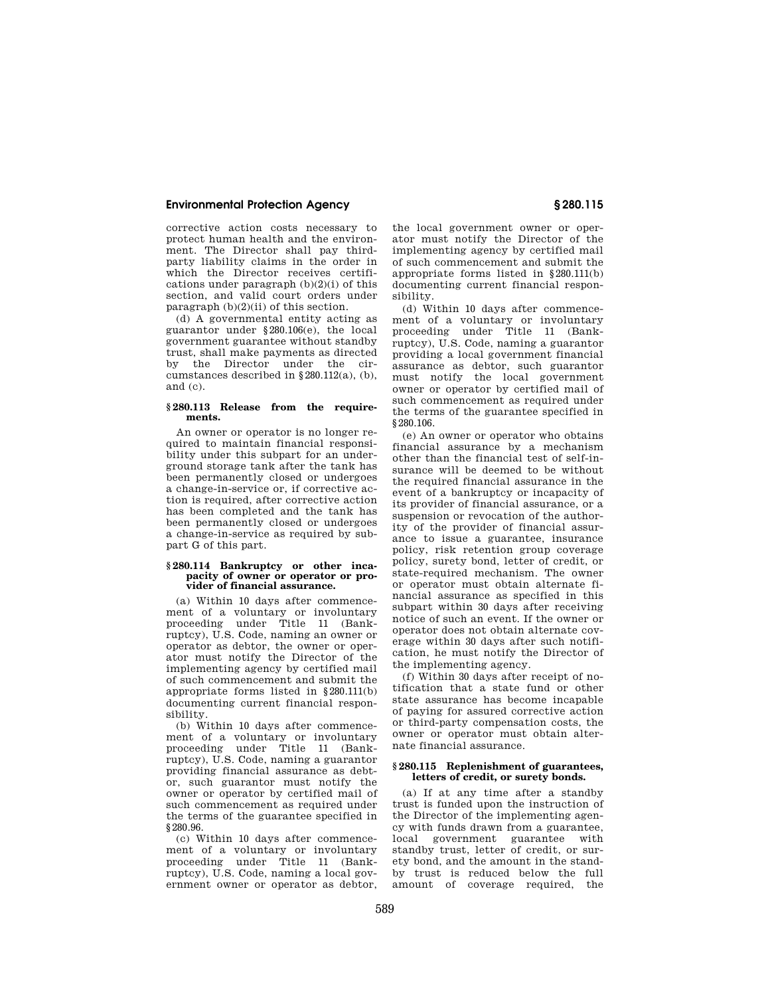corrective action costs necessary to protect human health and the environment. The Director shall pay thirdparty liability claims in the order in which the Director receives certifications under paragraph (b)(2)(i) of this section, and valid court orders under paragraph (b)(2)(ii) of this section.

(d) A governmental entity acting as guarantor under §280.106(e), the local government guarantee without standby trust, shall make payments as directed by the Director under the circumstances described in §280.112(a), (b), and (c).

# **§ 280.113 Release from the requirements.**

An owner or operator is no longer required to maintain financial responsibility under this subpart for an underground storage tank after the tank has been permanently closed or undergoes a change-in-service or, if corrective action is required, after corrective action has been completed and the tank has been permanently closed or undergoes a change-in-service as required by subpart G of this part.

### **§ 280.114 Bankruptcy or other incapacity of owner or operator or provider of financial assurance.**

(a) Within 10 days after commencement of a voluntary or involuntary proceeding under Title 11 (Bankruptcy), U.S. Code, naming an owner or operator as debtor, the owner or operator must notify the Director of the implementing agency by certified mail of such commencement and submit the appropriate forms listed in §280.111(b) documenting current financial responsibility.

(b) Within 10 days after commencement of a voluntary or involuntary proceeding under Title 11 (Bankruptcy), U.S. Code, naming a guarantor providing financial assurance as debtor, such guarantor must notify the owner or operator by certified mail of such commencement as required under the terms of the guarantee specified in §280.96.

(c) Within 10 days after commencement of a voluntary or involuntary proceeding under Title 11 (Bankruptcy), U.S. Code, naming a local government owner or operator as debtor, the local government owner or operator must notify the Director of the implementing agency by certified mail of such commencement and submit the appropriate forms listed in §280.111(b) documenting current financial responsibility.

(d) Within 10 days after commencement of a voluntary or involuntary proceeding under Title 11 (Bankruptcy), U.S. Code, naming a guarantor providing a local government financial assurance as debtor, such guarantor must notify the local government owner or operator by certified mail of such commencement as required under the terms of the guarantee specified in §280.106.

(e) An owner or operator who obtains financial assurance by a mechanism other than the financial test of self-insurance will be deemed to be without the required financial assurance in the event of a bankruptcy or incapacity of its provider of financial assurance, or a suspension or revocation of the authority of the provider of financial assurance to issue a guarantee, insurance policy, risk retention group coverage policy, surety bond, letter of credit, or state-required mechanism. The owner or operator must obtain alternate financial assurance as specified in this subpart within 30 days after receiving notice of such an event. If the owner or operator does not obtain alternate coverage within 30 days after such notification, he must notify the Director of the implementing agency.

(f) Within 30 days after receipt of notification that a state fund or other state assurance has become incapable of paying for assured corrective action or third-party compensation costs, the owner or operator must obtain alternate financial assurance.

## **§ 280.115 Replenishment of guarantees, letters of credit, or surety bonds.**

(a) If at any time after a standby trust is funded upon the instruction of the Director of the implementing agency with funds drawn from a guarantee, local government guarantee with standby trust, letter of credit, or surety bond, and the amount in the standby trust is reduced below the full amount of coverage required, the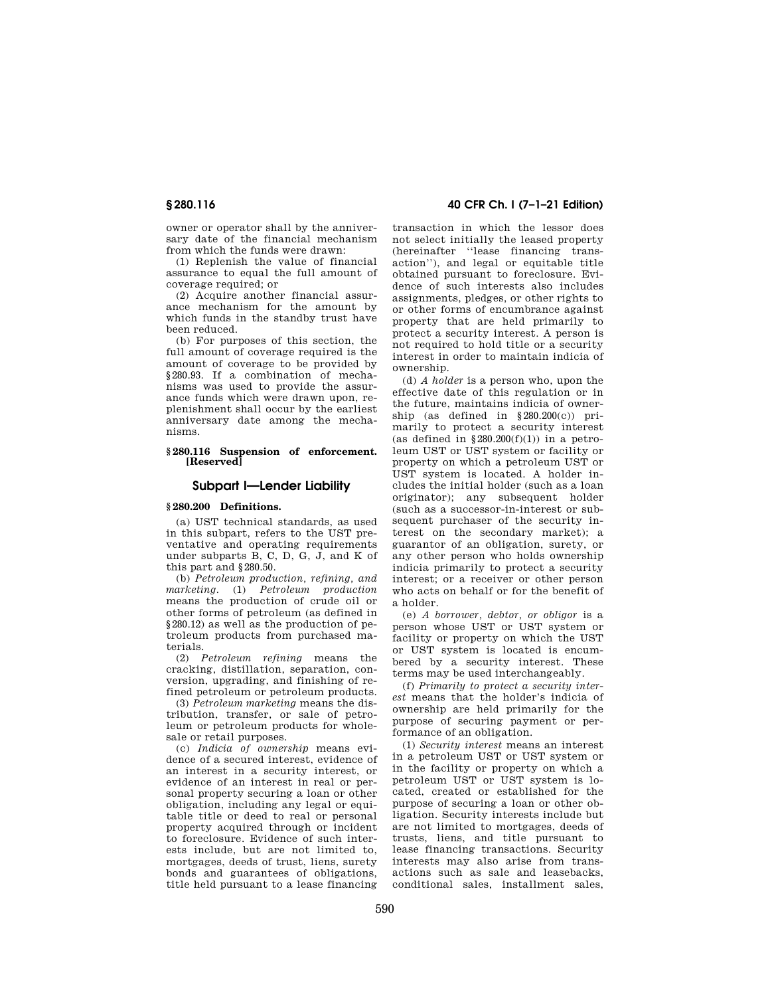owner or operator shall by the anniversary date of the financial mechanism from which the funds were drawn:

(1) Replenish the value of financial assurance to equal the full amount of coverage required; or

(2) Acquire another financial assurance mechanism for the amount by which funds in the standby trust have been reduced.

(b) For purposes of this section, the full amount of coverage required is the amount of coverage to be provided by §280.93. If a combination of mechanisms was used to provide the assurance funds which were drawn upon, replenishment shall occur by the earliest anniversary date among the mechanisms.

## **§ 280.116 Suspension of enforcement. [Reserved]**

# **Subpart I—Lender Liability**

# **§ 280.200 Definitions.**

(a) UST technical standards, as used in this subpart, refers to the UST preventative and operating requirements under subparts  $\overline{B}$ , C, D, G, J, and K of this part and §280.50.

(b) *Petroleum production, refining, and marketing.* (1) *Petroleum production*  means the production of crude oil or other forms of petroleum (as defined in §280.12) as well as the production of petroleum products from purchased materials.

(2) *Petroleum refining* means the cracking, distillation, separation, conversion, upgrading, and finishing of refined petroleum or petroleum products.

(3) *Petroleum marketing* means the distribution, transfer, or sale of petroleum or petroleum products for wholesale or retail purposes.

(c) *Indicia of ownership* means evidence of a secured interest, evidence of an interest in a security interest, or evidence of an interest in real or personal property securing a loan or other obligation, including any legal or equitable title or deed to real or personal property acquired through or incident to foreclosure. Evidence of such interests include, but are not limited to, mortgages, deeds of trust, liens, surety bonds and guarantees of obligations, title held pursuant to a lease financing

# **§ 280.116 40 CFR Ch. I (7–1–21 Edition)**

transaction in which the lessor does not select initially the leased property (hereinafter ''lease financing transaction''), and legal or equitable title obtained pursuant to foreclosure. Evidence of such interests also includes assignments, pledges, or other rights to or other forms of encumbrance against property that are held primarily to protect a security interest. A person is not required to hold title or a security interest in order to maintain indicia of ownership.

(d) *A holder* is a person who, upon the effective date of this regulation or in the future, maintains indicia of ownership (as defined in §280.200(c)) primarily to protect a security interest (as defined in  $§280.200(f)(1)$ ) in a petroleum UST or UST system or facility or property on which a petroleum UST or UST system is located. A holder includes the initial holder (such as a loan originator); any subsequent holder (such as a successor-in-interest or subsequent purchaser of the security interest on the secondary market); a guarantor of an obligation, surety, or any other person who holds ownership indicia primarily to protect a security interest; or a receiver or other person who acts on behalf or for the benefit of a holder.

(e) *A borrower, debtor, or obligor* is a person whose UST or UST system or facility or property on which the UST or UST system is located is encumbered by a security interest. These terms may be used interchangeably.

(f) *Primarily to protect a security interest* means that the holder's indicia of ownership are held primarily for the purpose of securing payment or performance of an obligation.

(1) *Security interest* means an interest in a petroleum UST or UST system or in the facility or property on which a petroleum UST or UST system is located, created or established for the purpose of securing a loan or other obligation. Security interests include but are not limited to mortgages, deeds of trusts, liens, and title pursuant to lease financing transactions. Security interests may also arise from transactions such as sale and leasebacks, conditional sales, installment sales,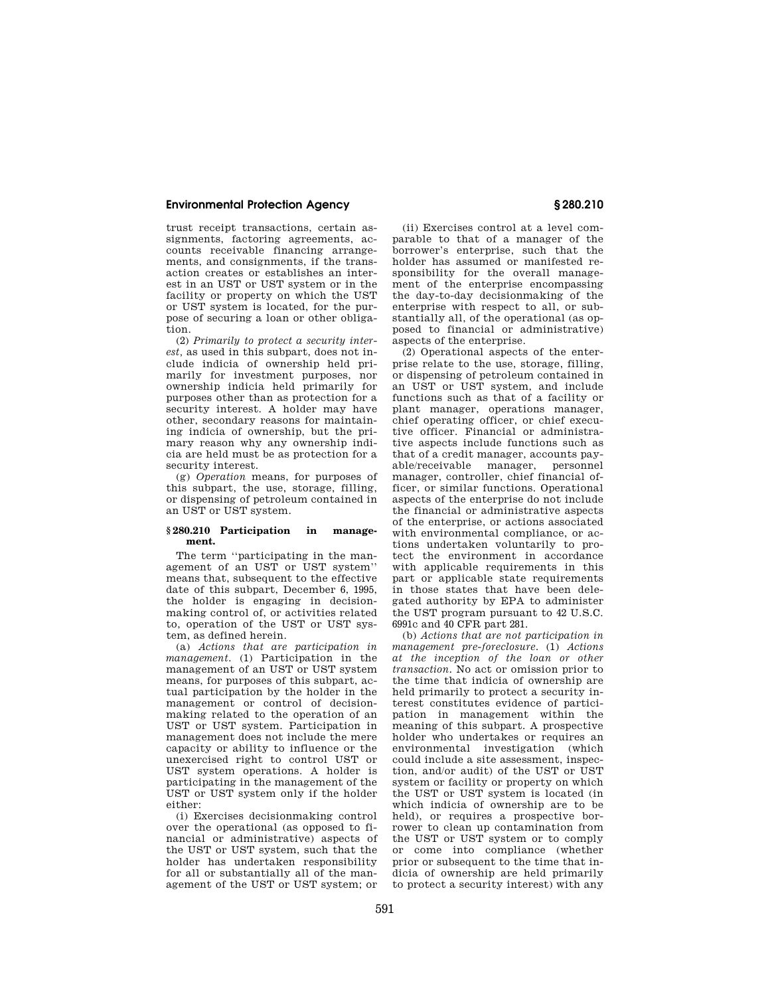trust receipt transactions, certain assignments, factoring agreements, accounts receivable financing arrangements, and consignments, if the transaction creates or establishes an interest in an UST or UST system or in the facility or property on which the UST or UST system is located, for the purpose of securing a loan or other obligation.

(2) *Primarily to protect a security interest,* as used in this subpart, does not include indicia of ownership held primarily for investment purposes, nor ownership indicia held primarily for purposes other than as protection for a security interest. A holder may have other, secondary reasons for maintaining indicia of ownership, but the primary reason why any ownership indicia are held must be as protection for a security interest.

(g) *Operation* means, for purposes of this subpart, the use, storage, filling, or dispensing of petroleum contained in an UST or UST system.

## **§ 280.210 Participation in management.**

The term ''participating in the management of an UST or UST system'' means that, subsequent to the effective date of this subpart, December 6, 1995, the holder is engaging in decisionmaking control of, or activities related to, operation of the UST or UST system, as defined herein.

(a) *Actions that are participation in management.* (1) Participation in the management of an UST or UST system means, for purposes of this subpart, actual participation by the holder in the management or control of decisionmaking related to the operation of an UST or UST system. Participation in management does not include the mere capacity or ability to influence or the unexercised right to control UST or UST system operations. A holder is participating in the management of the UST or UST system only if the holder either:

(i) Exercises decisionmaking control over the operational (as opposed to financial or administrative) aspects of the UST or UST system, such that the holder has undertaken responsibility for all or substantially all of the management of the UST or UST system; or

(ii) Exercises control at a level comparable to that of a manager of the borrower's enterprise, such that the holder has assumed or manifested responsibility for the overall management of the enterprise encompassing the day-to-day decisionmaking of the enterprise with respect to all, or substantially all, of the operational (as opposed to financial or administrative) aspects of the enterprise.

(2) Operational aspects of the enterprise relate to the use, storage, filling, or dispensing of petroleum contained in an UST or UST system, and include functions such as that of a facility or plant manager, operations manager, chief operating officer, or chief executive officer. Financial or administrative aspects include functions such as that of a credit manager, accounts payable/receivable manager, personnel manager, controller, chief financial officer, or similar functions. Operational aspects of the enterprise do not include the financial or administrative aspects of the enterprise, or actions associated with environmental compliance, or actions undertaken voluntarily to protect the environment in accordance with applicable requirements in this part or applicable state requirements in those states that have been delegated authority by EPA to administer the UST program pursuant to 42 U.S.C. 6991c and 40 CFR part 281.

(b) *Actions that are not participation in management pre-foreclosure.* (1) *Actions at the inception of the loan or other transaction.* No act or omission prior to the time that indicia of ownership are held primarily to protect a security interest constitutes evidence of participation in management within the meaning of this subpart. A prospective holder who undertakes or requires an environmental investigation (which could include a site assessment, inspection, and/or audit) of the UST or UST system or facility or property on which the UST or UST system is located (in which indicia of ownership are to be held), or requires a prospective borrower to clean up contamination from the UST or UST system or to comply or come into compliance (whether prior or subsequent to the time that indicia of ownership are held primarily to protect a security interest) with any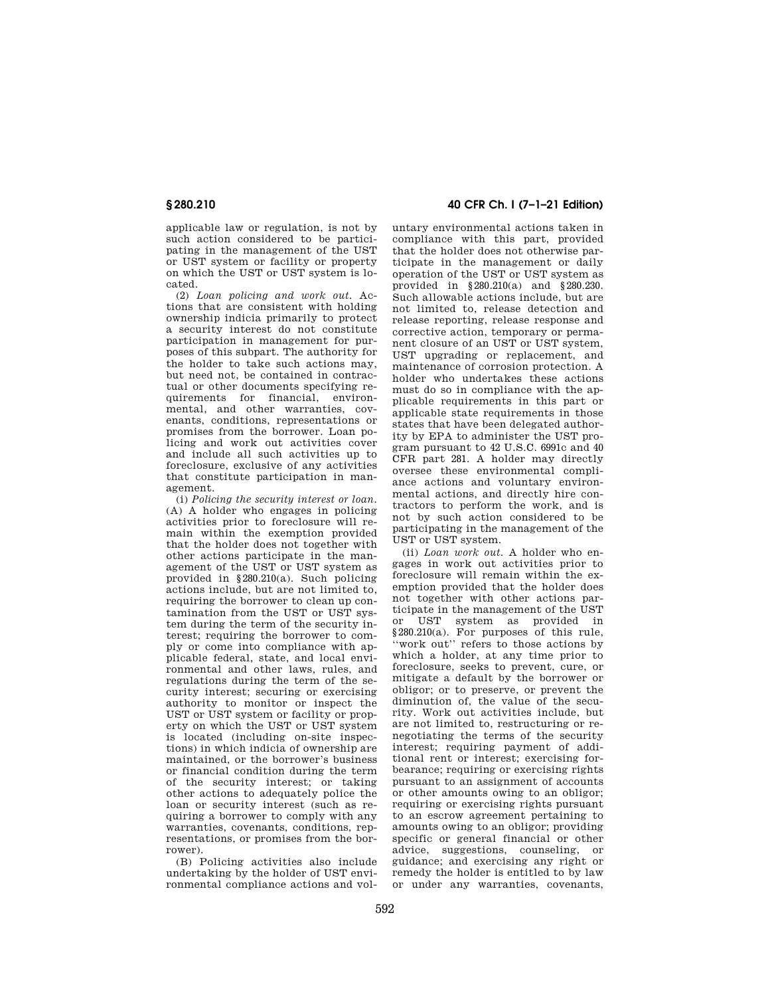applicable law or regulation, is not by such action considered to be participating in the management of the UST or UST system or facility or property on which the UST or UST system is located.

(2) *Loan policing and work out.* Actions that are consistent with holding ownership indicia primarily to protect a security interest do not constitute participation in management for purposes of this subpart. The authority for the holder to take such actions may, but need not, be contained in contractual or other documents specifying requirements for financial, environmental, and other warranties, covenants, conditions, representations or promises from the borrower. Loan policing and work out activities cover and include all such activities up to foreclosure, exclusive of any activities that constitute participation in management.

(i) *Policing the security interest or loan.*  (A) A holder who engages in policing activities prior to foreclosure will remain within the exemption provided that the holder does not together with other actions participate in the management of the UST or UST system as provided in §280.210(a). Such policing actions include, but are not limited to, requiring the borrower to clean up contamination from the UST or UST system during the term of the security interest; requiring the borrower to comply or come into compliance with applicable federal, state, and local environmental and other laws, rules, and regulations during the term of the security interest; securing or exercising authority to monitor or inspect the UST or UST system or facility or property on which the UST or UST system is located (including on-site inspections) in which indicia of ownership are maintained, or the borrower's business or financial condition during the term of the security interest; or taking other actions to adequately police the loan or security interest (such as requiring a borrower to comply with any warranties, covenants, conditions, representations, or promises from the borrower).

(B) Policing activities also include undertaking by the holder of UST environmental compliance actions and vol-

# **§ 280.210 40 CFR Ch. I (7–1–21 Edition)**

untary environmental actions taken in compliance with this part, provided that the holder does not otherwise participate in the management or daily operation of the UST or UST system as provided in §280.210(a) and §280.230. Such allowable actions include, but are not limited to, release detection and release reporting, release response and corrective action, temporary or permanent closure of an UST or UST system, UST upgrading or replacement, and maintenance of corrosion protection. A holder who undertakes these actions must do so in compliance with the applicable requirements in this part or applicable state requirements in those states that have been delegated authority by EPA to administer the UST program pursuant to 42 U.S.C. 6991c and 40 CFR part 281. A holder may directly oversee these environmental compliance actions and voluntary environmental actions, and directly hire contractors to perform the work, and is not by such action considered to be participating in the management of the UST or UST system.

(ii) *Loan work out.* A holder who engages in work out activities prior to foreclosure will remain within the exemption provided that the holder does not together with other actions participate in the management of the UST or UST system as provided in §280.210(a). For purposes of this rule, ''work out'' refers to those actions by which a holder, at any time prior to foreclosure, seeks to prevent, cure, or mitigate a default by the borrower or obligor; or to preserve, or prevent the diminution of, the value of the security. Work out activities include, but are not limited to, restructuring or renegotiating the terms of the security interest; requiring payment of additional rent or interest; exercising forbearance; requiring or exercising rights pursuant to an assignment of accounts or other amounts owing to an obligor; requiring or exercising rights pursuant to an escrow agreement pertaining to amounts owing to an obligor; providing specific or general financial or other advice, suggestions, counseling, or guidance; and exercising any right or remedy the holder is entitled to by law or under any warranties, covenants,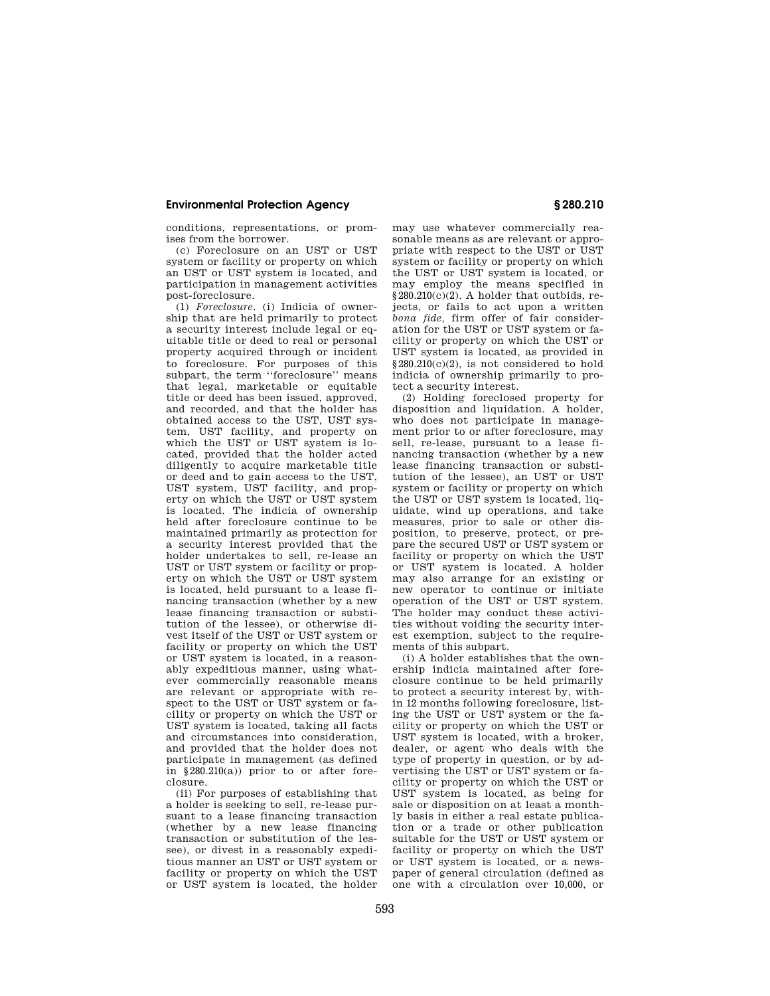conditions, representations, or promises from the borrower.

(c) Foreclosure on an UST or UST system or facility or property on which an UST or UST system is located, and participation in management activities post-foreclosure.

(1) *Foreclosure.* (i) Indicia of ownership that are held primarily to protect a security interest include legal or equitable title or deed to real or personal property acquired through or incident to foreclosure. For purposes of this subpart, the term ''foreclosure'' means that legal, marketable or equitable title or deed has been issued, approved, and recorded, and that the holder has obtained access to the UST, UST system, UST facility, and property on which the UST or UST system is located, provided that the holder acted diligently to acquire marketable title or deed and to gain access to the UST, UST system, UST facility, and property on which the UST or UST system is located. The indicia of ownership held after foreclosure continue to be maintained primarily as protection for a security interest provided that the holder undertakes to sell, re-lease an UST or UST system or facility or property on which the UST or UST system is located, held pursuant to a lease financing transaction (whether by a new lease financing transaction or substitution of the lessee), or otherwise divest itself of the UST or UST system or facility or property on which the UST or UST system is located, in a reasonably expeditious manner, using whatever commercially reasonable means are relevant or appropriate with respect to the UST or UST system or facility or property on which the UST or UST system is located, taking all facts and circumstances into consideration, and provided that the holder does not participate in management (as defined in  $§280.210(a)$  prior to or after foreclosure.

(ii) For purposes of establishing that a holder is seeking to sell, re-lease pursuant to a lease financing transaction (whether by a new lease financing transaction or substitution of the lessee), or divest in a reasonably expeditious manner an UST or UST system or facility or property on which the UST or UST system is located, the holder

may use whatever commercially reasonable means as are relevant or appropriate with respect to the UST or UST system or facility or property on which the UST or UST system is located, or may employ the means specified in  $§280.210(c)(2)$ . A holder that outbids, rejects, or fails to act upon a written *bona fide,* firm offer of fair consideration for the UST or UST system or facility or property on which the UST or UST system is located, as provided in §280.210(c)(2), is not considered to hold indicia of ownership primarily to protect a security interest.

(2) Holding foreclosed property for disposition and liquidation. A holder, who does not participate in management prior to or after foreclosure, may sell, re-lease, pursuant to a lease financing transaction (whether by a new lease financing transaction or substitution of the lessee), an UST or UST system or facility or property on which the UST or UST system is located, liquidate, wind up operations, and take measures, prior to sale or other disposition, to preserve, protect, or prepare the secured UST or UST system or facility or property on which the UST or UST system is located. A holder may also arrange for an existing or new operator to continue or initiate operation of the UST or UST system. The holder may conduct these activities without voiding the security interest exemption, subject to the requirements of this subpart.

(i) A holder establishes that the ownership indicia maintained after foreclosure continue to be held primarily to protect a security interest by, within 12 months following foreclosure, listing the UST or UST system or the facility or property on which the UST or UST system is located, with a broker, dealer, or agent who deals with the type of property in question, or by advertising the UST or UST system or facility or property on which the UST or UST system is located, as being for sale or disposition on at least a monthly basis in either a real estate publication or a trade or other publication suitable for the UST or UST system or facility or property on which the UST or UST system is located, or a newspaper of general circulation (defined as one with a circulation over 10,000, or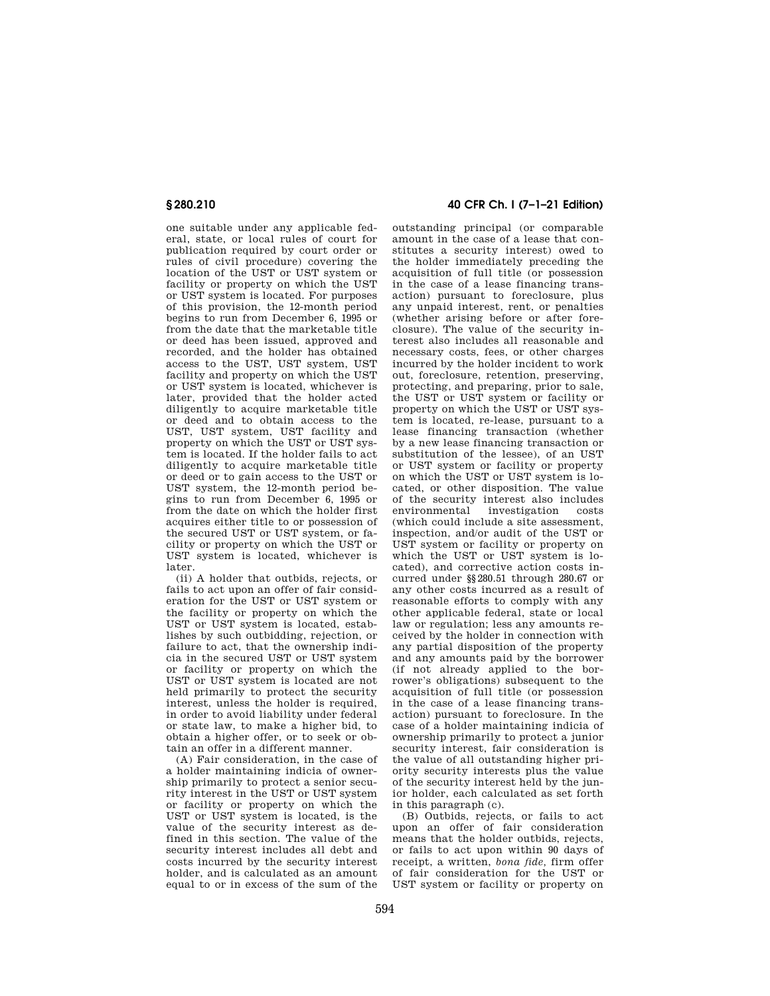one suitable under any applicable federal, state, or local rules of court for publication required by court order or rules of civil procedure) covering the location of the UST or UST system or facility or property on which the UST or UST system is located. For purposes of this provision, the 12-month period begins to run from December 6, 1995 or from the date that the marketable title or deed has been issued, approved and recorded, and the holder has obtained access to the UST, UST system, UST facility and property on which the UST or UST system is located, whichever is later, provided that the holder acted diligently to acquire marketable title or deed and to obtain access to the UST, UST system, UST facility and property on which the UST or UST system is located. If the holder fails to act diligently to acquire marketable title or deed or to gain access to the UST or UST system, the 12-month period begins to run from December 6, 1995 or from the date on which the holder first acquires either title to or possession of the secured UST or UST system, or facility or property on which the UST or UST system is located, whichever is later.

(ii) A holder that outbids, rejects, or fails to act upon an offer of fair consideration for the UST or UST system or the facility or property on which the UST or UST system is located, establishes by such outbidding, rejection, or failure to act, that the ownership indicia in the secured UST or UST system or facility or property on which the UST or UST system is located are not held primarily to protect the security interest, unless the holder is required, in order to avoid liability under federal or state law, to make a higher bid, to obtain a higher offer, or to seek or obtain an offer in a different manner.

(A) Fair consideration, in the case of a holder maintaining indicia of ownership primarily to protect a senior security interest in the UST or UST system or facility or property on which the UST or UST system is located, is the value of the security interest as defined in this section. The value of the security interest includes all debt and costs incurred by the security interest holder, and is calculated as an amount equal to or in excess of the sum of the

## **§ 280.210 40 CFR Ch. I (7–1–21 Edition)**

outstanding principal (or comparable amount in the case of a lease that constitutes a security interest) owed to the holder immediately preceding the acquisition of full title (or possession in the case of a lease financing transaction) pursuant to foreclosure, plus any unpaid interest, rent, or penalties (whether arising before or after foreclosure). The value of the security interest also includes all reasonable and necessary costs, fees, or other charges incurred by the holder incident to work out, foreclosure, retention, preserving, protecting, and preparing, prior to sale, the UST or UST system or facility or property on which the UST or UST system is located, re-lease, pursuant to a lease financing transaction (whether by a new lease financing transaction or substitution of the lessee), of an UST or UST system or facility or property on which the UST or UST system is located, or other disposition. The value of the security interest also includes environmental investigation costs (which could include a site assessment, inspection, and/or audit of the UST or UST system or facility or property on which the UST or UST system is located), and corrective action costs incurred under §§280.51 through 280.67 or any other costs incurred as a result of reasonable efforts to comply with any other applicable federal, state or local law or regulation; less any amounts received by the holder in connection with any partial disposition of the property and any amounts paid by the borrower (if not already applied to the borrower's obligations) subsequent to the acquisition of full title (or possession in the case of a lease financing transaction) pursuant to foreclosure. In the case of a holder maintaining indicia of ownership primarily to protect a junior security interest, fair consideration is the value of all outstanding higher priority security interests plus the value of the security interest held by the junior holder, each calculated as set forth in this paragraph (c).

(B) Outbids, rejects, or fails to act upon an offer of fair consideration means that the holder outbids, rejects, or fails to act upon within 90 days of receipt, a written, *bona fide,* firm offer of fair consideration for the UST or UST system or facility or property on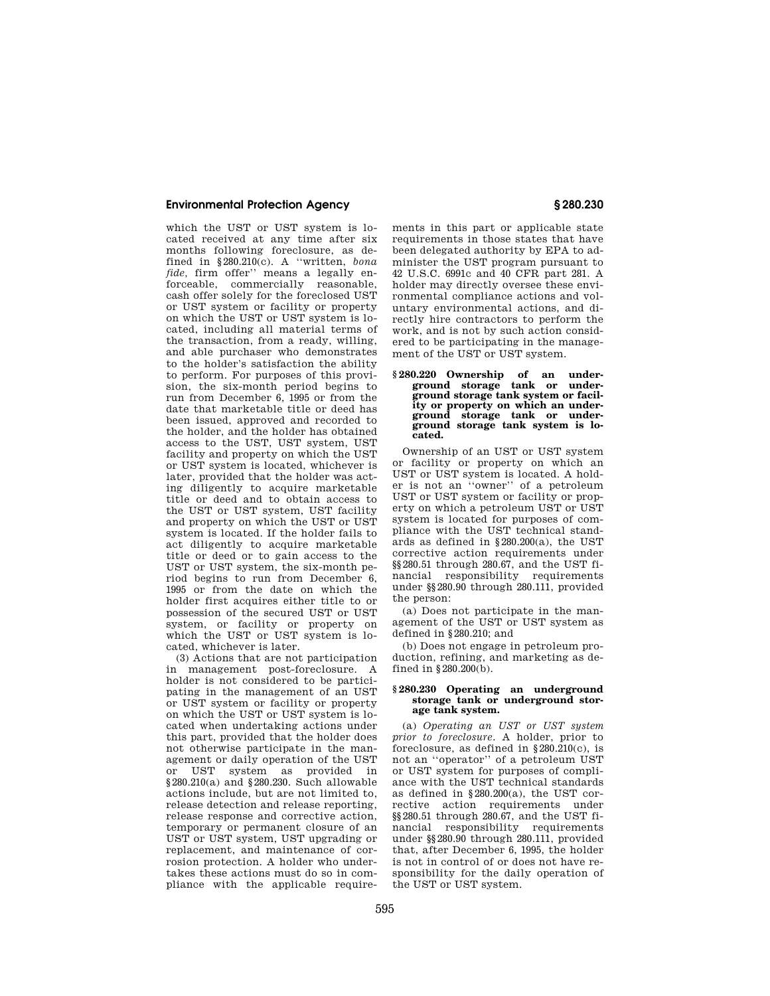which the UST or UST system is located received at any time after six months following foreclosure, as defined in §280.210(c). A ''written, *bona fide,* firm offer'' means a legally enforceable, commercially reasonable, cash offer solely for the foreclosed UST or UST system or facility or property on which the UST or UST system is located, including all material terms of the transaction, from a ready, willing, and able purchaser who demonstrates to the holder's satisfaction the ability to perform. For purposes of this provision, the six-month period begins to run from December 6, 1995 or from the date that marketable title or deed has been issued, approved and recorded to the holder, and the holder has obtained access to the UST, UST system, UST facility and property on which the UST or UST system is located, whichever is later, provided that the holder was acting diligently to acquire marketable title or deed and to obtain access to the UST or UST system, UST facility and property on which the UST or UST system is located. If the holder fails to act diligently to acquire marketable title or deed or to gain access to the UST or UST system, the six-month period begins to run from December 6, 1995 or from the date on which the holder first acquires either title to or possession of the secured UST or UST system, or facility or property on which the UST or UST system is located, whichever is later.

(3) Actions that are not participation in management post-foreclosure. A holder is not considered to be participating in the management of an UST or UST system or facility or property on which the UST or UST system is located when undertaking actions under this part, provided that the holder does not otherwise participate in the management or daily operation of the UST or UST system as provided in §280.210(a) and §280.230. Such allowable actions include, but are not limited to, release detection and release reporting, release response and corrective action, temporary or permanent closure of an UST or UST system, UST upgrading or replacement, and maintenance of corrosion protection. A holder who undertakes these actions must do so in compliance with the applicable requirements in this part or applicable state requirements in those states that have been delegated authority by EPA to administer the UST program pursuant to 42 U.S.C. 6991c and 40 CFR part 281. A holder may directly oversee these environmental compliance actions and voluntary environmental actions, and directly hire contractors to perform the work, and is not by such action considered to be participating in the management of the UST or UST system.

#### **§ 280.220 Ownership of an under**ground storage tank or **ground storage tank system or facility or property on which an underground storage tank or underground storage tank system is located.**

Ownership of an UST or UST system or facility or property on which an UST or UST system is located. A holder is not an ''owner'' of a petroleum UST or UST system or facility or property on which a petroleum UST or UST system is located for purposes of compliance with the UST technical standards as defined in §280.200(a), the UST corrective action requirements under §§280.51 through 280.67, and the UST financial responsibility requirements under §§280.90 through 280.111, provided the person:

(a) Does not participate in the management of the UST or UST system as defined in §280.210; and

(b) Does not engage in petroleum production, refining, and marketing as defined in §280.200(b).

#### **§ 280.230 Operating an underground storage tank or underground storage tank system.**

(a) *Operating an UST or UST system prior to foreclosure.* A holder, prior to foreclosure, as defined in §280.210(c), is not an ''operator'' of a petroleum UST or UST system for purposes of compliance with the UST technical standards as defined in §280.200(a), the UST corrective action requirements under §§280.51 through 280.67, and the UST financial responsibility requirements under §§280.90 through 280.111, provided that, after December 6, 1995, the holder is not in control of or does not have responsibility for the daily operation of the UST or UST system.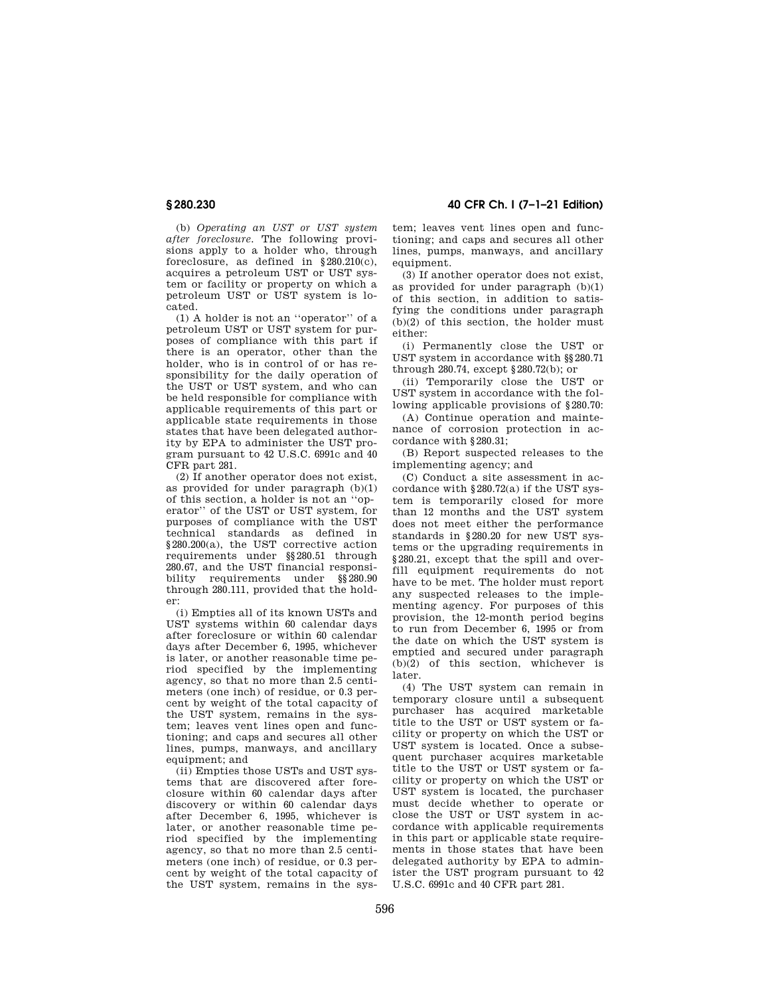(b) *Operating an UST or UST system after foreclosure.* The following provisions apply to a holder who, through foreclosure, as defined in §280.210(c), acquires a petroleum UST or UST system or facility or property on which a petroleum UST or UST system is located.

(1) A holder is not an ''operator'' of a petroleum UST or UST system for purposes of compliance with this part if there is an operator, other than the holder, who is in control of or has responsibility for the daily operation of the UST or UST system, and who can be held responsible for compliance with applicable requirements of this part or applicable state requirements in those states that have been delegated authority by EPA to administer the UST program pursuant to 42 U.S.C. 6991c and 40 CFR part 281.

(2) If another operator does not exist, as provided for under paragraph  $(b)(1)$ of this section, a holder is not an ''operator'' of the UST or UST system, for purposes of compliance with the UST technical standards as defined in §280.200(a), the UST corrective action requirements under §§280.51 through 280.67, and the UST financial responsibility requirements under §§280.90 through 280.111, provided that the holder:

(i) Empties all of its known USTs and UST systems within 60 calendar days after foreclosure or within 60 calendar days after December 6, 1995, whichever is later, or another reasonable time period specified by the implementing agency, so that no more than 2.5 centimeters (one inch) of residue, or 0.3 percent by weight of the total capacity of the UST system, remains in the system; leaves vent lines open and functioning; and caps and secures all other lines, pumps, manways, and ancillary equipment; and

(ii) Empties those USTs and UST systems that are discovered after foreclosure within 60 calendar days after discovery or within 60 calendar days after December 6, 1995, whichever is later, or another reasonable time period specified by the implementing agency, so that no more than 2.5 centimeters (one inch) of residue, or 0.3 percent by weight of the total capacity of the UST system, remains in the sys-

## **§ 280.230 40 CFR Ch. I (7–1–21 Edition)**

tem; leaves vent lines open and functioning; and caps and secures all other lines, pumps, manways, and ancillary equipment.

(3) If another operator does not exist, as provided for under paragraph (b)(1) of this section, in addition to satisfying the conditions under paragraph (b)(2) of this section, the holder must either:

(i) Permanently close the UST or UST system in accordance with §§280.71 through 280.74, except §280.72(b); or

(ii) Temporarily close the UST or UST system in accordance with the following applicable provisions of §280.70:

(A) Continue operation and maintenance of corrosion protection in accordance with §280.31;

(B) Report suspected releases to the implementing agency; and

(C) Conduct a site assessment in accordance with §280.72(a) if the UST system is temporarily closed for more than 12 months and the UST system does not meet either the performance standards in §280.20 for new UST systems or the upgrading requirements in §280.21, except that the spill and overfill equipment requirements do not have to be met. The holder must report any suspected releases to the implementing agency. For purposes of this provision, the 12-month period begins to run from December 6, 1995 or from the date on which the UST system is emptied and secured under paragraph (b)(2) of this section, whichever is later.

(4) The UST system can remain in temporary closure until a subsequent purchaser has acquired marketable title to the UST or UST system or facility or property on which the UST or UST system is located. Once a subsequent purchaser acquires marketable title to the UST or UST system or facility or property on which the UST or UST system is located, the purchaser must decide whether to operate or close the UST or UST system in accordance with applicable requirements in this part or applicable state requirements in those states that have been delegated authority by EPA to administer the UST program pursuant to 42 U.S.C. 6991c and 40 CFR part 281.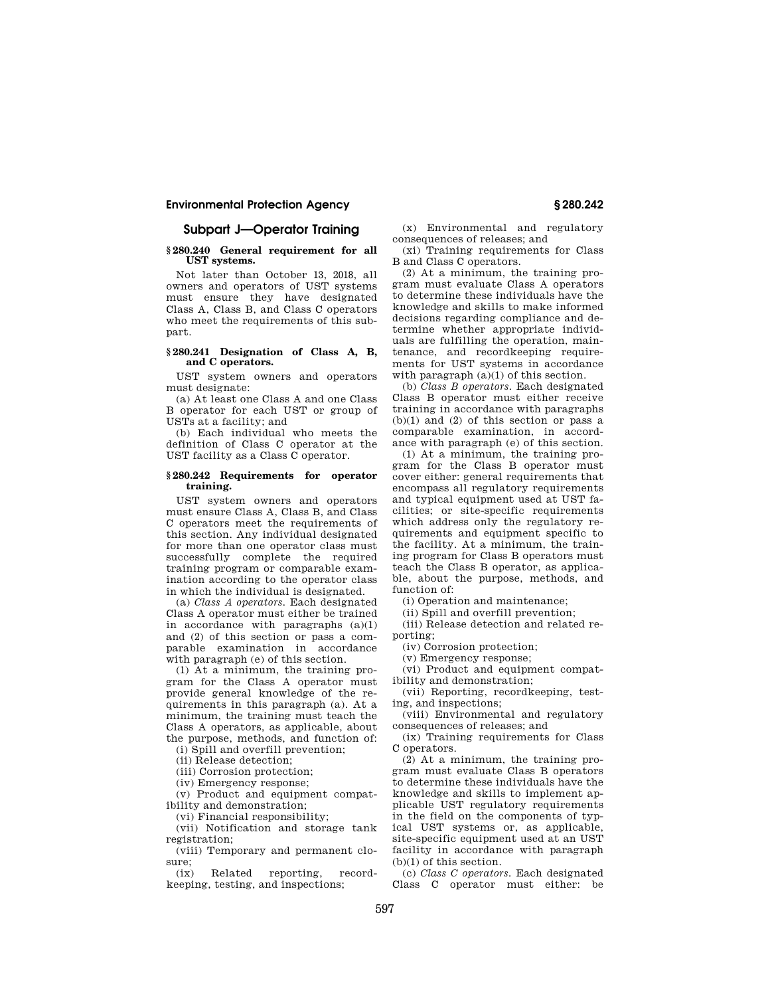## **Subpart J—Operator Training**

#### **§ 280.240 General requirement for all UST systems.**

Not later than October 13, 2018, all owners and operators of UST systems must ensure they have designated Class A, Class B, and Class C operators who meet the requirements of this subpart.

#### **§ 280.241 Designation of Class A, B, and C operators.**

UST system owners and operators must designate:

(a) At least one Class A and one Class B operator for each UST or group of USTs at a facility; and

(b) Each individual who meets the definition of Class C operator at the UST facility as a Class C operator.

### **§ 280.242 Requirements for operator training.**

UST system owners and operators must ensure Class A, Class B, and Class C operators meet the requirements of this section. Any individual designated for more than one operator class must successfully complete the required training program or comparable examination according to the operator class in which the individual is designated.

(a) *Class A operators.* Each designated Class A operator must either be trained in accordance with paragraphs  $(a)(1)$ and (2) of this section or pass a comparable examination in accordance with paragraph (e) of this section.

(1) At a minimum, the training program for the Class A operator must provide general knowledge of the requirements in this paragraph (a). At a minimum, the training must teach the Class A operators, as applicable, about the purpose, methods, and function of:

(i) Spill and overfill prevention;

(ii) Release detection;

(iii) Corrosion protection;

(iv) Emergency response;

(v) Product and equipment compatibility and demonstration;

(vi) Financial responsibility;

(vii) Notification and storage tank registration;

(viii) Temporary and permanent closure;

(ix) Related reporting, recordkeeping, testing, and inspections;

(x) Environmental and regulatory consequences of releases; and

(xi) Training requirements for Class B and Class C operators.

(2) At a minimum, the training program must evaluate Class A operators to determine these individuals have the knowledge and skills to make informed decisions regarding compliance and determine whether appropriate individuals are fulfilling the operation, maintenance, and recordkeeping requirements for UST systems in accordance with paragraph  $(a)(1)$  of this section.

(b) *Class B operators.* Each designated Class B operator must either receive training in accordance with paragraphs  $(b)(1)$  and  $(2)$  of this section or pass a comparable examination, in accordance with paragraph (e) of this section.

(1) At a minimum, the training program for the Class B operator must cover either: general requirements that encompass all regulatory requirements and typical equipment used at UST facilities; or site-specific requirements which address only the regulatory requirements and equipment specific to the facility. At a minimum, the training program for Class B operators must teach the Class B operator, as applicable, about the purpose, methods, and function of:

(i) Operation and maintenance;

(ii) Spill and overfill prevention;

(iii) Release detection and related reporting;

(iv) Corrosion protection;

(v) Emergency response;

(vi) Product and equipment compatibility and demonstration;

(vii) Reporting, recordkeeping, testing, and inspections;

(viii) Environmental and regulatory consequences of releases; and

(ix) Training requirements for Class C operators.

(2) At a minimum, the training program must evaluate Class B operators to determine these individuals have the knowledge and skills to implement applicable UST regulatory requirements in the field on the components of typical UST systems or, as applicable, site-specific equipment used at an UST facility in accordance with paragraph (b)(1) of this section.

(c) *Class C operators.* Each designated Class C operator must either: be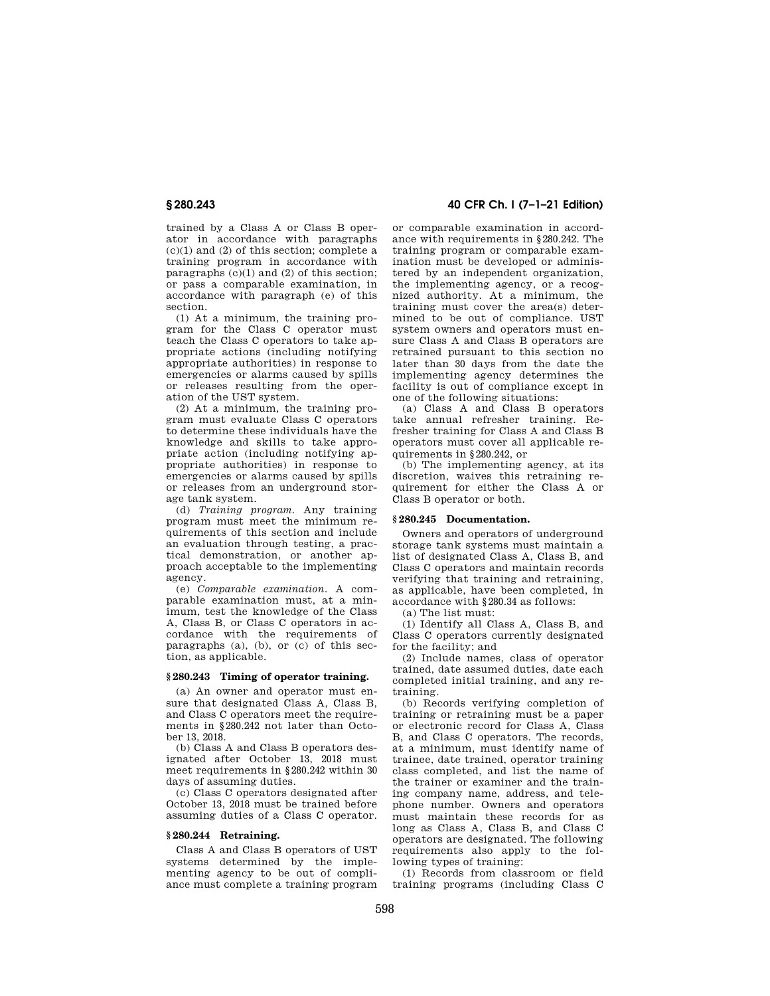trained by a Class A or Class B operator in accordance with paragraphs  $(c)(1)$  and  $(2)$  of this section; complete a training program in accordance with paragraphs (c)(1) and (2) of this section; or pass a comparable examination, in accordance with paragraph (e) of this section.

(1) At a minimum, the training program for the Class C operator must teach the Class C operators to take appropriate actions (including notifying appropriate authorities) in response to emergencies or alarms caused by spills or releases resulting from the operation of the UST system.

(2) At a minimum, the training program must evaluate Class C operators to determine these individuals have the knowledge and skills to take appropriate action (including notifying appropriate authorities) in response to emergencies or alarms caused by spills or releases from an underground storage tank system.

(d) *Training program.* Any training program must meet the minimum requirements of this section and include an evaluation through testing, a practical demonstration, or another approach acceptable to the implementing agency.

(e) *Comparable examination.* A comparable examination must, at a minimum, test the knowledge of the Class A, Class B, or Class C operators in accordance with the requirements of paragraphs (a), (b), or (c) of this section, as applicable.

### **§ 280.243 Timing of operator training.**

(a) An owner and operator must ensure that designated Class A, Class B, and Class C operators meet the requirements in §280.242 not later than October 13, 2018.

(b) Class A and Class B operators designated after October 13, 2018 must meet requirements in §280.242 within 30 days of assuming duties.

(c) Class C operators designated after October 13, 2018 must be trained before assuming duties of a Class C operator.

### **§ 280.244 Retraining.**

Class A and Class B operators of UST systems determined by the implementing agency to be out of compliance must complete a training program

## **§ 280.243 40 CFR Ch. I (7–1–21 Edition)**

or comparable examination in accordance with requirements in §280.242. The training program or comparable examination must be developed or administered by an independent organization, the implementing agency, or a recognized authority. At a minimum, the training must cover the area(s) determined to be out of compliance. UST system owners and operators must ensure Class A and Class B operators are retrained pursuant to this section no later than 30 days from the date the implementing agency determines the facility is out of compliance except in one of the following situations:

(a) Class A and Class B operators take annual refresher training. Refresher training for Class A and Class B operators must cover all applicable requirements in §280.242, or

(b) The implementing agency, at its discretion, waives this retraining requirement for either the Class A or Class B operator or both.

#### **§ 280.245 Documentation.**

Owners and operators of underground storage tank systems must maintain a list of designated Class A, Class B, and Class C operators and maintain records verifying that training and retraining, as applicable, have been completed, in accordance with §280.34 as follows:

(a) The list must:

(1) Identify all Class A, Class B, and Class C operators currently designated for the facility; and

(2) Include names, class of operator trained, date assumed duties, date each completed initial training, and any retraining.

(b) Records verifying completion of training or retraining must be a paper or electronic record for Class A, Class B, and Class C operators. The records, at a minimum, must identify name of trainee, date trained, operator training class completed, and list the name of the trainer or examiner and the training company name, address, and telephone number. Owners and operators must maintain these records for as long as Class A, Class B, and Class C operators are designated. The following requirements also apply to the following types of training:

(1) Records from classroom or field training programs (including Class C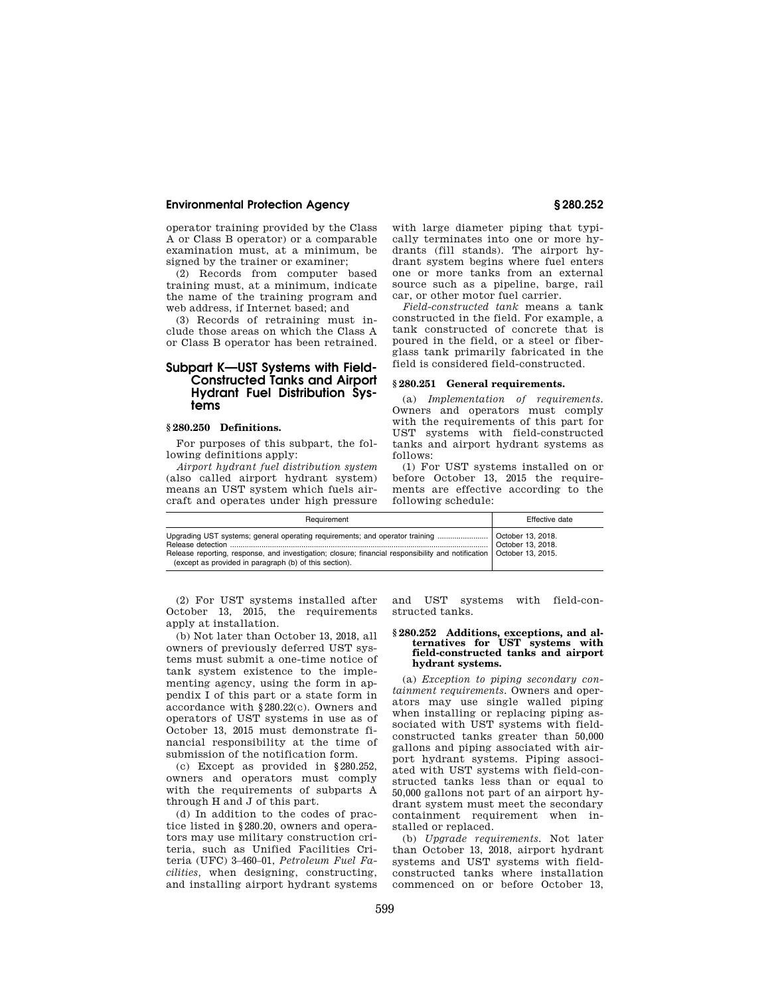operator training provided by the Class A or Class B operator) or a comparable examination must, at a minimum, be signed by the trainer or examiner;

(2) Records from computer based training must, at a minimum, indicate the name of the training program and web address, if Internet based; and

(3) Records of retraining must include those areas on which the Class A or Class B operator has been retrained.

## **Subpart K—UST Systems with Field-Constructed Tanks and Airport Hydrant Fuel Distribution Systems**

### **§ 280.250 Definitions.**

For purposes of this subpart, the following definitions apply:

*Airport hydrant fuel distribution system*  (also called airport hydrant system) means an UST system which fuels aircraft and operates under high pressure

with large diameter piping that typically terminates into one or more hydrants (fill stands). The airport hydrant system begins where fuel enters one or more tanks from an external source such as a pipeline, barge, rail car, or other motor fuel carrier.

*Field-constructed tank* means a tank constructed in the field. For example, a tank constructed of concrete that is poured in the field, or a steel or fiberglass tank primarily fabricated in the field is considered field-constructed.

#### **§ 280.251 General requirements.**

(a) *Implementation of requirements.*  Owners and operators must comply with the requirements of this part for UST systems with field-constructed tanks and airport hydrant systems as follows:

(1) For UST systems installed on or before October 13, 2015 the requirements are effective according to the following schedule:

| Requirement                                                                                                                                                                      | Effective date    |
|----------------------------------------------------------------------------------------------------------------------------------------------------------------------------------|-------------------|
| Release reporting, response, and investigation; closure; financial responsibility and notification   October 13, 2015.<br>(except as provided in paragraph (b) of this section). | October 13, 2018. |

(2) For UST systems installed after October 13, 2015, the requirements apply at installation.

(b) Not later than October 13, 2018, all owners of previously deferred UST systems must submit a one-time notice of tank system existence to the implementing agency, using the form in appendix I of this part or a state form in accordance with §280.22(c). Owners and operators of UST systems in use as of October 13, 2015 must demonstrate financial responsibility at the time of submission of the notification form.

(c) Except as provided in §280.252, owners and operators must comply with the requirements of subparts A through H and J of this part.

(d) In addition to the codes of practice listed in §280.20, owners and operators may use military construction criteria, such as Unified Facilities Criteria (UFC) 3–460–01, *Petroleum Fuel Facilities,* when designing, constructing, and installing airport hydrant systems and UST systems with field-constructed tanks.

#### **§ 280.252 Additions, exceptions, and alternatives for UST systems with field-constructed tanks and airport hydrant systems.**

(a) *Exception to piping secondary containment requirements.* Owners and operators may use single walled piping when installing or replacing piping associated with UST systems with fieldconstructed tanks greater than 50,000 gallons and piping associated with airport hydrant systems. Piping associated with UST systems with field-constructed tanks less than or equal to 50,000 gallons not part of an airport hydrant system must meet the secondary containment requirement when installed or replaced.

(b) *Upgrade requirements.* Not later than October 13, 2018, airport hydrant systems and UST systems with fieldconstructed tanks where installation commenced on or before October 13,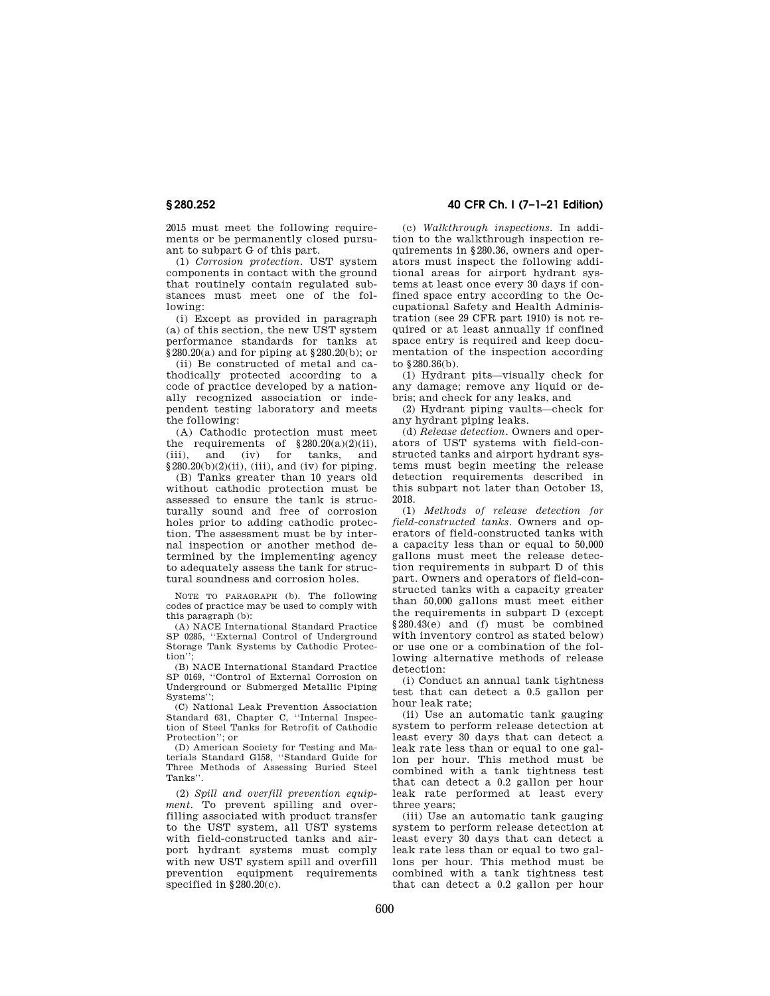2015 must meet the following requirements or be permanently closed pursuant to subpart G of this part.

(1) *Corrosion protection.* UST system components in contact with the ground that routinely contain regulated substances must meet one of the following:

(i) Except as provided in paragraph (a) of this section, the new UST system performance standards for tanks at §280.20(a) and for piping at §280.20(b); or

(ii) Be constructed of metal and cathodically protected according to a code of practice developed by a nationally recognized association or independent testing laboratory and meets the following:

(A) Cathodic protection must meet the requirements of  $§280.20(a)(2)(ii)$ , (iii), and (iv) for tanks, and  $§280.20(b)(2)(ii)$ , (iii), and (iv) for piping.

(B) Tanks greater than 10 years old without cathodic protection must be assessed to ensure the tank is structurally sound and free of corrosion holes prior to adding cathodic protection. The assessment must be by internal inspection or another method determined by the implementing agency to adequately assess the tank for structural soundness and corrosion holes.

NOTE TO PARAGRAPH (b). The following codes of practice may be used to comply with this paragraph (b):

(A) NACE International Standard Practice SP 0285, ''External Control of Underground Storage Tank Systems by Cathodic Protection'';

(B) NACE International Standard Practice SP 0169, ''Control of External Corrosion on Underground or Submerged Metallic Piping Systems'';

(C) National Leak Prevention Association Standard 631, Chapter C, ''Internal Inspection of Steel Tanks for Retrofit of Cathodic Protection''; or

(D) American Society for Testing and Materials Standard G158, ''Standard Guide for Three Methods of Assessing Buried Steel Tanks''.

(2) *Spill and overfill prevention equip*ment. To prevent spilling and overfilling associated with product transfer to the UST system, all UST systems with field-constructed tanks and airport hydrant systems must comply with new UST system spill and overfill prevention equipment requirements specified in  $$280.20(c)$ .

**§ 280.252 40 CFR Ch. I (7–1–21 Edition)** 

(c) *Walkthrough inspections.* In addition to the walkthrough inspection requirements in §280.36, owners and operators must inspect the following additional areas for airport hydrant systems at least once every 30 days if confined space entry according to the Occupational Safety and Health Administration (see 29 CFR part 1910) is not required or at least annually if confined space entry is required and keep documentation of the inspection according to §280.36(b).

(1) Hydrant pits—visually check for any damage; remove any liquid or debris; and check for any leaks, and

(2) Hydrant piping vaults—check for any hydrant piping leaks.

(d) *Release detection.* Owners and operators of UST systems with field-constructed tanks and airport hydrant systems must begin meeting the release detection requirements described in this subpart not later than October 13, 2018.

(1) *Methods of release detection for field-constructed tanks.* Owners and operators of field-constructed tanks with a capacity less than or equal to 50,000 gallons must meet the release detection requirements in subpart D of this part. Owners and operators of field-constructed tanks with a capacity greater than 50,000 gallons must meet either the requirements in subpart D (except §280.43(e) and (f) must be combined with inventory control as stated below) or use one or a combination of the following alternative methods of release detection:

(i) Conduct an annual tank tightness test that can detect a 0.5 gallon per hour leak rate;

(ii) Use an automatic tank gauging system to perform release detection at least every 30 days that can detect a leak rate less than or equal to one gallon per hour. This method must be combined with a tank tightness test that can detect a 0.2 gallon per hour leak rate performed at least every three years;

(iii) Use an automatic tank gauging system to perform release detection at least every 30 days that can detect a leak rate less than or equal to two gallons per hour. This method must be combined with a tank tightness test that can detect a 0.2 gallon per hour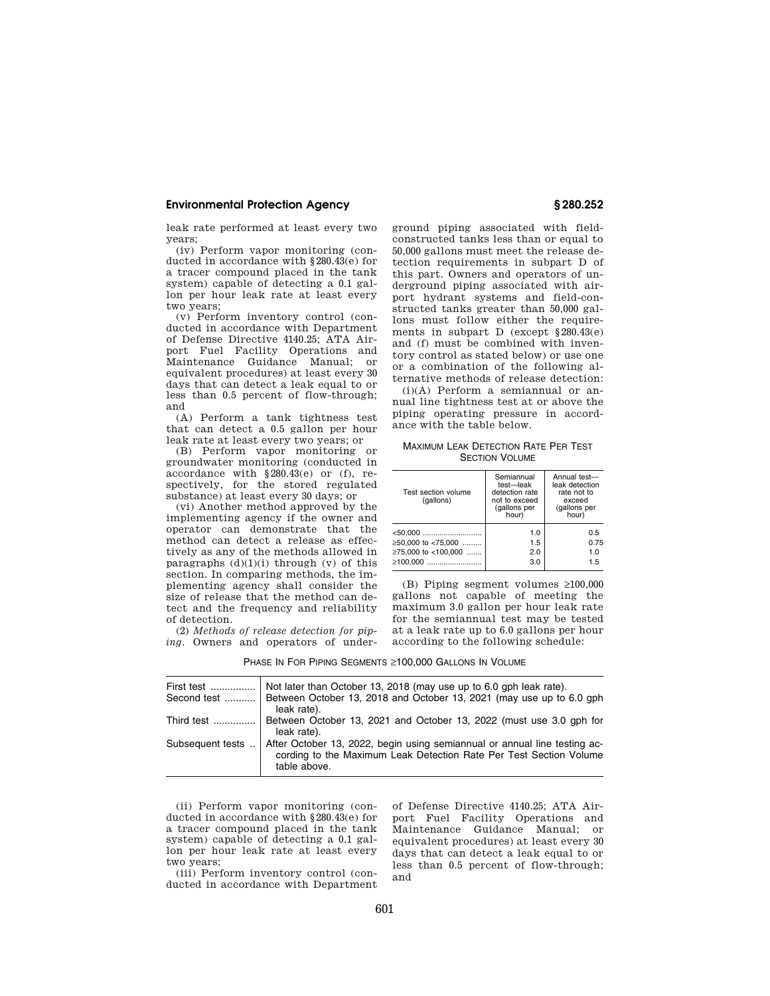leak rate performed at least every two years;

(iv) Perform vapor monitoring (conducted in accordance with §280.43(e) for a tracer compound placed in the tank system) capable of detecting a 0.1 gallon per hour leak rate at least every two years;

(v) Perform inventory control (conducted in accordance with Department of Defense Directive 4140.25; ATA Airport Fuel Facility Operations and Maintenance Guidance Manual; or equivalent procedures) at least every 30 days that can detect a leak equal to or less than 0.5 percent of flow-through; and

(A) Perform a tank tightness test that can detect a 0.5 gallon per hour leak rate at least every two years; or

(B) Perform vapor monitoring or groundwater monitoring (conducted in accordance with §280.43(e) or (f), respectively, for the stored regulated substance) at least every 30 days; or

(vi) Another method approved by the implementing agency if the owner and operator can demonstrate that the method can detect a release as effectively as any of the methods allowed in paragraphs  $(d)(1)(i)$  through  $(v)$  of this section. In comparing methods, the implementing agency shall consider the size of release that the method can detect and the frequency and reliability of detection.

(2) *Methods of release detection for piping.* Owners and operators of underground piping associated with fieldconstructed tanks less than or equal to 50,000 gallons must meet the release detection requirements in subpart D of this part. Owners and operators of underground piping associated with airport hydrant systems and field-constructed tanks greater than 50,000 gallons must follow either the requirements in subpart D (except §280.43(e) and (f) must be combined with inventory control as stated below) or use one or a combination of the following alternative methods of release detection:

(i)(A) Perform a semiannual or annual line tightness test at or above the piping operating pressure in accordance with the table below.

MAXIMUM LEAK DETECTION RATE PER TEST **SECTION VOLUME** 

| Test section volume<br>(gallons) | Semiannual<br>test-leak<br>detection rate<br>not to exceed<br>(gallons per<br>hour) | Annual test-<br>leak detection<br>rate not to<br>exceed<br>(gallons per<br>hour) |  |
|----------------------------------|-------------------------------------------------------------------------------------|----------------------------------------------------------------------------------|--|
|                                  | 1.0                                                                                 | 0.5                                                                              |  |
| ≥50,000 to <75,000               | 1.5                                                                                 | 0.75                                                                             |  |
| ≥75,000 to <100,000              | 2.0                                                                                 | 1.0                                                                              |  |
| ≥100.000                         | 3.0                                                                                 | 1.5                                                                              |  |

(B) Piping segment volumes ≥100,000 gallons not capable of meeting the maximum 3.0 gallon per hour leak rate for the semiannual test may be tested at a leak rate up to 6.0 gallons per hour according to the following schedule:

PHASE IN FOR PIPING SEGMENTS ≥100,000 GALLONS IN VOLUME

| First test       | Not later than October 13, 2018 (may use up to 6.0 gph leak rate).                                                                                              |
|------------------|-----------------------------------------------------------------------------------------------------------------------------------------------------------------|
|                  | Second test  Between October 13, 2018 and October 13, 2021 (may use up to 6.0 gph<br>leak rate).                                                                |
| Third test       | Between October 13, 2021 and October 13, 2022 (must use 3.0 gph for<br>leak rate).                                                                              |
| Subsequent tests | After October 13, 2022, begin using semiannual or annual line testing ac-<br>cording to the Maximum Leak Detection Rate Per Test Section Volume<br>table above. |

(ii) Perform vapor monitoring (conducted in accordance with §280.43(e) for a tracer compound placed in the tank system) capable of detecting a 0.1 gallon per hour leak rate at least every two years;

(iii) Perform inventory control (conducted in accordance with Department

of Defense Directive 4140.25; ATA Airport Fuel Facility Operations and Maintenance Guidance Manual; or equivalent procedures) at least every 30 days that can detect a leak equal to or less than 0.5 percent of flow-through; and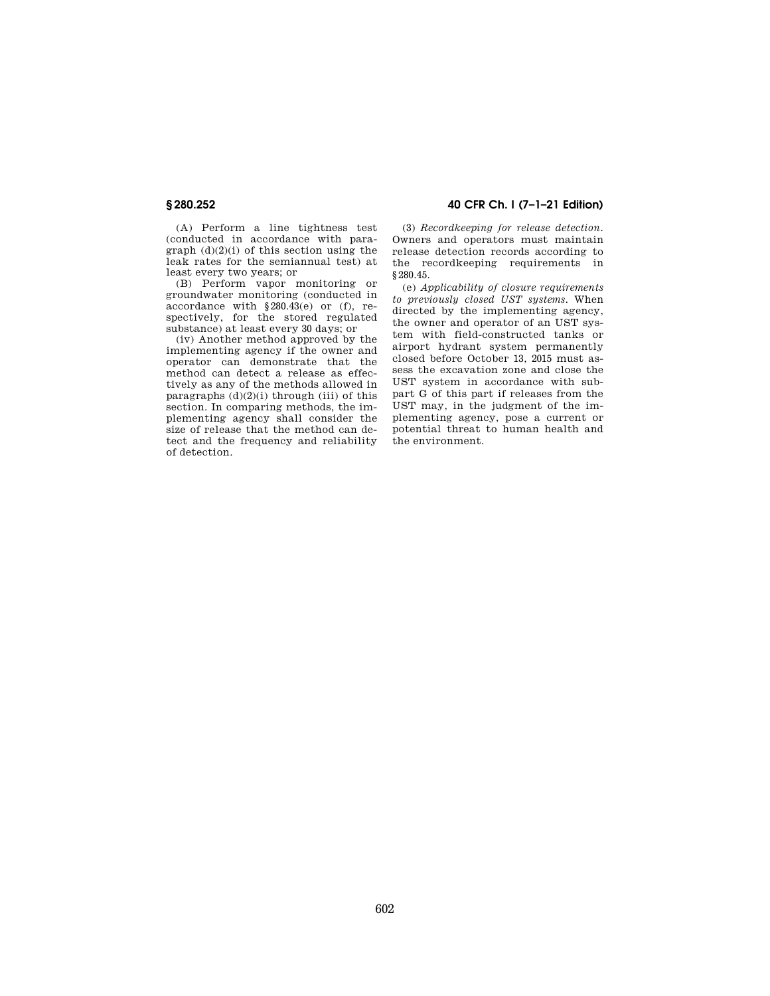**§ 280.252 40 CFR Ch. I (7–1–21 Edition)** 

(A) Perform a line tightness test (conducted in accordance with paragraph  $(d)(2)(i)$  of this section using the leak rates for the semiannual test) at least every two years; or

(B) Perform vapor monitoring or groundwater monitoring (conducted in accordance with §280.43(e) or (f), respectively, for the stored regulated substance) at least every 30 days; or

(iv) Another method approved by the implementing agency if the owner and operator can demonstrate that the method can detect a release as effectively as any of the methods allowed in paragraphs  $(d)(2)(i)$  through (iii) of this section. In comparing methods, the implementing agency shall consider the size of release that the method can detect and the frequency and reliability of detection.

(3) *Recordkeeping for release detection.*  Owners and operators must maintain release detection records according to the recordkeeping requirements in §280.45.

(e) *Applicability of closure requirements to previously closed UST systems.* When directed by the implementing agency, the owner and operator of an UST system with field-constructed tanks or airport hydrant system permanently closed before October 13, 2015 must assess the excavation zone and close the UST system in accordance with subpart G of this part if releases from the UST may, in the judgment of the implementing agency, pose a current or potential threat to human health and the environment.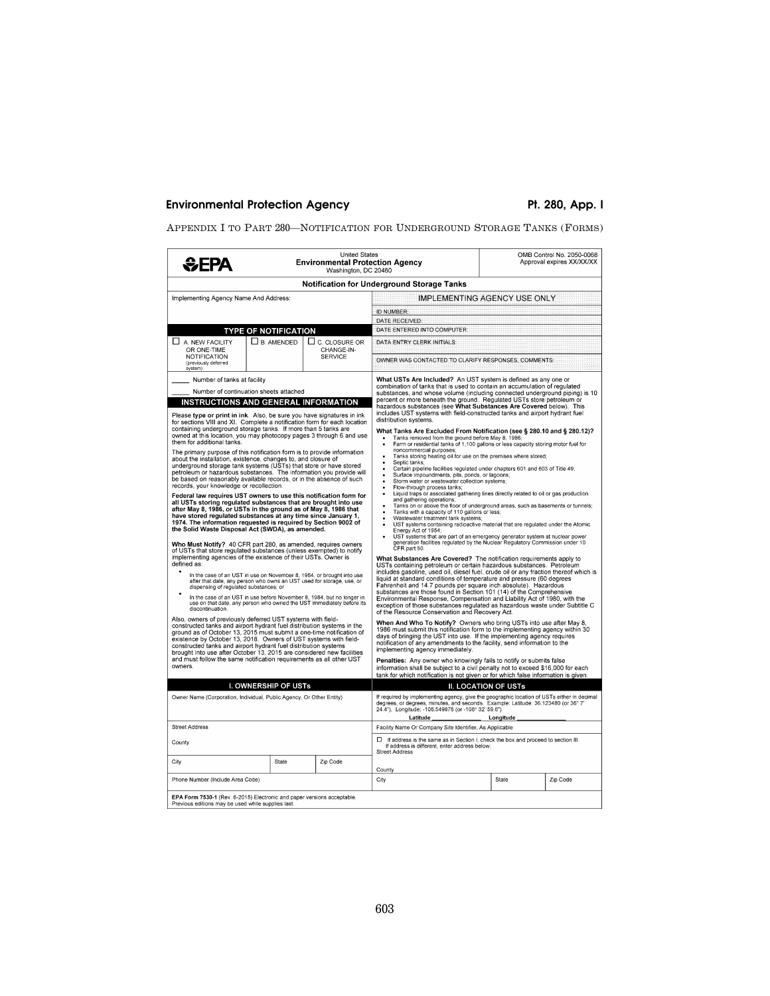# **Environmental Protection Agency Pt. 280, App. I**

APPENDIX I TO PART 280—NOTIFICATION FOR UNDERGROUND STORAGE TANKS (FORMS)

| <b>United States</b><br>⊕.ЕРД<br><b>Environmental Protection Agency</b><br>Washington, DC 20460                                                                                                                                                                                                                                                                                                                                                                                                                                                                                                                                                                                                                                                                                                                                                                                                                                                                                                                                                                                                                                                                                                                                                                                                                                                                                                                                                                                                                                                                                                                                                                                                                                                                                                                                                                                                                                                                                                                                                                                                                                                                                                                                                             |                             |                                                         |                                                                     |                                                                                                                                                                                                                                                                                                                                                                                                                                                                                                                                                                                                                                                                                                                                                                                                                                                                                                                                                                                                                                                                                                                                                                                                                                                                                                                                                                                                                                                                                                                                                                                                                                                                                                                                                                                                                                                                                                                                                                                                                                                                                                                                                                                                                                                                                                                                                                                                                           |           | OMB Control No. 2050-0068<br>Approval expires XX/XX/XX |
|-------------------------------------------------------------------------------------------------------------------------------------------------------------------------------------------------------------------------------------------------------------------------------------------------------------------------------------------------------------------------------------------------------------------------------------------------------------------------------------------------------------------------------------------------------------------------------------------------------------------------------------------------------------------------------------------------------------------------------------------------------------------------------------------------------------------------------------------------------------------------------------------------------------------------------------------------------------------------------------------------------------------------------------------------------------------------------------------------------------------------------------------------------------------------------------------------------------------------------------------------------------------------------------------------------------------------------------------------------------------------------------------------------------------------------------------------------------------------------------------------------------------------------------------------------------------------------------------------------------------------------------------------------------------------------------------------------------------------------------------------------------------------------------------------------------------------------------------------------------------------------------------------------------------------------------------------------------------------------------------------------------------------------------------------------------------------------------------------------------------------------------------------------------------------------------------------------------------------------------------------------------|-----------------------------|---------------------------------------------------------|---------------------------------------------------------------------|---------------------------------------------------------------------------------------------------------------------------------------------------------------------------------------------------------------------------------------------------------------------------------------------------------------------------------------------------------------------------------------------------------------------------------------------------------------------------------------------------------------------------------------------------------------------------------------------------------------------------------------------------------------------------------------------------------------------------------------------------------------------------------------------------------------------------------------------------------------------------------------------------------------------------------------------------------------------------------------------------------------------------------------------------------------------------------------------------------------------------------------------------------------------------------------------------------------------------------------------------------------------------------------------------------------------------------------------------------------------------------------------------------------------------------------------------------------------------------------------------------------------------------------------------------------------------------------------------------------------------------------------------------------------------------------------------------------------------------------------------------------------------------------------------------------------------------------------------------------------------------------------------------------------------------------------------------------------------------------------------------------------------------------------------------------------------------------------------------------------------------------------------------------------------------------------------------------------------------------------------------------------------------------------------------------------------------------------------------------------------------------------------------------------------|-----------|--------------------------------------------------------|
| Notification for Underground Storage Tanks                                                                                                                                                                                                                                                                                                                                                                                                                                                                                                                                                                                                                                                                                                                                                                                                                                                                                                                                                                                                                                                                                                                                                                                                                                                                                                                                                                                                                                                                                                                                                                                                                                                                                                                                                                                                                                                                                                                                                                                                                                                                                                                                                                                                                  |                             |                                                         |                                                                     |                                                                                                                                                                                                                                                                                                                                                                                                                                                                                                                                                                                                                                                                                                                                                                                                                                                                                                                                                                                                                                                                                                                                                                                                                                                                                                                                                                                                                                                                                                                                                                                                                                                                                                                                                                                                                                                                                                                                                                                                                                                                                                                                                                                                                                                                                                                                                                                                                           |           |                                                        |
| Implementing Agency Name And Address:                                                                                                                                                                                                                                                                                                                                                                                                                                                                                                                                                                                                                                                                                                                                                                                                                                                                                                                                                                                                                                                                                                                                                                                                                                                                                                                                                                                                                                                                                                                                                                                                                                                                                                                                                                                                                                                                                                                                                                                                                                                                                                                                                                                                                       |                             |                                                         |                                                                     | IMPLEMENTING AGENCY USE ONLY                                                                                                                                                                                                                                                                                                                                                                                                                                                                                                                                                                                                                                                                                                                                                                                                                                                                                                                                                                                                                                                                                                                                                                                                                                                                                                                                                                                                                                                                                                                                                                                                                                                                                                                                                                                                                                                                                                                                                                                                                                                                                                                                                                                                                                                                                                                                                                                              |           |                                                        |
|                                                                                                                                                                                                                                                                                                                                                                                                                                                                                                                                                                                                                                                                                                                                                                                                                                                                                                                                                                                                                                                                                                                                                                                                                                                                                                                                                                                                                                                                                                                                                                                                                                                                                                                                                                                                                                                                                                                                                                                                                                                                                                                                                                                                                                                             |                             |                                                         |                                                                     | <b>ID NUMBER:</b>                                                                                                                                                                                                                                                                                                                                                                                                                                                                                                                                                                                                                                                                                                                                                                                                                                                                                                                                                                                                                                                                                                                                                                                                                                                                                                                                                                                                                                                                                                                                                                                                                                                                                                                                                                                                                                                                                                                                                                                                                                                                                                                                                                                                                                                                                                                                                                                                         |           |                                                        |
|                                                                                                                                                                                                                                                                                                                                                                                                                                                                                                                                                                                                                                                                                                                                                                                                                                                                                                                                                                                                                                                                                                                                                                                                                                                                                                                                                                                                                                                                                                                                                                                                                                                                                                                                                                                                                                                                                                                                                                                                                                                                                                                                                                                                                                                             |                             |                                                         |                                                                     | DATE RECEIVED:                                                                                                                                                                                                                                                                                                                                                                                                                                                                                                                                                                                                                                                                                                                                                                                                                                                                                                                                                                                                                                                                                                                                                                                                                                                                                                                                                                                                                                                                                                                                                                                                                                                                                                                                                                                                                                                                                                                                                                                                                                                                                                                                                                                                                                                                                                                                                                                                            |           |                                                        |
|                                                                                                                                                                                                                                                                                                                                                                                                                                                                                                                                                                                                                                                                                                                                                                                                                                                                                                                                                                                                                                                                                                                                                                                                                                                                                                                                                                                                                                                                                                                                                                                                                                                                                                                                                                                                                                                                                                                                                                                                                                                                                                                                                                                                                                                             | <b>TYPE OF NOTIFICATION</b> |                                                         |                                                                     | DATE ENTERED INTO COMPUTER                                                                                                                                                                                                                                                                                                                                                                                                                                                                                                                                                                                                                                                                                                                                                                                                                                                                                                                                                                                                                                                                                                                                                                                                                                                                                                                                                                                                                                                                                                                                                                                                                                                                                                                                                                                                                                                                                                                                                                                                                                                                                                                                                                                                                                                                                                                                                                                                |           |                                                        |
| A. NEW FACILITY<br>OR ONE-TIME<br><b>NOTIFICATION</b>                                                                                                                                                                                                                                                                                                                                                                                                                                                                                                                                                                                                                                                                                                                                                                                                                                                                                                                                                                                                                                                                                                                                                                                                                                                                                                                                                                                                                                                                                                                                                                                                                                                                                                                                                                                                                                                                                                                                                                                                                                                                                                                                                                                                       | $\square$ B. AMENDED        | $\square$ c. closure or<br>CHANGE-IN-<br><b>SERVICE</b> |                                                                     | DATA ENTRY CLERK INITIALS<br>OWNER WAS CONTACTED TO CLARIFY RESPONSES, COMMENTS:                                                                                                                                                                                                                                                                                                                                                                                                                                                                                                                                                                                                                                                                                                                                                                                                                                                                                                                                                                                                                                                                                                                                                                                                                                                                                                                                                                                                                                                                                                                                                                                                                                                                                                                                                                                                                                                                                                                                                                                                                                                                                                                                                                                                                                                                                                                                          |           |                                                        |
| (previously deferred<br>system)                                                                                                                                                                                                                                                                                                                                                                                                                                                                                                                                                                                                                                                                                                                                                                                                                                                                                                                                                                                                                                                                                                                                                                                                                                                                                                                                                                                                                                                                                                                                                                                                                                                                                                                                                                                                                                                                                                                                                                                                                                                                                                                                                                                                                             |                             |                                                         |                                                                     |                                                                                                                                                                                                                                                                                                                                                                                                                                                                                                                                                                                                                                                                                                                                                                                                                                                                                                                                                                                                                                                                                                                                                                                                                                                                                                                                                                                                                                                                                                                                                                                                                                                                                                                                                                                                                                                                                                                                                                                                                                                                                                                                                                                                                                                                                                                                                                                                                           |           |                                                        |
| Number of tanks at facility                                                                                                                                                                                                                                                                                                                                                                                                                                                                                                                                                                                                                                                                                                                                                                                                                                                                                                                                                                                                                                                                                                                                                                                                                                                                                                                                                                                                                                                                                                                                                                                                                                                                                                                                                                                                                                                                                                                                                                                                                                                                                                                                                                                                                                 |                             |                                                         |                                                                     | What USTs Are Included? An UST system is defined as any one or<br>combination of tanks that is used to contain an accumulation of regulated                                                                                                                                                                                                                                                                                                                                                                                                                                                                                                                                                                                                                                                                                                                                                                                                                                                                                                                                                                                                                                                                                                                                                                                                                                                                                                                                                                                                                                                                                                                                                                                                                                                                                                                                                                                                                                                                                                                                                                                                                                                                                                                                                                                                                                                                               |           |                                                        |
|                                                                                                                                                                                                                                                                                                                                                                                                                                                                                                                                                                                                                                                                                                                                                                                                                                                                                                                                                                                                                                                                                                                                                                                                                                                                                                                                                                                                                                                                                                                                                                                                                                                                                                                                                                                                                                                                                                                                                                                                                                                                                                                                                                                                                                                             |                             |                                                         |                                                                     | substances, and whose volume (including connected underground piping) is 10                                                                                                                                                                                                                                                                                                                                                                                                                                                                                                                                                                                                                                                                                                                                                                                                                                                                                                                                                                                                                                                                                                                                                                                                                                                                                                                                                                                                                                                                                                                                                                                                                                                                                                                                                                                                                                                                                                                                                                                                                                                                                                                                                                                                                                                                                                                                               |           |                                                        |
| Number of continuation sheets attached<br><b>INSTRUCTIONS AND GENERAL INFORMATION</b><br>Please type or print in ink. Also, be sure you have signatures in ink<br>for sections VIII and XI. Complete a notification form for each location<br>containing underground storage tanks. If more than 5 tanks are<br>owned at this location, you may photocopy pages 3 through 6 and use<br>them for additional tanks.<br>The primary purpose of this notification form is to provide information<br>about the installation, existence, changes to, and closure of<br>underground storage tank systems (USTs) that store or have stored<br>petroleum or hazardous substances. The information you provide will<br>be based on reasonably available records, or in the absence of such<br>records, your knowledge or recollection.<br>Federal law requires UST owners to use this notification form for<br>all USTs storing regulated substances that are brought into use<br>after May 8, 1986, or USTs in the ground as of May 8, 1986 that<br>have stored regulated substances at any time since January 1,<br>1974. The information requested is required by Section 9002 of<br>the Solid Waste Disposal Act (SWDA), as amended.<br>Who Must Notify? 40 CFR part 280, as amended, requires owners<br>of USTs that store regulated substances (unless exempted) to notify<br>implementing agencies of the existence of their USTs. Owner is<br>defined as:<br>In the case of an UST in use on November 8, 1984, or brought into use<br>after that date, any person who owns an UST used for storage, use, or<br>dispensing of regulated substances; or<br>In the case of an UST in use before November 8, 1984, but no longer in<br>use on that date, any person who owned the UST immediately before its<br>discontinuation.<br>Also, owners of previously deferred UST systems with field-<br>constructed tanks and airport hydrant fuel distribution systems in the<br>ground as of October 13, 2015 must submit a one-time notification of<br>existence by October 13, 2018. Owners of UST systems with field-<br>constructed tanks and airport hydrant fuel distribution systems<br>brought into use after October 13, 2015 are considered new facilities |                             |                                                         | and must follow the same notification requirements as all other UST | percent or more beneath the ground. Regulated USTs store petroleum or<br>hazardous substances (see What Substances Are Covered below). This<br>includes UST systems with field-constructed tanks and airport hydrant fuel<br>distribution systems.<br>What Tanks Are Excluded From Notification (see § 280.10 and § 280.12)?<br>Tanks removed from the ground before May 8, 1986;<br>Farm or residential tanks of 1,100 gallons or less capacity storing motor fuel for<br>noncommercial purposes;<br>Tanks storing heating oil for use on the premises where stored;<br>Septic tanks;<br>Certain pipeline facilities regulated under chapters 601 and 603 of Title 49;<br>Surface impoundments, pits, ponds, or lagoons;<br>Storm water or wastewater collection systems:<br>Flow-through process tanks;<br>Liquid traps or associated gathering lines directly related to oil or gas production<br>and gathering operations;<br>Tanks on or above the floor of underground areas, such as basements or tunnels;<br>Tanks with a capacity of 110 gallons or less;<br>Wastewater treatment tank systems;<br>UST systems containing radioactive material that are regulated under the Atomic<br>Energy Act of 1954:<br>UST systems that are part of an emergency generator system at nuclear power<br>generation facilities regulated by the Nuclear Regulatory Commission under 10<br>CFR part 50.<br>What Substances Are Covered? The notification requirements apply to<br>USTs containing petroleum or certain hazardous substances. Petroleum<br>includes gasoline, used oil, diesel fuel, crude oil or any fraction thereof which is<br>liquid at standard conditions of temperature and pressure (60 degrees<br>Fahrenheit and 14.7 pounds per square inch absolute). Hazardous<br>substances are those found in Section 101 (14) of the Comprehensive<br>Environmental Response, Compensation and Liability Act of 1980, with the<br>exception of those substances regulated as hazardous waste under Subtitle C<br>of the Resource Conservation and Recovery Act.<br>When And Who To Notify? Owners who bring USTs into use after May 8,<br>1986 must submit this notification form to the implementing agency within 30<br>days of bringing the UST into use. If the implementing agency requires<br>notification of any amendments to the facility, send information to the<br>implementing agency immediately. |           |                                                        |
|                                                                                                                                                                                                                                                                                                                                                                                                                                                                                                                                                                                                                                                                                                                                                                                                                                                                                                                                                                                                                                                                                                                                                                                                                                                                                                                                                                                                                                                                                                                                                                                                                                                                                                                                                                                                                                                                                                                                                                                                                                                                                                                                                                                                                                                             |                             |                                                         |                                                                     | tank for which notification is not given or for which false information is given.                                                                                                                                                                                                                                                                                                                                                                                                                                                                                                                                                                                                                                                                                                                                                                                                                                                                                                                                                                                                                                                                                                                                                                                                                                                                                                                                                                                                                                                                                                                                                                                                                                                                                                                                                                                                                                                                                                                                                                                                                                                                                                                                                                                                                                                                                                                                         |           |                                                        |
| I. OWNERSHIP OF USTs<br>Owner Name (Corporation, Individual, Public Agency, Or Other Entity)                                                                                                                                                                                                                                                                                                                                                                                                                                                                                                                                                                                                                                                                                                                                                                                                                                                                                                                                                                                                                                                                                                                                                                                                                                                                                                                                                                                                                                                                                                                                                                                                                                                                                                                                                                                                                                                                                                                                                                                                                                                                                                                                                                |                             |                                                         |                                                                     | <b>II. LOCATION OF USTs</b><br>If required by implementing agency, give the geographic location of USTs either in decimal<br>degrees, or degrees, minutes, and seconds. Example: Latitude: 36.123480 (or 36° 7'<br>24.4"), Longitude: -106.549876 (or -106° 32' 59.6")<br>Latitude                                                                                                                                                                                                                                                                                                                                                                                                                                                                                                                                                                                                                                                                                                                                                                                                                                                                                                                                                                                                                                                                                                                                                                                                                                                                                                                                                                                                                                                                                                                                                                                                                                                                                                                                                                                                                                                                                                                                                                                                                                                                                                                                        |           |                                                        |
| <b>Street Address</b>                                                                                                                                                                                                                                                                                                                                                                                                                                                                                                                                                                                                                                                                                                                                                                                                                                                                                                                                                                                                                                                                                                                                                                                                                                                                                                                                                                                                                                                                                                                                                                                                                                                                                                                                                                                                                                                                                                                                                                                                                                                                                                                                                                                                                                       |                             |                                                         |                                                                     | Facility Name Or Company Site Identifier, As Applicable                                                                                                                                                                                                                                                                                                                                                                                                                                                                                                                                                                                                                                                                                                                                                                                                                                                                                                                                                                                                                                                                                                                                                                                                                                                                                                                                                                                                                                                                                                                                                                                                                                                                                                                                                                                                                                                                                                                                                                                                                                                                                                                                                                                                                                                                                                                                                                   | Longitude |                                                        |
| County                                                                                                                                                                                                                                                                                                                                                                                                                                                                                                                                                                                                                                                                                                                                                                                                                                                                                                                                                                                                                                                                                                                                                                                                                                                                                                                                                                                                                                                                                                                                                                                                                                                                                                                                                                                                                                                                                                                                                                                                                                                                                                                                                                                                                                                      |                             |                                                         |                                                                     | If address is the same as in Section I, check the box and proceed to section III.<br>п.<br>If address is different, enter address below:<br><b>Street Address</b>                                                                                                                                                                                                                                                                                                                                                                                                                                                                                                                                                                                                                                                                                                                                                                                                                                                                                                                                                                                                                                                                                                                                                                                                                                                                                                                                                                                                                                                                                                                                                                                                                                                                                                                                                                                                                                                                                                                                                                                                                                                                                                                                                                                                                                                         |           |                                                        |
| City                                                                                                                                                                                                                                                                                                                                                                                                                                                                                                                                                                                                                                                                                                                                                                                                                                                                                                                                                                                                                                                                                                                                                                                                                                                                                                                                                                                                                                                                                                                                                                                                                                                                                                                                                                                                                                                                                                                                                                                                                                                                                                                                                                                                                                                        | State                       | Zip Code                                                |                                                                     | County                                                                                                                                                                                                                                                                                                                                                                                                                                                                                                                                                                                                                                                                                                                                                                                                                                                                                                                                                                                                                                                                                                                                                                                                                                                                                                                                                                                                                                                                                                                                                                                                                                                                                                                                                                                                                                                                                                                                                                                                                                                                                                                                                                                                                                                                                                                                                                                                                    |           |                                                        |
| Phone Number (Include Area Code)                                                                                                                                                                                                                                                                                                                                                                                                                                                                                                                                                                                                                                                                                                                                                                                                                                                                                                                                                                                                                                                                                                                                                                                                                                                                                                                                                                                                                                                                                                                                                                                                                                                                                                                                                                                                                                                                                                                                                                                                                                                                                                                                                                                                                            |                             |                                                         |                                                                     | City                                                                                                                                                                                                                                                                                                                                                                                                                                                                                                                                                                                                                                                                                                                                                                                                                                                                                                                                                                                                                                                                                                                                                                                                                                                                                                                                                                                                                                                                                                                                                                                                                                                                                                                                                                                                                                                                                                                                                                                                                                                                                                                                                                                                                                                                                                                                                                                                                      | State     | Zip Code                                               |
| EPA Form 7530-1 (Rev. 6-2015) Electronic and paper versions acceptable<br>Previous editions may be used while supplies last.                                                                                                                                                                                                                                                                                                                                                                                                                                                                                                                                                                                                                                                                                                                                                                                                                                                                                                                                                                                                                                                                                                                                                                                                                                                                                                                                                                                                                                                                                                                                                                                                                                                                                                                                                                                                                                                                                                                                                                                                                                                                                                                                |                             |                                                         |                                                                     |                                                                                                                                                                                                                                                                                                                                                                                                                                                                                                                                                                                                                                                                                                                                                                                                                                                                                                                                                                                                                                                                                                                                                                                                                                                                                                                                                                                                                                                                                                                                                                                                                                                                                                                                                                                                                                                                                                                                                                                                                                                                                                                                                                                                                                                                                                                                                                                                                           |           |                                                        |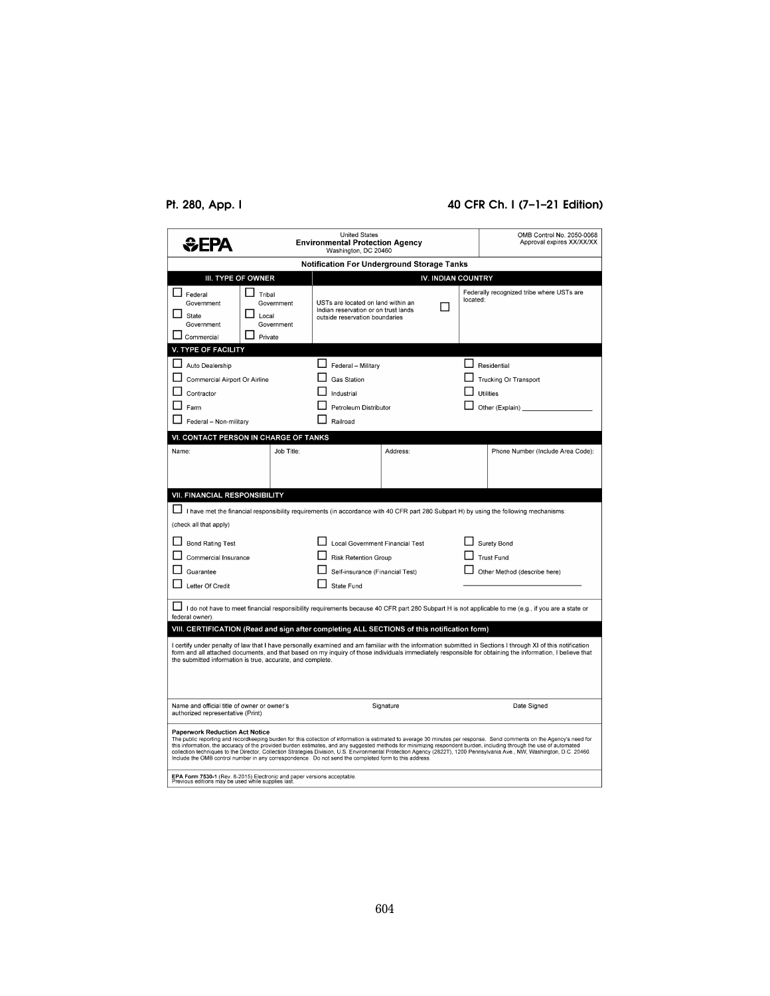# **Pt. 280, App. I 40 CFR Ch. I (7–1–21 Edition)**

| <b>Environmental Protection Agency</b>                                                                                                                                                                                                                                                                                                                                                                                                                                                                                                                                                                                                                                        | OMB Control No. 2050-0068<br>Approval expires XX/XX/XX                                                                                                                                                                               |                                                                  |  |  |  |  |
|-------------------------------------------------------------------------------------------------------------------------------------------------------------------------------------------------------------------------------------------------------------------------------------------------------------------------------------------------------------------------------------------------------------------------------------------------------------------------------------------------------------------------------------------------------------------------------------------------------------------------------------------------------------------------------|--------------------------------------------------------------------------------------------------------------------------------------------------------------------------------------------------------------------------------------|------------------------------------------------------------------|--|--|--|--|
| <b>Notification For Underground Storage Tanks</b>                                                                                                                                                                                                                                                                                                                                                                                                                                                                                                                                                                                                                             |                                                                                                                                                                                                                                      |                                                                  |  |  |  |  |
| <b>III. TYPE OF OWNER</b>                                                                                                                                                                                                                                                                                                                                                                                                                                                                                                                                                                                                                                                     | IV. INDIAN COUNTRY                                                                                                                                                                                                                   |                                                                  |  |  |  |  |
| Federal<br>Tribal<br>Government<br>Government<br>State<br>Local<br>Government<br>Government<br>Commercial<br>Private<br>V. TYPE OF FACILITY                                                                                                                                                                                                                                                                                                                                                                                                                                                                                                                                   | USTs are located on land within an<br>Indian reservation or on trust lands<br>outside reservation boundaries                                                                                                                         | Federally recognized tribe where USTs are<br>located:            |  |  |  |  |
|                                                                                                                                                                                                                                                                                                                                                                                                                                                                                                                                                                                                                                                                               | Federal - Military                                                                                                                                                                                                                   |                                                                  |  |  |  |  |
| Auto Dealership                                                                                                                                                                                                                                                                                                                                                                                                                                                                                                                                                                                                                                                               | Gas Station                                                                                                                                                                                                                          | Residential                                                      |  |  |  |  |
| Commercial Airport Or Airline<br>Contractor                                                                                                                                                                                                                                                                                                                                                                                                                                                                                                                                                                                                                                   | Industrial                                                                                                                                                                                                                           | Trucking Or Transport<br><b>Utilities</b>                        |  |  |  |  |
| Farm                                                                                                                                                                                                                                                                                                                                                                                                                                                                                                                                                                                                                                                                          | Petroleum Distributor                                                                                                                                                                                                                | Other (Explain)                                                  |  |  |  |  |
| Federal - Non-military                                                                                                                                                                                                                                                                                                                                                                                                                                                                                                                                                                                                                                                        | Railroad                                                                                                                                                                                                                             |                                                                  |  |  |  |  |
| VI. CONTACT PERSON IN CHARGE OF TANKS                                                                                                                                                                                                                                                                                                                                                                                                                                                                                                                                                                                                                                         |                                                                                                                                                                                                                                      |                                                                  |  |  |  |  |
| Job Title:<br>Name:                                                                                                                                                                                                                                                                                                                                                                                                                                                                                                                                                                                                                                                           | Address:                                                                                                                                                                                                                             | Phone Number (Include Area Code):                                |  |  |  |  |
| VII. FINANCIAL RESPONSIBILITY                                                                                                                                                                                                                                                                                                                                                                                                                                                                                                                                                                                                                                                 |                                                                                                                                                                                                                                      |                                                                  |  |  |  |  |
| (check all that apply)<br><b>Bond Rating Test</b><br>Commercial Insurance<br>Guarantee                                                                                                                                                                                                                                                                                                                                                                                                                                                                                                                                                                                        | I have met the financial responsibility requirements (in accordance with 40 CFR part 280 Subpart H) by using the following mechanisms:<br>Local Government Financial Test<br>Risk Retention Group<br>Self-insurance (Financial Test) | Surety Bond<br><b>Trust Fund</b><br>Other Method (describe here) |  |  |  |  |
| Letter Of Credit                                                                                                                                                                                                                                                                                                                                                                                                                                                                                                                                                                                                                                                              | State Fund                                                                                                                                                                                                                           |                                                                  |  |  |  |  |
| I do not have to meet financial responsibility requirements because 40 CFR part 280 Subpart H is not applicable to me (e.g., if you are a state or<br>federal owner)<br>VIII. CERTIFICATION (Read and sign after completing ALL SECTIONS of this notification form)                                                                                                                                                                                                                                                                                                                                                                                                           |                                                                                                                                                                                                                                      |                                                                  |  |  |  |  |
| I certify under penalty of law that I have personally examined and am familiar with the information submitted in Sections I through XI of this notification<br>form and all attached documents, and that based on my inquiry of those individuals immediately responsible for obtaining the information, I believe that<br>the submitted information is true, accurate, and complete.                                                                                                                                                                                                                                                                                         |                                                                                                                                                                                                                                      |                                                                  |  |  |  |  |
| Name and official title of owner or owner's<br>authorized representative (Print)                                                                                                                                                                                                                                                                                                                                                                                                                                                                                                                                                                                              | Signature                                                                                                                                                                                                                            | Date Signed                                                      |  |  |  |  |
| <b>Paperwork Reduction Act Notice</b><br>The public reporting and recordkeeping burden for this collection of information is estimated to average 30 minutes per response. Send comments on the Agency's need for<br>this information, the accuracy of the provided burden estimates, and any suggested methods for minimizing respondent burden, including through the use of automated<br>collection techniques to the Director, Collection Strategies Division, U.S. Environmental Protection Agency (2822T), 1200 Pennsylvania Ave., NW, Washington, D.C. 20460.<br>Include the OMB control number in any correspondence. Do not send the completed form to this address. |                                                                                                                                                                                                                                      |                                                                  |  |  |  |  |
| EPA Form 7530-1 (Rev. 6-2015) Electronic and paper versions acceptable<br>Previous editions may be used while supplies last.                                                                                                                                                                                                                                                                                                                                                                                                                                                                                                                                                  |                                                                                                                                                                                                                                      |                                                                  |  |  |  |  |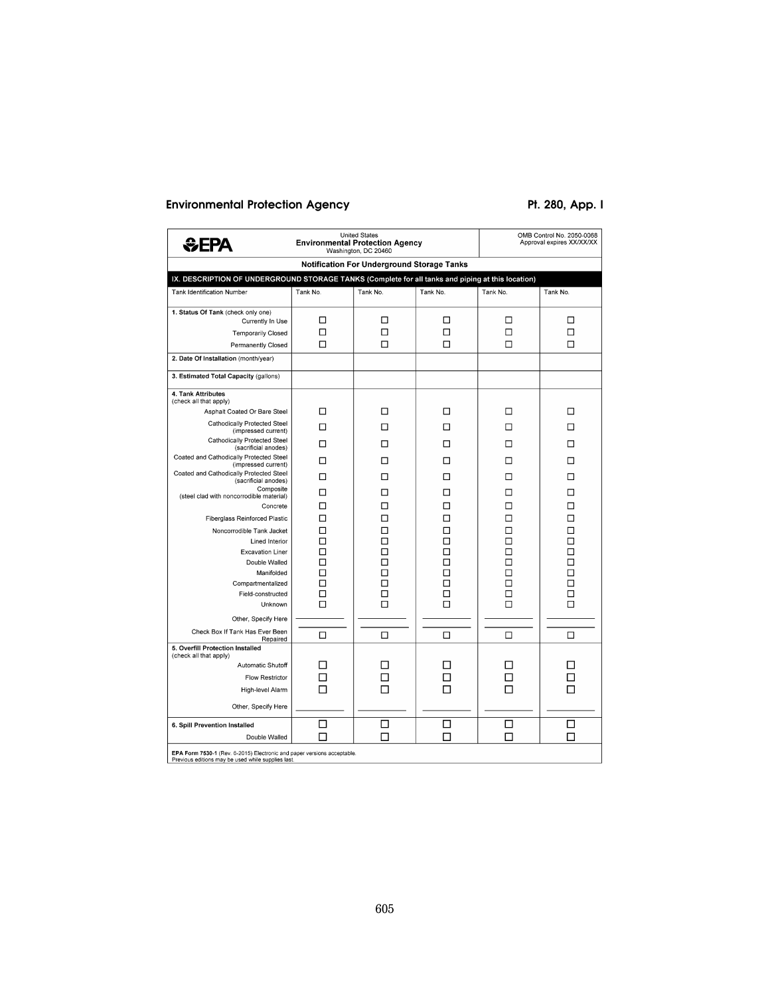# **Environmental Protection Agency Pt. 280, App. I**

| <b>&amp;EPA</b>                                                                                                                                                                          |                                      | OMB Control No. 2050-0068<br>Approval expires XX/XX/XX |          |                                 |                                      |
|------------------------------------------------------------------------------------------------------------------------------------------------------------------------------------------|--------------------------------------|--------------------------------------------------------|----------|---------------------------------|--------------------------------------|
|                                                                                                                                                                                          |                                      | <b>Notification For Underground Storage Tanks</b>      |          |                                 |                                      |
| IX. DESCRIPTION OF UNDERGROUND STORAGE TANKS (Complete for all tanks and piping at this location)                                                                                        |                                      |                                                        |          |                                 |                                      |
| <b>Tank Identification Number</b>                                                                                                                                                        | Tank No.                             | Tank No.                                               | Tank No. | Tank No.                        | Tank No.                             |
| 1. Status Of Tank (check only one)<br>Currently In Use<br><b>Temporarily Closed</b>                                                                                                      | □<br>□                               | □<br>□                                                 | □<br>п   | □<br>□                          | □<br>П                               |
| Permanently Closed                                                                                                                                                                       | □                                    | □                                                      | П        | ⊓                               | П                                    |
| 2. Date Of Installation (month/year)                                                                                                                                                     |                                      |                                                        |          |                                 |                                      |
| 3. Estimated Total Capacity (gallons)                                                                                                                                                    |                                      |                                                        |          |                                 |                                      |
| 4. Tank Attributes<br>(check all that apply)                                                                                                                                             |                                      |                                                        |          |                                 |                                      |
| Asphalt Coated Or Bare Steel                                                                                                                                                             | п                                    | п                                                      | П        | □                               | П                                    |
| Cathodically Protected Steel<br>(impressed current)                                                                                                                                      | □                                    | п                                                      | П        | П                               | П                                    |
| Cathodically Protected Steel<br>(sacrificial anodes)                                                                                                                                     | □                                    | П                                                      | П        | □                               | П                                    |
| Coated and Cathodically Protected Steel<br>(impressed current)                                                                                                                           | □                                    | □                                                      | П        | П                               | □                                    |
| Coated and Cathodically Protected Steel<br>(sacrificial anodes)                                                                                                                          | □                                    | □                                                      | П        | □                               | □                                    |
| Composite<br>(steel clad with noncorrodible material)<br>Concrete                                                                                                                        | □<br>п                               | □<br>п                                                 |          | □<br>П                          | □<br>П                               |
| Fiberglass Reinforced Plastic                                                                                                                                                            | □                                    | п                                                      | П        | П                               | П                                    |
| Noncorrodible Tank Jacket<br><b>Lined Interior</b><br><b>Excavation Liner</b><br>Double Walled<br>Manifolded<br>Compartmentalized<br>Field-constructed<br>Unknown<br>Other, Specify Here | □<br>п<br>п<br>□<br>П<br>п<br>□<br>□ | п<br>п<br>п<br>П<br>п<br>□<br>П                        | П<br>П   | □<br>□<br>⊓<br>п<br>⊓<br>□<br>П | □<br>П<br>□<br>□<br>П<br>п<br>□<br>П |
| Check Box If Tank Has Ever Been<br>Repaired                                                                                                                                              | □                                    | □                                                      | □        | □                               | $\Box$                               |
| 5. Overfill Protection Installed<br>(check all that apply)<br>Automatic Shutoff<br>Flow Restrictor<br>High-level Alarm                                                                   |                                      |                                                        |          |                                 |                                      |
| Other, Specify Here                                                                                                                                                                      |                                      |                                                        |          |                                 |                                      |
| 6. Spill Prevention Installed<br>Double Walled                                                                                                                                           | П<br>П                               | П<br>Π                                                 | □<br>П   | □<br>E                          | ◘<br>П                               |
| EPA Form 7530-1 (Rev. 6-2015) Electronic and paper versions acceptable.<br>Previous editions may be used while supplies last.                                                            |                                      |                                                        |          |                                 |                                      |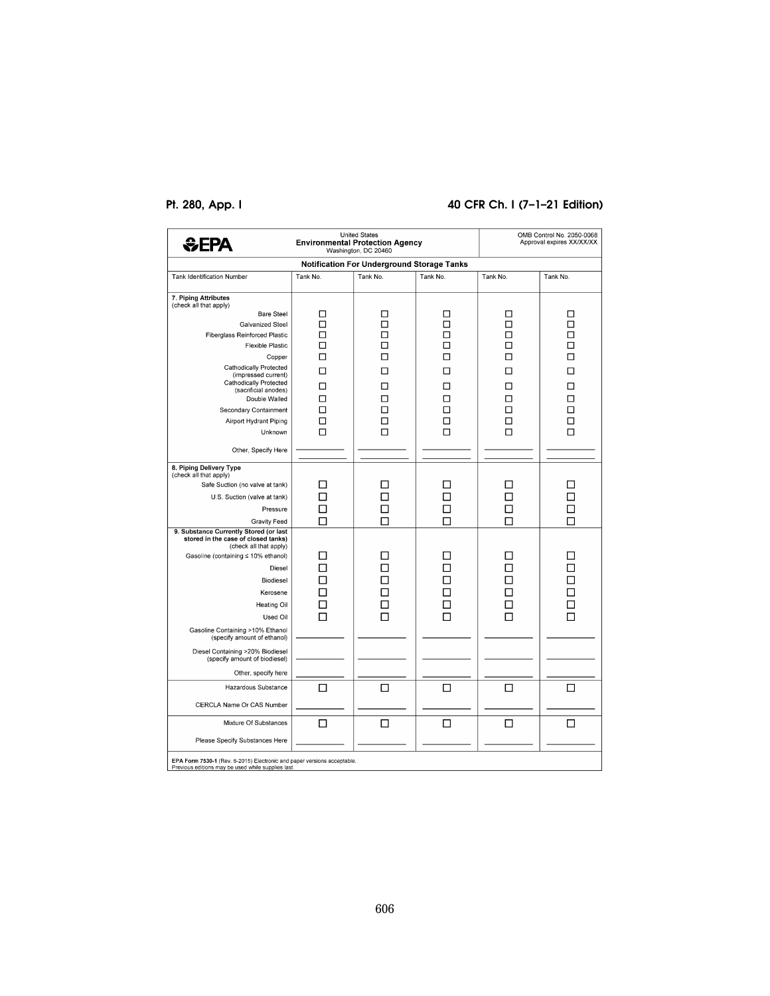# **Pt. 280, App. I 40 CFR Ch. I (7–1–21 Edition)**

| <b><i><b></b></i></b> <del></del>                                                                                             |          | OMB Control No. 2050-0068<br>Approval expires XX/XX/XX |          |          |          |  |
|-------------------------------------------------------------------------------------------------------------------------------|----------|--------------------------------------------------------|----------|----------|----------|--|
| <b>Notification For Underground Storage Tanks</b>                                                                             |          |                                                        |          |          |          |  |
| Tank Identification Number                                                                                                    | Tank No. | Tank No.                                               | Tank No. | Tank No. | Tank No. |  |
| 7. Piping Attributes<br>(check all that apply)                                                                                |          |                                                        |          |          |          |  |
| <b>Bare Steel</b>                                                                                                             | □        | □                                                      | П        | □        | □        |  |
| Galvanized Steel<br>Fiberglass Reinforced Plastic                                                                             | □<br>□   | □<br>п                                                 | П        | □<br>□   | □<br>□   |  |
| <b>Flexible Plastic</b>                                                                                                       | П        | П                                                      |          | п        | П        |  |
| Copper                                                                                                                        | □        | □                                                      |          | □        | П        |  |
| Cathodically Protected                                                                                                        |          | П                                                      |          | □        | □        |  |
| (impressed current)                                                                                                           | □        |                                                        |          |          |          |  |
| Cathodically Protected<br>(sacrificial anodes)                                                                                | ◻        | □                                                      |          | □        | □        |  |
| Double Walled                                                                                                                 | □        | □                                                      |          | □        | $\Box$   |  |
| Secondary Containment                                                                                                         | ◻        | П                                                      |          | □        | □        |  |
| Airport Hydrant Piping                                                                                                        | □        | П                                                      |          | □        | П        |  |
| Unknown                                                                                                                       | ◻        | □                                                      | п        | □        | □        |  |
| Other, Specify Here                                                                                                           |          |                                                        |          |          |          |  |
| 8. Piping Delivery Type<br>(check all that apply)                                                                             |          |                                                        |          |          |          |  |
| Safe Suction (no valve at tank)                                                                                               |          |                                                        |          |          |          |  |
| U.S. Suction (valve at tank)                                                                                                  |          |                                                        |          |          |          |  |
| Pressure                                                                                                                      |          |                                                        |          |          |          |  |
| <b>Gravity Feed</b>                                                                                                           | П        |                                                        |          |          |          |  |
| 9. Substance Currently Stored (or last<br>stored in the case of closed tanks)<br>(check all that apply)                       |          |                                                        |          |          |          |  |
| Gasoline (containing ≤ 10% ethanol)                                                                                           | П        |                                                        |          | П        | П        |  |
| Diesel                                                                                                                        |          |                                                        |          |          |          |  |
| Biodiesel                                                                                                                     |          |                                                        |          |          |          |  |
| Kerosene                                                                                                                      |          |                                                        |          |          |          |  |
|                                                                                                                               |          |                                                        |          |          |          |  |
| <b>Heating Oil</b>                                                                                                            |          |                                                        |          |          |          |  |
| Used Oil                                                                                                                      | П        |                                                        |          | $\Box$   |          |  |
| Gasoline Containing >10% Ethanol<br>(specify amount of ethanol)                                                               |          |                                                        |          |          |          |  |
| Diesel Containing >20% Biodiesel<br>(specify amount of biodiesel)                                                             |          |                                                        |          |          |          |  |
| Other, specify here                                                                                                           |          |                                                        |          |          |          |  |
| Hazardous Substance                                                                                                           | $\Box$   | П                                                      | □        | П        | Ξ        |  |
| CERCLA Name Or CAS Number                                                                                                     |          |                                                        |          |          |          |  |
| Mixture Of Substances                                                                                                         | П        | □                                                      | $\Box$   | П        | П        |  |
| Please Specify Substances Here                                                                                                |          |                                                        |          |          |          |  |
| EPA Form 7530-1 (Rev. 6-2015) Electronic and paper versions acceptable.<br>Previous editions may be used while supplies last. |          |                                                        |          |          |          |  |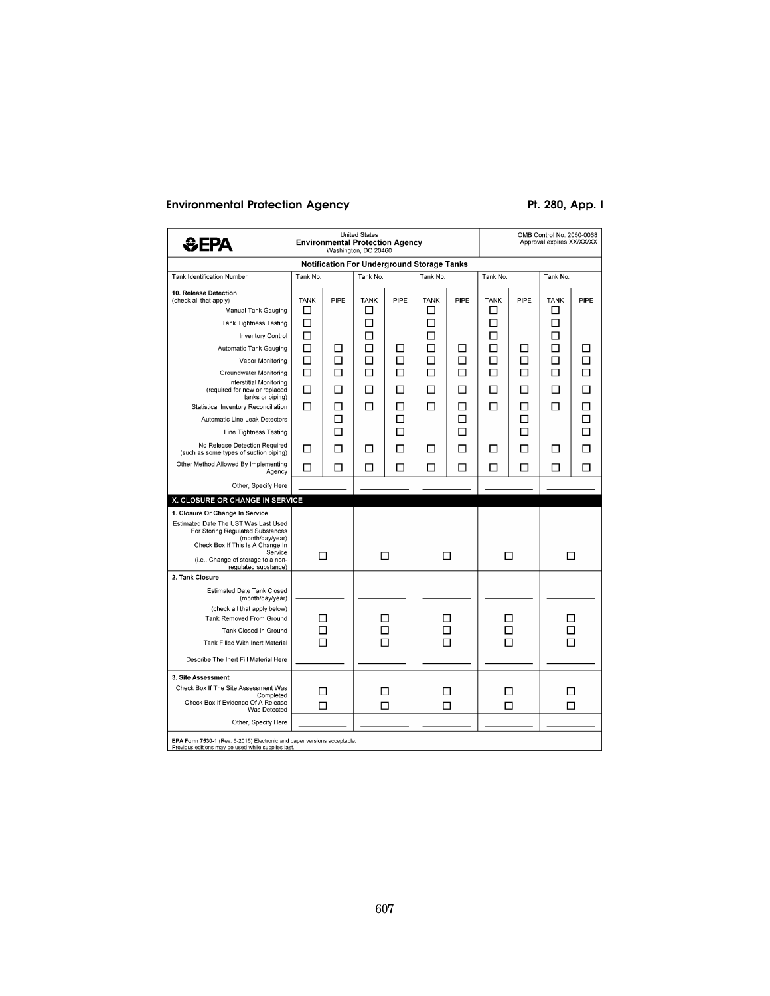# **Environmental Protection Agency Pt. 280, App. I**

| <b>United States</b><br><del>©EPA</del><br><b>Environmental Protection Agency</b><br>Washington, DC 20460                                                                                                                                                                                                                                                                                                                                                                                                                |                                                                     |                                               |                                                                                |                                |                                                          |                                              | OMB Control No. 2050-0068<br>Approval expires XX/XX/XX |                                          |                                                               |      |
|--------------------------------------------------------------------------------------------------------------------------------------------------------------------------------------------------------------------------------------------------------------------------------------------------------------------------------------------------------------------------------------------------------------------------------------------------------------------------------------------------------------------------|---------------------------------------------------------------------|-----------------------------------------------|--------------------------------------------------------------------------------|--------------------------------|----------------------------------------------------------|----------------------------------------------|--------------------------------------------------------|------------------------------------------|---------------------------------------------------------------|------|
|                                                                                                                                                                                                                                                                                                                                                                                                                                                                                                                          | <b>Notification For Underground Storage Tanks</b>                   |                                               |                                                                                |                                |                                                          |                                              |                                                        |                                          |                                                               |      |
| Tank Identification Number                                                                                                                                                                                                                                                                                                                                                                                                                                                                                               | Tank No.                                                            |                                               | Tank No.                                                                       |                                | Tank No.                                                 |                                              | Tank No.                                               |                                          | Tank No.                                                      |      |
| 10. Release Detection<br>(check all that apply)<br>Manual Tank Gauging<br><b>Tank Tightness Testing</b><br>Inventory Control<br>Automatic Tank Gauging<br>Vapor Monitoring<br><b>Groundwater Monitoring</b><br><b>Interstitial Monitoring</b><br>(required for new or replaced<br>tanks or piping)<br>Statistical Inventory Reconciliation<br>Automatic Line Leak Detectors<br>Line Tightness Testing<br>No Release Detection Required<br>(such as some types of suction piping)<br>Other Method Allowed By Implementing | <b>TANK</b><br>$\Box$<br>П<br>П<br>◘<br>П<br>$\mathsf{L}$<br>П<br>□ | PIPE<br>⊔<br>П<br>П<br>ΙI<br>П<br>П<br>П<br>П | <b>TANK</b><br>$\Box$<br>L.<br>П<br>Π<br>□<br>П<br>$\mathsf{L}$<br>П<br>$\Box$ | PIPE<br>$\mathsf{L}$<br>П<br>H | <b>TANK</b><br>П<br>П<br>П<br>П<br>п<br>П<br>П<br>П<br>□ | PIPE<br>ш<br>Π<br>П<br>ш<br>П<br>П<br>П<br>П | <b>TANK</b><br>□<br>П<br>l I<br>П<br>П<br>П<br>□       | PIPE<br>ΙI<br>П<br>П<br>П<br>П<br>П<br>П | <b>TANK</b><br>□<br>$\Box$<br>□<br>□<br>□<br>П<br>П<br>П<br>□ | PIPE |
| Agency                                                                                                                                                                                                                                                                                                                                                                                                                                                                                                                   | П                                                                   | П                                             | П                                                                              | П                              | П                                                        | П                                            | □                                                      |                                          | $\Box$                                                        |      |
| Other, Specify Here<br>X. CLOSURE OR CHANGE IN SERVICE                                                                                                                                                                                                                                                                                                                                                                                                                                                                   |                                                                     |                                               |                                                                                |                                |                                                          |                                              |                                                        |                                          |                                                               |      |
| 1. Closure Or Change In Service                                                                                                                                                                                                                                                                                                                                                                                                                                                                                          |                                                                     |                                               |                                                                                |                                |                                                          |                                              |                                                        |                                          |                                                               |      |
| Estimated Date The UST Was Last Used<br>For Storing Regulated Substances<br>(month/day/year)<br>Check Box If This Is A Change In<br>Service<br>(i.e., Change of storage to a non-<br>regulated substance)                                                                                                                                                                                                                                                                                                                |                                                                     | П                                             |                                                                                | П                              |                                                          | п                                            |                                                        | П                                        |                                                               | п    |
| 2. Tank Closure                                                                                                                                                                                                                                                                                                                                                                                                                                                                                                          |                                                                     |                                               |                                                                                |                                |                                                          |                                              |                                                        |                                          |                                                               |      |
| <b>Estimated Date Tank Closed</b><br>(month/day/year)<br>(check all that apply below)<br>Tank Removed From Ground<br>Tank Closed In Ground<br>Tank Filled With Inert Material<br>Describe The Inert Fill Material Here                                                                                                                                                                                                                                                                                                   |                                                                     | ٦<br>┐                                        |                                                                                |                                |                                                          |                                              |                                                        | $\overline{\phantom{0}}$                 |                                                               |      |
| 3. Site Assessment<br>Check Box If The Site Assessment Was<br>Completed<br>Check Box If Evidence Of A Release<br>Was Detected<br>Other, Specify Here                                                                                                                                                                                                                                                                                                                                                                     |                                                                     | Ш<br>п                                        |                                                                                |                                |                                                          |                                              |                                                        | $\mathsf{L}$                             |                                                               |      |
| EPA Form 7530-1 (Rev. 6-2015) Electronic and paper versions acceptable.                                                                                                                                                                                                                                                                                                                                                                                                                                                  |                                                                     |                                               |                                                                                |                                |                                                          |                                              |                                                        |                                          |                                                               |      |
| Previous editions may be used while supplies last.                                                                                                                                                                                                                                                                                                                                                                                                                                                                       |                                                                     |                                               |                                                                                |                                |                                                          |                                              |                                                        |                                          |                                                               |      |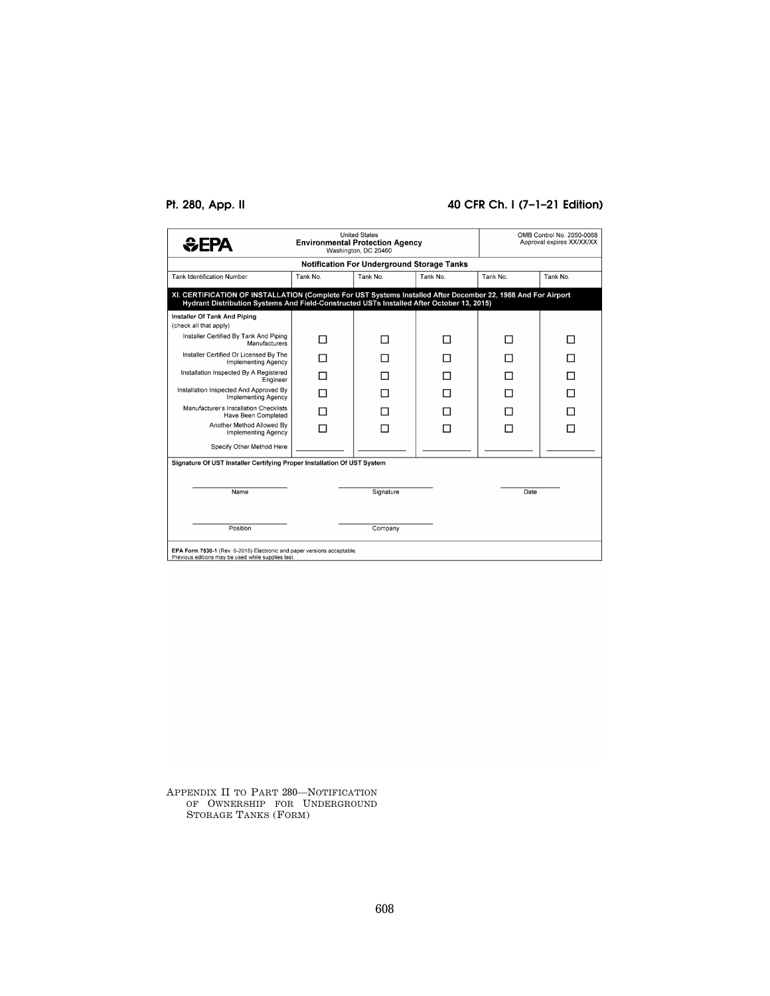# **Pt. 280, App. II 40 CFR Ch. I (7–1–21 Edition)**

| <b><i>SEPA</i></b>                                                                                                                                                                                         |               | OMB Control No. 2050-0068<br>Approval expires XX/XX/XX |          |          |          |
|------------------------------------------------------------------------------------------------------------------------------------------------------------------------------------------------------------|---------------|--------------------------------------------------------|----------|----------|----------|
|                                                                                                                                                                                                            |               | <b>Notification For Underground Storage Tanks</b>      |          |          |          |
| <b>Tank Identification Number</b>                                                                                                                                                                          | Tank No.      | Tank No.                                               | Tank No. | Tank No. | Tank No. |
| XI. CERTIFICATION OF INSTALLATION (Complete For UST Systems Installed After December 22, 1988 And For Airport<br>Hydrant Distribution Systems And Field-Constructed USTs Installed After October 13, 2015) |               |                                                        |          |          |          |
| Installer Of Tank And Piping<br>(check all that apply)                                                                                                                                                     |               |                                                        |          |          |          |
| Installer Certified By Tank And Piping<br>Manufacturers                                                                                                                                                    | П             | п                                                      |          | П        | □        |
| Installer Certified Or Licensed By The<br>Implementing Agency                                                                                                                                              | $\mathbf{r}$  |                                                        |          |          | ΙI       |
| Installation Inspected By A Registered<br>Engineer                                                                                                                                                         | П             |                                                        |          |          | П        |
| Installation Inspected And Approved By<br><b>Implementing Agency</b>                                                                                                                                       | П             |                                                        |          |          | □        |
| Manufacturer's Installation Checklists<br>Have Been Completed                                                                                                                                              | Π             |                                                        |          |          | H        |
| Another Method Allowed By<br><b>Implementing Agency</b>                                                                                                                                                    | <b>Talent</b> |                                                        |          |          |          |
| Specify Other Method Here                                                                                                                                                                                  |               |                                                        |          |          |          |
| Signature Of UST Installer Certifying Proper Installation Of UST System                                                                                                                                    |               |                                                        |          |          |          |
| Signature<br>Name<br>Date                                                                                                                                                                                  |               |                                                        |          |          |          |
| Position<br>Company                                                                                                                                                                                        |               |                                                        |          |          |          |
| EPA Form 7530-1 (Rev. 6-2015) Electronic and paper versions acceptable.<br>Previous editions may be used while supplies last.                                                                              |               |                                                        |          |          |          |

APPENDIX II TO PART 280—NOTIFICATION OF OWNERSHIP FOR UNDERGROUND STORAGE TANKS (FORM)